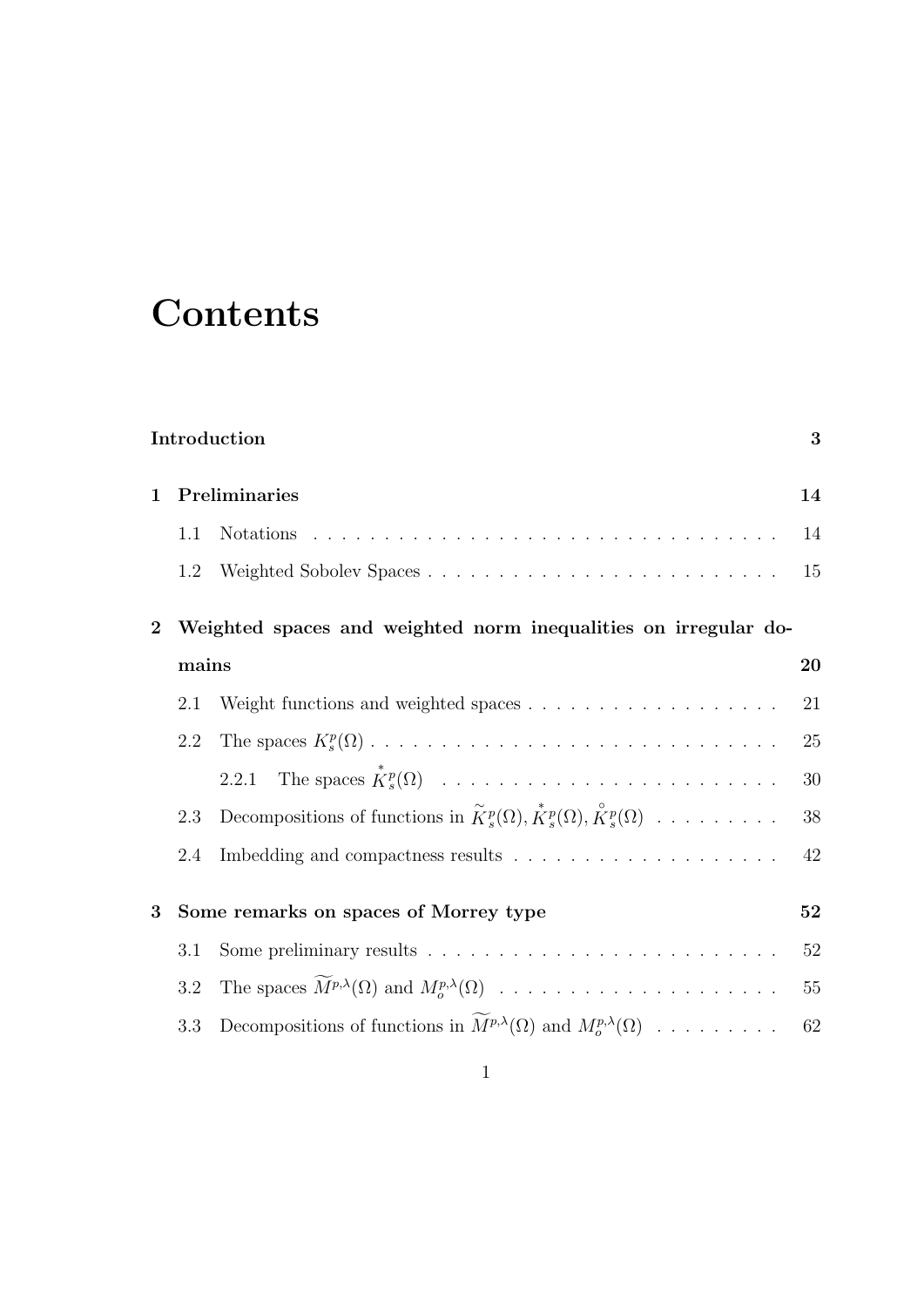# **Contents**

| Introduction<br>3 |                                                                 |                                                                                                                                       |        |  |  |
|-------------------|-----------------------------------------------------------------|---------------------------------------------------------------------------------------------------------------------------------------|--------|--|--|
| $\mathbf{1}$      | Preliminaries                                                   |                                                                                                                                       | 14     |  |  |
|                   | 1.1                                                             |                                                                                                                                       | 14     |  |  |
|                   | 1.2                                                             |                                                                                                                                       | 15     |  |  |
| $\overline{2}$    | Weighted spaces and weighted norm inequalities on irregular do- |                                                                                                                                       |        |  |  |
|                   | mains                                                           |                                                                                                                                       | 20     |  |  |
|                   | 2.1                                                             |                                                                                                                                       | 21     |  |  |
|                   | 2.2                                                             |                                                                                                                                       | 25     |  |  |
|                   |                                                                 |                                                                                                                                       | 30     |  |  |
|                   | 2.3                                                             | Decompositions of functions in $\widetilde{K}_s^p(\Omega), \widetilde{K}_s^p(\Omega), \widetilde{K}_s^p(\Omega) \ldots \ldots \ldots$ | $38\,$ |  |  |
|                   | 2.4                                                             |                                                                                                                                       | 42     |  |  |
| 3                 | Some remarks on spaces of Morrey type                           |                                                                                                                                       | 52     |  |  |
|                   | 3.1                                                             | Some preliminary results $\ldots \ldots \ldots \ldots \ldots \ldots \ldots \ldots \ldots$                                             | 52     |  |  |
|                   | 3.2                                                             |                                                                                                                                       | 55     |  |  |
|                   | 3.3                                                             | Decompositions of functions in $\widetilde{M}^{p,\lambda}(\Omega)$ and $M^{p,\lambda}_{\alpha}(\Omega)$                               | 62     |  |  |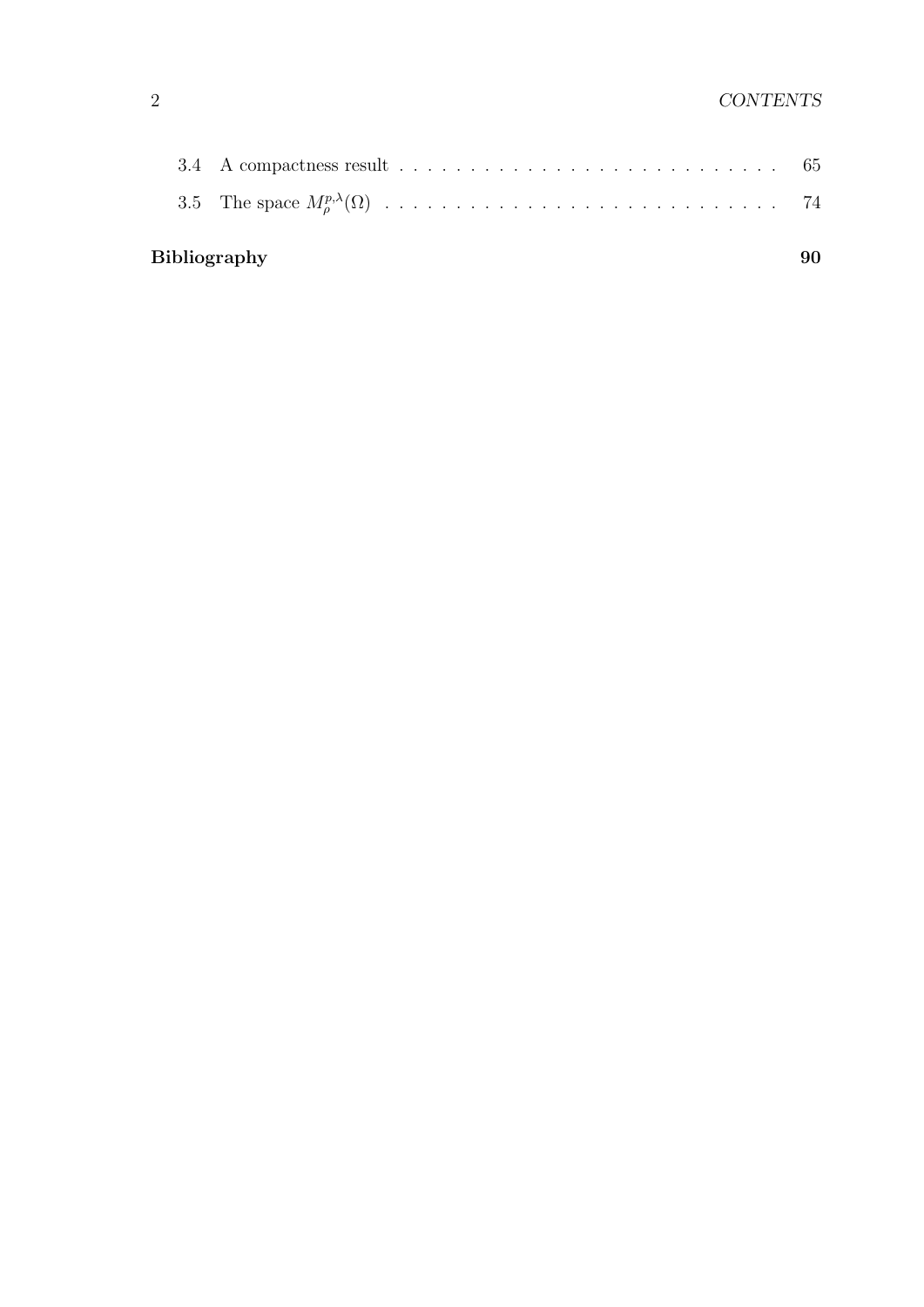| <b>Bibliography</b> |  |  |  |
|---------------------|--|--|--|
|                     |  |  |  |
|                     |  |  |  |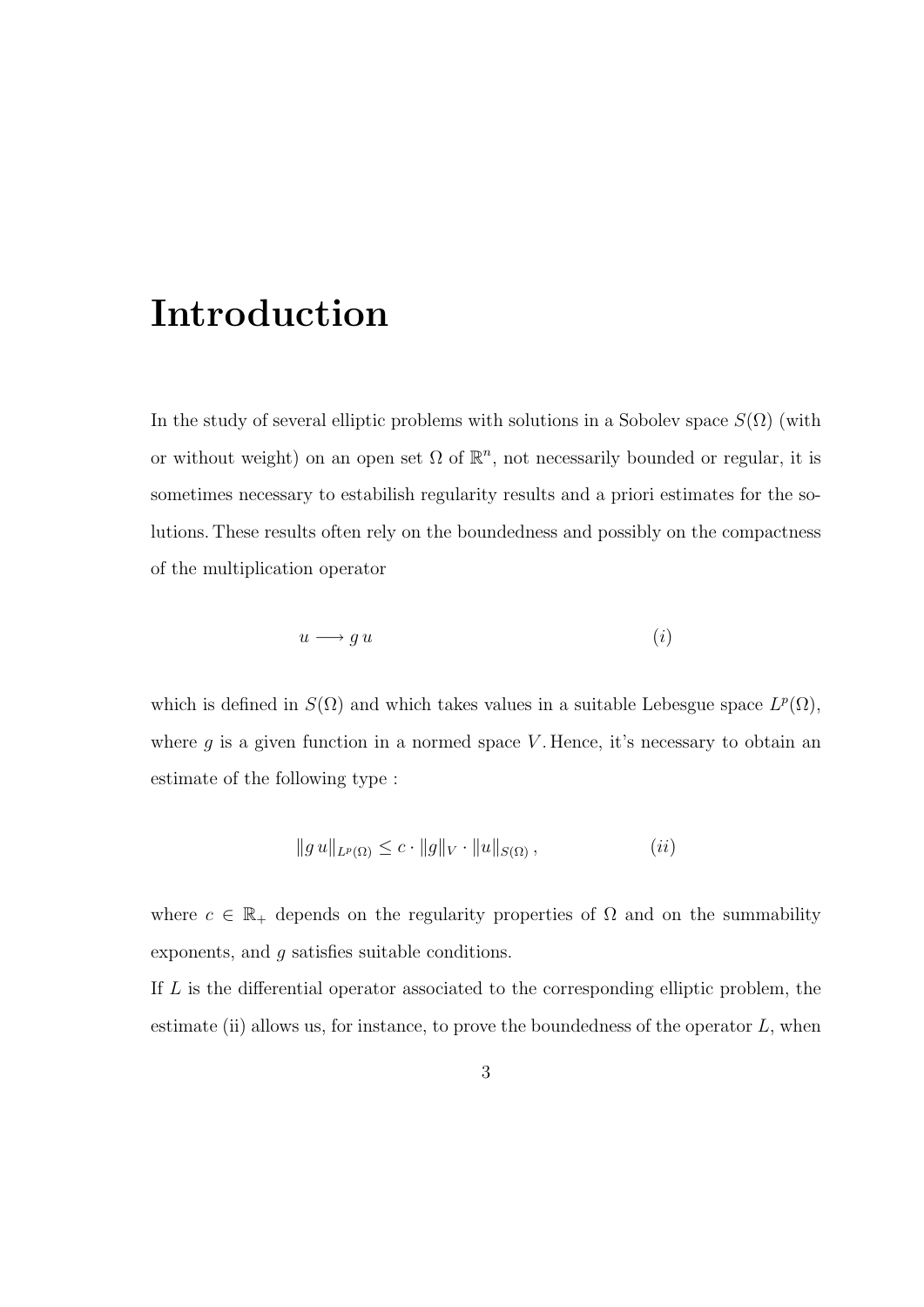## Introduction

In the study of several elliptic problems with solutions in a Sobolev space  $S(\Omega)$  (with or without weight) on an open set  $\Omega$  of  $\mathbb{R}^n$ , not necessarily bounded or regular, it is sometimes necessary to estabilish regularity results and a priori estimates for the solutions. These results often rely on the boundedness and possibly on the compactness of the multiplication operator

$$
u \longrightarrow g \, u \tag{i}
$$

which is defined in  $S(\Omega)$  and which takes values in a suitable Lebesgue space  $L^p(\Omega)$ , where  $g$  is a given function in a normed space  $V$ . Hence, it's necessary to obtain an estimate of the following type :

$$
||g u||_{L^p(\Omega)} \leq c \cdot ||g||_V \cdot ||u||_{S(\Omega)}, \qquad (ii)
$$

where  $c \in \mathbb{R}_+$  depends on the regularity properties of  $\Omega$  and on the summability exponents, and g satisfies suitable conditions.

If L is the differential operator associated to the corresponding elliptic problem, the estimate (ii) allows us, for instance, to prove the boundedness of the operator  $L$ , when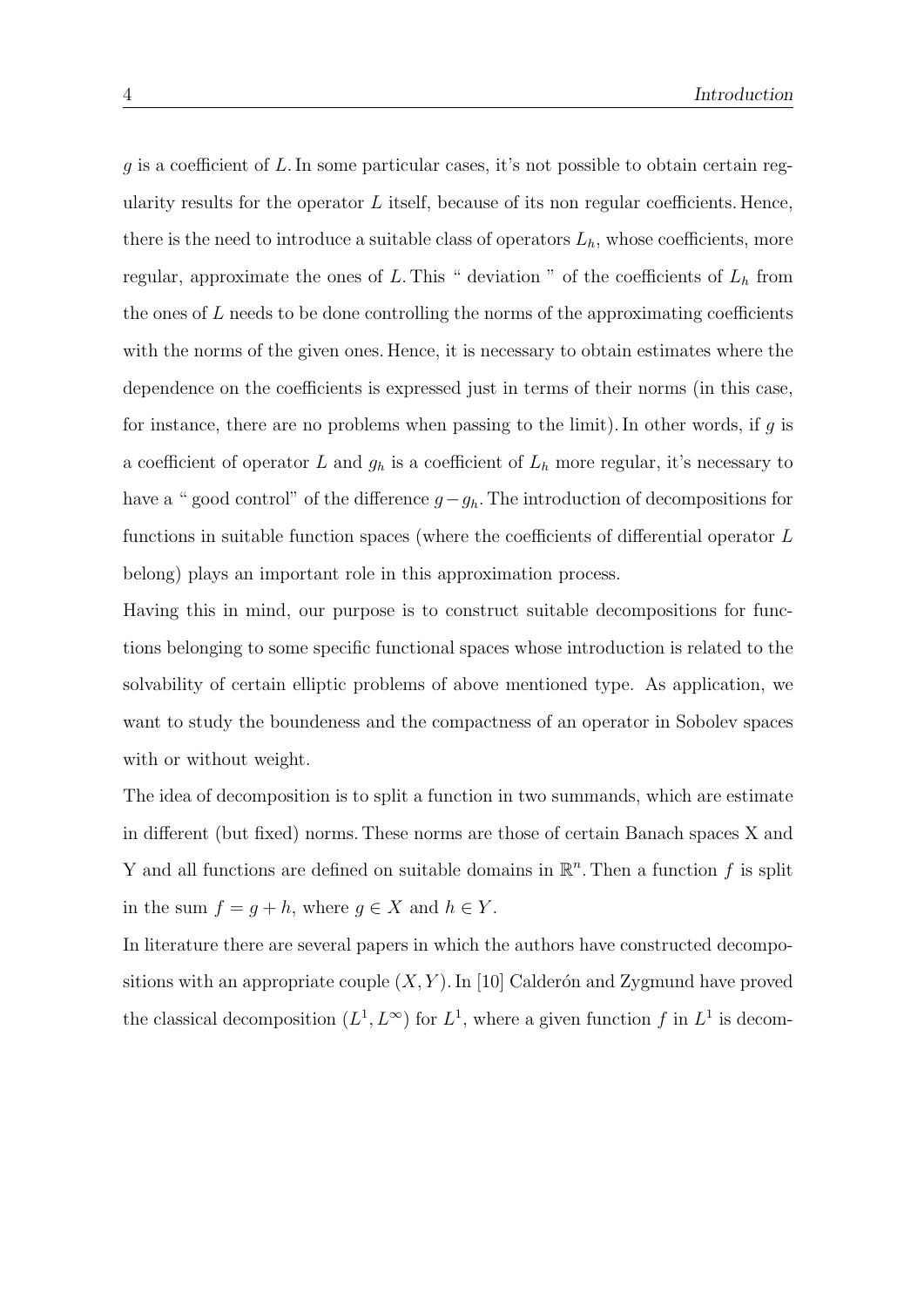$g$  is a coefficient of L. In some particular cases, it's not possible to obtain certain regularity results for the operator  $L$  itself, because of its non regular coefficients. Hence, there is the need to introduce a suitable class of operators  $L<sub>h</sub>$ , whose coefficients, more regular, approximate the ones of L. This " deviation " of the coefficients of  $L<sub>h</sub>$  from the ones of  $L$  needs to be done controlling the norms of the approximating coefficients with the norms of the given ones. Hence, it is necessary to obtain estimates where the dependence on the coefficients is expressed just in terms of their norms (in this case, for instance, there are no problems when passing to the limit). In other words, if  $g$  is a coefficient of operator L and  $g_h$  is a coefficient of  $L_h$  more regular, it's necessary to have a " good control" of the difference  $g-g_h$ . The introduction of decompositions for functions in suitable function spaces (where the coefficients of differential operator L belong) plays an important role in this approximation process.

Having this in mind, our purpose is to construct suitable decompositions for functions belonging to some specific functional spaces whose introduction is related to the solvability of certain elliptic problems of above mentioned type. As application, we want to study the boundeness and the compactness of an operator in Sobolev spaces with or without weight.

The idea of decomposition is to split a function in two summands, which are estimate in different (but fixed) norms. These norms are those of certain Banach spaces X and Y and all functions are defined on suitable domains in  $\mathbb{R}^n$ . Then a function f is split in the sum  $f = g + h$ , where  $g \in X$  and  $h \in Y$ .

In literature there are several papers in which the authors have constructed decompositions with an appropriate couple  $(X, Y)$ . In [10] Calderón and Zygmund have proved the classical decomposition  $(L^1, L^{\infty})$  for  $L^1$ , where a given function f in  $L^1$  is decom-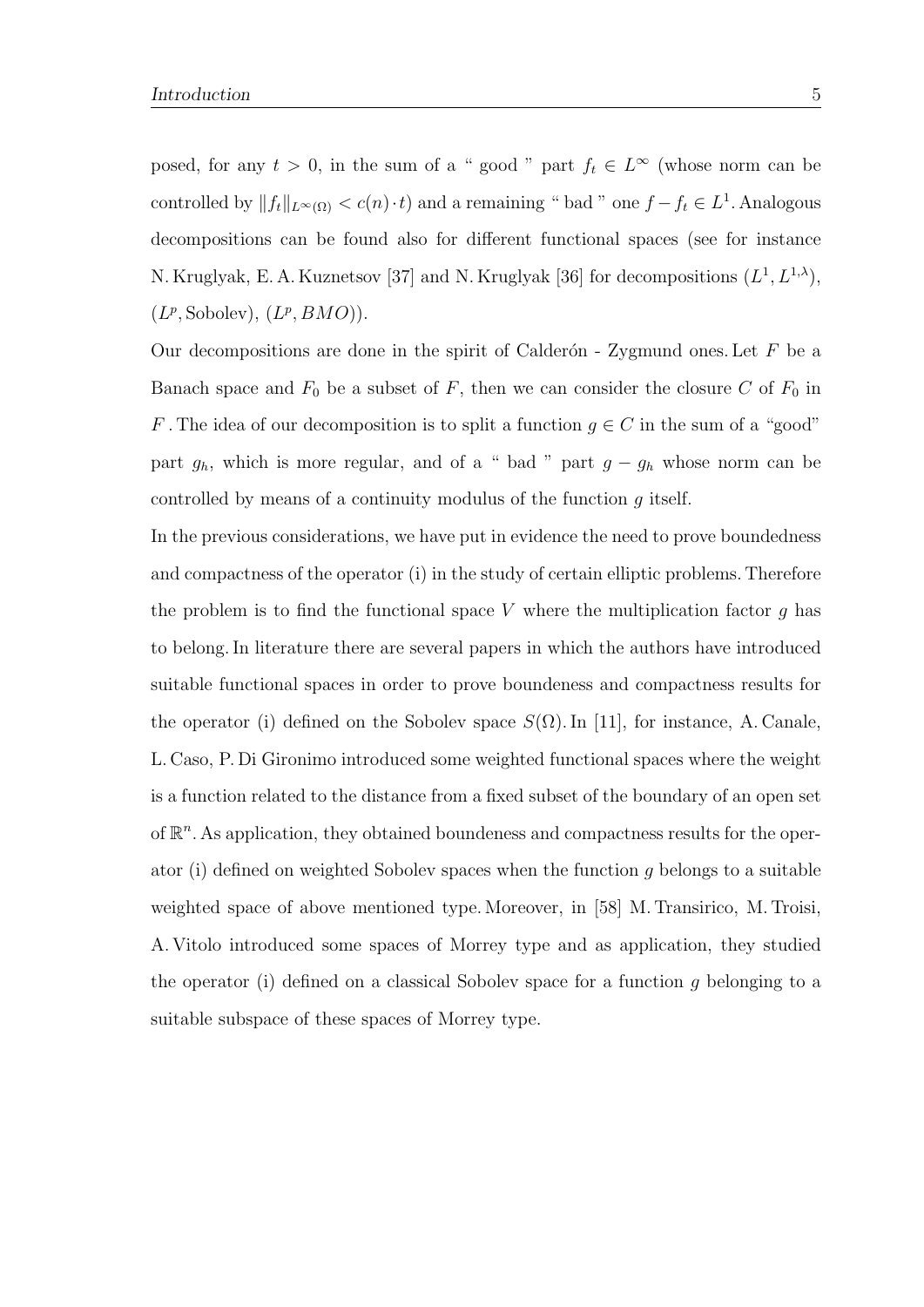posed, for any  $t > 0$ , in the sum of a " good " part  $f_t \in L^{\infty}$  (whose norm can be controlled by  $||f_t||_{L^{\infty}(\Omega)} < c(n) \cdot t$  and a remaining " bad " one  $f - f_t \in L^1$ . Analogous decompositions can be found also for different functional spaces (see for instance N. Kruglyak, E. A. Kuznetsov [37] and N. Kruglyak [36] for decompositions  $(L^1, L^{1,\lambda}),$  $(L^p, \text{Sobolev}), (L^p, BMO)).$ 

Our decompositions are done in the spirit of Calderón - Zygmund ones. Let  $F$  be a Banach space and  $F_0$  be a subset of F, then we can consider the closure C of  $F_0$  in F. The idea of our decomposition is to split a function  $g \in C$  in the sum of a "good" part  $g_h$ , which is more regular, and of a " bad " part  $g - g_h$  whose norm can be controlled by means of a continuity modulus of the function g itself.

In the previous considerations, we have put in evidence the need to prove boundedness and compactness of the operator (i) in the study of certain elliptic problems. Therefore the problem is to find the functional space V where the multiplication factor  $g$  has to belong. In literature there are several papers in which the authors have introduced suitable functional spaces in order to prove boundeness and compactness results for the operator (i) defined on the Sobolev space  $S(\Omega)$ . In [11], for instance, A. Canale, L. Caso, P. Di Gironimo introduced some weighted functional spaces where the weight is a function related to the distance from a fixed subset of the boundary of an open set of  $\mathbb{R}^n$ . As application, they obtained boundeness and compactness results for the operator (i) defined on weighted Sobolev spaces when the function g belongs to a suitable weighted space of above mentioned type. Moreover, in [58] M. Transirico, M. Troisi, A. Vitolo introduced some spaces of Morrey type and as application, they studied the operator (i) defined on a classical Sobolev space for a function g belonging to a suitable subspace of these spaces of Morrey type.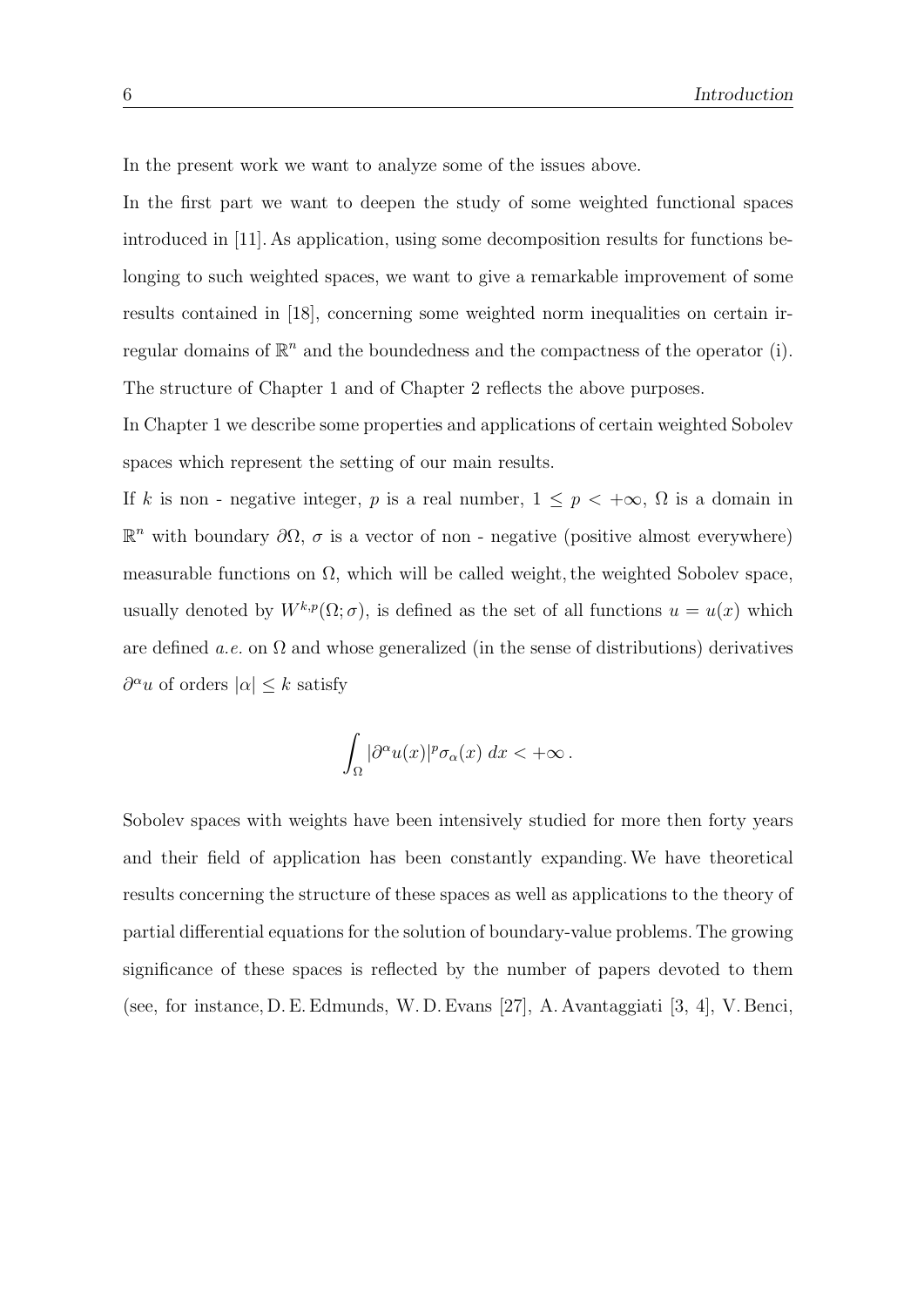In the present work we want to analyze some of the issues above.

In the first part we want to deepen the study of some weighted functional spaces introduced in [11]. As application, using some decomposition results for functions belonging to such weighted spaces, we want to give a remarkable improvement of some results contained in [18], concerning some weighted norm inequalities on certain irregular domains of  $\mathbb{R}^n$  and the boundedness and the compactness of the operator (i). The structure of Chapter 1 and of Chapter 2 reflects the above purposes.

In Chapter 1 we describe some properties and applications of certain weighted Sobolev spaces which represent the setting of our main results.

If k is non - negative integer, p is a real number,  $1 \le p < +\infty$ ,  $\Omega$  is a domain in  $\mathbb{R}^n$  with boundary  $\partial\Omega$ , σ is a vector of non - negative (positive almost everywhere) measurable functions on  $\Omega$ , which will be called weight, the weighted Sobolev space, usually denoted by  $W^{k,p}(\Omega;\sigma)$ , is defined as the set of all functions  $u = u(x)$  which are defined a.e. on  $\Omega$  and whose generalized (in the sense of distributions) derivatives  $\partial^{\alpha}u$  of orders  $|\alpha| \leq k$  satisfy

$$
\int_{\Omega} |\partial^{\alpha} u(x)|^p \sigma_{\alpha}(x) \, dx < +\infty \, .
$$

Sobolev spaces with weights have been intensively studied for more then forty years and their field of application has been constantly expanding.We have theoretical results concerning the structure of these spaces as well as applications to the theory of partial differential equations for the solution of boundary-value problems. The growing significance of these spaces is reflected by the number of papers devoted to them (see, for instance, D. E. Edmunds, W. D. Evans [27], A. Avantaggiati [3, 4], V. Benci,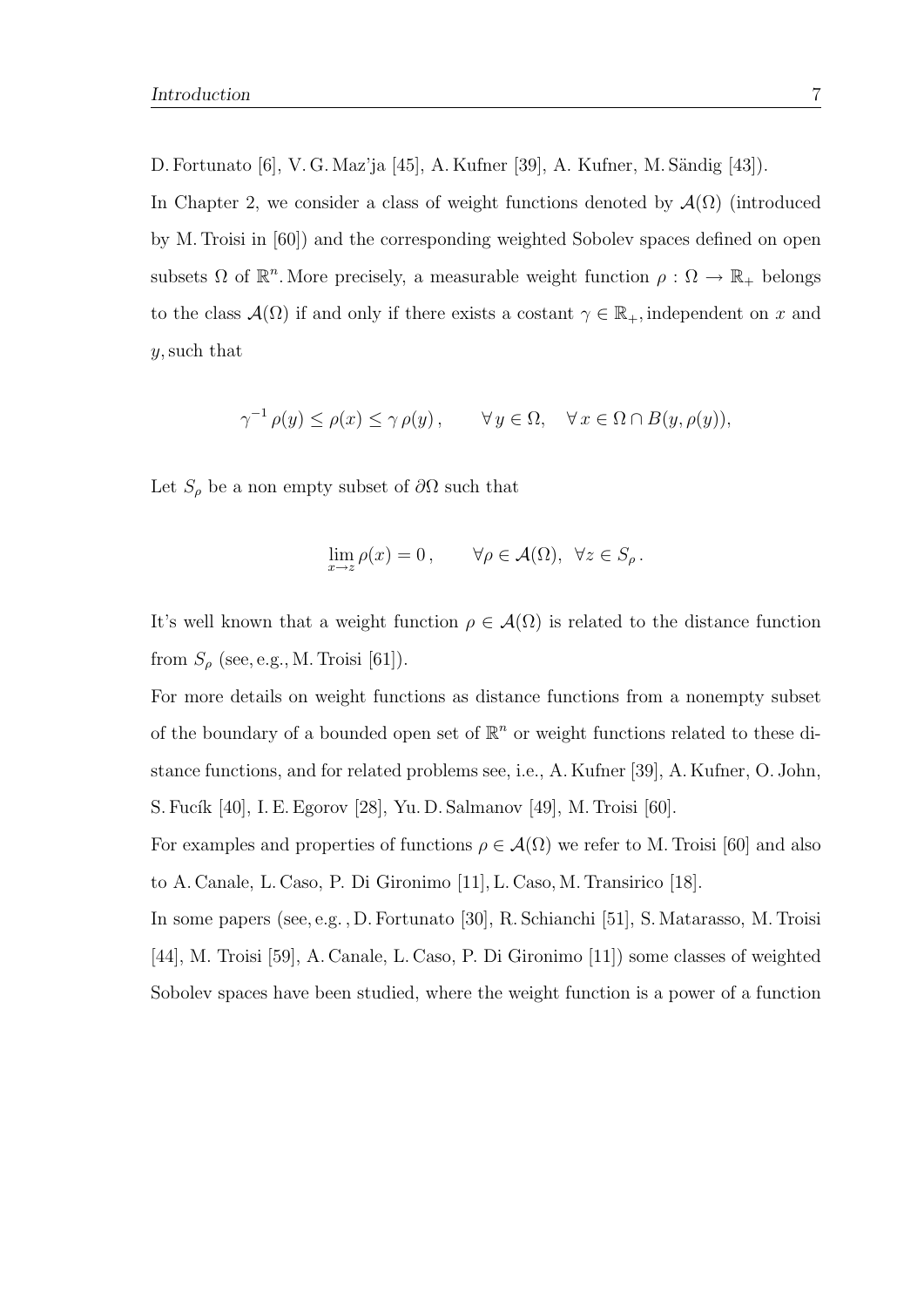D. Fortunato [6], V. G. Maz'ja [45], A. Kufner [39], A. Kufner, M. Sändig [43]).

In Chapter 2, we consider a class of weight functions denoted by  $\mathcal{A}(\Omega)$  (introduced by M. Troisi in [60]) and the corresponding weighted Sobolev spaces defined on open subsets  $\Omega$  of  $\mathbb{R}^n$ . More precisely, a measurable weight function  $\rho : \Omega \to \mathbb{R}_+$  belongs to the class  $\mathcal{A}(\Omega)$  if and only if there exists a costant  $\gamma \in \mathbb{R}_+$ , independent on x and y, such that

$$
\gamma^{-1} \rho(y) \le \rho(x) \le \gamma \rho(y), \qquad \forall y \in \Omega, \quad \forall x \in \Omega \cap B(y, \rho(y)),
$$

Let  $S_\rho$  be a non empty subset of  $\partial\Omega$  such that

$$
\lim_{x \to z} \rho(x) = 0, \qquad \forall \rho \in \mathcal{A}(\Omega), \ \forall z \in S_{\rho}.
$$

It's well known that a weight function  $\rho \in \mathcal{A}(\Omega)$  is related to the distance function from  $S_\rho$  (see, e.g., M. Troisi [61]).

For more details on weight functions as distance functions from a nonempty subset of the boundary of a bounded open set of  $\mathbb{R}^n$  or weight functions related to these distance functions, and for related problems see, i.e., A. Kufner [39], A. Kufner, O. John, S. Fucík [40], I. E. Egorov [28], Yu. D. Salmanov [49], M. Troisi [60].

For examples and properties of functions  $\rho \in \mathcal{A}(\Omega)$  we refer to M. Troisi [60] and also to A. Canale, L. Caso, P. Di Gironimo [11], L. Caso, M. Transirico [18].

In some papers (see, e.g. , D. Fortunato [30], R. Schianchi [51], S. Matarasso, M. Troisi [44], M. Troisi [59], A. Canale, L. Caso, P. Di Gironimo [11]) some classes of weighted Sobolev spaces have been studied, where the weight function is a power of a function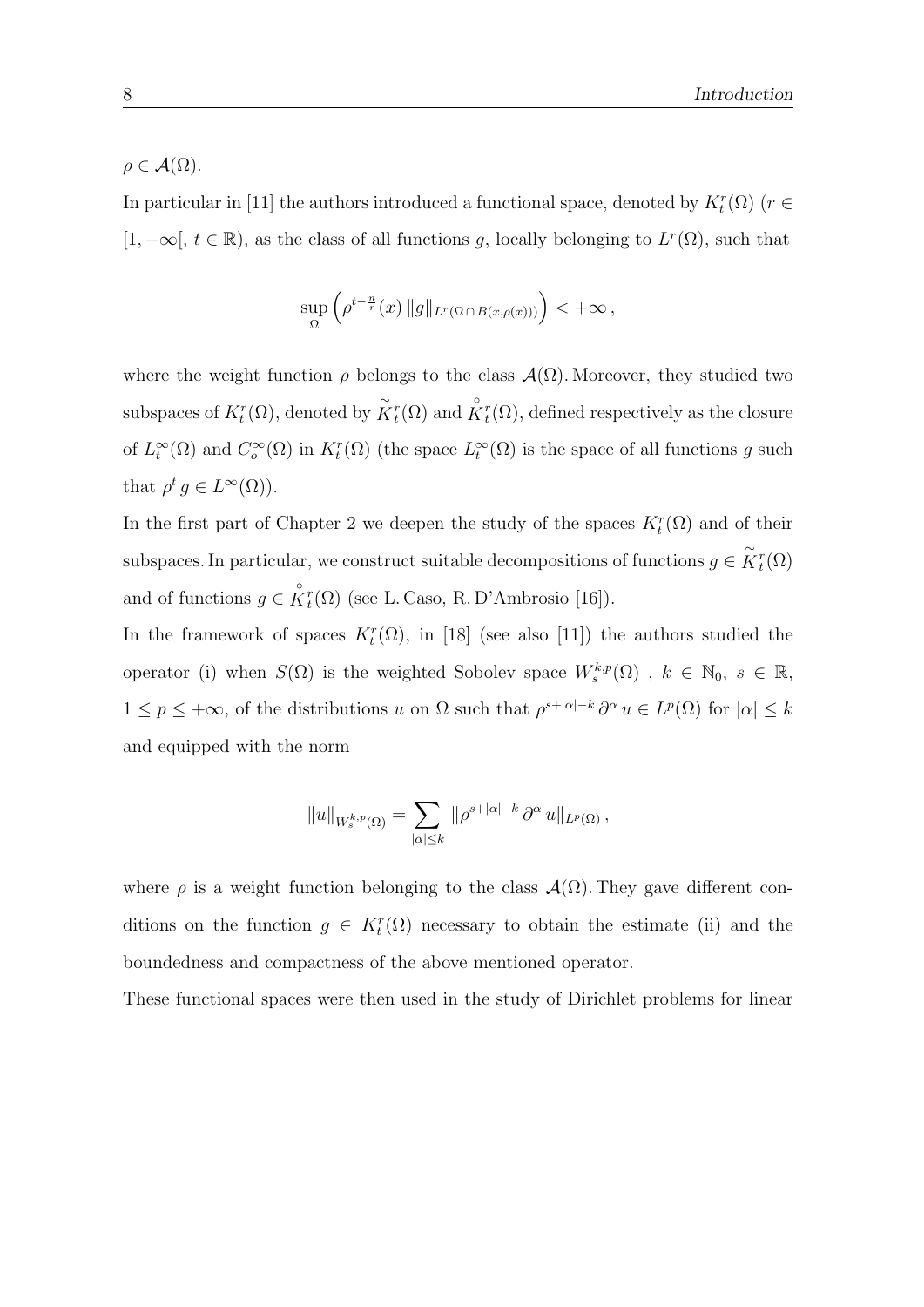$\rho \in \mathcal{A}(\Omega)$ .

In particular in [11] the authors introduced a functional space, denoted by  $K_t^r(\Omega)$  ( $r \in$  $[1, +\infty], t \in \mathbb{R}$ , as the class of all functions g, locally belonging to  $L^r(\Omega)$ , such that

$$
\sup_{\Omega} \left( \rho^{t-\frac{n}{r}}(x) \|g\|_{L^r(\Omega \cap B(x,\rho(x)))} \right) < +\infty,
$$

where the weight function  $\rho$  belongs to the class  $\mathcal{A}(\Omega)$ . Moreover, they studied two subspaces of  $K_t^r(\Omega)$ , denoted by  $\tilde{K}_t^r(\Omega)$  and  $\overset{\circ}{K}_t^r(\Omega)$ , defined respectively as the closure of  $L_t^{\infty}(\Omega)$  and  $C_o^{\infty}(\Omega)$  in  $K_t^r(\Omega)$  (the space  $L_t^{\infty}(\Omega)$  is the space of all functions g such that  $\rho^t g \in L^{\infty}(\Omega)$ .

In the first part of Chapter 2 we deepen the study of the spaces  $K_t^r(\Omega)$  and of their subspaces. In particular, we construct suitable decompositions of functions  $g \in \tilde{K}_t^r(\Omega)$ and of functions  $g \in \overset{\circ}{K}^r_t(\Omega)$  (see L. Caso, R. D'Ambrosio [16]).

In the framework of spaces  $K_t^r(\Omega)$ , in [18] (see also [11]) the authors studied the operator (i) when  $S(\Omega)$  is the weighted Sobolev space  $W_s^{k,p}(\Omega)$ ,  $k \in \mathbb{N}_0$ ,  $s \in \mathbb{R}$ ,  $1 \leq p \leq +\infty$ , of the distributions u on  $\Omega$  such that  $\rho^{s+|\alpha|-k} \partial^\alpha u \in L^p(\Omega)$  for  $|\alpha| \leq k$ and equipped with the norm

$$
||u||_{W_s^{k,p}(\Omega)} = \sum_{|\alpha| \leq k} ||\rho^{s+|\alpha|-k} \partial^\alpha u||_{L^p(\Omega)},
$$

where  $\rho$  is a weight function belonging to the class  $\mathcal{A}(\Omega)$ . They gave different conditions on the function  $g \in K_t^r(\Omega)$  necessary to obtain the estimate (ii) and the boundedness and compactness of the above mentioned operator.

These functional spaces were then used in the study of Dirichlet problems for linear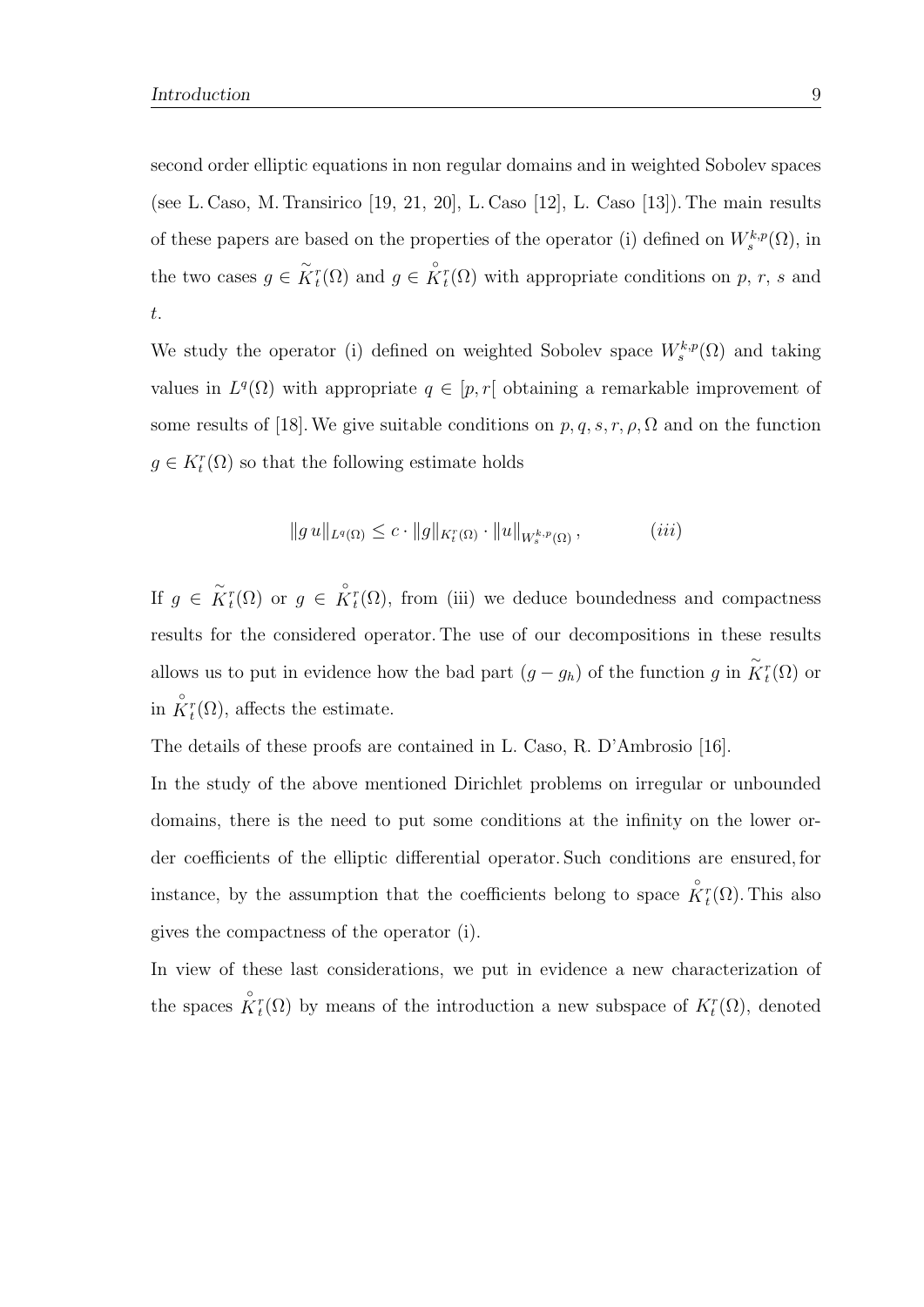second order elliptic equations in non regular domains and in weighted Sobolev spaces (see L. Caso, M. Transirico [19, 21, 20], L. Caso [12], L. Caso [13]). The main results of these papers are based on the properties of the operator (i) defined on  $W_s^{k,p}(\Omega)$ , in the two cases  $g \in \tilde{K}_t^r(\Omega)$  and  $g \in \tilde{K}_t^r(\Omega)$  with appropriate conditions on p, r, s and t.

We study the operator (i) defined on weighted Sobolev space  $W_s^{k,p}(\Omega)$  and taking values in  $L^q(\Omega)$  with appropriate  $q \in [p, r]$  obtaining a remarkable improvement of some results of [18]. We give suitable conditions on  $p, q, s, r, \rho, \Omega$  and on the function  $g \in K_t^r(\Omega)$  so that the following estimate holds

$$
||g u||_{L^{q}(\Omega)} \leq c \cdot ||g||_{K_{t}^{r}(\Omega)} \cdot ||u||_{W_{s}^{k,p}(\Omega)}, \qquad (iii)
$$

If  $g \in \tilde{K}_t^r(\Omega)$  or  $g \in \overset{\circ}{K}_t^r(\Omega)$ , from (iii) we deduce boundedness and compactness results for the considered operator. The use of our decompositions in these results allows us to put in evidence how the bad part  $(g - g_h)$  of the function g in  $\tilde{K}_t^r(\Omega)$  or in  $\overset{\circ}{K}_{t}^{r}(\Omega)$ , affects the estimate.

The details of these proofs are contained in L. Caso, R. D'Ambrosio [16].

In the study of the above mentioned Dirichlet problems on irregular or unbounded domains, there is the need to put some conditions at the infinity on the lower order coefficients of the elliptic differential operator. Such conditions are ensured, for instance, by the assumption that the coefficients belong to space  $\overset{\circ}{K}^r_t(\Omega)$ . This also gives the compactness of the operator (i).

In view of these last considerations, we put in evidence a new characterization of the spaces  $\hat{K}^r_t(\Omega)$  by means of the introduction a new subspace of  $K^r_t(\Omega)$ , denoted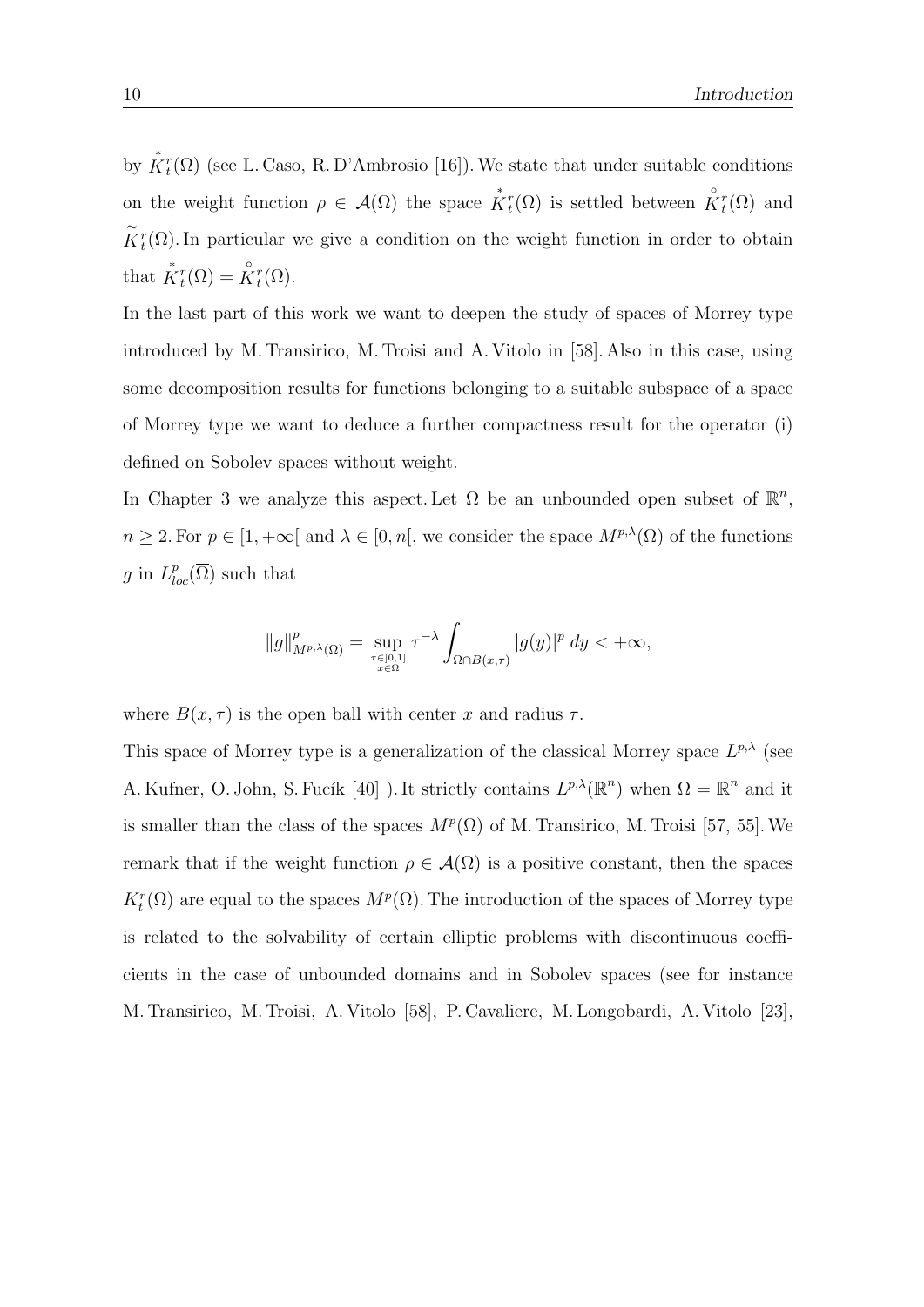by  $\mathring{K}_t^r(\Omega)$  (see L. Caso, R. D'Ambrosio [16]). We state that under suitable conditions on the weight function  $\rho \in \mathcal{A}(\Omega)$  the space  $\overset{*}{K}{}^r_t(\Omega)$  is settled between  $\overset{\circ}{K}{}^r_t(\Omega)$  and  $\tilde{K}_t^r(\Omega)$ . In particular we give a condition on the weight function in order to obtain that  $\overset{*}{K}_{t}^{r}(\Omega) = \overset{\circ}{K}_{t}^{r}(\Omega)$ .

In the last part of this work we want to deepen the study of spaces of Morrey type introduced by M. Transirico, M. Troisi and A. Vitolo in [58]. Also in this case, using some decomposition results for functions belonging to a suitable subspace of a space of Morrey type we want to deduce a further compactness result for the operator (i) defined on Sobolev spaces without weight.

In Chapter 3 we analyze this aspect. Let  $\Omega$  be an unbounded open subset of  $\mathbb{R}^n$ ,  $n \geq 2$ . For  $p \in [1, +\infty]$  and  $\lambda \in [0, n]$ , we consider the space  $M^{p,\lambda}(\Omega)$  of the functions g in  $L_{loc}^p(\overline{\Omega})$  such that

$$
\|g\|_{M^{p,\lambda}(\Omega)}^p = \sup_{\tau \in ]0,1] \atop x \in \Omega} \tau^{-\lambda} \int_{\Omega \cap B(x,\tau)} |g(y)|^p \ dy < +\infty,
$$

where  $B(x, \tau)$  is the open ball with center x and radius  $\tau$ .

This space of Morrey type is a generalization of the classical Morrey space  $L^{p,\lambda}$  (see A. Kufner, O. John, S. Fucík [40] ). It strictly contains  $L^{p,\lambda}(\mathbb{R}^n)$  when  $\Omega = \mathbb{R}^n$  and it is smaller than the class of the spaces  $M^p(\Omega)$  of M. Transirico, M. Troisi [57, 55]. We remark that if the weight function  $\rho \in \mathcal{A}(\Omega)$  is a positive constant, then the spaces  $K_t^r(\Omega)$  are equal to the spaces  $M^p(\Omega)$ . The introduction of the spaces of Morrey type is related to the solvability of certain elliptic problems with discontinuous coefficients in the case of unbounded domains and in Sobolev spaces (see for instance M. Transirico, M. Troisi, A. Vitolo [58], P. Cavaliere, M. Longobardi, A. Vitolo [23],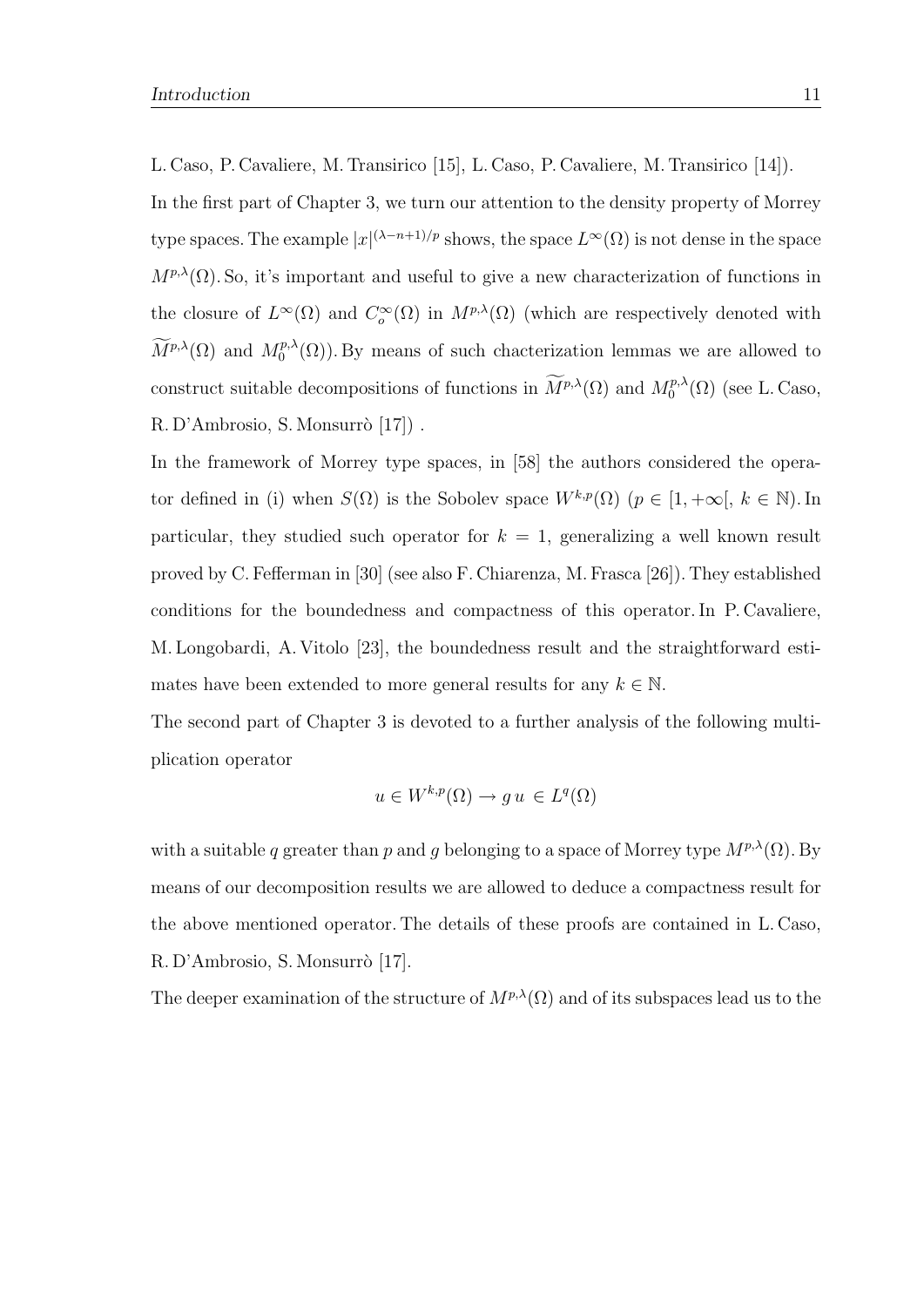L. Caso, P. Cavaliere, M. Transirico [15], L. Caso, P. Cavaliere, M. Transirico [14]).

In the first part of Chapter 3, we turn our attention to the density property of Morrey type spaces. The example  $|x|^{(\lambda-n+1)/p}$  shows, the space  $L^{\infty}(\Omega)$  is not dense in the space  $M^{p,\lambda}(\Omega)$ . So, it's important and useful to give a new characterization of functions in the closure of  $L^{\infty}(\Omega)$  and  $C_o^{\infty}(\Omega)$  in  $M^{p,\lambda}(\Omega)$  (which are respectively denoted with  $\widetilde{M}^{p,\lambda}(\Omega)$  and  $M_0^{p,\lambda}$  $\binom{p,\lambda}{0}$ . By means of such chacterization lemmas we are allowed to construct suitable decompositions of functions in  $\widetilde{M}^{p,\lambda}(\Omega)$  and  $M_0^{p,\lambda}$  $_{0}^{p,\lambda}(\Omega)$  (see L. Caso, R. D'Ambrosio, S. Monsurrò [17]).

In the framework of Morrey type spaces, in [58] the authors considered the operator defined in (i) when  $S(\Omega)$  is the Sobolev space  $W^{k,p}(\Omega)$   $(p \in [1, +\infty], k \in \mathbb{N})$ . In particular, they studied such operator for  $k = 1$ , generalizing a well known result proved by C. Fefferman in [30] (see also F. Chiarenza, M. Frasca [26]). They established conditions for the boundedness and compactness of this operator. In P. Cavaliere, M. Longobardi, A. Vitolo [23], the boundedness result and the straightforward estimates have been extended to more general results for any  $k \in \mathbb{N}$ .

The second part of Chapter 3 is devoted to a further analysis of the following multiplication operator

$$
u \in W^{k,p}(\Omega) \to gu \in L^q(\Omega)
$$

with a suitable q greater than p and g belonging to a space of Morrey type  $M^{p,\lambda}(\Omega)$ . By means of our decomposition results we are allowed to deduce a compactness result for the above mentioned operator. The details of these proofs are contained in L. Caso, R. D'Ambrosio, S. Monsurrò [17].

The deeper examination of the structure of  $M^{p,\lambda}(\Omega)$  and of its subspaces lead us to the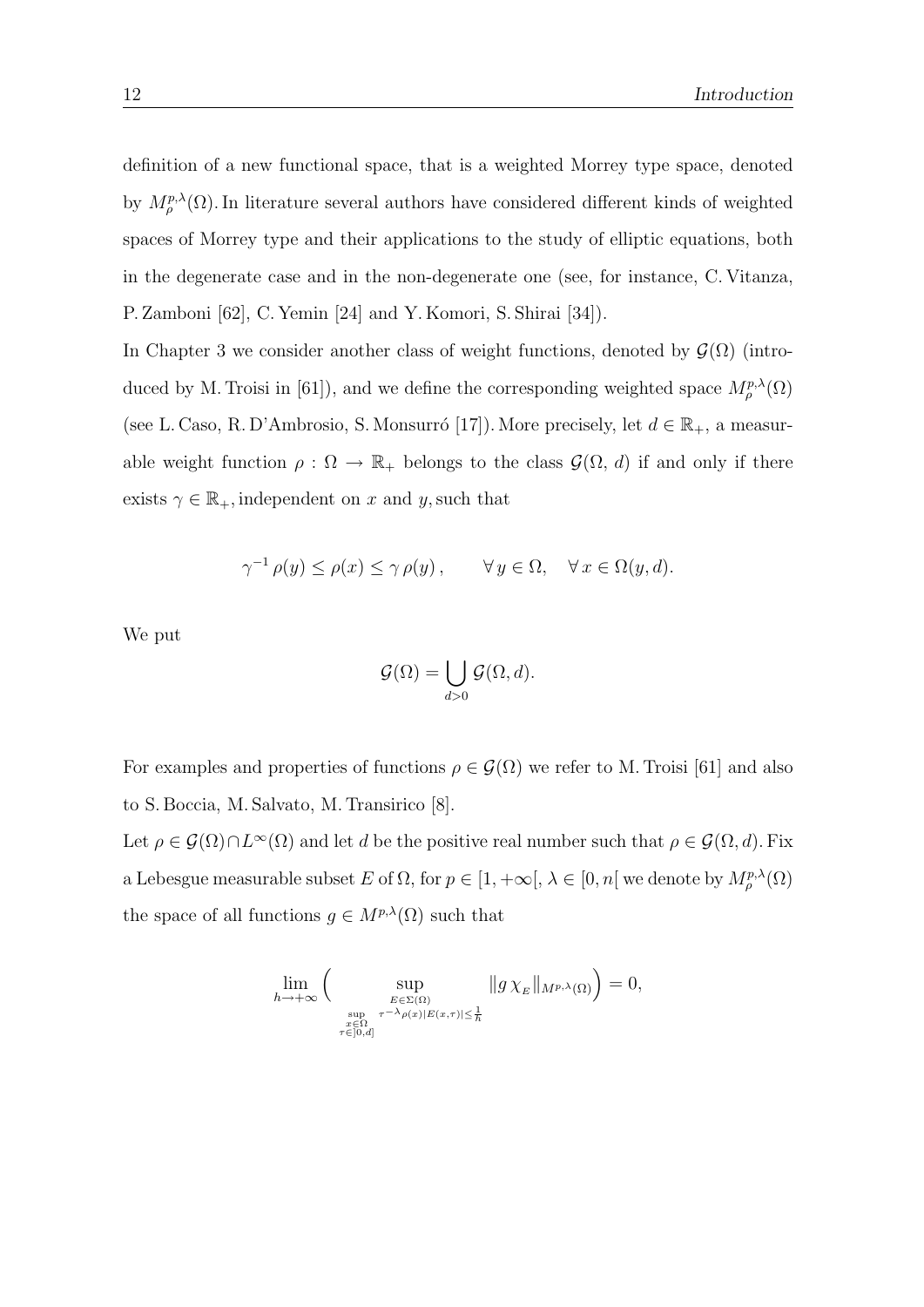definition of a new functional space, that is a weighted Morrey type space, denoted by  $M_{\rho}^{p,\lambda}(\Omega)$ . In literature several authors have considered different kinds of weighted spaces of Morrey type and their applications to the study of elliptic equations, both in the degenerate case and in the non-degenerate one (see, for instance, C. Vitanza, P. Zamboni [62], C. Yemin [24] and Y. Komori, S. Shirai [34]).

In Chapter 3 we consider another class of weight functions, denoted by  $\mathcal{G}(\Omega)$  (introduced by M. Troisi in [61]), and we define the corresponding weighted space  $M^{p,\lambda}_{\rho}(\Omega)$ (see L. Caso, R. D'Ambrosio, S. Monsurró [17]). More precisely, let  $d \in \mathbb{R}_+$ , a measurable weight function  $\rho : \Omega \to \mathbb{R}_+$  belongs to the class  $\mathcal{G}(\Omega, d)$  if and only if there exists  $\gamma \in \mathbb{R}_+$ , independent on x and y, such that

$$
\gamma^{-1} \rho(y) \le \rho(x) \le \gamma \rho(y), \qquad \forall y \in \Omega, \quad \forall x \in \Omega(y, d).
$$

We put

$$
\mathcal{G}(\Omega) = \bigcup_{d>0} \mathcal{G}(\Omega, d).
$$

For examples and properties of functions  $\rho \in \mathcal{G}(\Omega)$  we refer to M. Troisi [61] and also to S. Boccia, M. Salvato, M. Transirico [8].

Let  $\rho \in \mathcal{G}(\Omega) \cap L^{\infty}(\Omega)$  and let d be the positive real number such that  $\rho \in \mathcal{G}(\Omega, d)$ . Fix a Lebesgue measurable subset E of  $\Omega$ , for  $p \in [1, +\infty], \lambda \in [0, n[$  we denote by  $M^{p,\lambda}_\rho(\Omega)$ the space of all functions  $g \in M^{p,\lambda}(\Omega)$  such that

$$
\lim_{h \to +\infty} \Big( \sup_{\substack{E \in \Sigma(\Omega) \\ \sup_{x \in \Omega \\ \tau \in [0,d]}} \tau^{-\lambda} \rho(x)|E(x,\tau)| \leq \frac{1}{h}}} \|g \chi_E\|_{M^{p,\lambda}(\Omega)} \Big) = 0,
$$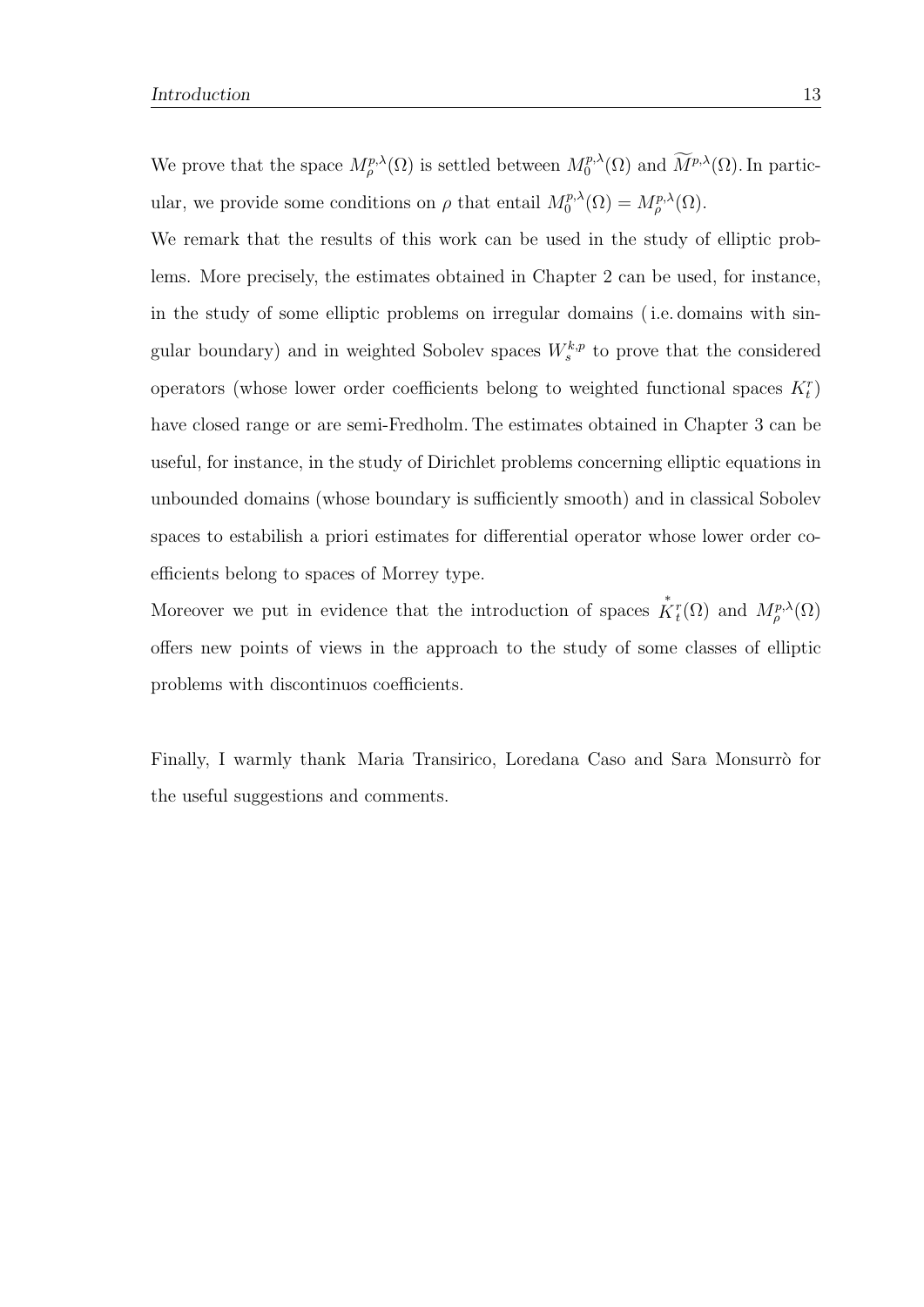We prove that the space  $M^{p,\lambda}_{\rho}(\Omega)$  is settled between  $M^{p,\lambda}_0$  $\int_0^{p,\lambda}(\Omega)$  and  $M^{p,\lambda}(\Omega)$ . In particular, we provide some conditions on  $\rho$  that entail  $M_0^{p,\lambda}$  $\delta_0^{p,\lambda}(\Omega)=M_{\rho}^{p,\lambda}(\Omega).$ 

We remark that the results of this work can be used in the study of elliptic problems. More precisely, the estimates obtained in Chapter 2 can be used, for instance, in the study of some elliptic problems on irregular domains ( i.e. domains with singular boundary) and in weighted Sobolev spaces  $W_s^{k,p}$  to prove that the considered operators (whose lower order coefficients belong to weighted functional spaces  $K_t^r$ ) have closed range or are semi-Fredholm. The estimates obtained in Chapter 3 can be useful, for instance, in the study of Dirichlet problems concerning elliptic equations in unbounded domains (whose boundary is sufficiently smooth) and in classical Sobolev spaces to estabilish a priori estimates for differential operator whose lower order coefficients belong to spaces of Morrey type.

Moreover we put in evidence that the introduction of spaces  $\mathring{K}_t^r(\Omega)$  and  $M_\rho^{p,\lambda}(\Omega)$ offers new points of views in the approach to the study of some classes of elliptic problems with discontinuos coefficients.

Finally, I warmly thank Maria Transirico, Loredana Caso and Sara Monsurrò for the useful suggestions and comments.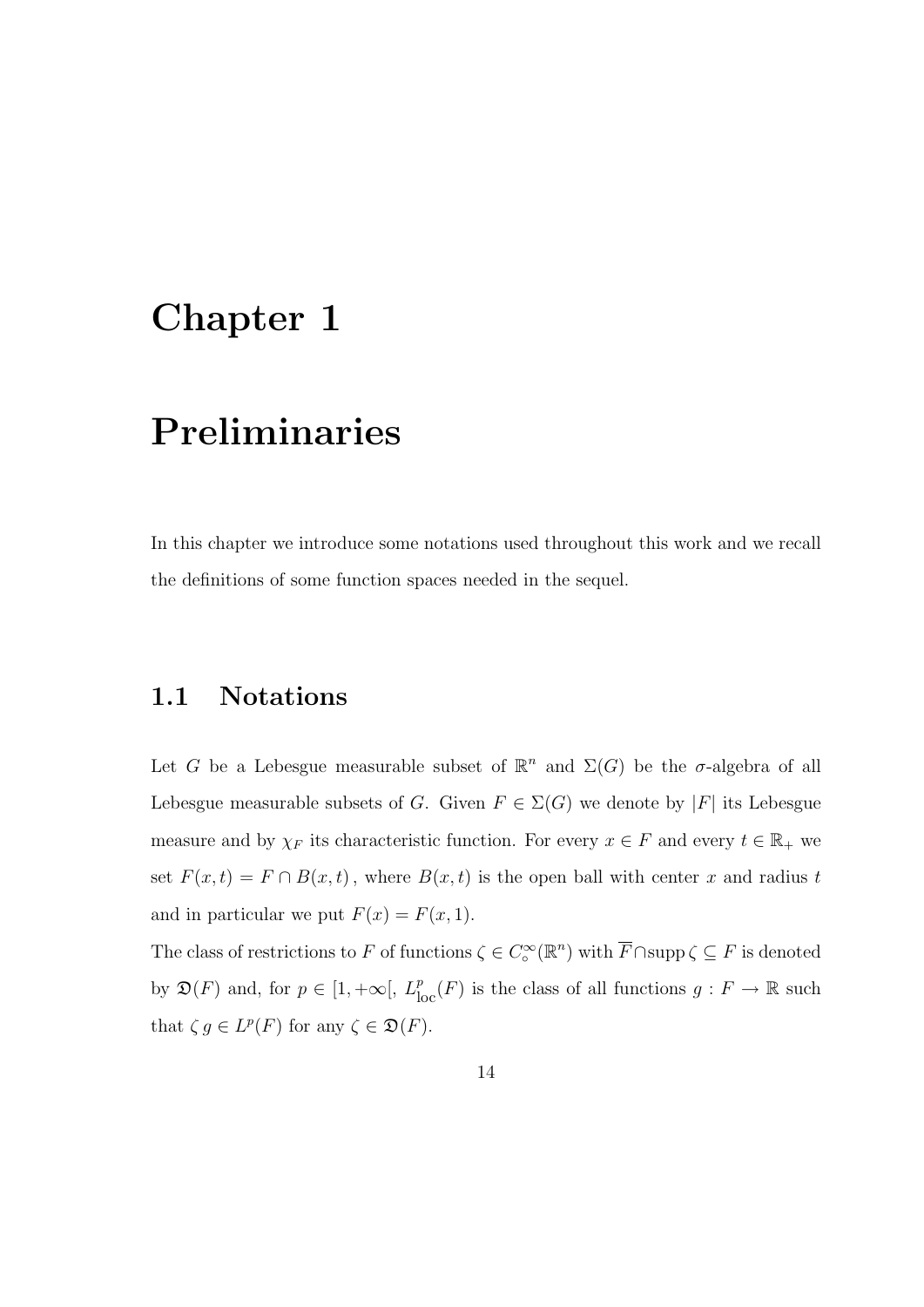## Chapter 1

# Preliminaries

In this chapter we introduce some notations used throughout this work and we recall the definitions of some function spaces needed in the sequel.

#### 1.1 Notations

Let G be a Lebesgue measurable subset of  $\mathbb{R}^n$  and  $\Sigma(G)$  be the σ-algebra of all Lebesgue measurable subsets of G. Given  $F \in \Sigma(G)$  we denote by  $|F|$  its Lebesgue measure and by  $\chi_F$  its characteristic function. For every  $x \in F$  and every  $t \in \mathbb{R}_+$  we set  $F(x,t) = F \cap B(x,t)$ , where  $B(x,t)$  is the open ball with center x and radius t and in particular we put  $F(x) = F(x, 1)$ .

The class of restrictions to F of functions  $\zeta \in C_{\infty}^{\infty}(\mathbb{R}^{n})$  with  $\overline{F} \cap \text{supp}\,\zeta \subseteq F$  is denoted by  $\mathfrak{D}(F)$  and, for  $p \in [1, +\infty], L^p_{loc}(F)$  is the class of all functions  $g : F \to \mathbb{R}$  such that  $\zeta g \in L^p(F)$  for any  $\zeta \in \mathfrak{D}(F)$ .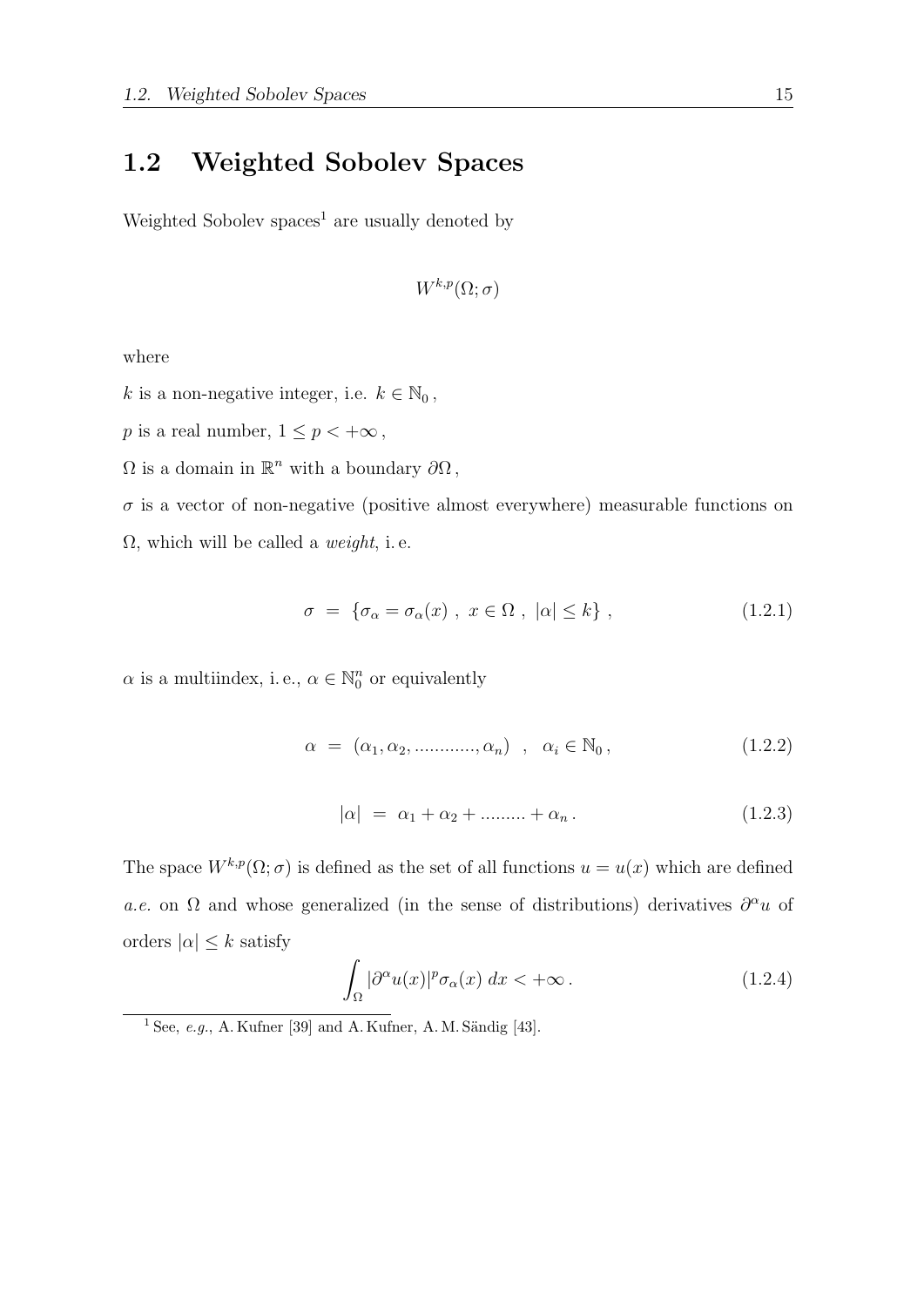#### 1.2 Weighted Sobolev Spaces

Weighted Sobolev spaces<sup>1</sup> are usually denoted by

$$
W^{k,p}(\Omega;\sigma)
$$

where

 $k$  is a non-negative integer, i.e.  $k\in\mathbb{N}_0$  ,

 $p$  is a real number,  $1\leq p<+\infty$  ,

 $\Omega$  is a domain in  $\mathbb{R}^n$  with a boundary  $\partial\Omega$ ,

 $\sigma$  is a vector of non-negative (positive almost everywhere) measurable functions on  $\Omega$ , which will be called a *weight*, i.e.

$$
\sigma = \{\sigma_\alpha = \sigma_\alpha(x), \ x \in \Omega, \ |\alpha| \le k\},\tag{1.2.1}
$$

 $\alpha$  is a multiindex, i.e.,  $\alpha \in \mathbb{N}_0^n$  $\binom{n}{0}$  or equivalently

$$
\alpha = (\alpha_1, \alpha_2, \dots, \alpha_n), \quad \alpha_i \in \mathbb{N}_0, \tag{1.2.2}
$$

$$
|\alpha| = \alpha_1 + \alpha_2 + \dots + \alpha_n. \tag{1.2.3}
$$

The space  $W^{k,p}(\Omega;\sigma)$  is defined as the set of all functions  $u = u(x)$  which are defined a.e. on  $\Omega$  and whose generalized (in the sense of distributions) derivatives  $\partial^{\alpha}u$  of orders  $|\alpha| \leq k$  satisfy

$$
\int_{\Omega} |\partial^{\alpha} u(x)|^p \sigma_{\alpha}(x) dx < +\infty.
$$
 (1.2.4)

 $1$  See, e.g., A. Kufner [39] and A. Kufner, A. M. Sändig [43].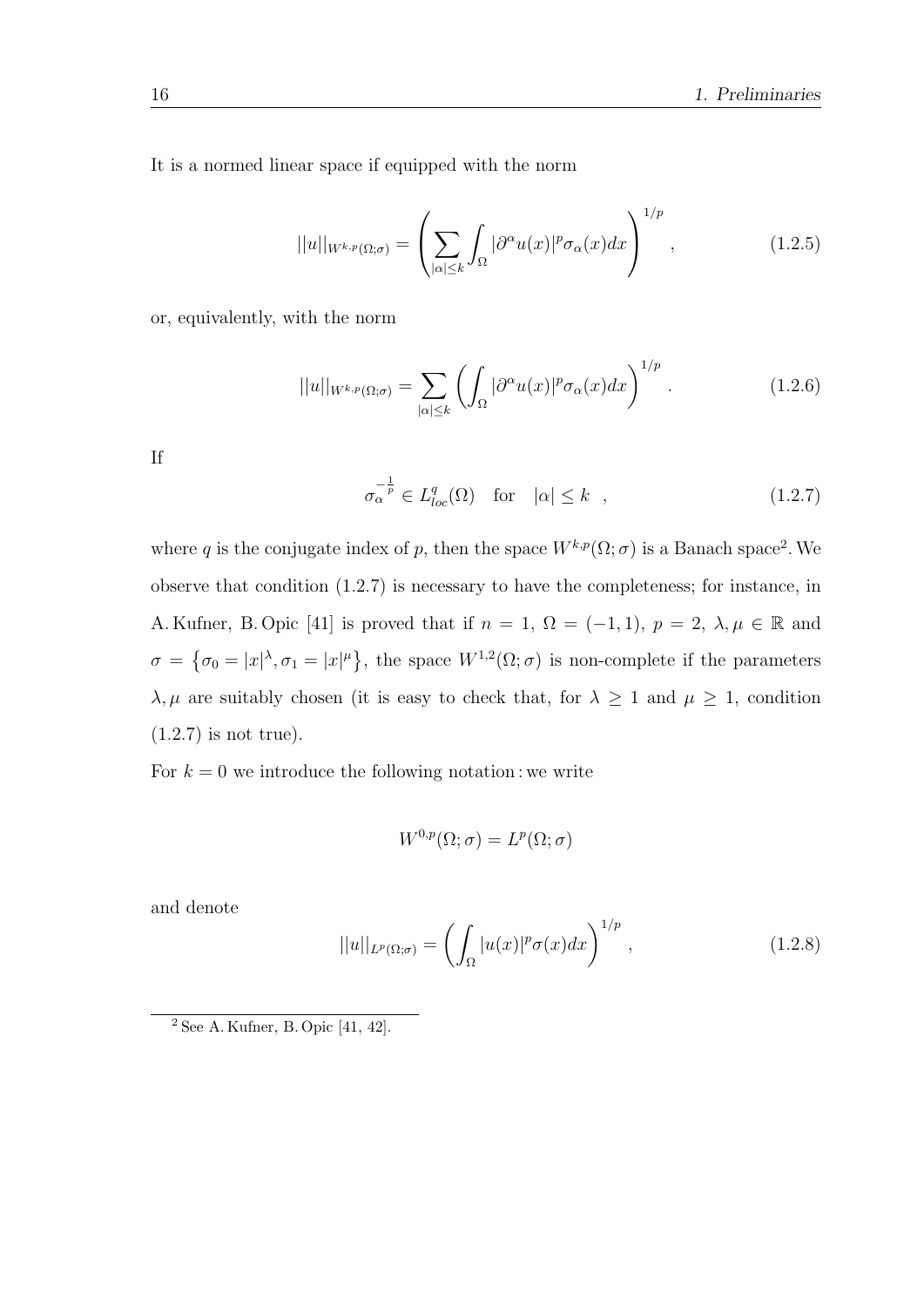It is a normed linear space if equipped with the norm

$$
||u||_{W^{k,p}(\Omega;\sigma)} = \left(\sum_{|\alpha| \le k} \int_{\Omega} |\partial^{\alpha} u(x)|^p \sigma_{\alpha}(x) dx\right)^{1/p}, \qquad (1.2.5)
$$

or, equivalently, with the norm

$$
||u||_{W^{k,p}(\Omega;\sigma)} = \sum_{|\alpha| \le k} \left( \int_{\Omega} |\partial^{\alpha} u(x)|^p \sigma_{\alpha}(x) dx \right)^{1/p} . \tag{1.2.6}
$$

If

$$
\sigma_{\alpha}^{-\frac{1}{p}} \in L_{loc}^{q}(\Omega) \quad \text{for} \quad |\alpha| \le k \quad , \tag{1.2.7}
$$

where q is the conjugate index of p, then the space  $W^{k,p}(\Omega;\sigma)$  is a Banach space<sup>2</sup>. We observe that condition (1.2.7) is necessary to have the completeness; for instance, in A. Kufner, B. Opic [41] is proved that if  $n = 1$ ,  $\Omega = (-1, 1)$ ,  $p = 2$ ,  $\lambda, \mu \in \mathbb{R}$  and  $\sigma = {\sigma_0 = |x|^{\lambda}, \sigma_1 = |x|^{\mu}}$ , the space  $W^{1,2}(\Omega; \sigma)$  is non-complete if the parameters  $\lambda, \mu$  are suitably chosen (it is easy to check that, for  $\lambda \geq 1$  and  $\mu \geq 1$ , condition (1.2.7) is not true).

For  $k = 0$  we introduce the following notation : we write

$$
W^{0,p}(\Omega;\sigma) = L^p(\Omega;\sigma)
$$

and denote

$$
||u||_{L^{p}(\Omega;\sigma)} = \left(\int_{\Omega} |u(x)|^{p} \sigma(x) dx\right)^{1/p}, \qquad (1.2.8)
$$

<sup>2</sup> See A. Kufner, B. Opic [41, 42].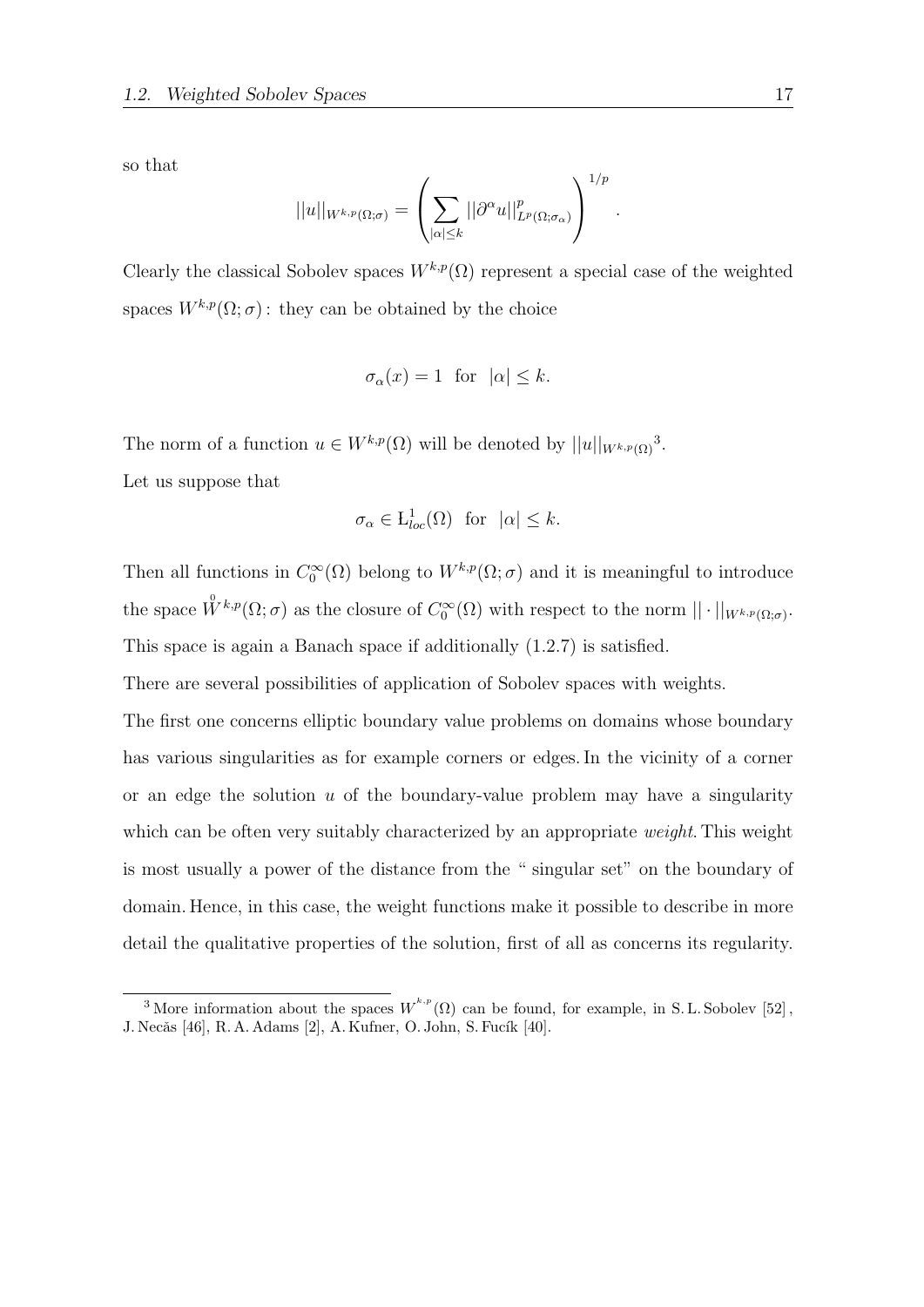so that

$$
||u||_{W^{k,p}(\Omega;\sigma)} = \left(\sum_{|\alpha| \leq k} ||\partial^{\alpha} u||_{L^p(\Omega;\sigma_{\alpha})}^p\right)^{1/p}
$$

.

Clearly the classical Sobolev spaces  $W^{k,p}(\Omega)$  represent a special case of the weighted spaces  $W^{k,p}(\Omega;\sigma)$ : they can be obtained by the choice

$$
\sigma_{\alpha}(x) = 1 \text{ for } |\alpha| \le k.
$$

The norm of a function  $u \in W^{k,p}(\Omega)$  will be denoted by  $||u||_{W^{k,p}(\Omega)}^3$ .

Let us suppose that

$$
\sigma_{\alpha} \in L^{1}_{loc}(\Omega)
$$
 for  $|\alpha| \leq k$ .

Then all functions in  $C_0^{\infty}(\Omega)$  belong to  $W^{k,p}(\Omega; \sigma)$  and it is meaningful to introduce the space  $\mathring{W}^{k,p}(\Omega;\sigma)$  as the closure of  $C_0^{\infty}(\Omega)$  with respect to the norm  $||\cdot||_{W^{k,p}(\Omega;\sigma)}$ . This space is again a Banach space if additionally (1.2.7) is satisfied.

There are several possibilities of application of Sobolev spaces with weights.

The first one concerns elliptic boundary value problems on domains whose boundary has various singularities as for example corners or edges. In the vicinity of a corner or an edge the solution  $u$  of the boundary-value problem may have a singularity which can be often very suitably characterized by an appropriate *weight*. This weight is most usually a power of the distance from the " singular set" on the boundary of domain. Hence, in this case, the weight functions make it possible to describe in more detail the qualitative properties of the solution, first of all as concerns its regularity.

<sup>&</sup>lt;sup>3</sup> More information about the spaces  $W^{k,p}(\Omega)$  can be found, for example, in S. L. Sobolev [52], J. Necăs [46], R. A. Adams [2], A. Kufner, O. John, S. Fucík [40].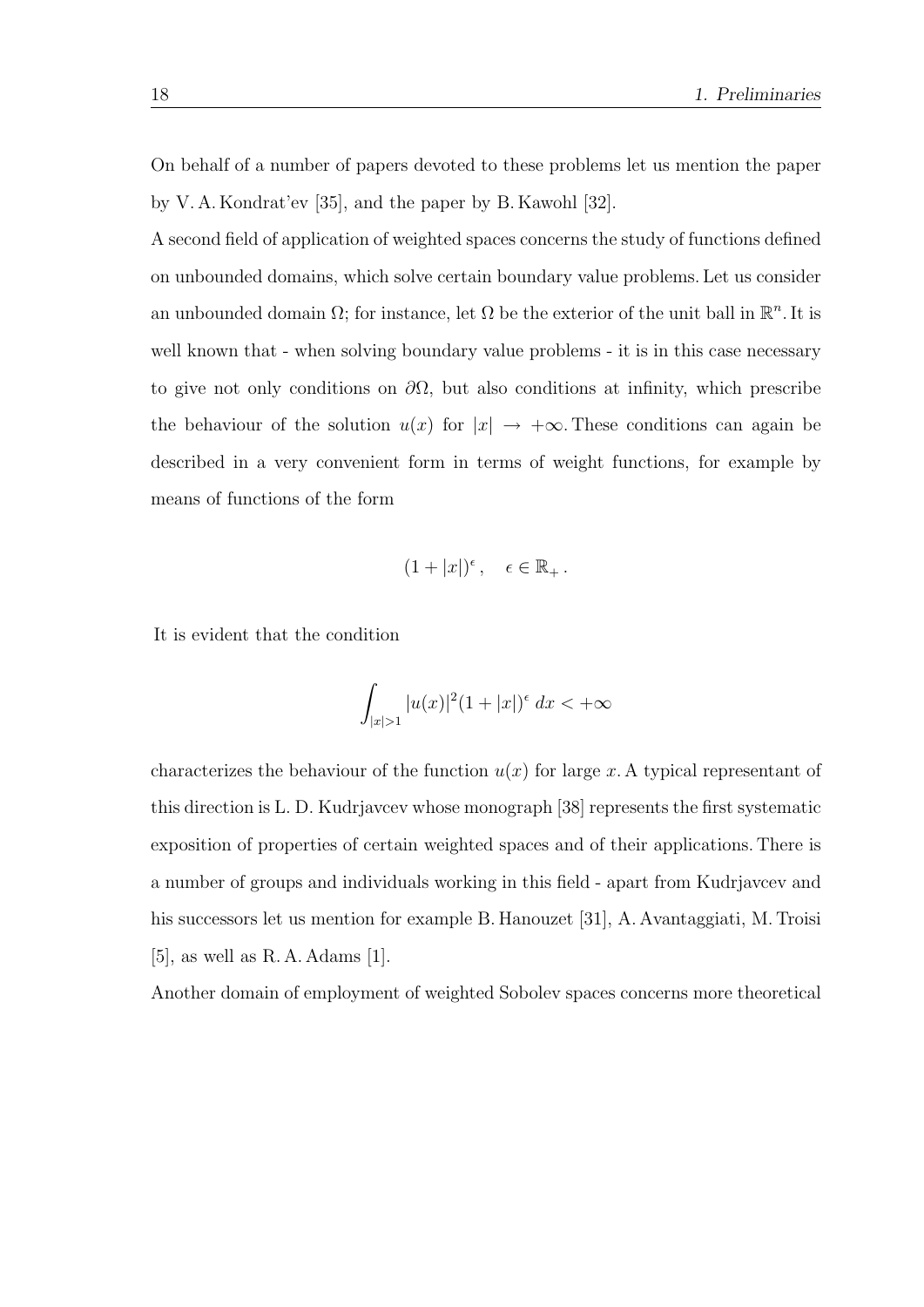On behalf of a number of papers devoted to these problems let us mention the paper by V. A. Kondrat'ev [35], and the paper by B. Kawohl [32].

A second field of application of weighted spaces concerns the study of functions defined on unbounded domains, which solve certain boundary value problems. Let us consider an unbounded domain  $\Omega$ ; for instance, let  $\Omega$  be the exterior of the unit ball in  $\mathbb{R}^n$ . It is well known that - when solving boundary value problems - it is in this case necessary to give not only conditions on  $\partial\Omega$ , but also conditions at infinity, which prescribe the behaviour of the solution  $u(x)$  for  $|x| \rightarrow +\infty$ . These conditions can again be described in a very convenient form in terms of weight functions, for example by means of functions of the form

$$
(1+|x|)^{\epsilon}, \quad \epsilon \in \mathbb{R}_+.
$$

It is evident that the condition

$$
\int_{|x|>1} |u(x)|^2 (1+|x|)^{\epsilon} \, dx < +\infty
$$

characterizes the behaviour of the function  $u(x)$  for large x. A typical representant of this direction is L. D. Kudrjavcev whose monograph [38] represents the first systematic exposition of properties of certain weighted spaces and of their applications. There is a number of groups and individuals working in this field - apart from Kudrjavcev and his successors let us mention for example B. Hanouzet [31], A. Avantaggiati, M. Troisi [5], as well as R. A. Adams [1].

Another domain of employment of weighted Sobolev spaces concerns more theoretical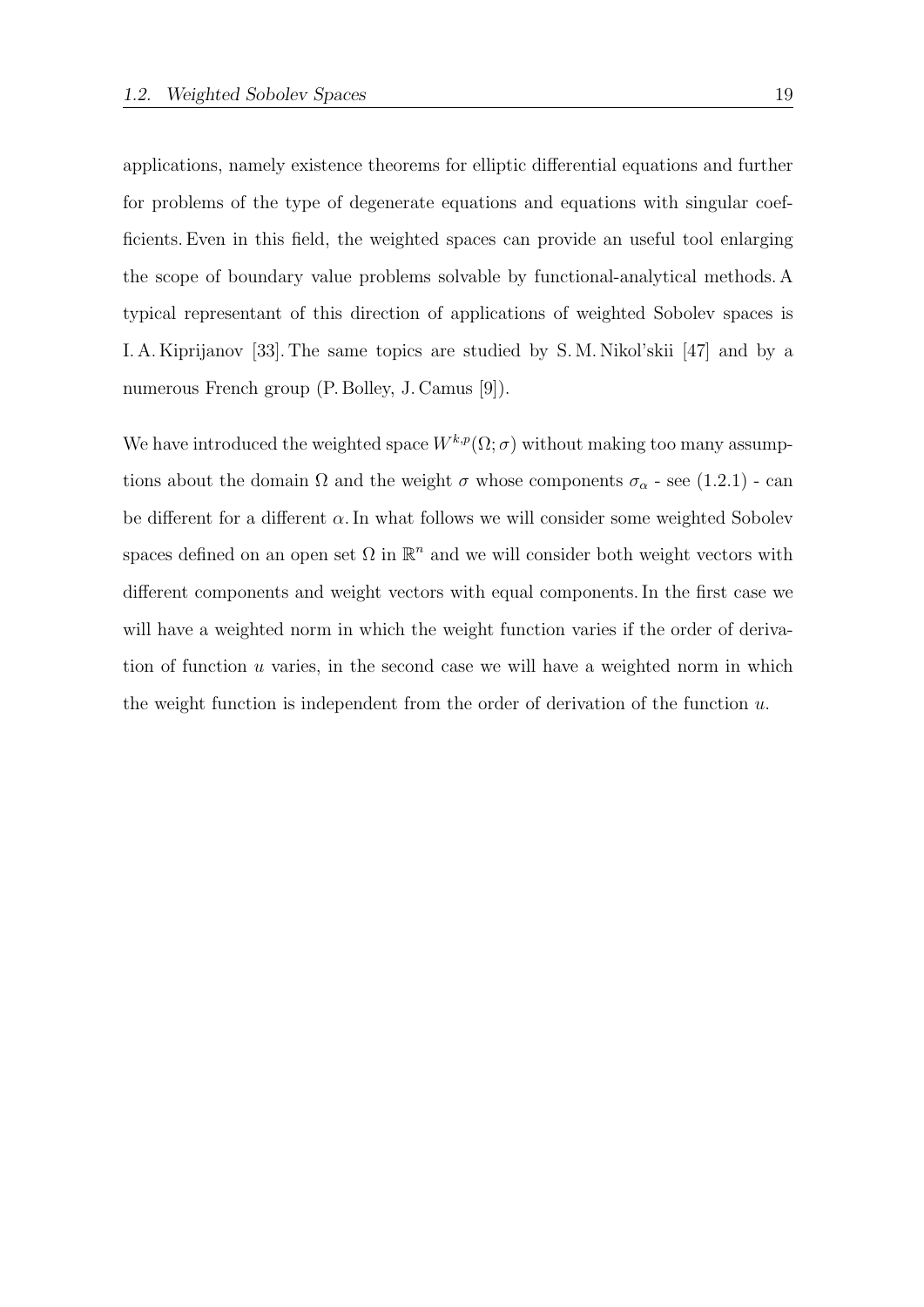applications, namely existence theorems for elliptic differential equations and further for problems of the type of degenerate equations and equations with singular coefficients. Even in this field, the weighted spaces can provide an useful tool enlarging the scope of boundary value problems solvable by functional-analytical methods. A typical representant of this direction of applications of weighted Sobolev spaces is I. A. Kiprijanov [33]. The same topics are studied by S. M. Nikol'skii [47] and by a numerous French group (P. Bolley, J. Camus [9]).

We have introduced the weighted space  $W^{k,p}(\Omega;\sigma)$  without making too many assumptions about the domain  $\Omega$  and the weight  $\sigma$  whose components  $\sigma_{\alpha}$  - see (1.2.1) - can be different for a different  $\alpha$ . In what follows we will consider some weighted Sobolev spaces defined on an open set  $\Omega$  in  $\mathbb{R}^n$  and we will consider both weight vectors with different components and weight vectors with equal components. In the first case we will have a weighted norm in which the weight function varies if the order of derivation of function u varies, in the second case we will have a weighted norm in which the weight function is independent from the order of derivation of the function  $u$ .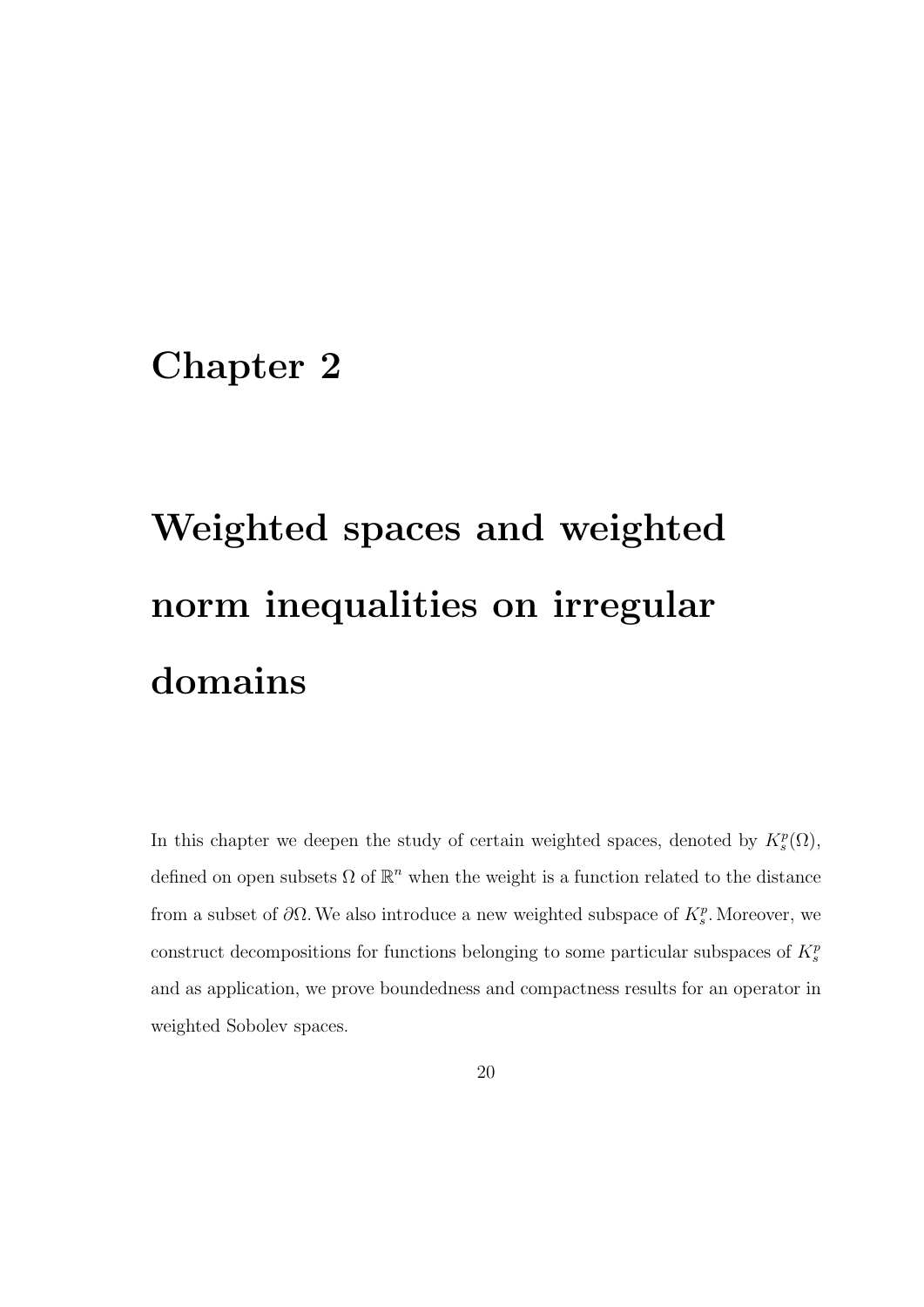### Chapter 2

# Weighted spaces and weighted norm inequalities on irregular domains

In this chapter we deepen the study of certain weighted spaces, denoted by  $K_s^p(\Omega)$ , defined on open subsets  $\Omega$  of  $\mathbb{R}^n$  when the weight is a function related to the distance from a subset of  $\partial\Omega$ . We also introduce a new weighted subspace of  $K_s^p$ . Moreover, we construct decompositions for functions belonging to some particular subspaces of  $K_s^p$ and as application, we prove boundedness and compactness results for an operator in weighted Sobolev spaces.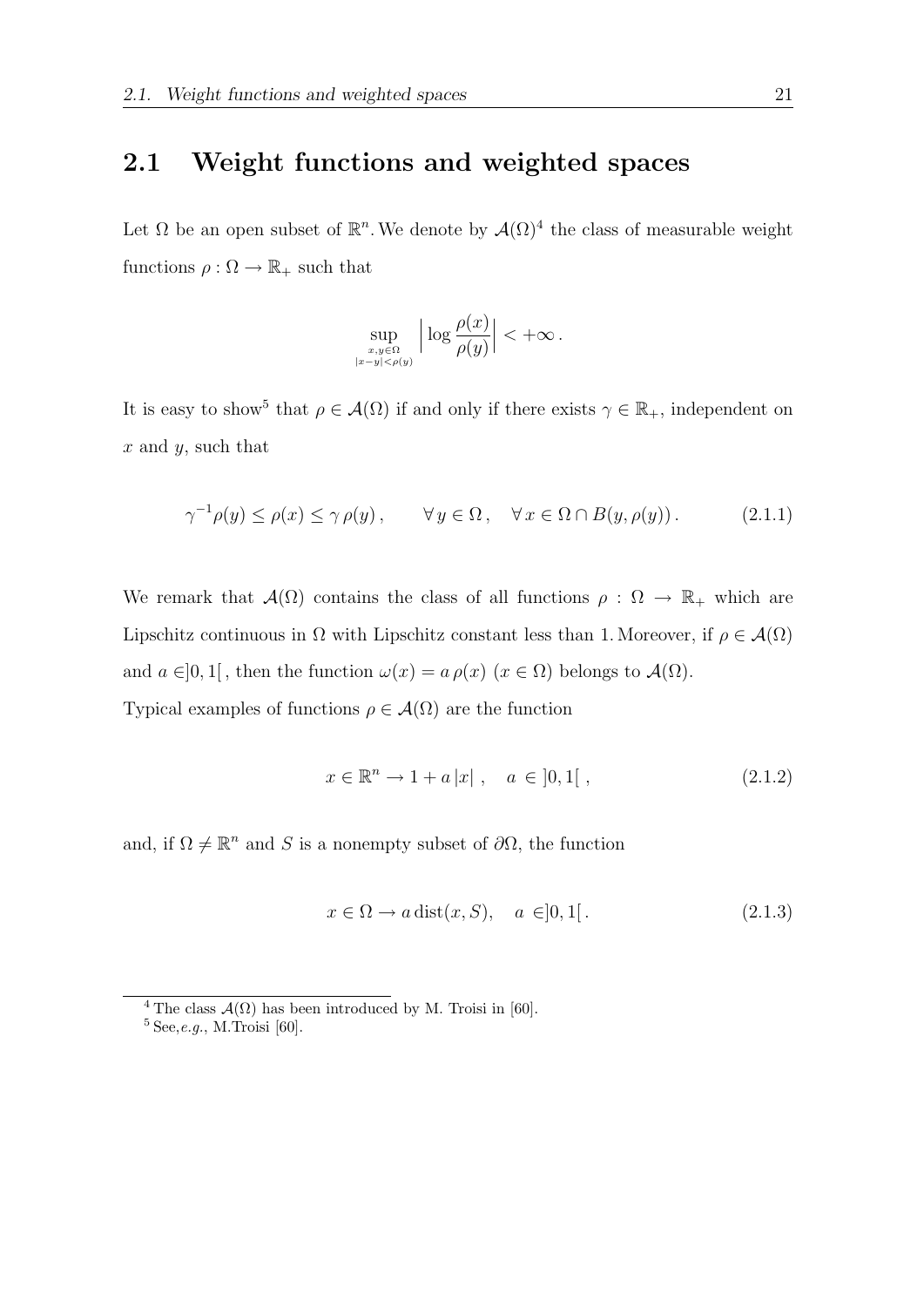#### 2.1 Weight functions and weighted spaces

Let  $\Omega$  be an open subset of  $\mathbb{R}^n$ . We denote by  $\mathcal{A}(\Omega)^4$  the class of measurable weight functions  $\rho : \Omega \to \mathbb{R}_+$  such that

$$
\sup_{\substack{x,y\in\Omega\\|x-y|<\rho(y)}}\Big|\log\frac{\rho(x)}{\rho(y)}\Big|<+\infty\,.
$$

It is easy to show<sup>5</sup> that  $\rho \in \mathcal{A}(\Omega)$  if and only if there exists  $\gamma \in \mathbb{R}_+$ , independent on  $x$  and  $y$ , such that

$$
\gamma^{-1}\rho(y) \le \rho(x) \le \gamma \rho(y), \qquad \forall y \in \Omega, \quad \forall x \in \Omega \cap B(y, \rho(y)). \tag{2.1.1}
$$

We remark that  $\mathcal{A}(\Omega)$  contains the class of all functions  $\rho : \Omega \to \mathbb{R}_+$  which are Lipschitz continuous in  $\Omega$  with Lipschitz constant less than 1. Moreover, if  $\rho \in \mathcal{A}(\Omega)$ and  $a \in ]0,1[$ , then the function  $\omega(x) = a \rho(x)$   $(x \in \Omega)$  belongs to  $\mathcal{A}(\Omega)$ . Typical examples of functions  $\rho \in \mathcal{A}(\Omega)$  are the function

$$
x \in \mathbb{R}^n \to 1 + a|x| \ , \quad a \in [0, 1[ \ , \tag{2.1.2}
$$

and, if  $\Omega \neq \mathbb{R}^n$  and S is a nonempty subset of  $\partial\Omega$ , the function

$$
x \in \Omega \to a \operatorname{dist}(x, S), \quad a \in ]0, 1[.
$$
 (2.1.3)

<sup>&</sup>lt;sup>4</sup> The class  $\mathcal{A}(\Omega)$  has been introduced by M. Troisi in [60].

 $^5$  See,  $e.g.,$  M.<br>Troisi [60].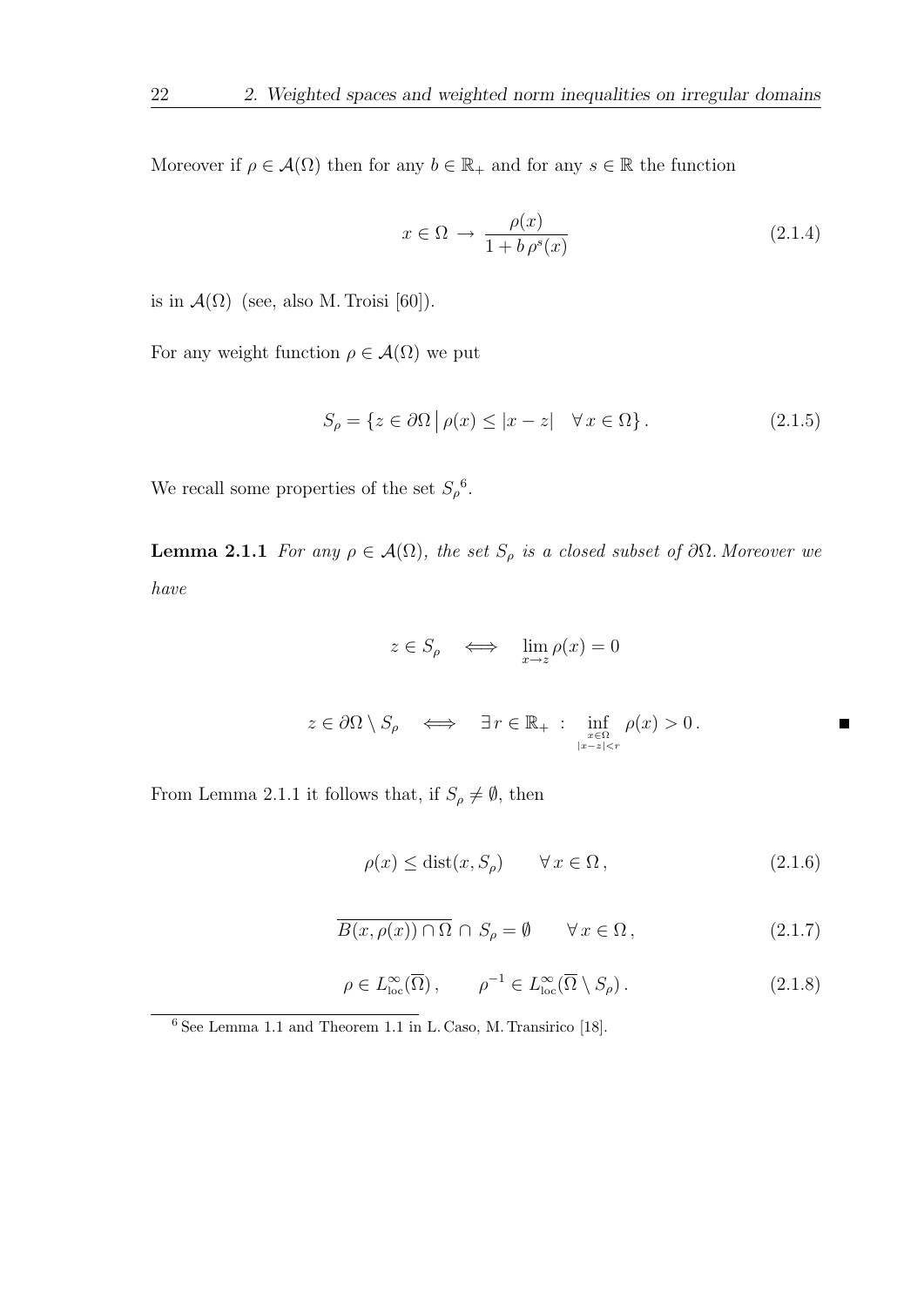Moreover if  $\rho \in \mathcal{A}(\Omega)$  then for any  $b \in \mathbb{R}_+$  and for any  $s \in \mathbb{R}$  the function

$$
x \in \Omega \to \frac{\rho(x)}{1 + b \rho^s(x)}\tag{2.1.4}
$$

is in  $\mathcal{A}(\Omega)$  (see, also M. Troisi [60]).

For any weight function  $\rho \in \mathcal{A}(\Omega)$  we put

$$
S_{\rho} = \{ z \in \partial \Omega \mid \rho(x) \le |x - z| \quad \forall x \in \Omega \}.
$$
 (2.1.5)

We recall some properties of the set  $S_\rho^6$ .

**Lemma 2.1.1** For any  $\rho \in \mathcal{A}(\Omega)$ , the set  $S_\rho$  is a closed subset of  $\partial \Omega$ . Moreover we have

$$
z\in S_{\rho}\quad\Longleftrightarrow\quad\lim_{x\to z}\rho(x)=0
$$

$$
z \in \partial\Omega \setminus S_{\rho} \quad \Longleftrightarrow \quad \exists r \in \mathbb{R}_{+} \; : \; \inf_{x \in \Omega \atop |x - z| < r} \rho(x) > 0 \, .
$$

From Lemma 2.1.1 it follows that, if  $S_\rho \neq \emptyset,$  then

$$
\rho(x) \le \text{dist}(x, S_{\rho}) \qquad \forall x \in \Omega, \tag{2.1.6}
$$

 $\blacksquare$ 

$$
\overline{B(x,\rho(x)) \cap \Omega} \cap S_{\rho} = \emptyset \qquad \forall x \in \Omega, \tag{2.1.7}
$$

$$
\rho \in L^{\infty}_{\text{loc}}(\overline{\Omega}), \qquad \rho^{-1} \in L^{\infty}_{\text{loc}}(\overline{\Omega} \setminus S_{\rho}). \tag{2.1.8}
$$

<sup>6</sup> See Lemma 1.1 and Theorem 1.1 in L. Caso, M. Transirico [18].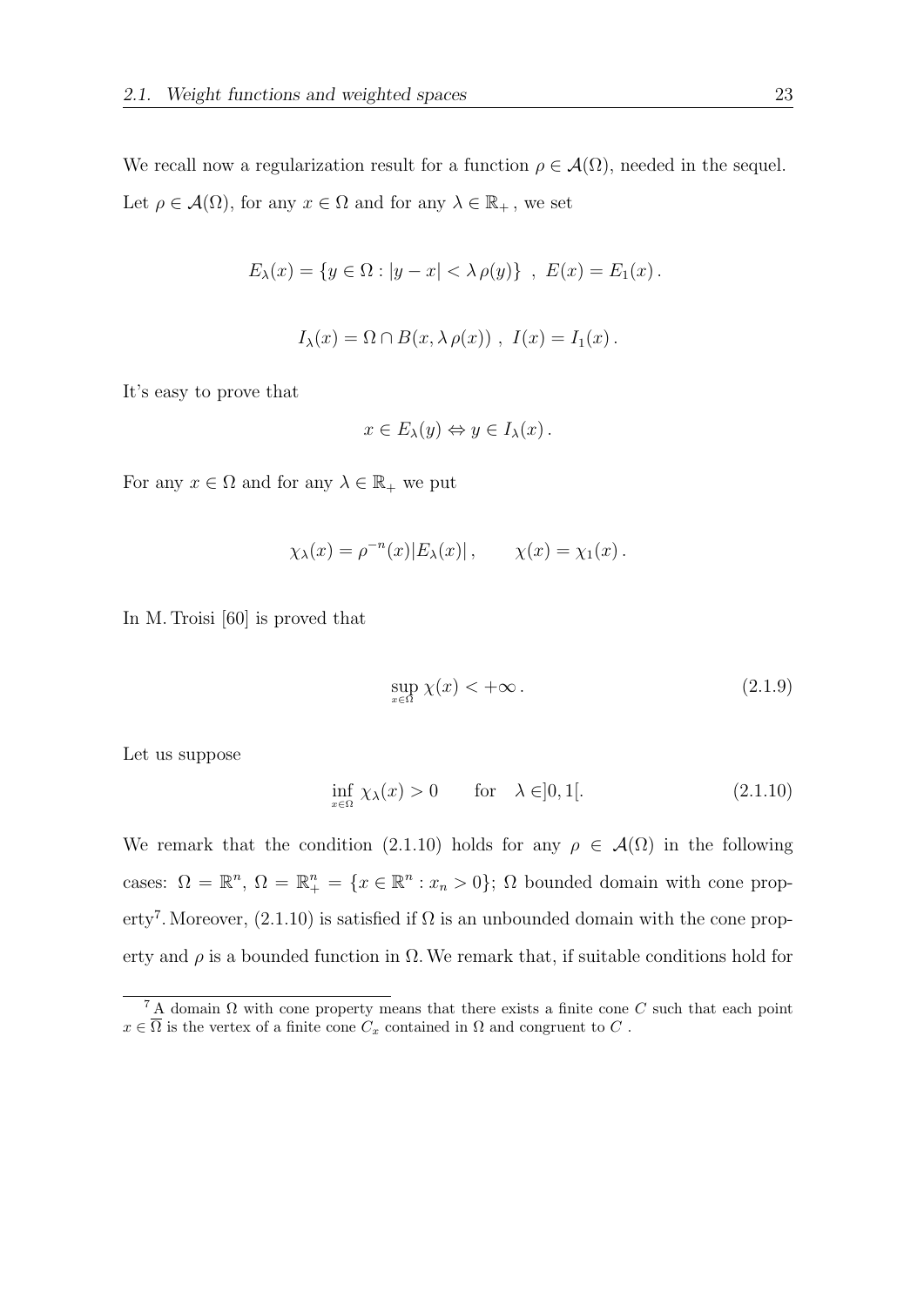We recall now a regularization result for a function  $\rho \in \mathcal{A}(\Omega)$ , needed in the sequel. Let  $\rho \in \mathcal{A}(\Omega)$ , for any  $x \in \Omega$  and for any  $\lambda \in \mathbb{R}_+$ , we set

$$
E_{\lambda}(x) = \{ y \in \Omega : |y - x| < \lambda \, \rho(y) \} \, , \, E(x) = E_1(x) \, .
$$

$$
I_{\lambda}(x) = \Omega \cap B(x, \lambda \rho(x)), \ I(x) = I_1(x).
$$

It's easy to prove that

$$
x \in E_{\lambda}(y) \Leftrightarrow y \in I_{\lambda}(x) .
$$

For any  $x \in \Omega$  and for any  $\lambda \in \mathbb{R}_+$  we put

$$
\chi_{\lambda}(x) = \rho^{-n}(x)|E_{\lambda}(x)|, \qquad \chi(x) = \chi_1(x).
$$

In M. Troisi [60] is proved that

$$
\sup_{x \in \Omega} \chi(x) < +\infty \tag{2.1.9}
$$

Let us suppose

$$
\inf_{x \in \Omega} \chi_{\lambda}(x) > 0 \qquad \text{for} \quad \lambda \in ]0, 1[.
$$
 (2.1.10)

We remark that the condition (2.1.10) holds for any  $\rho \in \mathcal{A}(\Omega)$  in the following cases:  $\Omega = \mathbb{R}^n$ ,  $\Omega = \mathbb{R}^n_+ = \{x \in \mathbb{R}^n : x_n > 0\}$ ;  $\Omega$  bounded domain with cone property<sup>7</sup>. Moreover, (2.1.10) is satisfied if  $\Omega$  is an unbounded domain with the cone property and  $\rho$  is a bounded function in  $\Omega$ . We remark that, if suitable conditions hold for

<sup>&</sup>lt;sup>7</sup> A domain  $\Omega$  with cone property means that there exists a finite cone C such that each point  $x \in \overline{\Omega}$  is the vertex of a finite cone  $C_x$  contained in  $\Omega$  and congruent to  $C$ .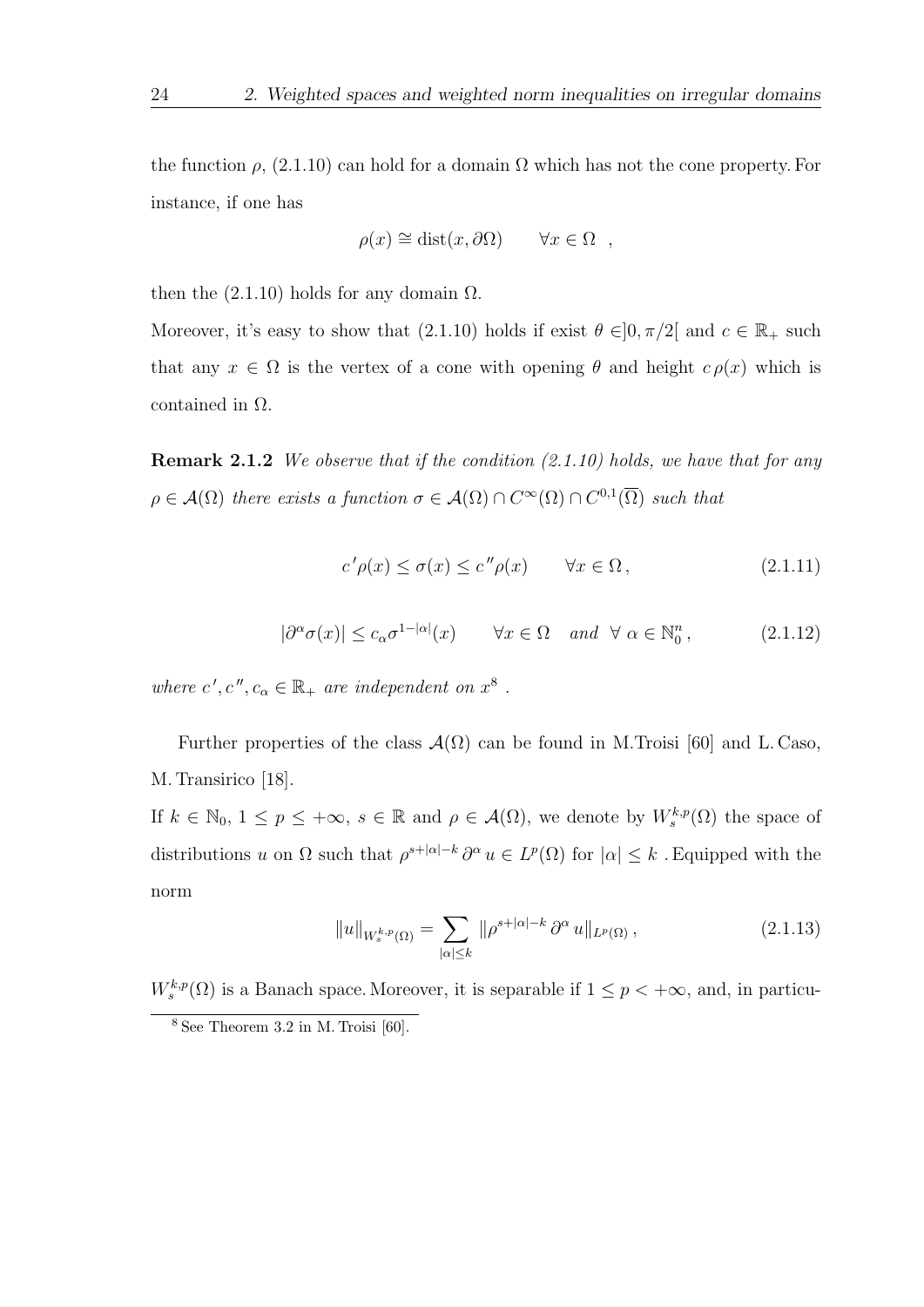the function  $\rho$ , (2.1.10) can hold for a domain  $\Omega$  which has not the cone property. For instance, if one has

$$
\rho(x) \cong \text{dist}(x, \partial \Omega) \qquad \forall x \in \Omega \quad ,
$$

then the  $(2.1.10)$  holds for any domain  $\Omega$ .

Moreover, it's easy to show that (2.1.10) holds if exist  $\theta \in ]0, \pi/2[$  and  $c \in \mathbb{R}_+$  such that any  $x \in \Omega$  is the vertex of a cone with opening  $\theta$  and height  $c \rho(x)$  which is contained in Ω.

**Remark 2.1.2** We observe that if the condition  $(2.1.10)$  holds, we have that for any  $\rho \in \mathcal{A}(\Omega)$  there exists a function  $\sigma \in \mathcal{A}(\Omega) \cap C^{\infty}(\Omega) \cap C^{0,1}(\overline{\Omega})$  such that

$$
c'\rho(x) \le \sigma(x) \le c''\rho(x) \qquad \forall x \in \Omega, \tag{2.1.11}
$$

$$
|\partial^{\alpha}\sigma(x)| \le c_{\alpha}\sigma^{1-|\alpha|}(x) \qquad \forall x \in \Omega \quad and \quad \forall \alpha \in \mathbb{N}_0^n, \tag{2.1.12}
$$

where  $c', c'', c_{\alpha} \in \mathbb{R}_+$  are independent on  $x^8$ .

Further properties of the class  $\mathcal{A}(\Omega)$  can be found in M.Troisi [60] and L. Caso, M. Transirico [18].

If  $k \in \mathbb{N}_0, 1 \le p \le +\infty$ ,  $s \in \mathbb{R}$  and  $\rho \in \mathcal{A}(\Omega)$ , we denote by  $W_s^{k,p}(\Omega)$  the space of distributions u on  $\Omega$  such that  $\rho^{s+|\alpha|-k} \partial^\alpha u \in L^p(\Omega)$  for  $|\alpha| \leq k$ . Equipped with the norm

$$
||u||_{W_s^{k,p}(\Omega)} = \sum_{|\alpha| \le k} ||\rho^{s+|\alpha|-k} \partial^\alpha u||_{L^p(\Omega)},
$$
\n(2.1.13)

 $W_s^{k,p}(\Omega)$  is a Banach space. Moreover, it is separable if  $1 \leq p < +\infty$ , and, in particu-

<sup>8</sup> See Theorem 3.2 in M. Troisi [60].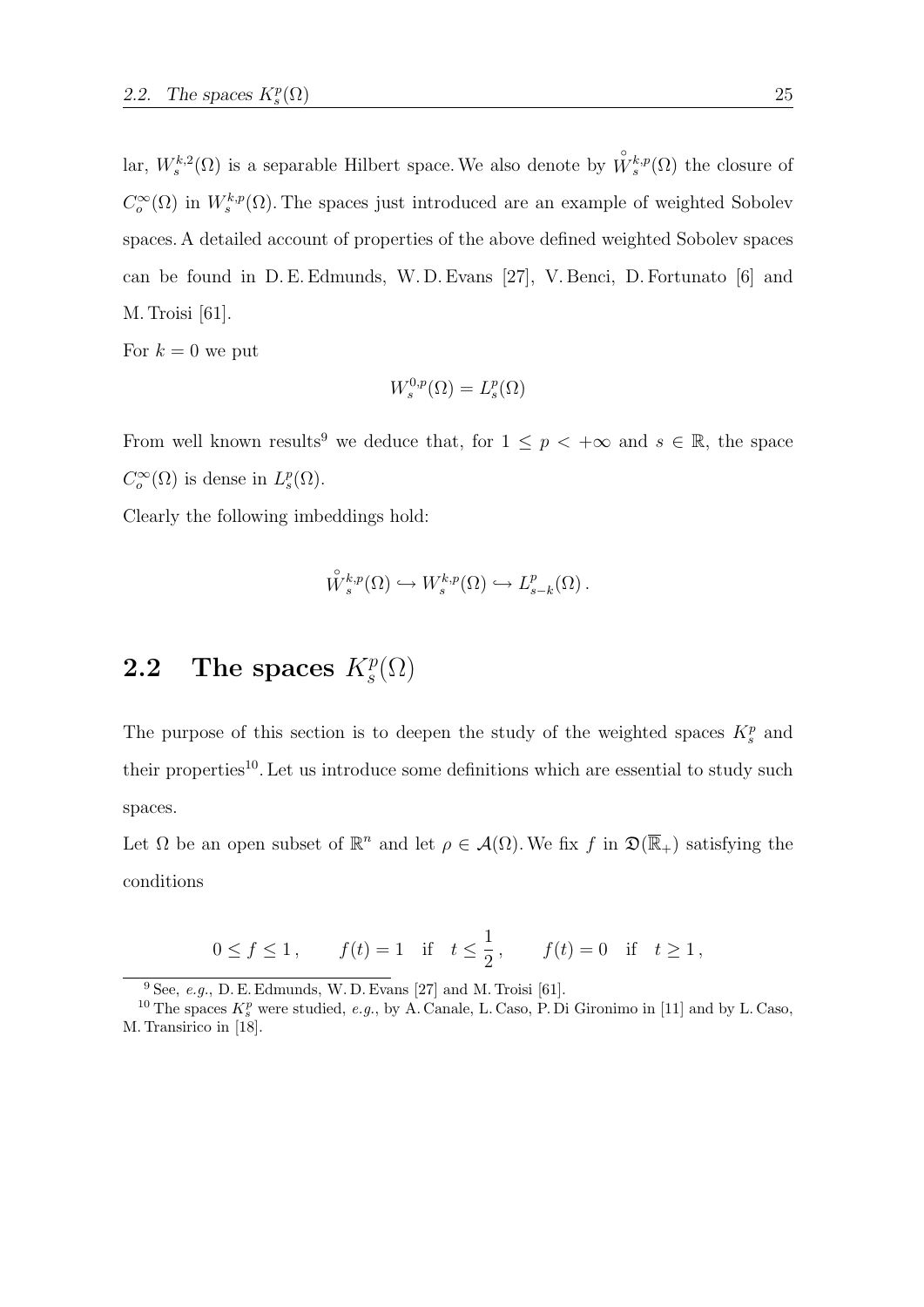lar,  $W_s^{k,2}(\Omega)$  is a separable Hilbert space. We also denote by  $\overset{\circ}{W}_{s}^{k,p}(\Omega)$  the closure of  $C_o^{\infty}(\Omega)$  in  $W_s^{k,p}(\Omega)$ . The spaces just introduced are an example of weighted Sobolev spaces. A detailed account of properties of the above defined weighted Sobolev spaces can be found in D. E. Edmunds, W. D. Evans [27], V. Benci, D. Fortunato [6] and M. Troisi [61].

For  $k = 0$  we put

$$
W^{0,p}_s(\Omega)=L^p_s(\Omega)
$$

From well known results<sup>9</sup> we deduce that, for  $1 \leq p \lt +\infty$  and  $s \in \mathbb{R}$ , the space  $C_o^{\infty}(\Omega)$  is dense in  $L_s^p(\Omega)$ .

Clearly the following imbeddings hold:

$$
\overset{\circ}{W}{}_{s}^{k,p}(\Omega) \hookrightarrow W_{s}^{k,p}(\Omega) \hookrightarrow L_{s-k}^{p}(\Omega).
$$

#### **2.2** The spaces  $K_s^p(\Omega)$

The purpose of this section is to deepen the study of the weighted spaces  $K_s^p$  and their properties<sup>10</sup>. Let us introduce some definitions which are essential to study such spaces.

Let  $\Omega$  be an open subset of  $\mathbb{R}^n$  and let  $\rho \in \mathcal{A}(\Omega)$ . We fix f in  $\mathfrak{D}(\overline{\mathbb{R}}_+)$  satisfying the conditions

$$
0 \le f \le 1
$$
,  $f(t) = 1$  if  $t \le \frac{1}{2}$ ,  $f(t) = 0$  if  $t \ge 1$ ,

 $9$  See, e.g., D. E. Edmunds, W. D. Evans [27] and M. Troisi [61].

<sup>&</sup>lt;sup>10</sup> The spaces  $K_s^p$  were studied, e.g., by A. Canale, L. Caso, P. Di Gironimo in [11] and by L. Caso, M. Transirico in [18].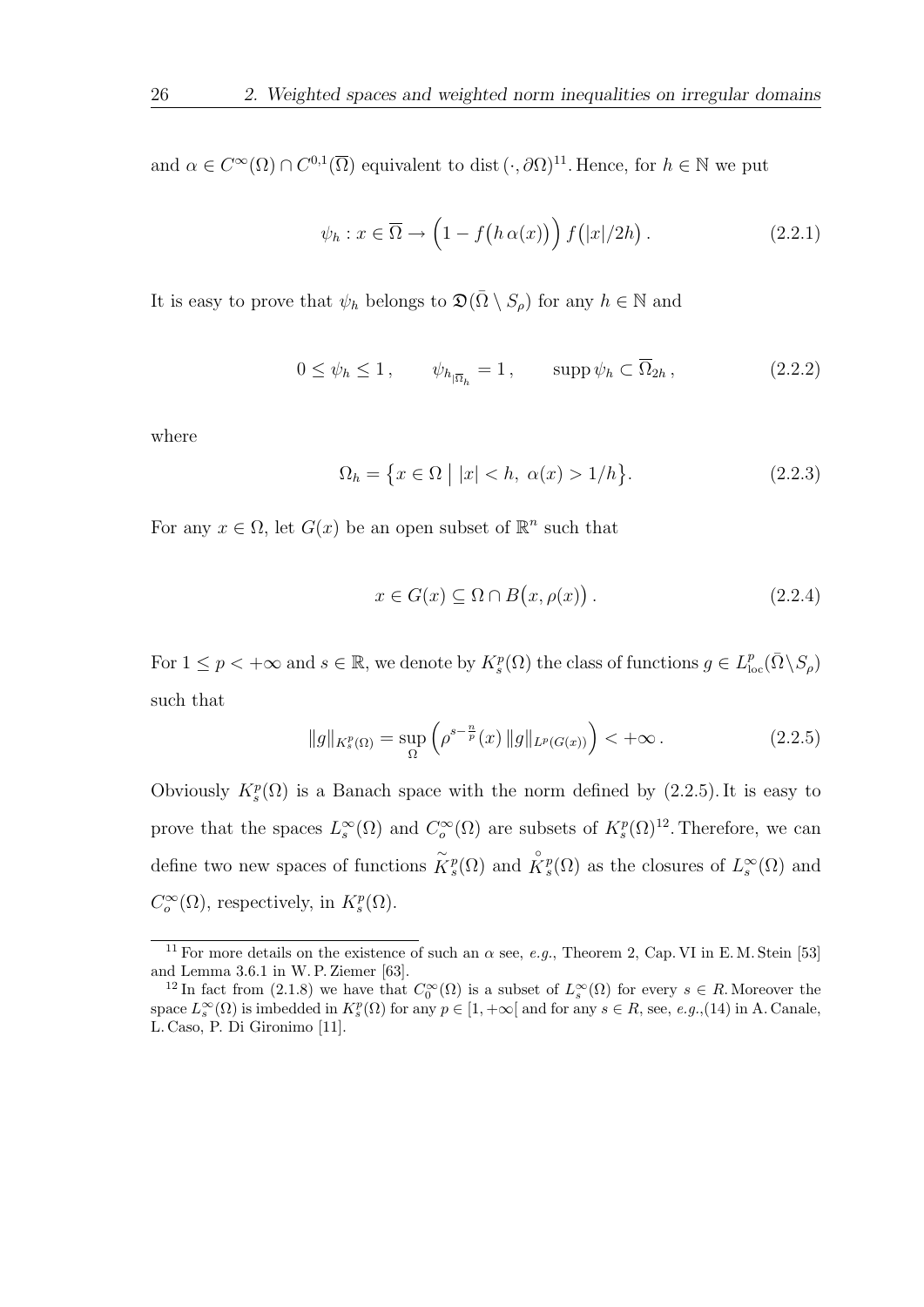and  $\alpha \in C^{\infty}(\Omega) \cap C^{0,1}(\overline{\Omega})$  equivalent to dist  $(\cdot, \partial \Omega)^{11}$ . Hence, for  $h \in \mathbb{N}$  we put

$$
\psi_h: x \in \overline{\Omega} \to \left(1 - f\big(h\,\alpha(x)\big)\right) f\big(|x|/2h\big). \tag{2.2.1}
$$

It is easy to prove that  $\psi_h$  belongs to  $\mathfrak{D}(\overline{\Omega} \setminus S_\rho)$  for any  $h \in \mathbb{N}$  and

$$
0 \le \psi_h \le 1, \qquad \psi_{h_{|\overline{\Omega}_h}} = 1, \qquad \text{supp}\,\psi_h \subset \overline{\Omega}_{2h}, \qquad (2.2.2)
$$

where

$$
\Omega_h = \{ x \in \Omega \mid |x| < h, \ \alpha(x) > 1/h \}. \tag{2.2.3}
$$

For any  $x \in \Omega$ , let  $G(x)$  be an open subset of  $\mathbb{R}^n$  such that

$$
x \in G(x) \subseteq \Omega \cap B(x, \rho(x)). \tag{2.2.4}
$$

For  $1 \leq p < +\infty$  and  $s \in \mathbb{R}$ , we denote by  $K_s^p(\Omega)$  the class of functions  $g \in L^p_{loc}(\overline{\Omega} \setminus S_\rho)$ such that

$$
||g||_{K_s^p(\Omega)} = \sup_{\Omega} \left( \rho^{s - \frac{n}{p}}(x) ||g||_{L^p(G(x))} \right) < +\infty.
$$
 (2.2.5)

Obviously  $K_s^p(\Omega)$  is a Banach space with the norm defined by (2.2.5). It is easy to prove that the spaces  $L_s^{\infty}(\Omega)$  and  $C_o^{\infty}(\Omega)$  are subsets of  $K_s^p(\Omega)^{12}$ . Therefore, we can define two new spaces of functions  $\tilde{K}_s^p(\Omega)$  and  $\overset{\circ}{K}_s^p(\Omega)$  as the closures of  $L_s^{\infty}(\Omega)$  and  $C_o^{\infty}(\Omega)$ , respectively, in  $K_s^p(\Omega)$ .

<sup>&</sup>lt;sup>11</sup> For more details on the existence of such an  $\alpha$  see, *e.g.*, Theorem 2, Cap. VI in E. M. Stein [53] and Lemma 3.6.1 in W. P. Ziemer [63].

<sup>&</sup>lt;sup>12</sup> In fact from (2.1.8) we have that  $C_0^{\infty}(\Omega)$  is a subset of  $L_s^{\infty}(\Omega)$  for every  $s \in R$ . Moreover the space  $L_s^{\infty}(\Omega)$  is imbedded in  $K_s^p(\Omega)$  for any  $p \in [1, +\infty[$  and for any  $s \in R$ , see, e.g.,(14) in A. Canale, L. Caso, P. Di Gironimo [11].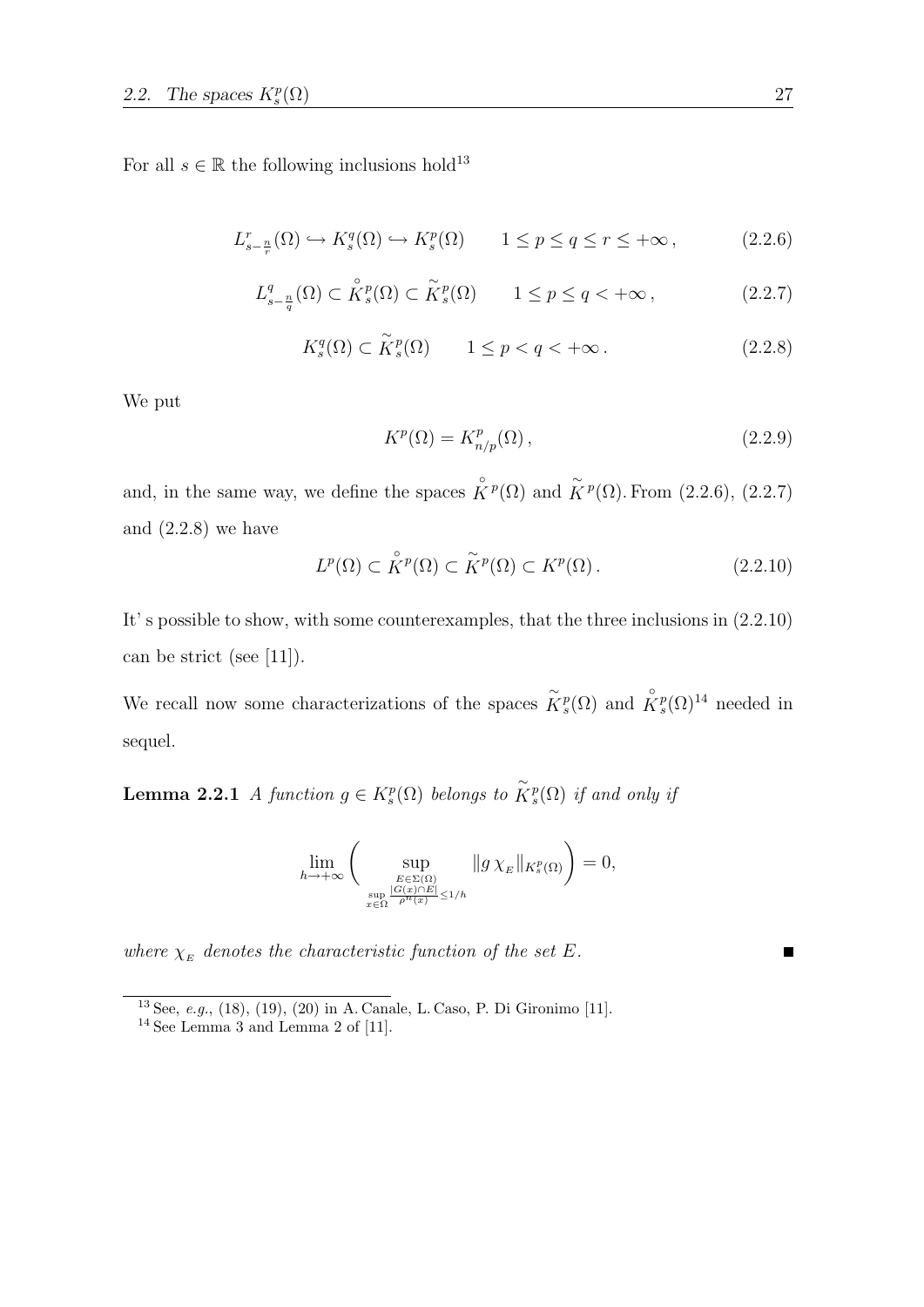For all  $s \in \mathbb{R}$  the following inclusions hold<sup>13</sup>

$$
L_{s-\frac{n}{r}}^r(\Omega) \hookrightarrow K_s^q(\Omega) \hookrightarrow K_s^p(\Omega) \qquad 1 \le p \le q \le r \le +\infty, \tag{2.2.6}
$$

$$
L_{s-\frac{n}{q}}^q(\Omega) \subset \overset{\circ}{K}_s^p(\Omega) \subset \overset{\sim}{K}_s^p(\Omega) \qquad 1 \le p \le q < +\infty ,
$$
 (2.2.7)

$$
K_s^q(\Omega) \subset \widetilde{K}_s^p(\Omega) \qquad 1 \le p < q < +\infty. \tag{2.2.8}
$$

We put

$$
K^p(\Omega) = K^p_{n/p}(\Omega) \,,\tag{2.2.9}
$$

and, in the same way, we define the spaces  $\overset{\circ}{K}P(\Omega)$  and  $\overset{\sim}{K}P(\Omega)$ . From (2.2.6), (2.2.7) and  $(2.2.8)$  we have

$$
L^p(\Omega) \subset \overset{\circ}{K}{}^p(\Omega) \subset \overset{\sim}{K}{}^p(\Omega) \subset K^p(\Omega). \tag{2.2.10}
$$

It' s possible to show, with some counterexamples, that the three inclusions in (2.2.10) can be strict (see [11]).

We recall now some characterizations of the spaces  $\tilde{K}_s^p(\Omega)$  and  $\overset{\circ}{K}_s^p(\Omega)^{14}$  needed in sequel.

**Lemma 2.2.1** A function  $g \in K_s^p(\Omega)$  belongs to  $\widetilde{K}_s^p(\Omega)$  if and only if

$$
\lim_{h \to +\infty} \left( \sup_{E \in \Sigma(\Omega) \atop x \in \Omega} \|g \chi_E\|_{K_s^p(\Omega)} \right) = 0,
$$

where  $\chi_E$  denotes the characteristic function of the set E.

<sup>13</sup> See, e.g., (18), (19), (20) in A. Canale, L. Caso, P. Di Gironimo [11]. <sup>14</sup> See Lemma 3 and Lemma 2 of [11].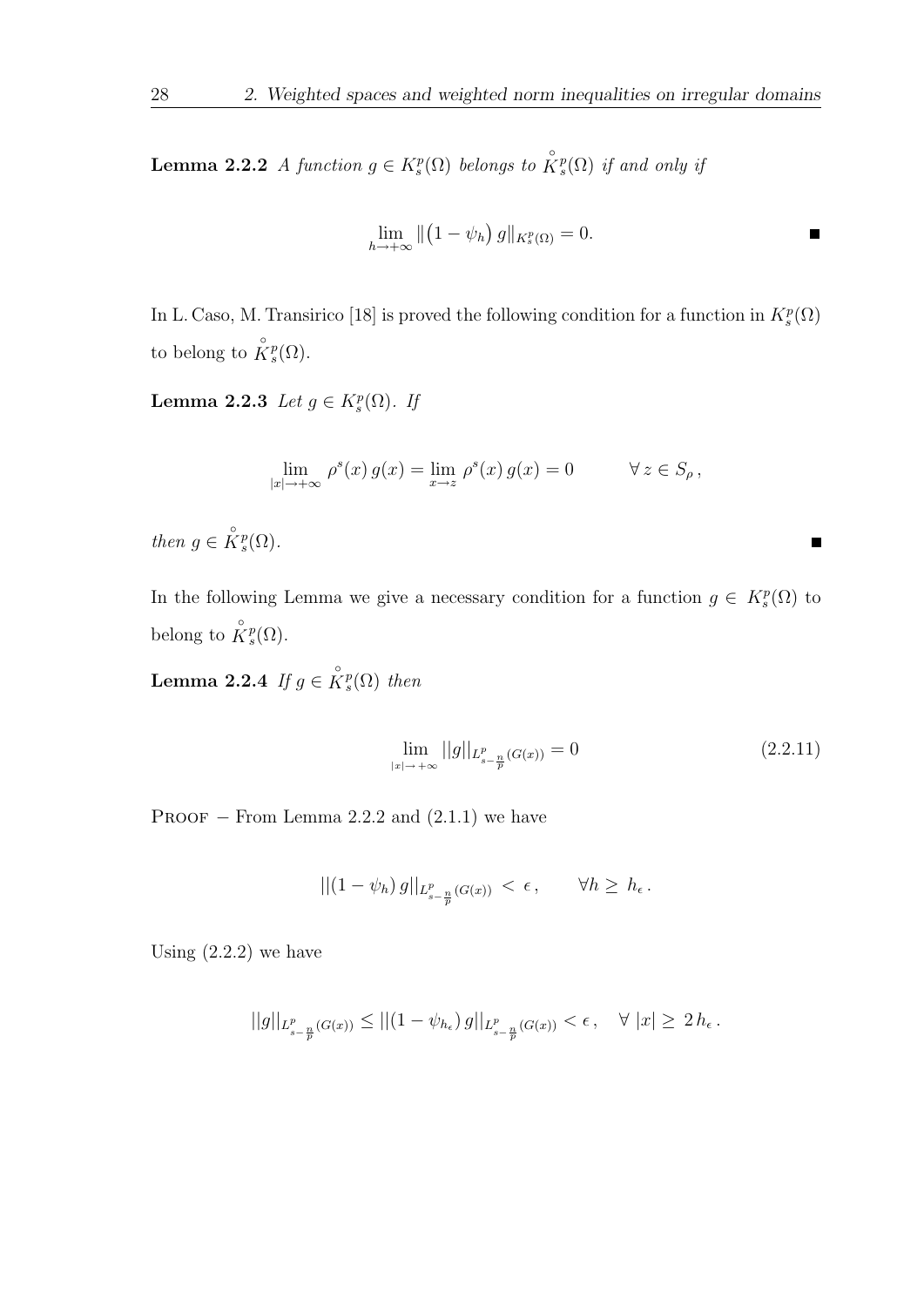**Lemma 2.2.2** A function  $g \in K_s^p(\Omega)$  belongs to  $\overset{\circ}{K}_s^p(\Omega)$  if and only if

$$
\lim_{h \to +\infty} \left\| \left( 1 - \psi_h \right) g \right\|_{K_s^p(\Omega)} = 0.
$$

In L. Caso, M. Transirico [18] is proved the following condition for a function in  $K_s^p(\Omega)$ to belong to  $\overset{\circ}{K}^p_s(\Omega)$ .

Lemma 2.2.3 Let  $g \in K_s^p(\Omega)$ . If

$$
\lim_{|x| \to +\infty} \rho^s(x) g(x) = \lim_{x \to z} \rho^s(x) g(x) = 0 \qquad \forall z \in S_\rho,
$$

then  $g \in \overset{\circ}{K}^p_s(\Omega)$ .

In the following Lemma we give a necessary condition for a function  $g \in K_s^p(\Omega)$  to belong to  $\overset{\circ}{K}^p_s(\Omega)$ .

**Lemma 2.2.4** If  $g \in \overset{\circ}{K}{}^p_s(\Omega)$  then

$$
\lim_{|x| \to +\infty} ||g||_{L_{s-\frac{n}{p}}^p(G(x))} = 0 \tag{2.2.11}
$$

П

PROOF  $-$  From Lemma 2.2.2 and  $(2.1.1)$  we have

$$
||(1 - \psi_h) g||_{L^p_{s - \frac{n}{p}}(G(x))} < \epsilon, \qquad \forall h \ge h_\epsilon.
$$

Using  $(2.2.2)$  we have

$$
||g||_{L^p_{s-\frac{n}{p}}(G(x))} \le ||(1-\psi_{h_{\epsilon}}) g||_{L^p_{s-\frac{n}{p}}(G(x))} < \epsilon , \quad \forall |x| \ge 2 h_{\epsilon}.
$$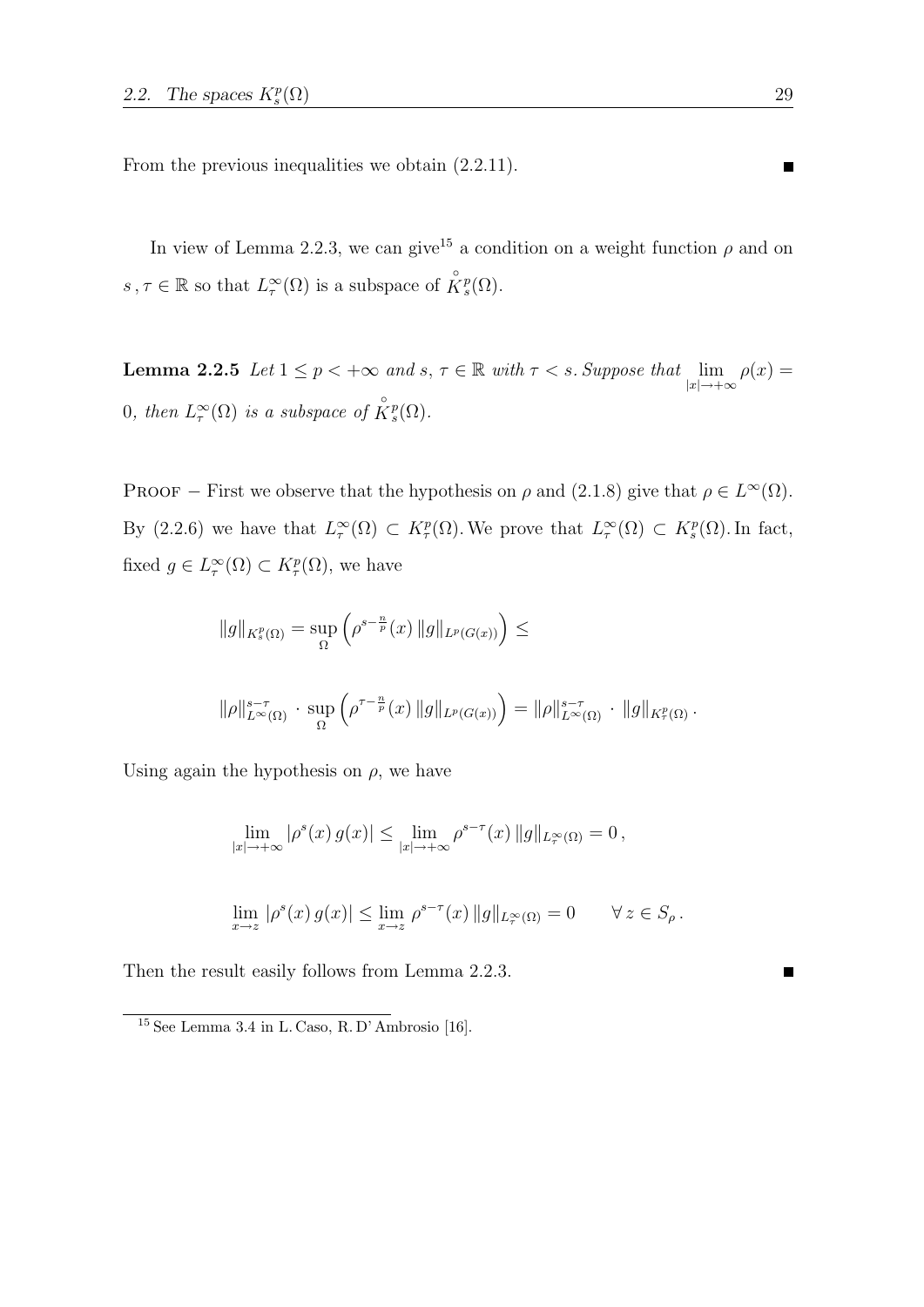From the previous inequalities we obtain (2.2.11).

In view of Lemma 2.2.3, we can give<sup>15</sup> a condition on a weight function  $\rho$  and on  $s, \tau \in \mathbb{R}$  so that  $L^{\infty}_{\tau}(\Omega)$  is a subspace of  $\overset{\circ}{K}{}^p_s(\Omega)$ .

**Lemma 2.2.5** Let  $1 \le p < +\infty$  and  $s, \tau \in \mathbb{R}$  with  $\tau < s$ . Suppose that  $\lim_{|x| \to +\infty} \rho(x) =$ 0, then  $L^{\infty}_{\tau}(\Omega)$  is a subspace of  $\overset{\circ}{K}^{p}_{s}(\Omega)$ .

PROOF – First we observe that the hypothesis on  $\rho$  and (2.1.8) give that  $\rho \in L^{\infty}(\Omega)$ . By (2.2.6) we have that  $L^{\infty}_{\tau}(\Omega) \subset K^{p}_{\tau}(\Omega)$ . We prove that  $L^{\infty}_{\tau}(\Omega) \subset K^{p}_{s}(\Omega)$ . In fact, fixed  $g \in L^{\infty}_{\tau}(\Omega) \subset K^{p}_{\tau}(\Omega)$ , we have

$$
||g||_{K_s^p(\Omega)} = \sup_{\Omega} \left( \rho^{s-\frac{n}{p}}(x) ||g||_{L^p(G(x))} \right) \le
$$
  

$$
||\rho||_{L^{\infty}(\Omega)}^{s-\tau} \cdot \sup_{\Omega} \left( \rho^{\tau-\frac{n}{p}}(x) ||g||_{L^p(G(x))} \right) = ||\rho||_{L^{\infty}(\Omega)}^{s-\tau} \cdot ||g||_{K_\tau^p(\Omega)}.
$$

Using again the hypothesis on  $\rho$ , we have

$$
\lim_{|x| \to +\infty} |\rho^s(x) g(x)| \le \lim_{|x| \to +\infty} \rho^{s-\tau}(x) ||g||_{L^\infty(\Omega)} = 0,
$$
  

$$
\lim_{x \to z} |\rho^s(x) g(x)| \le \lim_{x \to z} \rho^{s-\tau}(x) ||g||_{L^\infty(\Omega)} = 0 \qquad \forall z \in S_\rho.
$$

Then the result easily follows from Lemma 2.2.3.

<sup>15</sup> See Lemma 3.4 in L. Caso, R. D' Ambrosio [16].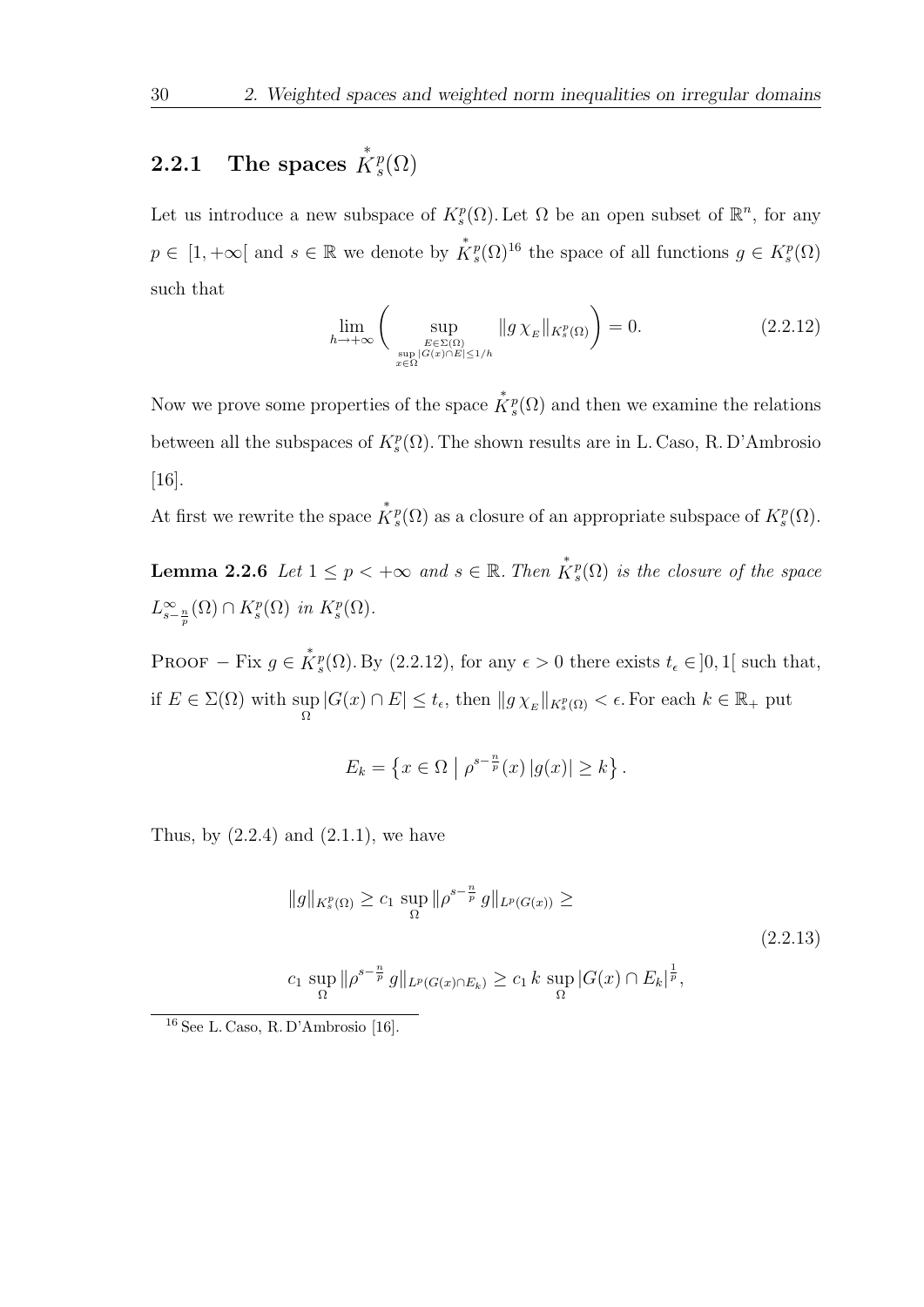#### 2.2.1 The spaces ∗  $K_s^p$  $_{s}^{p}(\Omega)$

Let us introduce a new subspace of  $K_s^p(\Omega)$ . Let  $\Omega$  be an open subset of  $\mathbb{R}^n$ , for any  $p \in [1, +\infty[$  and  $s \in \mathbb{R}$  we denote by  $\overset{*}{K}{}^p_s(\Omega)^{16}$  the space of all functions  $g \in K^p_s(\Omega)$ such that

$$
\lim_{h \to +\infty} \left( \sup_{E \in \Sigma(\Omega) \atop x \in \Omega} \|g \chi_E\|_{K_s^p(\Omega)} \right) = 0. \tag{2.2.12}
$$

Now we prove some properties of the space  $\mathring{K}_s^p(\Omega)$  and then we examine the relations between all the subspaces of  $K_s^p(\Omega)$ . The shown results are in L. Caso, R. D'Ambrosio [16].

At first we rewrite the space  $\mathring{K}^p_s(\Omega)$  as a closure of an appropriate subspace of  $K^p_s(\Omega)$ .

**Lemma 2.2.6** Let  $1 \leq p < +\infty$  and  $s \in \mathbb{R}$ . Then  $\mathring{K}_s^p(\Omega)$  is the closure of the space  $L_{s-\frac{n}{p}}^{\infty}(\Omega) \cap K_{s}^{p}(\Omega)$  in  $K_{s}^{p}(\Omega)$ .

PROOF – Fix  $g \in \mathring{K}_s^p(\Omega)$ . By (2.2.12), for any  $\epsilon > 0$  there exists  $t_{\epsilon} \in ]0,1[$  such that, if  $E \in \Sigma(\Omega)$  with sup  $\sup_{\Omega} |G(x) \cap E| \leq t_{\epsilon}$ , then  $||g \chi_E||_{K_s^p(\Omega)} < \epsilon$ . For each  $k \in \mathbb{R}_+$  put

$$
E_k = \left\{ x \in \Omega \mid \rho^{s - \frac{n}{p}}(x) \left| g(x) \right| \ge k \right\}.
$$

Thus, by  $(2.2.4)$  and  $(2.1.1)$ , we have

$$
||g||_{K_s^p(\Omega)} \ge c_1 \sup_{\Omega} ||\rho^{s-\frac{n}{p}} g||_{L^p(G(x))} \ge
$$
  

$$
c_1 \sup_{\Omega} ||\rho^{s-\frac{n}{p}} g||_{L^p(G(x) \cap E_k)} \ge c_1 k \sup_{\Omega} |G(x) \cap E_k|^{\frac{1}{p}},
$$
 (2.2.13)

<sup>16</sup> See L. Caso, R. D'Ambrosio [16].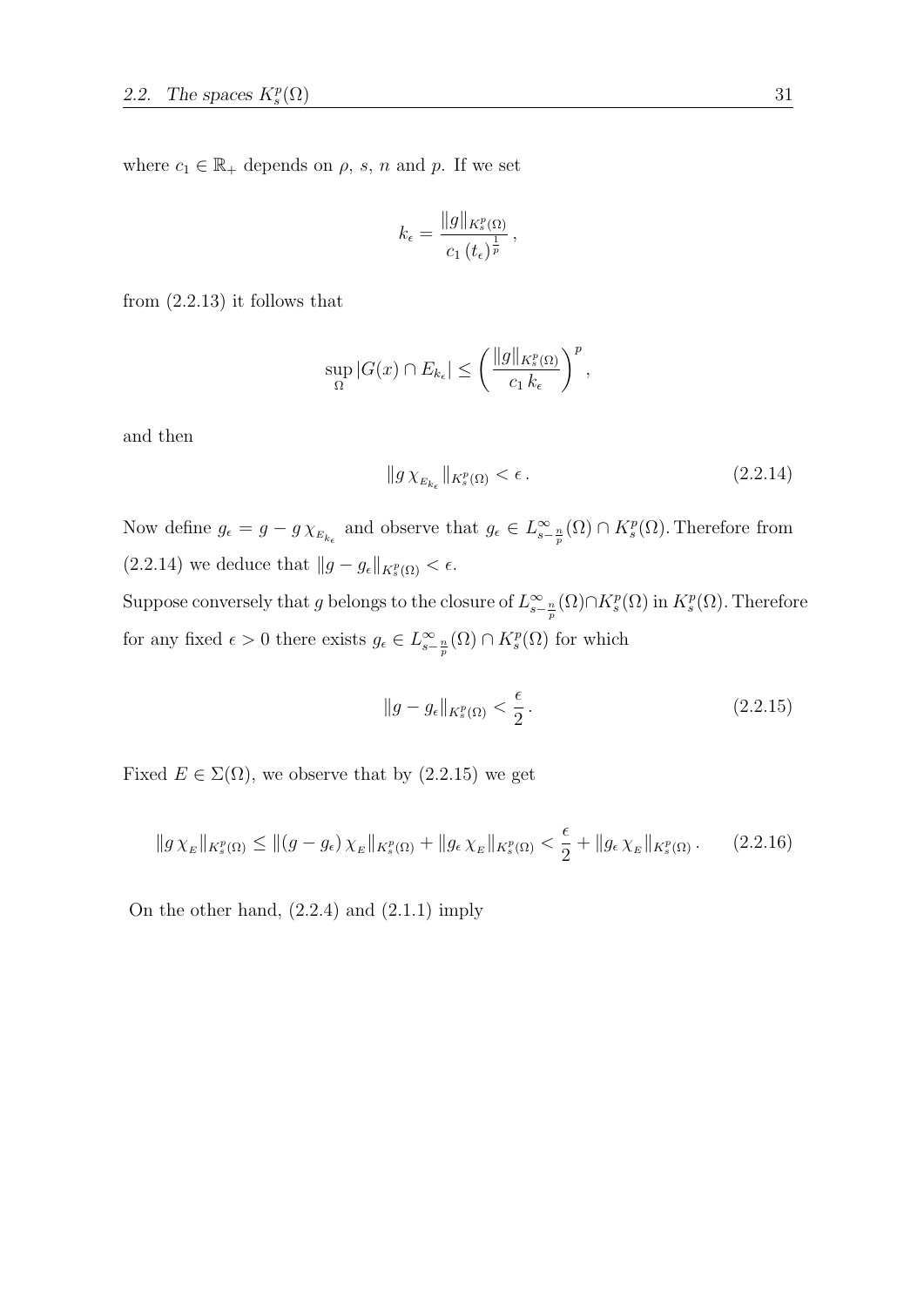where  $c_1 \in \mathbb{R}_+$  depends on  $\rho$ , s, n and p. If we set

$$
k_{\epsilon} = \frac{\|g\|_{K_s^p(\Omega)}}{c_1 \left(t_{\epsilon}\right)^{\frac{1}{p}}},
$$

from  $(2.2.13)$  it follows that

$$
\sup_{\Omega} |G(x) \cap E_{k_{\epsilon}}| \leq \left(\frac{\|g\|_{K_{s}^{p}(\Omega)}}{c_{1}k_{\epsilon}}\right)^{p},
$$

and then

$$
||g\,\chi_{_{E_{k_{\epsilon}}}}||_{K_{s}^{p}(\Omega)} < \epsilon\,. \tag{2.2.14}
$$

Now define  $g_{\epsilon} = g - g \chi_{E_{k_{\epsilon}}}$  and observe that  $g_{\epsilon} \in L^{\infty}_{s - \frac{n}{p}}(\Omega) \cap K^p_{s}(\Omega)$ . Therefore from  $(2.2.14)$  we deduce that  $||g - g_{\epsilon}||_{K_s^p(\Omega)} < \epsilon$ .

Suppose conversely that g belongs to the closure of  $L_{s-\frac{n}{p}}^{\infty}(\Omega) \cap K_s^p(\Omega)$  in  $K_s^p(\Omega)$ . Therefore for any fixed  $\epsilon > 0$  there exists  $g_{\epsilon} \in L^{\infty}_{s - \frac{n}{p}}(\Omega) \cap K^p_s(\Omega)$  for which

$$
||g - g_{\epsilon}||_{K_s^p(\Omega)} < \frac{\epsilon}{2} \,. \tag{2.2.15}
$$

Fixed  $E \in \Sigma(\Omega)$ , we observe that by  $(2.2.15)$  we get

$$
||g\chi_E||_{K_s^p(\Omega)} \le ||(g - g_\epsilon)\chi_E||_{K_s^p(\Omega)} + ||g_\epsilon \chi_E||_{K_s^p(\Omega)} < \frac{\epsilon}{2} + ||g_\epsilon \chi_E||_{K_s^p(\Omega)}.
$$
 (2.2.16)

On the other hand,  $(2.2.4)$  and  $(2.1.1)$  imply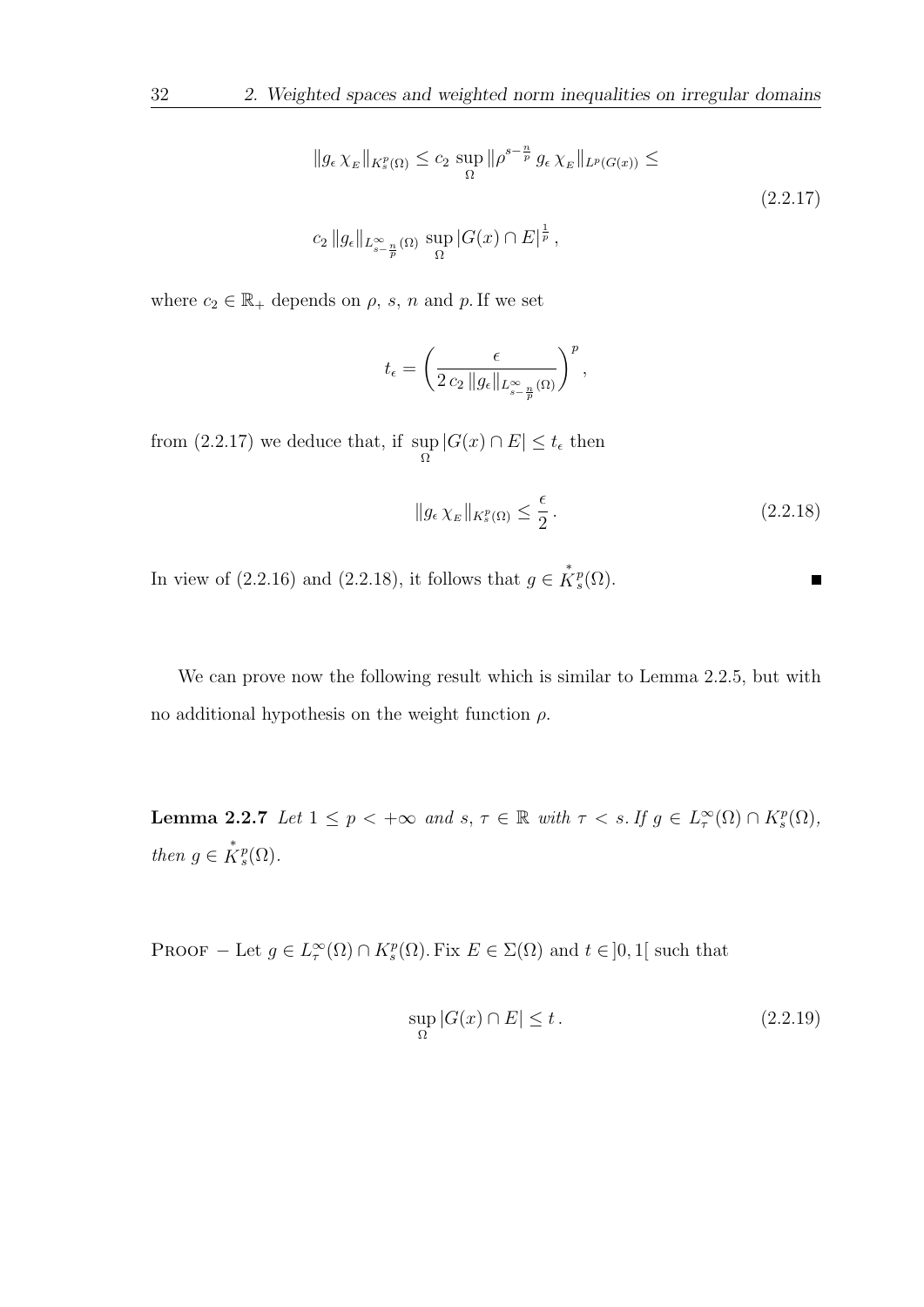$$
||g_{\epsilon} \chi_E||_{K_s^p(\Omega)} \le c_2 \sup_{\Omega} ||\rho^{s-\frac{n}{p}} g_{\epsilon} \chi_E||_{L^p(G(x))} \le
$$
  

$$
c_2 ||g_{\epsilon}||_{L_{s-\frac{n}{p}}^{\infty}(\Omega)} \sup_{\Omega} |G(x) \cap E|^{\frac{1}{p}},
$$
 (2.2.17)

where  $c_2 \in \mathbb{R}_+$  depends on  $\rho$ , s, n and p. If we set

$$
t_{\epsilon} = \left(\frac{\epsilon}{2 c_2 \, \|g_{\epsilon}\|_{L^{\infty}_{s-\frac{n}{p}}(\Omega)}}\right)^p,
$$

from (2.2.17) we deduce that, if sup  $\sup_{\Omega} |G(x) \cap E| \leq t_{\epsilon}$  then

$$
||g_{\epsilon} \chi_E||_{K_s^p(\Omega)} \le \frac{\epsilon}{2} \,. \tag{2.2.18}
$$

 $\blacksquare$ 

In view of (2.2.16) and (2.2.18), it follows that  $g \in \overset{*}{K}_{s}^{p}(\Omega)$ .

We can prove now the following result which is similar to Lemma 2.2.5, but with no additional hypothesis on the weight function  $\rho$ .

**Lemma 2.2.7** Let  $1 \leq p < +\infty$  and  $s, \tau \in \mathbb{R}$  with  $\tau < s$ . If  $g \in L^{\infty}(\Omega) \cap K^{p}_{s}(\Omega)$ , then  $g \in \overset{*}{K}^p_s(\Omega)$ .

PROOF – Let  $g \in L^{\infty}_\tau(\Omega) \cap K^p_s(\Omega)$ . Fix  $E \in \Sigma(\Omega)$  and  $t \in ]0,1[$  such that

$$
\sup_{\Omega} |G(x) \cap E| \le t. \tag{2.2.19}
$$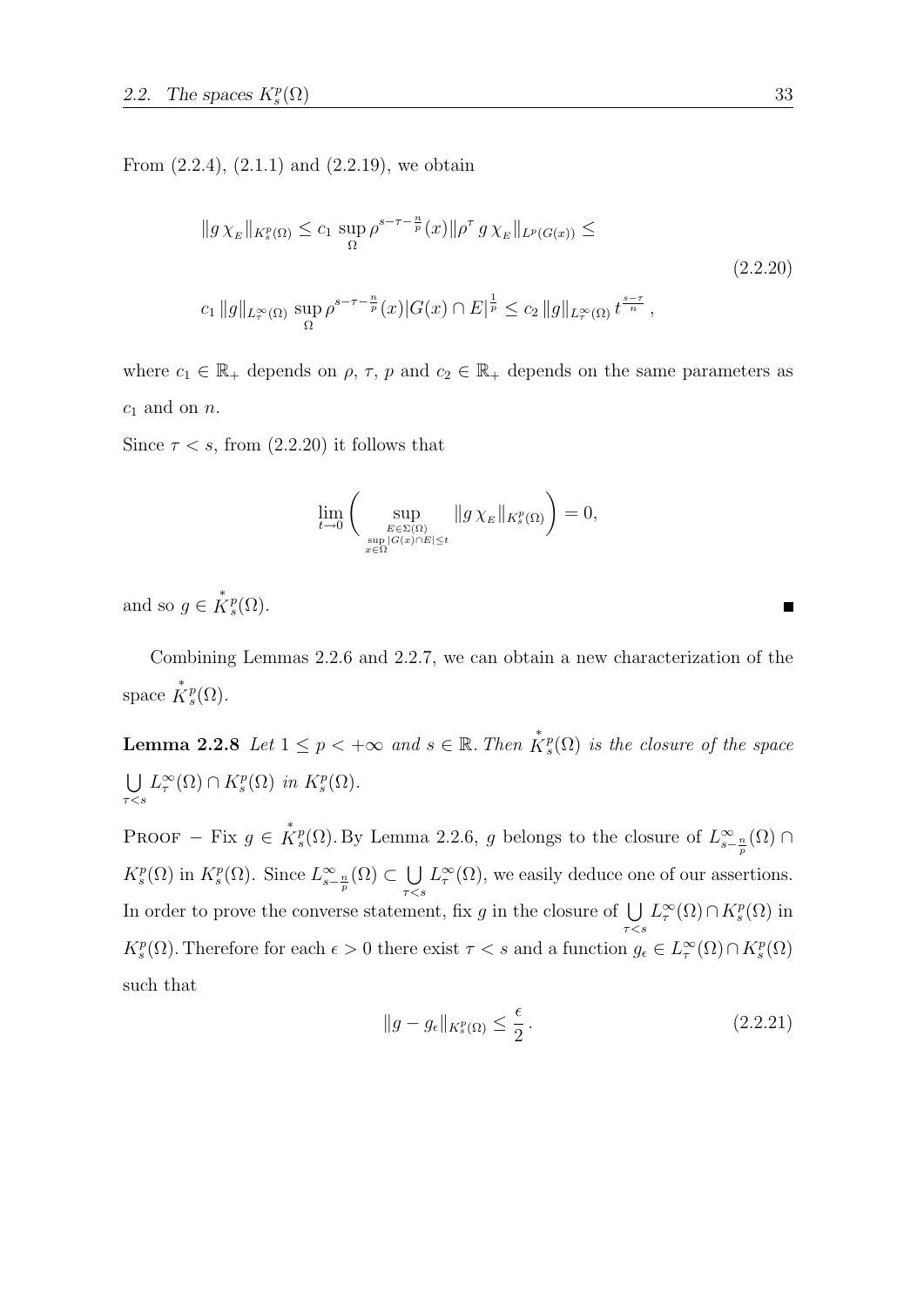From  $(2.2.4)$ ,  $(2.1.1)$  and  $(2.2.19)$ , we obtain

$$
||g\chi_E||_{K_s^p(\Omega)} \le c_1 \sup_{\Omega} \rho^{s-\tau-\frac{n}{p}}(x)||\rho^\tau g\chi_E||_{L^p(G(x))} \le
$$
  

$$
c_1 ||g||_{L_r^\infty(\Omega)} \sup_{\Omega} \rho^{s-\tau-\frac{n}{p}}(x)|G(x)\cap E|^{\frac{1}{p}} \le c_2 ||g||_{L_r^\infty(\Omega)} t^{\frac{s-\tau}{n}},
$$
\n
$$
(2.2.20)
$$

where  $c_1 \in \mathbb{R}_+$  depends on  $\rho$ ,  $\tau$ ,  $p$  and  $c_2 \in \mathbb{R}_+$  depends on the same parameters as  $c_1$  and on  $n$ .

Since  $\tau < s$ , from (2.2.20) it follows that

$$
\lim_{t \to 0} \left( \sup_{E \in \Sigma(\Omega) \atop x \in \Omega} \|g \chi_E\|_{K_s^p(\Omega)} \right) = 0,
$$

and so  $g \in \overset{*}{K}^p_s(\Omega)$ .

Combining Lemmas 2.2.6 and 2.2.7, we can obtain a new characterization of the space  $\mathring{K}_s^p(\Omega)$ .

**Lemma 2.2.8** Let  $1 \leq p < +\infty$  and  $s \in \mathbb{R}$ . Then  $\mathring{K}_s^p(\Omega)$  is the closure of the space  $\cup$  $\tau < s$  $L^{\infty}_{\tau}(\Omega) \cap K^{p}_{s}(\Omega)$  in  $K^{p}_{s}(\Omega)$ .

PROOF – Fix  $g \in \mathring{K}^p_s(\Omega)$ . By Lemma 2.2.6, g belongs to the closure of  $L^{\infty}_{s-\frac{n}{p}}(\Omega)$  $K_s^p(\Omega)$  in  $K_s^p(\Omega)$ . Since  $L_{s-\frac{n}{p}}^{\infty}(\Omega) \subset \bigcup_{\pi \leq \pi}$  $\tau < s$  $L^{\infty}_{\tau}(\Omega)$ , we easily deduce one of our assertions. In order to prove the converse statement, fix g in the closure of  $\bigcup$  $\tau < s$  $L^{\infty}_{\tau}(\Omega) \cap K^{p}_{s}(\Omega)$  in  $K_s^p(\Omega)$ . Therefore for each  $\epsilon > 0$  there exist  $\tau < s$  and a function  $g_{\epsilon} \in L_{\tau}^{\infty}(\Omega) \cap K_s^p(\Omega)$ such that

$$
||g - g_{\epsilon}||_{K_s^p(\Omega)} \le \frac{\epsilon}{2}.
$$
\n(2.2.21)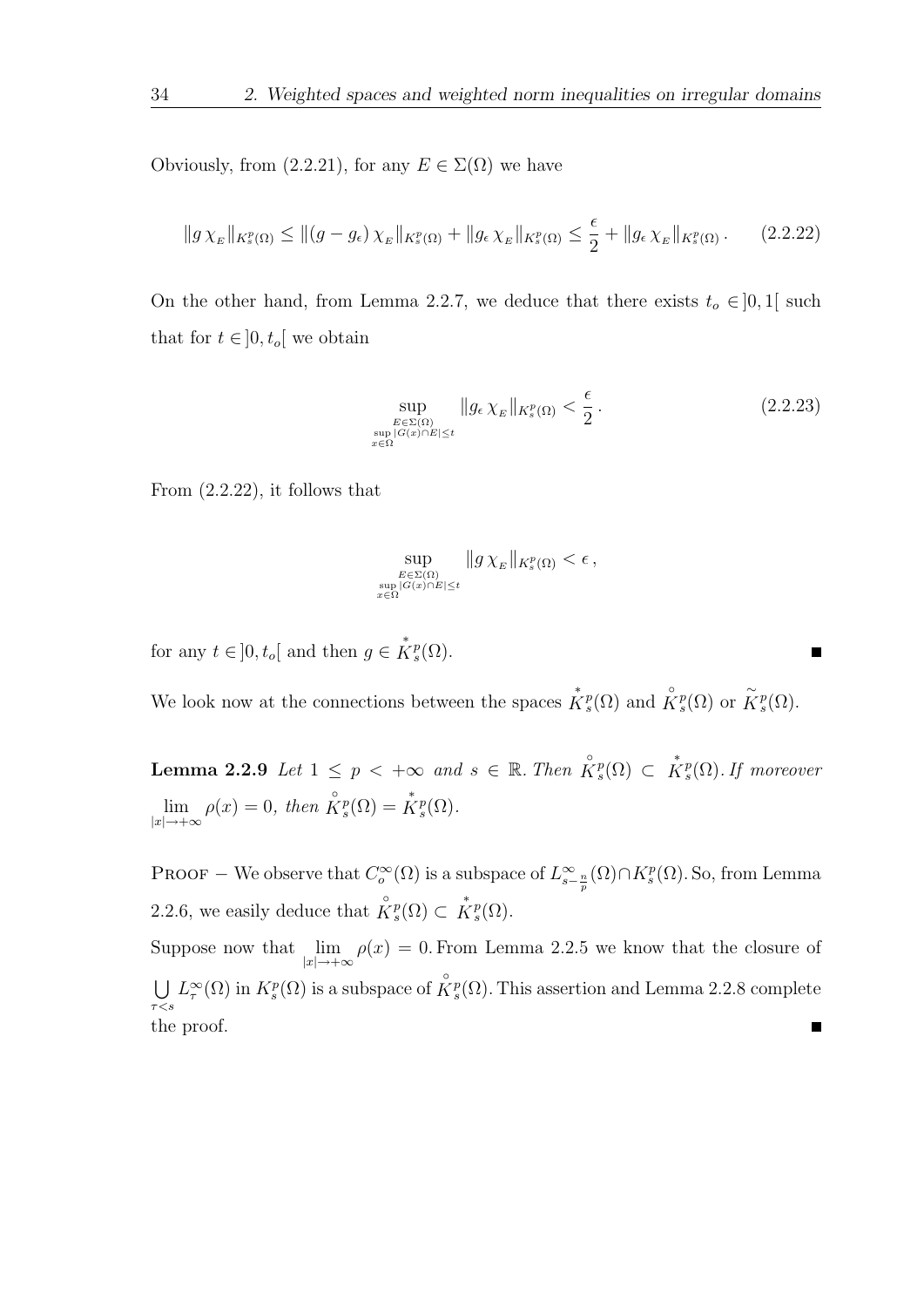Obviously, from  $(2.2.21)$ , for any  $E \in \Sigma(\Omega)$  we have

$$
||g\,\chi_E||_{K_s^p(\Omega)} \le ||(g-g_\epsilon)\,\chi_E||_{K_s^p(\Omega)} + ||g_\epsilon\,\chi_E||_{K_s^p(\Omega)} \le \frac{\epsilon}{2} + ||g_\epsilon\,\chi_E||_{K_s^p(\Omega)}\,. \tag{2.2.22}
$$

On the other hand, from Lemma 2.2.7, we deduce that there exists  $t_o \in ]0,1[$  such that for  $t \in ]0, t_o[$  we obtain

$$
\sup_{\substack{E \in \Sigma(\Omega) \\ \sup_{x \in \Omega} |G(x) \cap E| \le t}} \|g_{\epsilon} \chi_E\|_{K_s^p(\Omega)} < \frac{\epsilon}{2} \,. \tag{2.2.23}
$$

From (2.2.22), it follows that

$$
\sup_{E \in \Sigma(\Omega) \atop x \in \Omega} \|g \chi_E\|_{K_s^p(\Omega)} < \epsilon \,,
$$

for any  $t \in ]0, t_o[$  and then  $g \in \overset{*}{K}_s^p(\Omega)$ .

We look now at the connections between the spaces  $\mathring{K}_s^p(\Omega)$  and  $\mathring{K}_s^p(\Omega)$  or  $\widetilde{K}_s^p(\Omega)$ .

**Lemma 2.2.9** Let  $1 \leq p \leq +\infty$  and  $s \in \mathbb{R}$ . Then  $\overset{\circ}{K}_{s}^{p}(\Omega) \subset \overset{*}{K}_{s}^{p}(\Omega)$ . If moreover  $\lim_{|x| \to +\infty} \rho(x) = 0$ , then  $\overset{\circ}{K}^p_s(\Omega) = \overset{*}{K}^p_s(\Omega)$ .

PROOF – We observe that  $C_o^{\infty}(\Omega)$  is a subspace of  $L_{s-\frac{n}{p}}^{\infty}(\Omega) \cap K_s^p(\Omega)$ . So, from Lemma 2.2.6, we easily deduce that  $\overset{\circ}{K}^p_s(\Omega) \subset \overset{*}{K}^p_s(\Omega)$ .

Suppose now that  $\lim_{|x| \to +\infty} \rho(x) = 0$ . From Lemma 2.2.5 we know that the closure of  $L^{\infty}_{\tau}(\Omega)$  in  $K^p_s(\Omega)$  is a subspace of  $\mathring{K}^p_s(\Omega)$ . This assertion and Lemma 2.2.8 complete  $\cup$  $\tau < s$ the proof. $\blacksquare$ 

П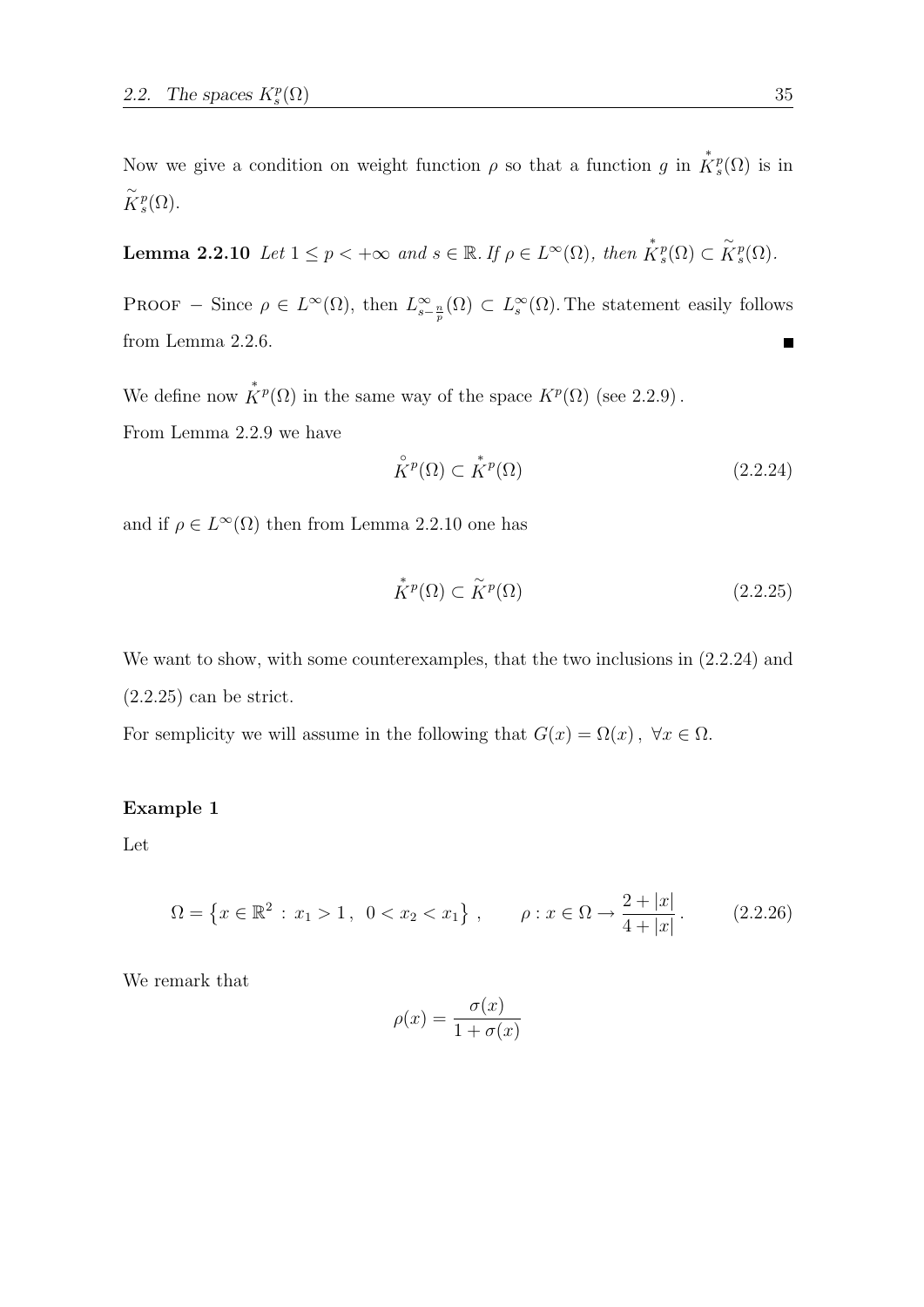Now we give a condition on weight function  $\rho$  so that a function g in  $\mathring{K}^p_s(\Omega)$  is in  $\widetilde{K}^p_s(\Omega)$ .

**Lemma 2.2.10** Let  $1 \leq p < +\infty$  and  $s \in \mathbb{R}$ . If  $\rho \in L^{\infty}(\Omega)$ , then  $\mathring{K}_s^p(\Omega) \subset \widetilde{K}_s^p(\Omega)$ .

PROOF – Since  $\rho \in L^{\infty}(\Omega)$ , then  $L^{\infty}_{s-\frac{n}{p}}(\Omega) \subset L^{\infty}_{s}(\Omega)$ . The statement easily follows from Lemma 2.2.6.

We define now  $\stackrel{*}{K}^p(\Omega)$  in the same way of the space  $K^p(\Omega)$  (see 2.2.9).

From Lemma 2.2.9 we have

$$
\stackrel{\circ}{K}{}^p(\Omega) \subset \stackrel{*}{K}{}^p(\Omega) \tag{2.2.24}
$$

and if  $\rho \in L^{\infty}(\Omega)$  then from Lemma 2.2.10 one has

$$
\stackrel{*}{K}^p(\Omega) \subset \stackrel{\sim}{K}^p(\Omega) \tag{2.2.25}
$$

We want to show, with some counterexamples, that the two inclusions in  $(2.2.24)$  and  $(2.2.25)$  can be strict.

For semplicity we will assume in the following that  $G(x) = \Omega(x)$ ,  $\forall x \in \Omega$ .

### Example 1

Let

$$
\Omega = \left\{ x \in \mathbb{R}^2 : x_1 > 1, \ 0 < x_2 < x_1 \right\}, \qquad \rho : x \in \Omega \to \frac{2 + |x|}{4 + |x|}. \tag{2.2.26}
$$

We remark that

$$
\rho(x) = \frac{\sigma(x)}{1 + \sigma(x)}
$$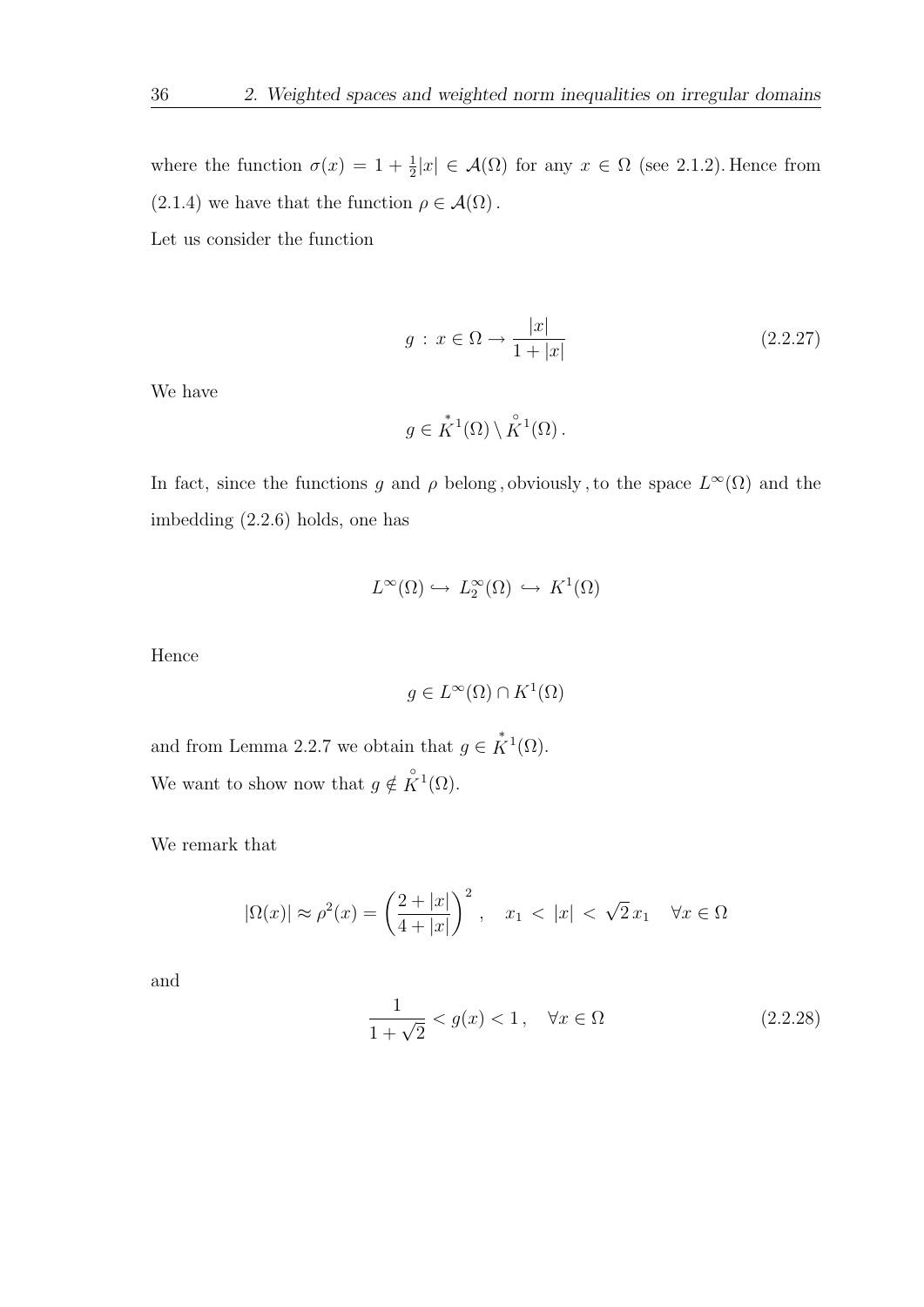where the function  $\sigma(x) = 1 + \frac{1}{2}|x| \in \mathcal{A}(\Omega)$  for any  $x \in \Omega$  (see 2.1.2). Hence from  $(2.1.4)$  we have that the function  $\rho \in \mathcal{A}(\Omega)$ .

Let us consider the function

$$
g: x \in \Omega \to \frac{|x|}{1+|x|} \tag{2.2.27}
$$

We have

$$
g \in \overset{*}{K}^1(\Omega) \setminus \overset{\circ}{K}^1(\Omega) .
$$

In fact, since the functions g and  $\rho$  belong, obviously, to the space  $L^{\infty}(\Omega)$  and the imbedding (2.2.6) holds, one has

$$
L^{\infty}(\Omega) \hookrightarrow L_2^{\infty}(\Omega) \hookrightarrow K^1(\Omega)
$$

Hence

$$
g \in L^{\infty}(\Omega) \cap K^1(\Omega)
$$

and from Lemma 2.2.7 we obtain that  $g \in \overset{*}{K}^1(\Omega)$ . We want to show now that  $g \notin \overset{\circ}{K}^1(\Omega)$ .

We remark that

$$
|\Omega(x)| \approx \rho^2(x) = \left(\frac{2+|x|}{4+|x|}\right)^2, \quad x_1 < |x| < \sqrt{2}x_1 \quad \forall x \in \Omega
$$

and

$$
\frac{1}{1+\sqrt{2}} < g(x) < 1, \quad \forall x \in \Omega \tag{2.2.28}
$$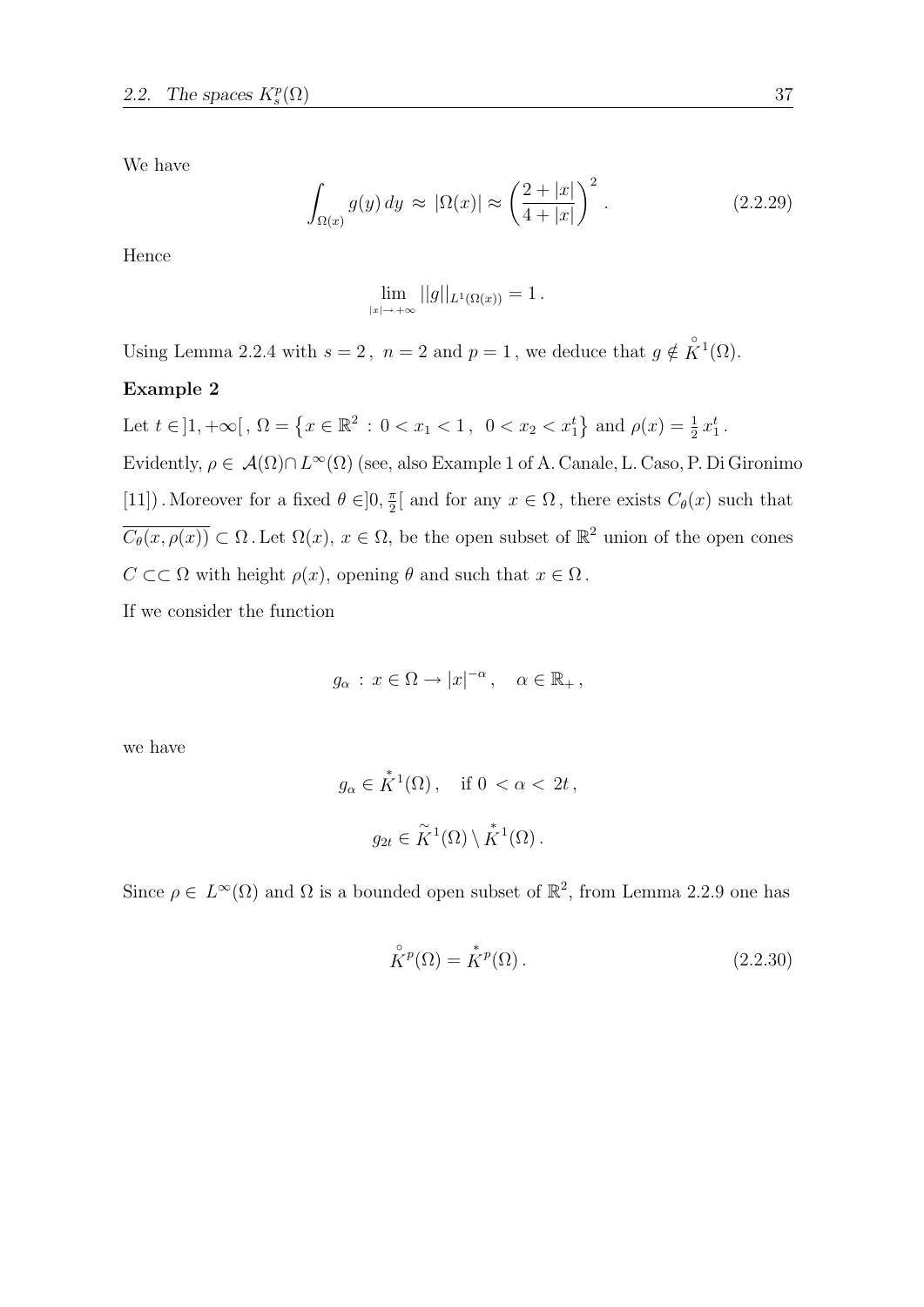We have

$$
\int_{\Omega(x)} g(y) dy \approx |\Omega(x)| \approx \left(\frac{2+|x|}{4+|x|}\right)^2.
$$
\n(2.2.29)

Hence

$$
\lim_{|x| \to +\infty} ||g||_{L^1(\Omega(x))} = 1.
$$

Using Lemma 2.2.4 with  $s = 2$ ,  $n = 2$  and  $p = 1$ , we deduce that  $g \notin \overset{\circ}{K}^1(\Omega)$ .

### Example 2

Let 
$$
t \in ]1, +\infty[
$$
,  $\Omega = \{x \in \mathbb{R}^2 : 0 < x_1 < 1, 0 < x_2 < x_1^t\}$  and  $\rho(x) = \frac{1}{2}x_1^t$ .  
 Evidently,  $\rho \in \mathcal{A}(\Omega) \cap L^{\infty}(\Omega)$  (see, also Example 1 of A. Canale, L. Caso, P. Di Gironimo  
[11]). Moreover for a fixed  $\theta \in ]0, \frac{\pi}{2}[$  and for any  $x \in \Omega$ , there exists  $C_{\theta}(x)$  such that  
 $\overline{C_{\theta}(x, \rho(x))} \subset \Omega$ . Let  $\Omega(x)$ ,  $x \in \Omega$ , be the open subset of  $\mathbb{R}^2$  union of the open cones  
 $C \subset\subset \Omega$  with height  $\rho(x)$ , opening  $\theta$  and such that  $x \in \Omega$ .

If we consider the function

$$
g_{\alpha} : x \in \Omega \to |x|^{-\alpha}, \quad \alpha \in \mathbb{R}_+,
$$

we have

$$
g_{\alpha} \in K^1(\Omega)
$$
, if  $0 < \alpha < 2t$ ,  

$$
g_{2t} \in \widetilde{K}^1(\Omega) \setminus K^1(\Omega).
$$

Since  $\rho \in L^{\infty}(\Omega)$  and  $\Omega$  is a bounded open subset of  $\mathbb{R}^2$ , from Lemma 2.2.9 one has

$$
\stackrel{\circ}{K}^p(\Omega) = \stackrel{\ast}{K}^p(\Omega). \tag{2.2.30}
$$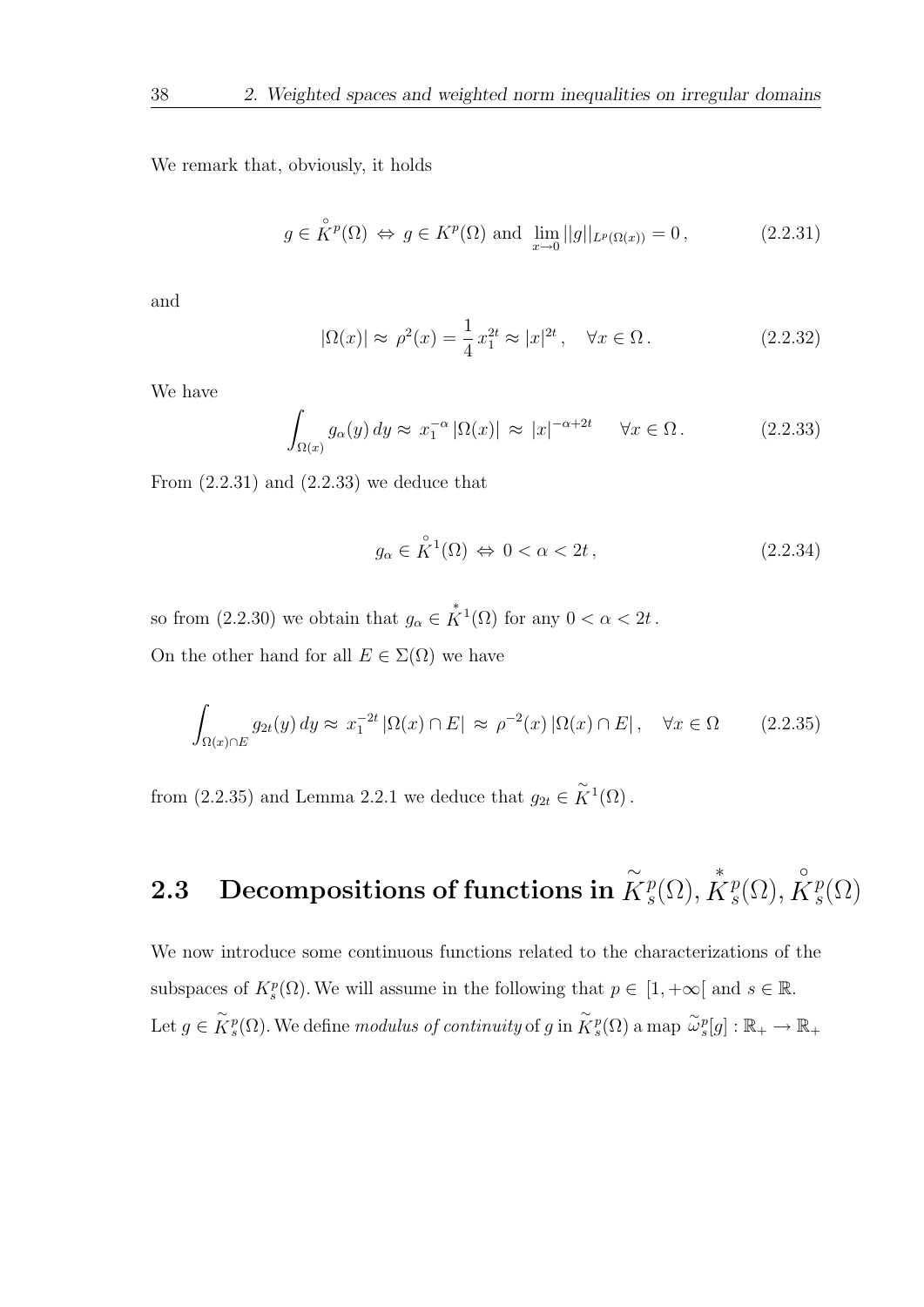We remark that, obviously, it holds

$$
g \in \overset{\circ}{K}{}^p(\Omega) \Leftrightarrow g \in K^p(\Omega) \text{ and } \lim_{x \to 0} ||g||_{L^p(\Omega(x))} = 0,
$$
 (2.2.31)

and

$$
|\Omega(x)| \approx \rho^2(x) = \frac{1}{4} x_1^{2t} \approx |x|^{2t}, \quad \forall x \in \Omega.
$$
 (2.2.32)

We have

$$
\int_{\Omega(x)} g_{\alpha}(y) dy \approx x_1^{-\alpha} |\Omega(x)| \approx |x|^{-\alpha + 2t} \quad \forall x \in \Omega.
$$
 (2.2.33)

From  $(2.2.31)$  and  $(2.2.33)$  we deduce that

$$
g_{\alpha} \in \overset{\circ}{K}^{1}(\Omega) \iff 0 < \alpha < 2t \,, \tag{2.2.34}
$$

so from  $(2.2.30)$  we obtain that  $g_{\alpha} \in \overset{*}{K}^1(\Omega)$  for any  $0 < \alpha < 2t$ . On the other hand for all  $E \in \Sigma(\Omega)$  we have

$$
\int_{\Omega(x)\cap E} g_{2t}(y) dy \approx x_1^{-2t} |\Omega(x)\cap E| \approx \rho^{-2}(x) |\Omega(x)\cap E|, \quad \forall x \in \Omega \tag{2.2.35}
$$

from (2.2.35) and Lemma 2.2.1 we deduce that  $g_{2t} \in \widetilde{K}^1(\Omega)$ .

### 2.3 Decompositions of functions in ∼  $\tilde{K}^p_s$  $_{s}^{p}(\Omega),$ ∗  $\mathring{K}^{p}_{s}$  $_{s}^{p}(\Omega),$  $\circ$  $\check{K}^p_s$  $_{s}^{p}(\Omega)$

We now introduce some continuous functions related to the characterizations of the subspaces of  $K_s^p(\Omega)$ . We will assume in the following that  $p \in [1, +\infty]$  and  $s \in \mathbb{R}$ . Let  $g \in \widetilde{K}^p_s(\Omega)$ . We define modulus of continuity of g in  $\widetilde{K}^p_s(\Omega)$  a map  $\widetilde{\omega}_s^p[g]: \mathbb{R}_+ \to \mathbb{R}_+$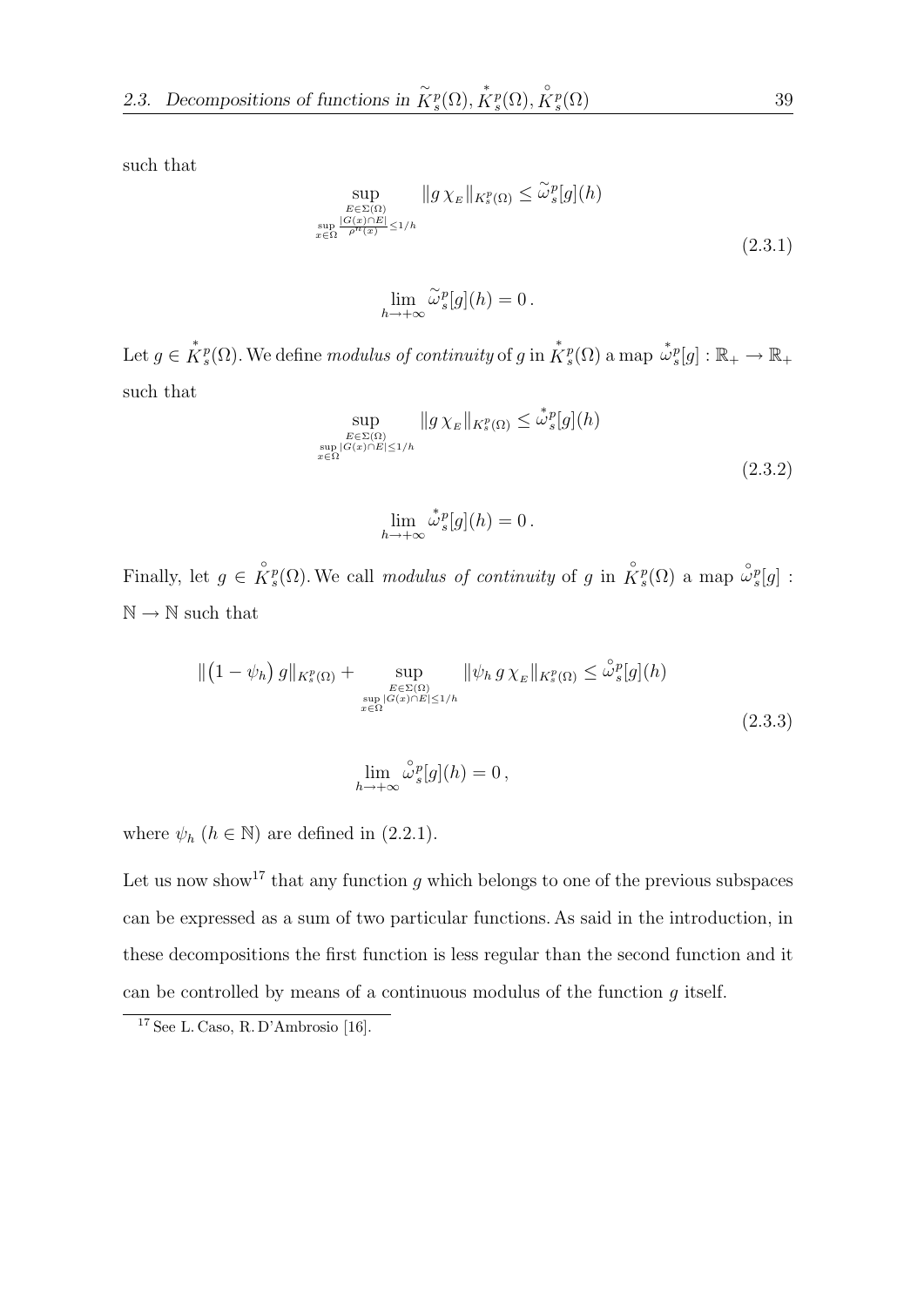such that

$$
\sup_{\substack{E \in \Sigma(\Omega) \\ \sup_{x \in \Omega} \frac{|G(x) \cap E|}{\rho^n(x)}}} \|g \chi_E\|_{K_s^p(\Omega)} \le \tilde{\omega}_s^p[g](h)
$$
\n
$$
\tag{2.3.1}
$$

$$
\lim_{h \to +\infty} \widetilde{\omega}_{s}^{p}[g](h) = 0.
$$

Let  $g \in \overset{*}{K}{}^p_s(\Omega)$ . We define modulus of continuity of g in  $\overset{*}{K}{}^p_s(\Omega)$  a map  $\overset{*}{\omega}{}^p_s[g] : \mathbb{R}_+ \to \mathbb{R}_+$ such that

$$
\sup_{\substack{E \in \Sigma(\Omega) \\ \sup_{x \in \Omega} |G(x) \cap E| \le 1/h}} \|g \chi_E\|_{K_s^p(\Omega)} \le \mathring{\omega}_s^p[g](h)
$$
\n
$$
(2.3.2)
$$

$$
\lim_{h \to +\infty} \overset{*}{\omega}_{s}^{p}[g](h) = 0.
$$

Finally, let  $g \in \overset{\circ}{K}^p_s(\Omega)$ . We call modulus of continuity of g in  $\overset{\circ}{K}^p_s(\Omega)$  a map  $\overset{\circ}{\omega}^p_s[g]$ :  $\mathbb{N} \rightarrow \mathbb{N}$  such that

$$
\| \left( 1 - \psi_h \right) g \|_{K_s^p(\Omega)} + \sup_{\substack{E \in \Sigma(\Omega) \\ \sup_{x \in \Omega} |G(x) \cap E| \le 1/h}} \| \psi_h g \chi_E \|_{K_s^p(\Omega)} \le \overset{\circ}{\omega}_s^p [g](h)
$$
\n(2.3.3)

$$
\lim_{h \to +\infty} \overset{\circ}{\omega}^p_s[g](h) = 0,
$$

where  $\psi_h$  ( $h \in \mathbb{N}$ ) are defined in (2.2.1).

Let us now show<sup>17</sup> that any function g which belongs to one of the previous subspaces can be expressed as a sum of two particular functions. As said in the introduction, in these decompositions the first function is less regular than the second function and it can be controlled by means of a continuous modulus of the function  $g$  itself.

<sup>17</sup> See L. Caso, R. D'Ambrosio [16].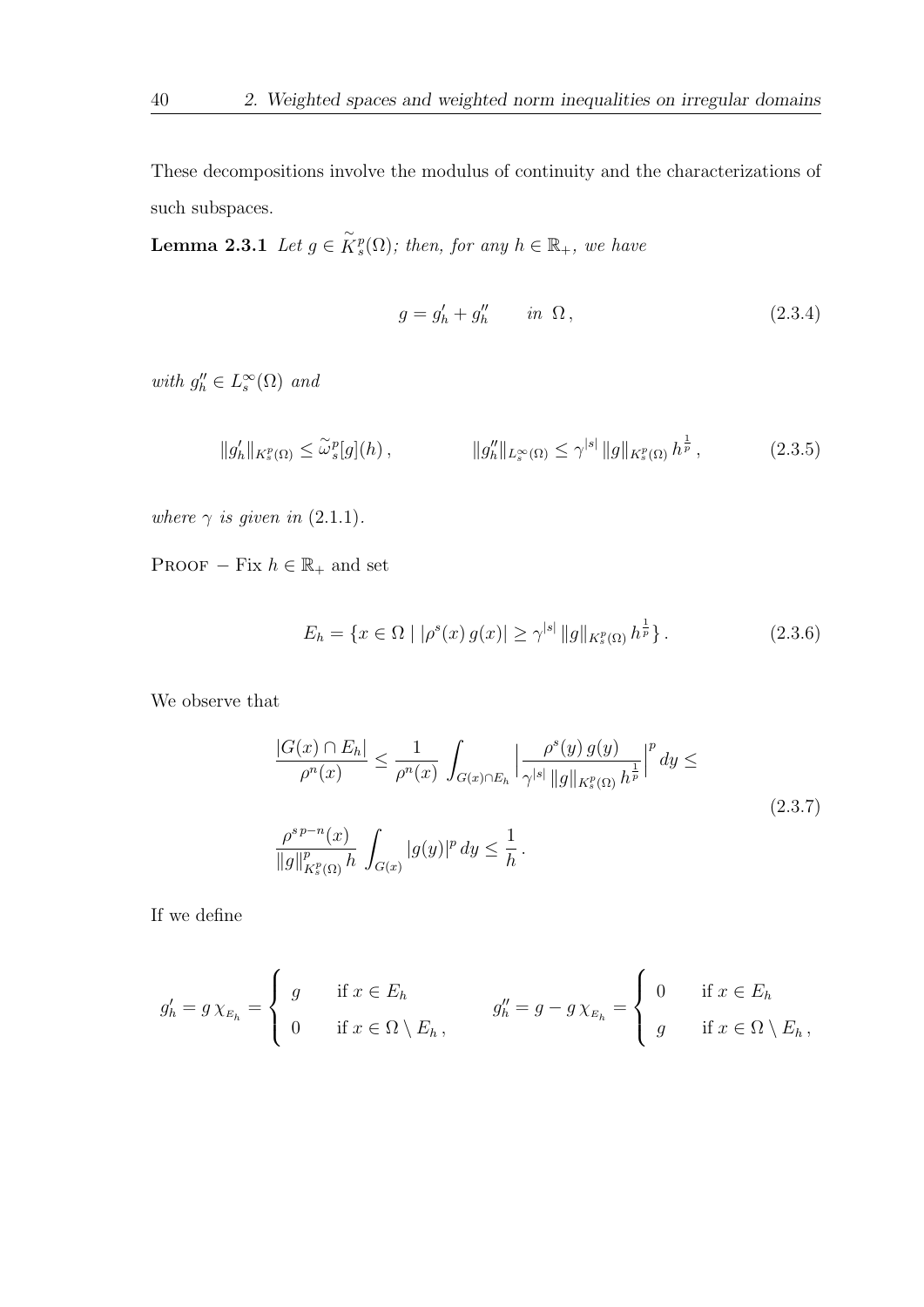These decompositions involve the modulus of continuity and the characterizations of such subspaces.

**Lemma 2.3.1** Let  $g \in \widetilde{K}_s^p(\Omega)$ ; then, for any  $h \in \mathbb{R}_+$ , we have

$$
g = g'_h + g''_h \qquad in \ \Omega \,, \tag{2.3.4}
$$

with  $g''_h \in L^\infty_s(\Omega)$  and

$$
||g_h'||_{K_s^p(\Omega)} \le \tilde{\omega}_s^p[g](h) , \qquad ||g_h''||_{L_s^\infty(\Omega)} \le \gamma^{|s|} ||g||_{K_s^p(\Omega)} h^{\frac{1}{p}} , \qquad (2.3.5)
$$

where  $\gamma$  is given in (2.1.1).

PROOF – Fix  $h \in \mathbb{R}_+$  and set

$$
E_h = \{ x \in \Omega \mid |\rho^s(x) g(x)| \ge \gamma^{|s|} \|g\|_{K^p_s(\Omega)} h^{\frac{1}{p}} \}.
$$
 (2.3.6)

We observe that

$$
\frac{|G(x) \cap E_h|}{\rho^n(x)} \le \frac{1}{\rho^n(x)} \int_{G(x) \cap E_h} \left| \frac{\rho^s(y) g(y)}{\gamma^{|s|} \|g\|_{K_s^p(\Omega)} h^{\frac{1}{p}}} \right|^p dy \le
$$
\n
$$
\frac{\rho^{s p - n}(x)}{\|g\|_{K_s^p(\Omega)}^p h} \int_{G(x)} |g(y)|^p dy \le \frac{1}{h}.
$$
\n(2.3.7)

If we define

$$
g'_{h} = g \chi_{E_{h}} = \begin{cases} g & \text{if } x \in E_{h} \\ 0 & \text{if } x \in \Omega \setminus E_{h}, \end{cases} \qquad g''_{h} = g - g \chi_{E_{h}} = \begin{cases} 0 & \text{if } x \in E_{h} \\ g & \text{if } x \in \Omega \setminus E_{h}, \end{cases}
$$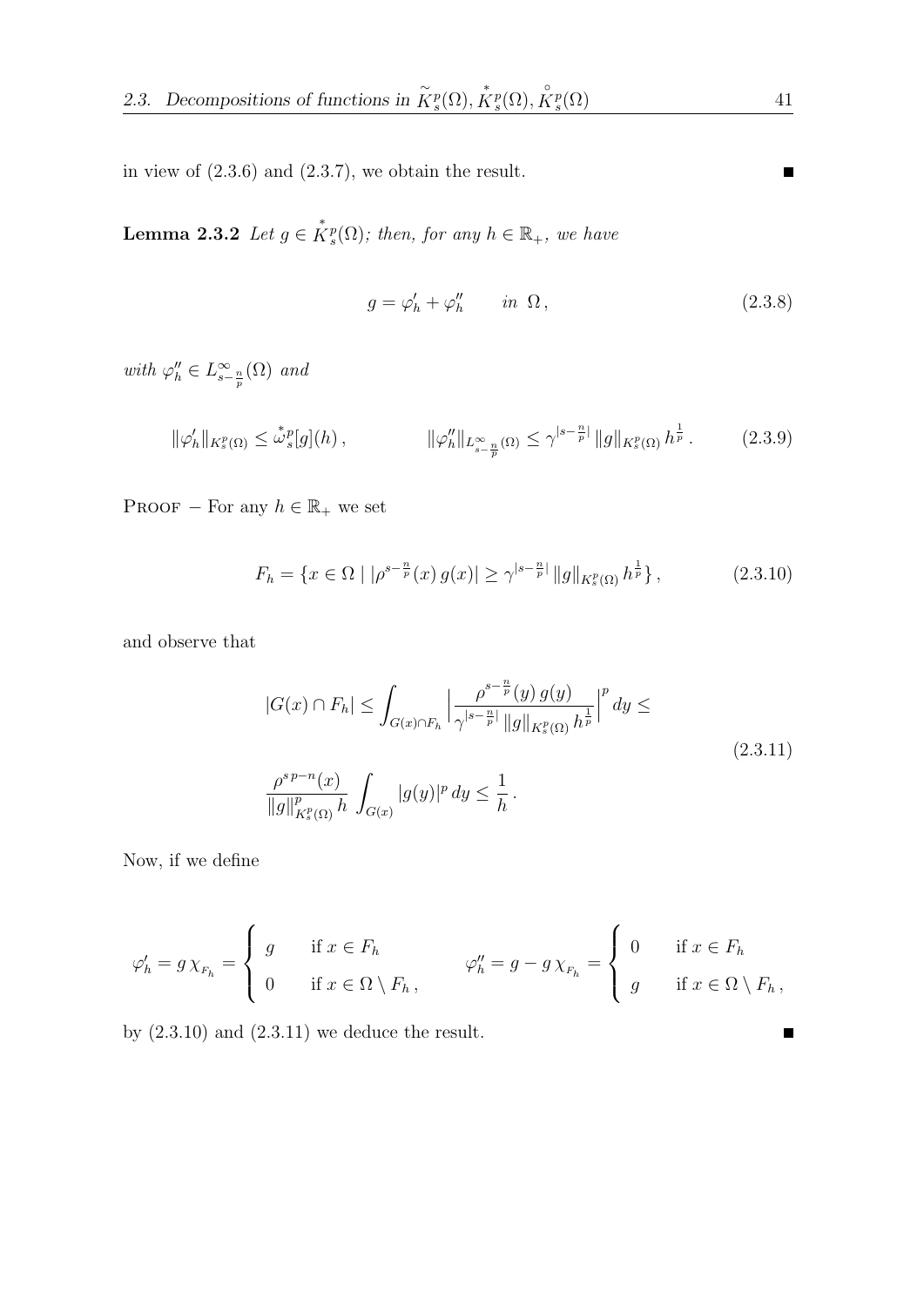in view of (2.3.6) and (2.3.7), we obtain the result.

**Lemma 2.3.2** Let  $g \in K_s^p(\Omega)$ ; then, for any  $h \in \mathbb{R}_+$ , we have

$$
g = \varphi'_h + \varphi''_h \qquad in \ \Omega \,, \tag{2.3.8}
$$

with  $\varphi''_h \in L_{s-\frac{n}{p}}^{\infty}(\Omega)$  and

$$
\|\varphi'_h\|_{K_s^p(\Omega)} \le \mathring{\omega}_s^p[g](h) \,, \qquad \|\varphi''_h\|_{L_{s-\frac{n}{p}}(\Omega)} \le \gamma^{|s-\frac{n}{p}|} \|g\|_{K_s^p(\Omega)} h^{\frac{1}{p}} \,. \tag{2.3.9}
$$

PROOF – For any  $h \in \mathbb{R}_+$  we set

$$
F_h = \{ x \in \Omega \mid |\rho^{s - \frac{n}{p}}(x) g(x)| \ge \gamma^{|s - \frac{n}{p}|} \|g\|_{K_s^p(\Omega)} h^{\frac{1}{p}} \},\tag{2.3.10}
$$

and observe that

$$
|G(x) \cap F_h| \le \int_{G(x) \cap F_h} \left| \frac{\rho^{s - \frac{n}{p}}(y) g(y)}{\gamma^{|s - \frac{n}{p}|} \|g\|_{K_s^p(\Omega)} h^{\frac{1}{p}}}\right|^p dy \le
$$
  

$$
\frac{\rho^{s p - n}(x)}{\|g\|_{K_s^p(\Omega)}^p h} \int_{G(x)} |g(y)|^p dy \le \frac{1}{h}.
$$
 (2.3.11)

Now, if we define

$$
\varphi'_h = g \chi_{F_h} = \begin{cases} g & \text{if } x \in F_h \\ 0 & \text{if } x \in \Omega \setminus F_h, \end{cases} \qquad \varphi''_h = g - g \chi_{F_h} = \begin{cases} 0 & \text{if } x \in F_h \\ g & \text{if } x \in \Omega \setminus F_h, \end{cases}
$$

by  $(2.3.10)$  and  $(2.3.11)$  we deduce the result.

п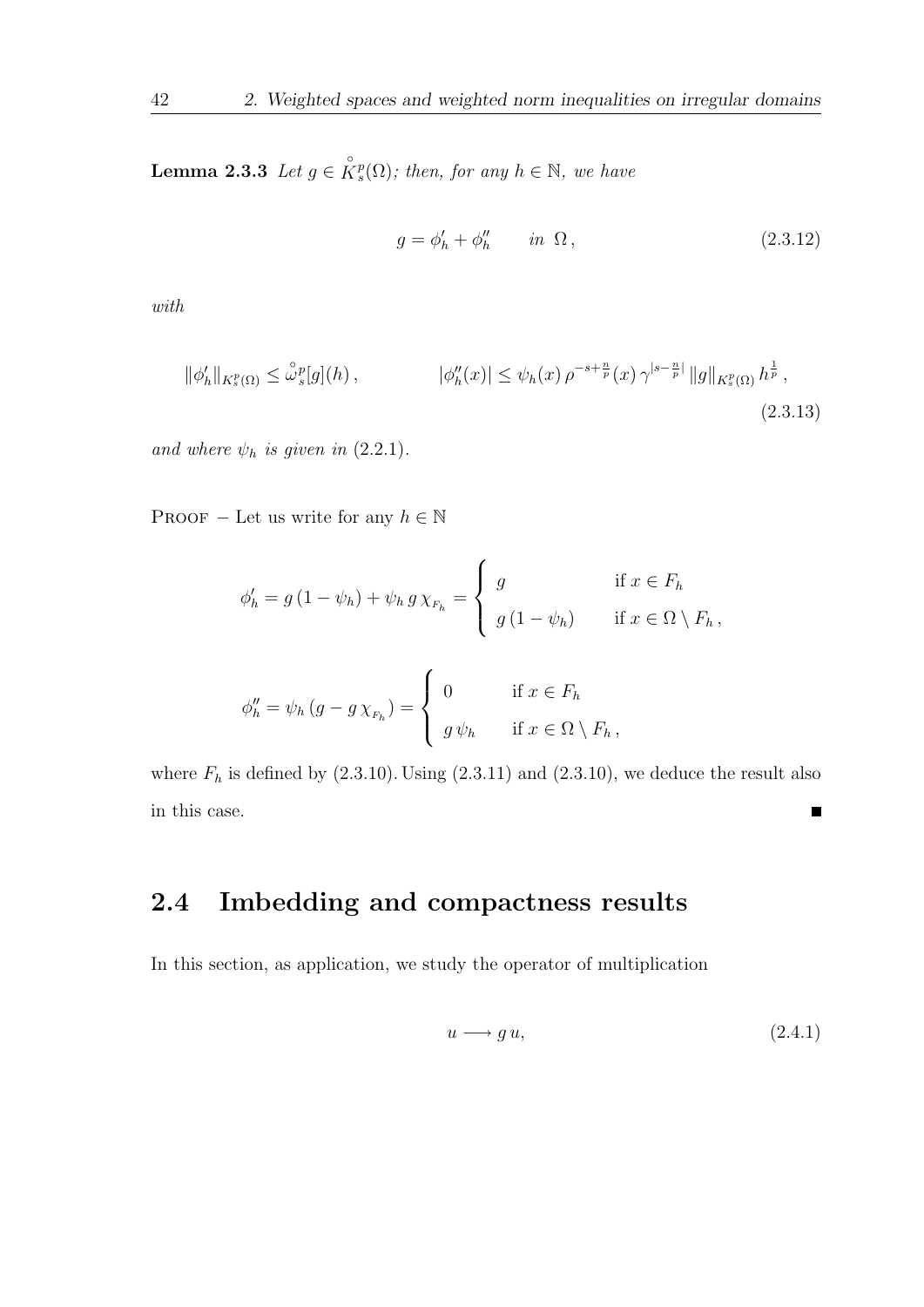**Lemma 2.3.3** Let  $g \in \overset{\circ}{K}_{s}^{p}(\Omega)$ ; then, for any  $h \in \mathbb{N}$ , we have

$$
g = \phi'_h + \phi''_h \qquad in \ \Omega \,, \tag{2.3.12}
$$

with

$$
\|\phi'_h\|_{K_s^p(\Omega)} \le \mathring{\omega}_s^p[g](h) , \qquad |\phi''_h(x)| \le \psi_h(x) \,\rho^{-s + \frac{n}{p}}(x) \,\gamma^{|s - \frac{n}{p}|} \|g\|_{K_s^p(\Omega)} \, h^{\frac{1}{p}} ,
$$
\n(2.3.13)

and where  $\psi_h$  is given in (2.2.1).

PROOF – Let us write for any  $h \in \mathbb{N}$ 

$$
\phi'_h = g(1 - \psi_h) + \psi_h g \chi_{F_h} = \begin{cases} g & \text{if } x \in F_h \\ g(1 - \psi_h) & \text{if } x \in \Omega \setminus F_h, \end{cases}
$$

$$
\phi''_h = \psi_h \left( g - g \chi_{F_h} \right) = \begin{cases} 0 & \text{if } x \in F_h \\ g \psi_h & \text{if } x \in \Omega \setminus F_h, \end{cases}
$$

where  $F_h$  is defined by (2.3.10). Using (2.3.11) and (2.3.10), we deduce the result also in this case.  $\blacksquare$ 

# 2.4 Imbedding and compactness results

In this section, as application, we study the operator of multiplication

$$
u \longrightarrow g u,\tag{2.4.1}
$$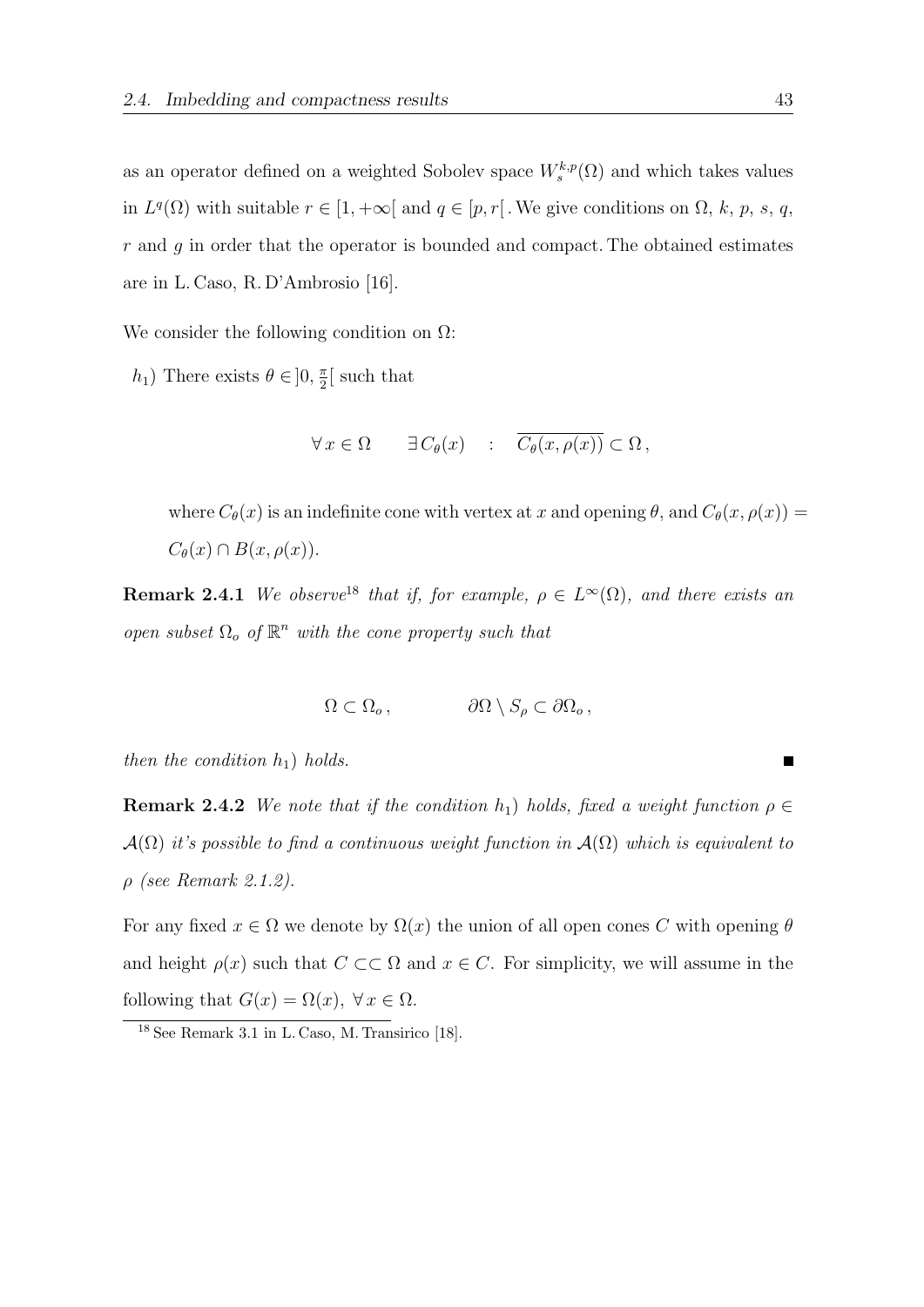as an operator defined on a weighted Sobolev space  $W_s^{k,p}(\Omega)$  and which takes values in  $L^q(\Omega)$  with suitable  $r \in [1, +\infty]$  and  $q \in [p, r]$ . We give conditions on  $\Omega$ , k, p, s, q,  $r$  and  $g$  in order that the operator is bounded and compact. The obtained estimates are in L. Caso, R. D'Ambrosio [16].

We consider the following condition on  $\Omega$ :

 $h_1$ ) There exists  $\theta \in ]0, \frac{\pi}{2}$  $\frac{\pi}{2}$  such that

$$
\forall x \in \Omega \qquad \exists C_{\theta}(x) \quad : \quad \overline{C_{\theta}(x,\rho(x))} \subset \Omega \,,
$$

where  $C_{\theta}(x)$  is an indefinite cone with vertex at x and opening  $\theta$ , and  $C_{\theta}(x, \rho(x)) =$  $C_{\theta}(x) \cap B(x, \rho(x)).$ 

**Remark 2.4.1** We observe<sup>18</sup> that if, for example,  $\rho \in L^{\infty}(\Omega)$ , and there exists an open subset  $\Omega_o$  of  $\mathbb{R}^n$  with the cone property such that

$$
\Omega \subset \Omega_o \,, \qquad \qquad \partial \Omega \setminus S_\rho \subset \partial \Omega_o \,,
$$

then the condition  $h_1$ ) holds.

**Remark 2.4.2** We note that if the condition  $h_1$ ) holds, fixed a weight function  $\rho \in$  $\mathcal{A}(\Omega)$  it's possible to find a continuous weight function in  $\mathcal{A}(\Omega)$  which is equivalent to  $\rho$  (see Remark 2.1.2).

For any fixed  $x \in \Omega$  we denote by  $\Omega(x)$  the union of all open cones C with opening  $\theta$ and height  $\rho(x)$  such that  $C \subset\subset \Omega$  and  $x \in C$ . For simplicity, we will assume in the following that  $G(x) = \Omega(x)$ ,  $\forall x \in \Omega$ .

<sup>18</sup> See Remark 3.1 in L. Caso, M. Transirico [18].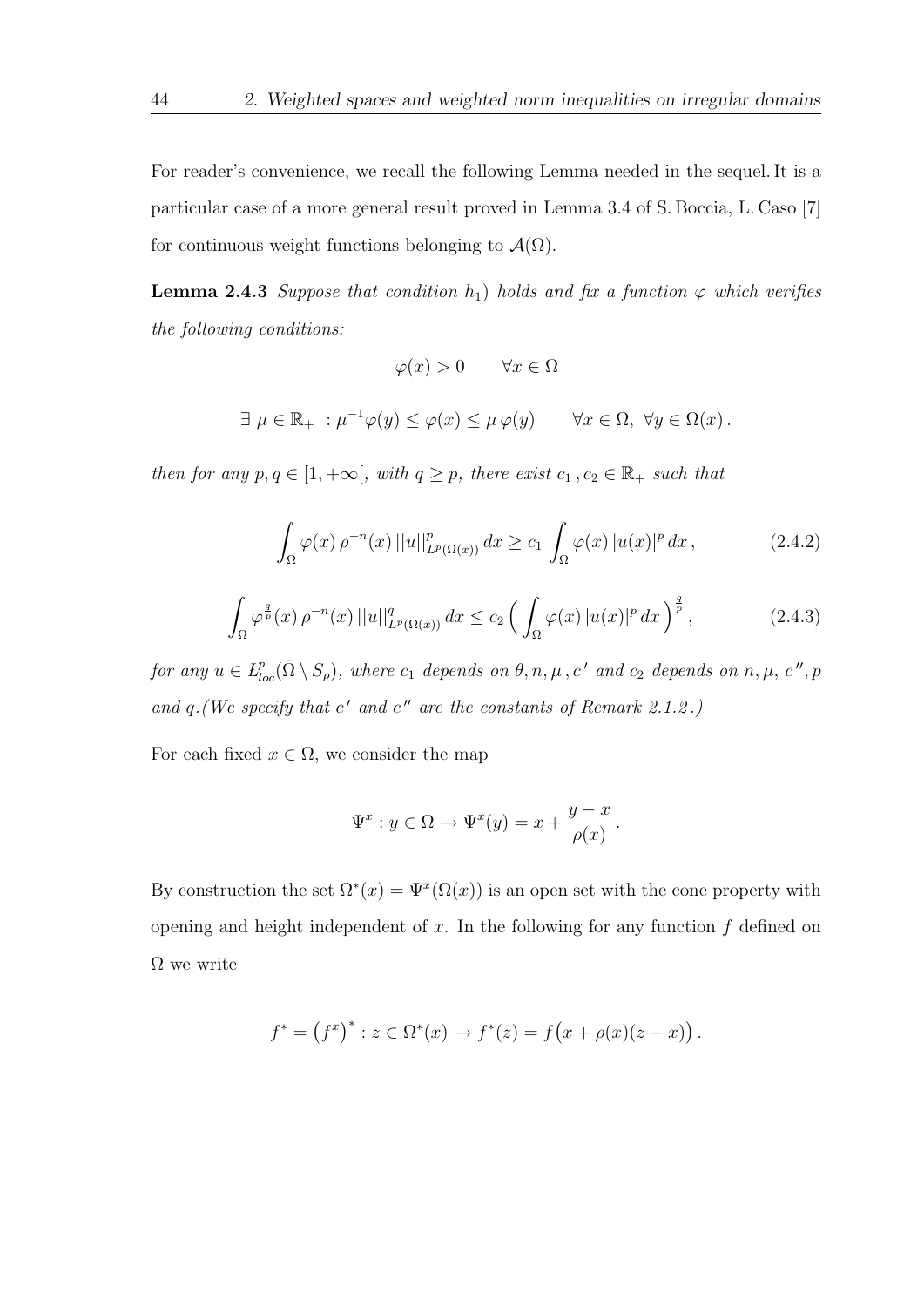For reader's convenience, we recall the following Lemma needed in the sequel. It is a particular case of a more general result proved in Lemma 3.4 of S. Boccia, L. Caso [7] for continuous weight functions belonging to  $\mathcal{A}(\Omega)$ .

**Lemma 2.4.3** Suppose that condition  $h_1$ ) holds and fix a function  $\varphi$  which verifies the following conditions:

$$
\varphi(x) > 0 \qquad \forall x \in \Omega
$$

 $\exists \mu \in \mathbb{R}_+ : \mu^{-1} \varphi(y) \leq \varphi(x) \leq \mu \varphi(y) \quad \forall x \in \Omega, \ \forall y \in \Omega(x)$ .

then for any  $p, q \in [1, +\infty]$ , with  $q \geq p$ , there exist  $c_1, c_2 \in \mathbb{R}_+$  such that

$$
\int_{\Omega} \varphi(x) \,\rho^{-n}(x) \,||u||_{L^p(\Omega(x))}^p \,dx \ge c_1 \int_{\Omega} \varphi(x) \,|u(x)|^p \,dx \,, \tag{2.4.2}
$$

$$
\int_{\Omega} \varphi^{\frac{q}{p}}(x) \,\rho^{-n}(x) \,||u||_{L^{p}(\Omega(x))}^{q} \,dx \le c_{2} \left(\int_{\Omega} \varphi(x) \,|u(x)|^{p} \,dx\right)^{\frac{q}{p}},\tag{2.4.3}
$$

for any  $u \in L^p_{loc}(\bar{\Omega} \setminus S_\rho)$ , where  $c_1$  depends on  $\theta, n, \mu, c'$  and  $c_2$  depends on  $n, \mu, c'', p$ and  $q$ . (We specify that c' and c" are the constants of Remark 2.1.2.)

For each fixed  $x \in \Omega$ , we consider the map

$$
\Psi^x : y \in \Omega \to \Psi^x(y) = x + \frac{y - x}{\rho(x)}.
$$

By construction the set  $\Omega^*(x) = \Psi^x(\Omega(x))$  is an open set with the cone property with opening and height independent of  $x$ . In the following for any function  $f$  defined on  $\Omega$  we write

$$
f^* = (f^x)^* : z \in \Omega^*(x) \to f^*(z) = f(x + \rho(x)(z - x)).
$$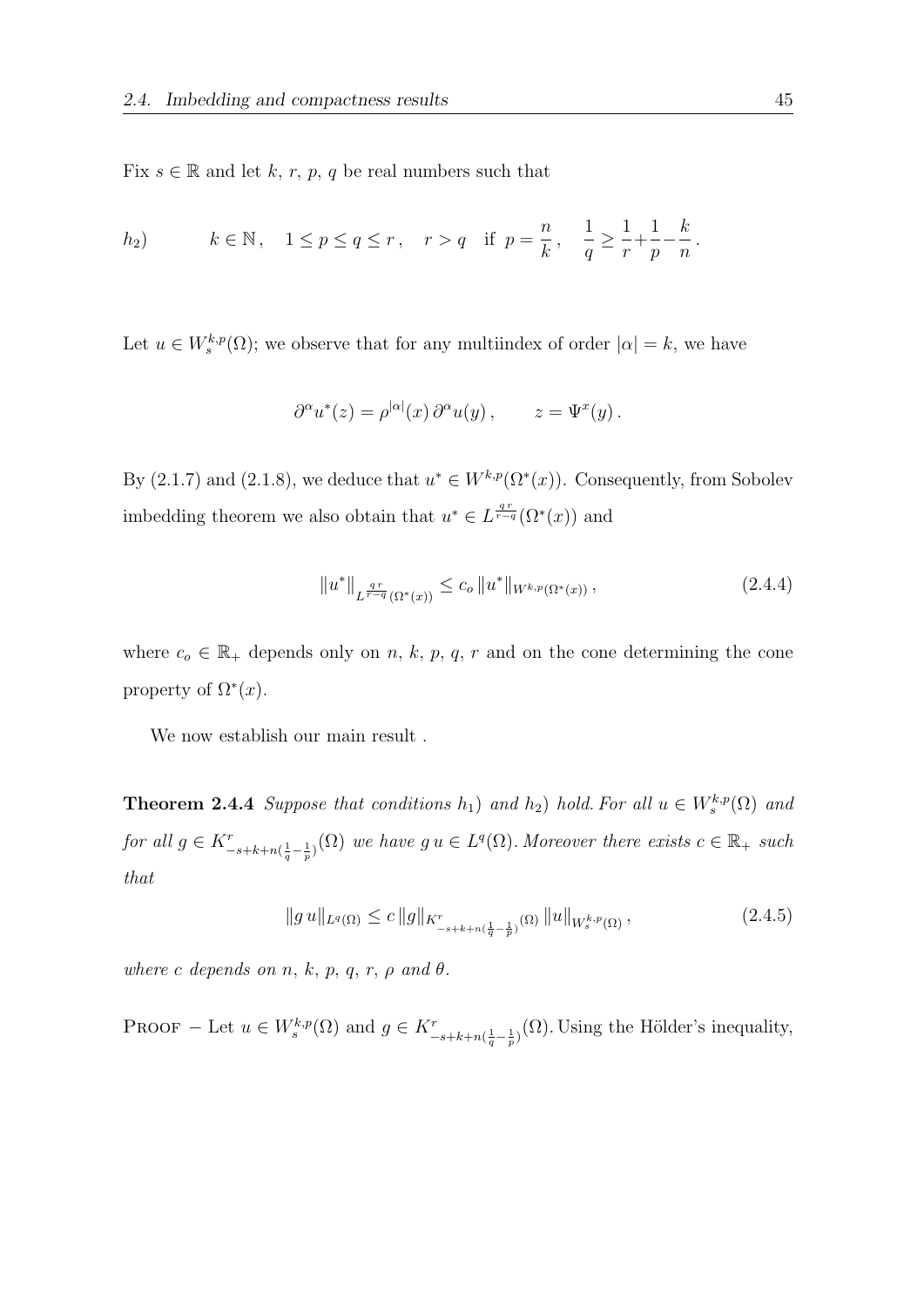Fix  $s \in \mathbb{R}$  and let k, r, p, q be real numbers such that

*h*<sub>2</sub>) 
$$
k \in \mathbb{N}
$$
,  $1 \le p \le q \le r$ ,  $r > q$  if  $p = \frac{n}{k}$ ,  $\frac{1}{q} \ge \frac{1}{r} + \frac{1}{p} - \frac{k}{n}$ .

Let  $u \in W_s^{k,p}(\Omega)$ ; we observe that for any multiindex of order  $|\alpha| = k$ , we have

$$
\partial^{\alpha} u^*(z) = \rho^{|\alpha|}(x) \partial^{\alpha} u(y), \qquad z = \Psi^x(y).
$$

By (2.1.7) and (2.1.8), we deduce that  $u^* \in W^{k,p}(\Omega^*(x))$ . Consequently, from Sobolev imbedding theorem we also obtain that  $u^* \in L^{\frac{qr}{r-q}}(\Omega^*(x))$  and

$$
||u^*||_{L^{\frac{qr}{r-q}}(\Omega^*(x))} \le c_o ||u^*||_{W^{k,p}(\Omega^*(x))},
$$
\n(2.4.4)

where  $c_o \in \mathbb{R}_+$  depends only on n, k, p, q, r and on the cone determining the cone property of  $\Omega^*(x)$ .

We now establish our main result .

**Theorem 2.4.4** Suppose that conditions  $h_1$ ) and  $h_2$ ) hold. For all  $u \in W_s^{k,p}(\Omega)$  and for all  $g \in K_{-s+k+n(\frac{1}{q}-\frac{1}{p})}^{r}(\Omega)$  we have  $g u \in L^{q}(\Omega)$ . Moreover there exists  $c \in \mathbb{R}_{+}$  such that

$$
||g u||_{L^{q}(\Omega)} \leq c ||g||_{K^{r}_{-s+k+n(\frac{1}{q}-\frac{1}{p})}(\Omega)} ||u||_{W^{k,p}_{s}(\Omega)},
$$
\n(2.4.5)

where c depends on n, k, p, q, r,  $\rho$  and  $\theta$ .

PROOF – Let  $u \in W_s^{k,p}(\Omega)$  and  $g \in K_{-s+k+n(\frac{1}{q}-\frac{1}{p})}^r(\Omega)$ . Using the Hölder's inequality,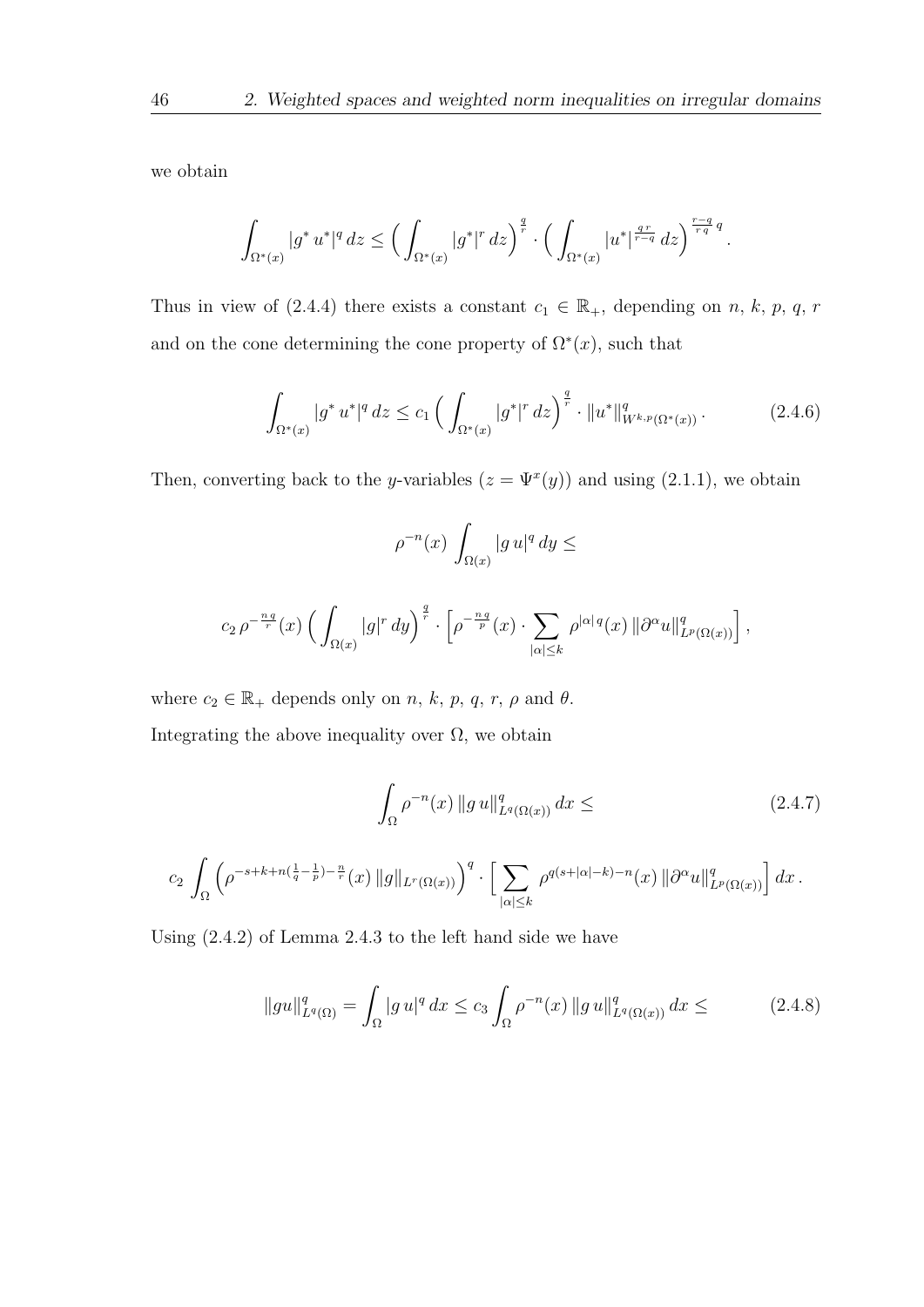we obtain

$$
\int_{\Omega^*(x)} |g^* u^*|^q \, dz \le \Big( \int_{\Omega^*(x)} |g^*|^r \, dz \Big)^{\frac{q}{r}} \cdot \Big( \int_{\Omega^*(x)} |u^*|^{\frac{qr}{r-q}} \, dz \Big)^{\frac{r-q}{rq}q}.
$$

Thus in view of (2.4.4) there exists a constant  $c_1 \in \mathbb{R}_+$ , depending on n, k, p, q, r and on the cone determining the cone property of  $\Omega^*(x)$ , such that

$$
\int_{\Omega^*(x)} |g^* u^*|^q dz \le c_1 \left( \int_{\Omega^*(x)} |g^*|^r dz \right)^{\frac{q}{r}} \cdot \|u^*\|_{W^{k,p}(\Omega^*(x))}^q. \tag{2.4.6}
$$

Then, converting back to the y-variables  $(z = \Psi^x(y))$  and using  $(2.1.1)$ , we obtain

$$
\rho^{-n}(x)\,\int_{\Omega(x)}|g\,u|^q\,dy\le
$$

$$
c_2 \rho^{-\frac{nq}{r}}(x) \left( \int_{\Omega(x)} |g|^r dy \right)^{\frac{q}{r}} \cdot \left[ \rho^{-\frac{nq}{p}}(x) \cdot \sum_{|\alpha| \leq k} \rho^{|\alpha|q}(x) \left\| \partial^{\alpha} u \right\|_{L^p(\Omega(x))}^q \right],
$$

where  $c_2 \in \mathbb{R}_+$  depends only on n, k, p, q, r,  $\rho$  and  $\theta$ . Integrating the above inequality over  $\Omega$ , we obtain

$$
\int_{\Omega} \rho^{-n}(x) \|g u\|_{L^{q}(\Omega(x))}^{q} dx \leq (2.4.7)
$$

$$
c_2\,\int_{\Omega}\left(\rho^{-s+k+n(\frac{1}{q}-\frac{1}{p})-\frac{n}{r}}(x)\,\|g\|_{L^r(\Omega(x))}\right)^q\cdot\Big[\sum_{|\alpha|\leq k}\,\rho^{q(s+|\alpha|-k)-n}(x)\,\|\partial^\alpha u\|_{L^p(\Omega(x))}^q\Big]\,dx\,.
$$

Using (2.4.2) of Lemma 2.4.3 to the left hand side we have

$$
||gu||_{L^{q}(\Omega)}^{q} = \int_{\Omega} |g u|^{q} dx \leq c_{3} \int_{\Omega} \rho^{-n}(x) ||g u||_{L^{q}(\Omega(x))}^{q} dx \leq \qquad (2.4.8)
$$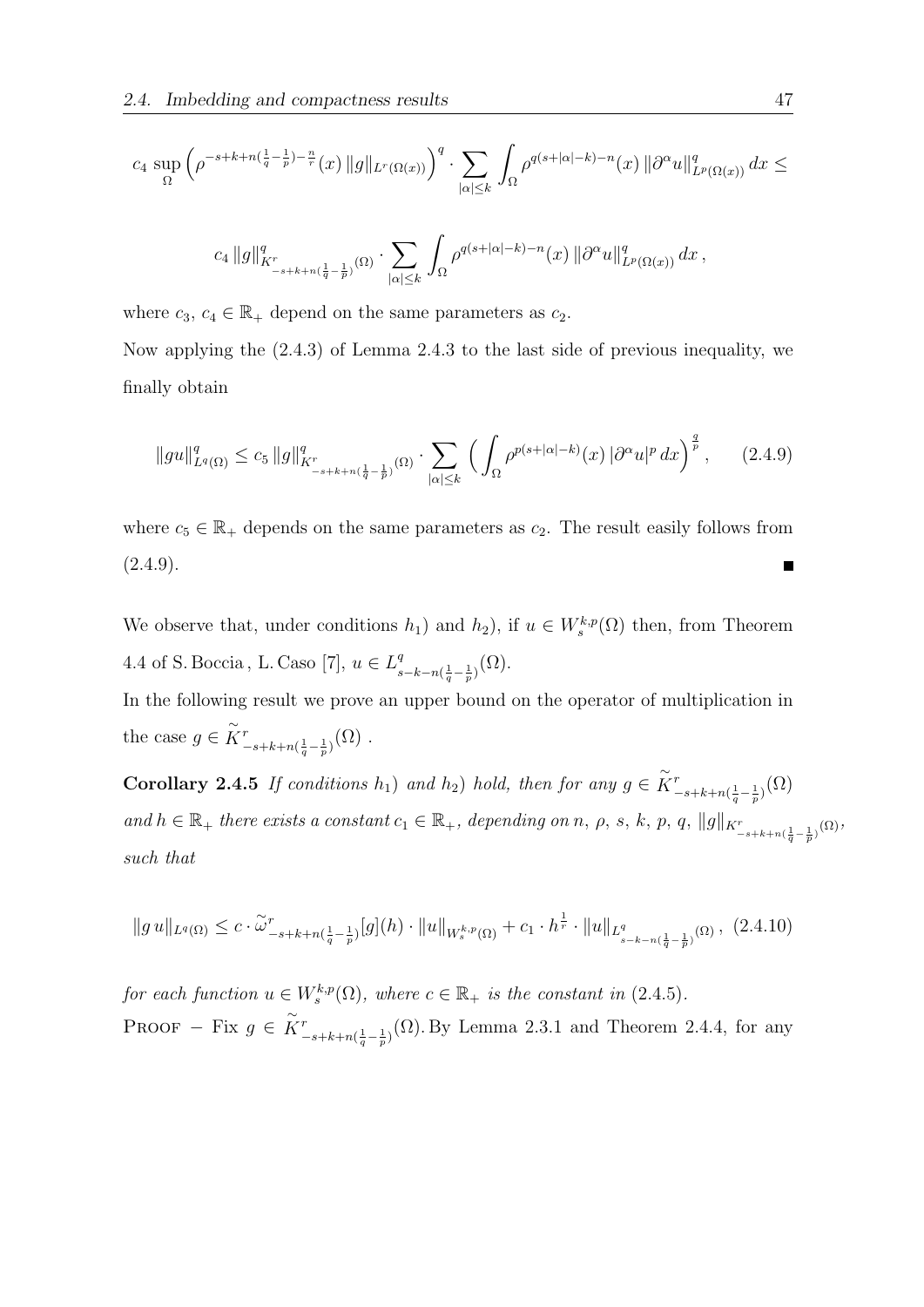$$
c_4 \sup_{\Omega} \left( \rho^{-s+k+n(\frac{1}{q}-\frac{1}{p})-\frac{n}{r}}(x) \|g\|_{L^r(\Omega(x))} \right)^q \cdot \sum_{|\alpha| \leq k} \int_{\Omega} \rho^{q(s+|\alpha|-k)-n}(x) \left\| \partial^{\alpha} u \right\|_{L^p(\Omega(x))}^q dx \leq
$$
  

$$
c_4 \left\| g \right\|_{K^r}^q_{-s+k+n(\frac{1}{q}-\frac{1}{p})}(\Omega) \cdot \sum_{|\alpha| \leq k} \int_{\Omega} \rho^{q(s+|\alpha|-k)-n}(x) \left\| \partial^{\alpha} u \right\|_{L^p(\Omega(x))}^q dx,
$$

where  $c_3, c_4 \in \mathbb{R}_+$  depend on the same parameters as  $c_2$ .

Now applying the (2.4.3) of Lemma 2.4.3 to the last side of previous inequality, we finally obtain

$$
||gu||_{L^{q}(\Omega)}^{q} \leq c_{5} ||g||_{K^{-}_{-s+k+n(\frac{1}{q}-\frac{1}{p})}(\Omega)}^{q} \cdot \sum_{|\alpha| \leq k} \left( \int_{\Omega} \rho^{p(s+|\alpha|-k)}(x) |\partial^{\alpha} u|^{p} dx \right)^{\frac{q}{p}}, \qquad (2.4.9)
$$

where  $c_5 \in \mathbb{R}_+$  depends on the same parameters as  $c_2$ . The result easily follows from  $(2.4.9).$ 

We observe that, under conditions  $h_1$ ) and  $h_2$ ), if  $u \in W_s^{k,p}(\Omega)$  then, from Theorem 4.4 of S. Boccia, L. Caso [7],  $u \in L^q$  $_{s-k-n(\frac{1}{q}-\frac{1}{p})}^{q}(\Omega).$ 

In the following result we prove an upper bound on the operator of multiplication in the case  $g \in \widetilde{K}^r$  $\frac{r}{-s+k+n(\frac{1}{q}-\frac{1}{p})}(\Omega)$  .

**Corollary 2.4.5** If conditions  $h_1$ ) and  $h_2$ ) hold, then for any  $g \in \widetilde{K}^r$  $\frac{r}{(s-k+n(\frac{1}{q}-\frac{1}{p})}(\Omega)$ and  $h \in \mathbb{R}_+$  there exists a constant  $c_1 \in \mathbb{R}_+$ , depending on n,  $\rho$ , s, k, p, q,  $||g||_{K^r_{-s+k+n(\frac{1}{q}-\frac{1}{p})}(\Omega)},$ such that

$$
||g u||_{L^{q}(\Omega)} \leq c \cdot \tilde{\omega}_{-s+k+n(\frac{1}{q}-\frac{1}{p})}^{r}[g](h) \cdot ||u||_{W_{s}^{k,p}(\Omega)} + c_1 \cdot h^{\frac{1}{r}} \cdot ||u||_{L^{q}_{s-k-n(\frac{1}{q}-\frac{1}{p})}(\Omega)}, (2.4.10)
$$

for each function  $u \in W_s^{k,p}(\Omega)$ , where  $c \in \mathbb{R}_+$  is the constant in (2.4.5). PROOF – Fix  $g \in \widetilde{K}^r$  $\int_{-s+k+n(\frac{1}{q}-\frac{1}{p})}^{r}(\Omega)$ . By Lemma 2.3.1 and Theorem 2.4.4, for any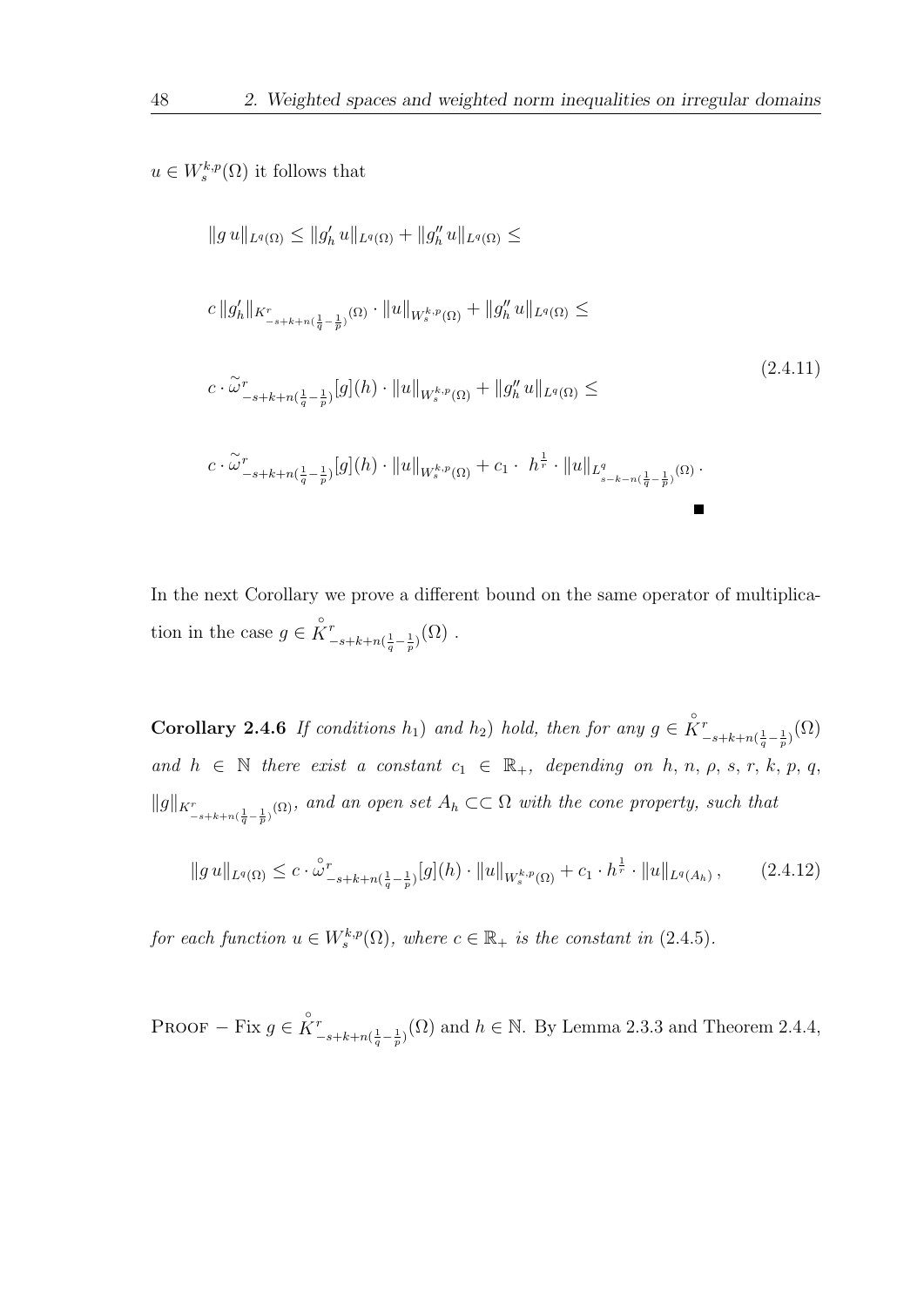$$
u \in W_s^{k,p}(\Omega)
$$
 it follows that

$$
||g u||_{L^{q}(\Omega)} \leq ||g'_{h} u||_{L^{q}(\Omega)} + ||g''_{h} u||_{L^{q}(\Omega)} \leq
$$
  
\n
$$
c ||g'_{h}||_{K^{r}_{-s+k+n(\frac{1}{q}-\frac{1}{p})}(\Omega)} \cdot ||u||_{W_{s}^{k,p}(\Omega)} + ||g''_{h} u||_{L^{q}(\Omega)} \leq
$$
  
\n
$$
c \cdot \tilde{\omega}^{r}_{-s+k+n(\frac{1}{q}-\frac{1}{p})}[g](h) \cdot ||u||_{W_{s}^{k,p}(\Omega)} + ||g''_{h} u||_{L^{q}(\Omega)} \leq
$$
  
\n
$$
c \cdot \tilde{\omega}^{r}_{-s+k+n(\frac{1}{q}-\frac{1}{p})}[g](h) \cdot ||u||_{W_{s}^{k,p}(\Omega)} + c_{1} \cdot h^{\frac{1}{r}} \cdot ||u||_{L^{q}_{s-k-n(\frac{1}{q}-\frac{1}{p})}(\Omega)}.
$$
  
\n(2.4.11)

 $\blacksquare$ 

In the next Corollary we prove a different bound on the same operator of multiplication in the case  $g \in \overset{\circ}{K}_{-}^{r}$  $_{-s+k+n(\frac{1}{q}-\frac{1}{p})}^{r}(\Omega)$  .

**Corollary 2.4.6** If conditions  $h_1$ ) and  $h_2$ ) hold, then for any  $g \in \overset{\circ}{K}^r$  $\frac{r}{(s-k+n(\frac{1}{q}-\frac{1}{p})}(\Omega)$ and  $h \in \mathbb{N}$  there exist a constant  $c_1 \in \mathbb{R}_+$ , depending on  $h, n, \rho, s, r, k, p, q$ ,  $||g||_{K^r_{-s+k+n(\frac{1}{q}-\frac{1}{p})}(\Omega)}$ , and an open set  $A_h \subset\subset \Omega$  with the cone property, such that

$$
||g u||_{L^{q}(\Omega)} \leq c \cdot \overset{\circ}{\omega}^{r}_{-s+k+n(\frac{1}{q}-\frac{1}{p})}[g](h) \cdot ||u||_{W_{s}^{k,p}(\Omega)} + c_{1} \cdot h^{\frac{1}{r}} \cdot ||u||_{L^{q}(A_{h})}, \qquad (2.4.12)
$$

for each function  $u \in W_s^{k,p}(\Omega)$ , where  $c \in \mathbb{R}_+$  is the constant in (2.4.5).

PROOF – Fix  $g \in \overset{\circ}{K}{}_{-}^{r}$  $\int_{-s+k+n(\frac{1}{q}-\frac{1}{p})}^{r}(\Omega)$  and  $h \in \mathbb{N}$ . By Lemma 2.3.3 and Theorem 2.4.4,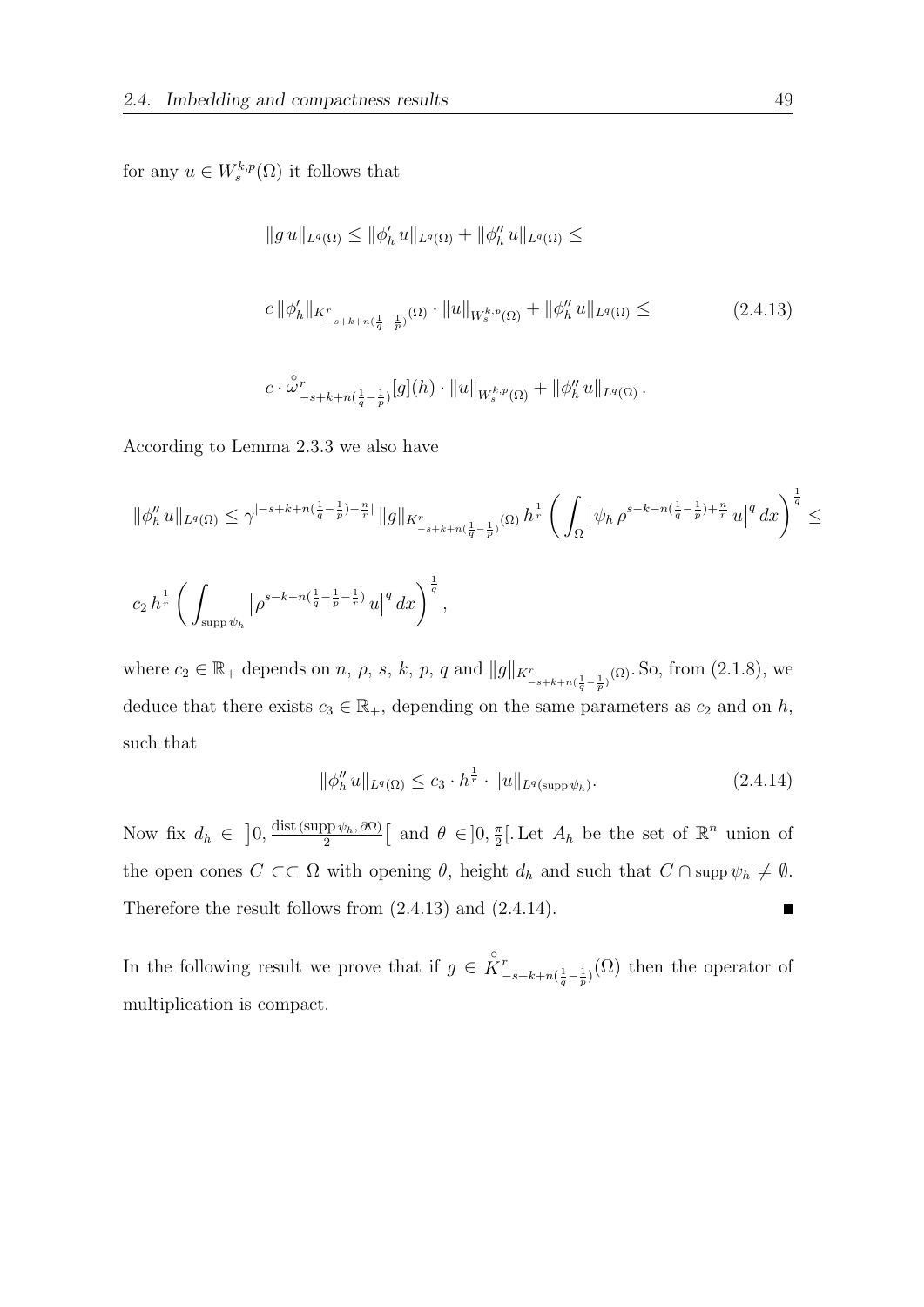for any  $u \in W_s^{k,p}(\Omega)$  it follows that

$$
||g u||_{L^{q}(\Omega)} \leq ||\phi'_{h} u||_{L^{q}(\Omega)} + ||\phi''_{h} u||_{L^{q}(\Omega)} \leq
$$
  

$$
c ||\phi'_{h}||_{K^{r}_{-s+k+n(\frac{1}{q}-\frac{1}{p})}(\Omega)} \cdot ||u||_{W_{s}^{k,p}(\Omega)} + ||\phi''_{h} u||_{L^{q}(\Omega)} \leq
$$
  

$$
c \cdot \overset{\circ}{\omega}^{r}_{-s+k+n(\frac{1}{q}-\frac{1}{p})} [g](h) \cdot ||u||_{W_{s}^{k,p}(\Omega)} + ||\phi''_{h} u||_{L^{q}(\Omega)}.
$$
 (2.4.13)

According to Lemma 2.3.3 we also have

$$
\begin{array}{l} \|\phi''_h \, u\|_{L^q(\Omega)} \leq \gamma^{|-s+k+n(\frac{1}{q}-\frac{1}{p})-\frac{n}{r}|} \, \|g\|_{K^r_{-s+k+n(\frac{1}{q}-\frac{1}{p})}(\Omega)} \, h^{\frac{1}{r}} \left(\, \int_\Omega \big| \psi_h \, \rho^{s-k-n(\frac{1}{q}-\frac{1}{p})+\frac{n}{r}} \, u \big|^q \, dx \right)^{\frac{1}{q}} \leq \\ \\ c_2 \, h^{\frac{1}{r}} \left(\, \int_{\sup p \, \psi_h} \big| \rho^{s-k-n(\frac{1}{q}-\frac{1}{p}-\frac{1}{r})} \, u \big|^q \, dx \right)^{\frac{1}{q}}, \end{array}
$$

where  $c_2 \in \mathbb{R}_+$  depends on n,  $\rho$ , s, k, p, q and  $||g||_{K^r_{-s+k+n(\frac{1}{q}-\frac{1}{p})}(\Omega)}$ . So, from  $(2.1.8)$ , we deduce that there exists  $c_3 \in \mathbb{R}_+$ , depending on the same parameters as  $c_2$  and on h, such that

$$
\|\phi_h'' u\|_{L^q(\Omega)} \le c_3 \cdot h^{\frac{1}{r}} \cdot \|u\|_{L^q(\text{supp}\,\psi_h)}.
$$
\n(2.4.14)

Now fix  $d_h \in [0, \frac{\text{dist}(\text{supp }\psi_h, \partial \Omega)}{2}]$  $\frac{\pi}{2}$ . Let  $A_h$  be the set of  $\mathbb{R}^n$  union of  $\frac{\partial \rho \psi_h, \partial \Omega)}{2}$  [ and  $\theta \in ]0, \frac{\pi}{2}$ the open cones  $C \subset\subset \Omega$  with opening  $\theta$ , height  $d_h$  and such that  $C \cap \text{supp } \psi_h \neq \emptyset$ . Therefore the result follows from (2.4.13) and (2.4.14).  $\blacksquare$ 

In the following result we prove that if  $g \in \overset{\circ}{K}^r$  $\int_{-s+k+n(\frac{1}{q}-\frac{1}{p})}^{r}(\Omega)$  then the operator of multiplication is compact.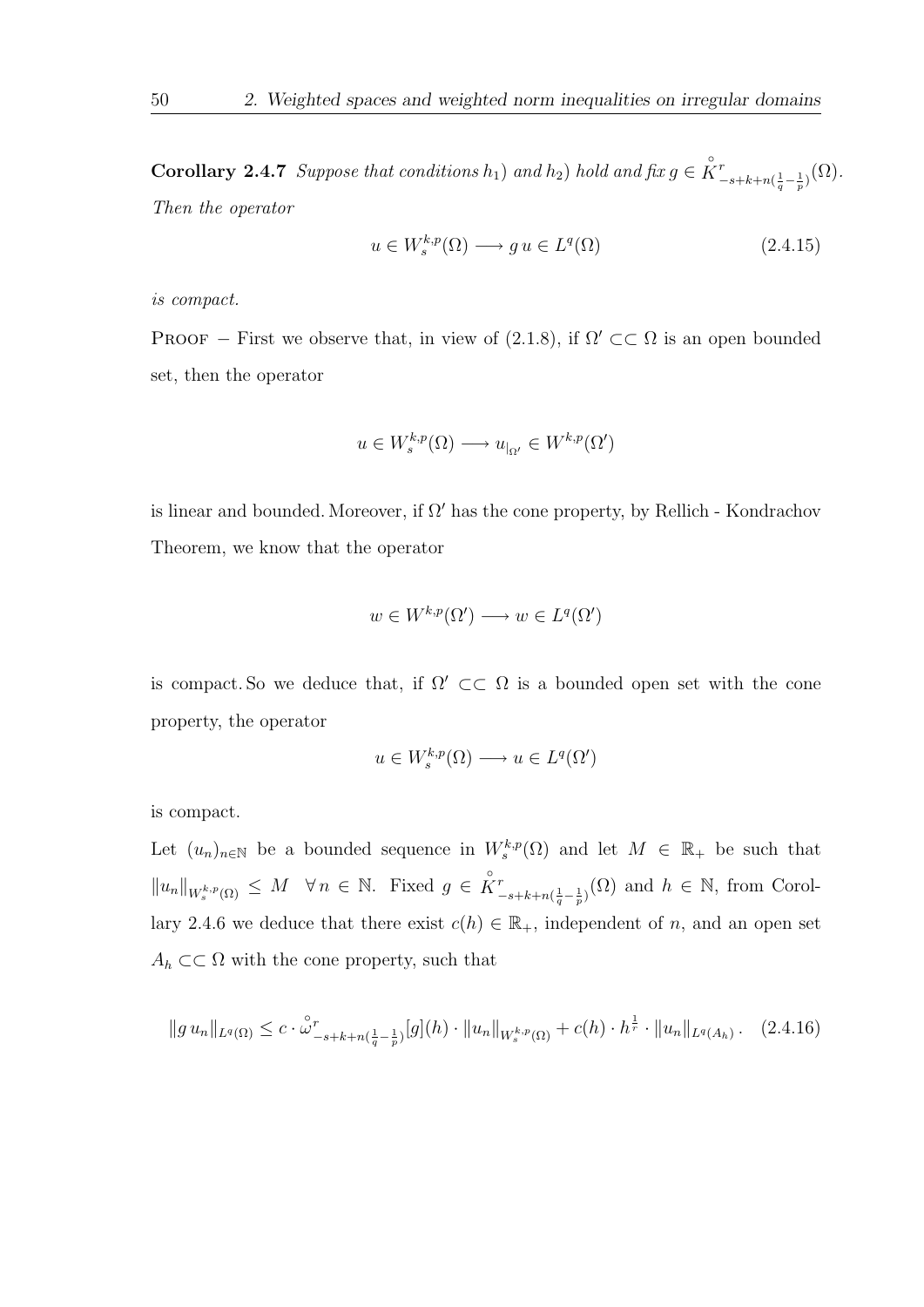**Corollary 2.4.7** Suppose that conditions  $h_1$ ) and  $h_2$ ) hold and fix  $g \in \overset{\circ}{K}$  $\frac{r}{-s+k+n(\frac{1}{q}-\frac{1}{p})}(\Omega)$  . Then the operator

$$
u \in W_s^{k,p}(\Omega) \longrightarrow gu \in L^q(\Omega)
$$
\n
$$
(2.4.15)
$$

is compact.

PROOF – First we observe that, in view of (2.1.8), if  $\Omega' \subset\subset \Omega$  is an open bounded set, then the operator

$$
u \in W_s^{k,p}(\Omega) \longrightarrow u_{\vert_{\Omega'}} \in W^{k,p}(\Omega')
$$

is linear and bounded. Moreover, if  $\Omega'$  has the cone property, by Rellich - Kondrachov Theorem, we know that the operator

$$
w \in W^{k,p}(\Omega') \longrightarrow w \in L^q(\Omega')
$$

is compact. So we deduce that, if  $\Omega' \subset\subset \Omega$  is a bounded open set with the cone property, the operator

$$
u\in W^{k,p}_s(\Omega)\longrightarrow u\in L^q(\Omega')
$$

is compact.

Let  $(u_n)_{n\in\mathbb{N}}$  be a bounded sequence in  $W_s^{k,p}(\Omega)$  and let  $M \in \mathbb{R}_+$  be such that  $||u_n||_{W_s^{k,p}(\Omega)} \leq M \quad \forall n \in \mathbb{N}.$  Fixed  $g \in \overset{\circ}{K}^r$  $\binom{r}{-s+k+n(\frac{1}{q}-\frac{1}{p})}(\Omega)$  and  $h \in \mathbb{N}$ , from Corollary 2.4.6 we deduce that there exist  $c(h) \in \mathbb{R}_+$ , independent of n, and an open set  $A_h \subset\subset \Omega$  with the cone property, such that

$$
||g u_n||_{L^q(\Omega)} \leq c \cdot \mathring{\omega}_{-s+k+n(\frac{1}{q}-\frac{1}{p})}^r[g](h) \cdot ||u_n||_{W_s^{k,p}(\Omega)} + c(h) \cdot h^{\frac{1}{r}} \cdot ||u_n||_{L^q(A_h)}.
$$
 (2.4.16)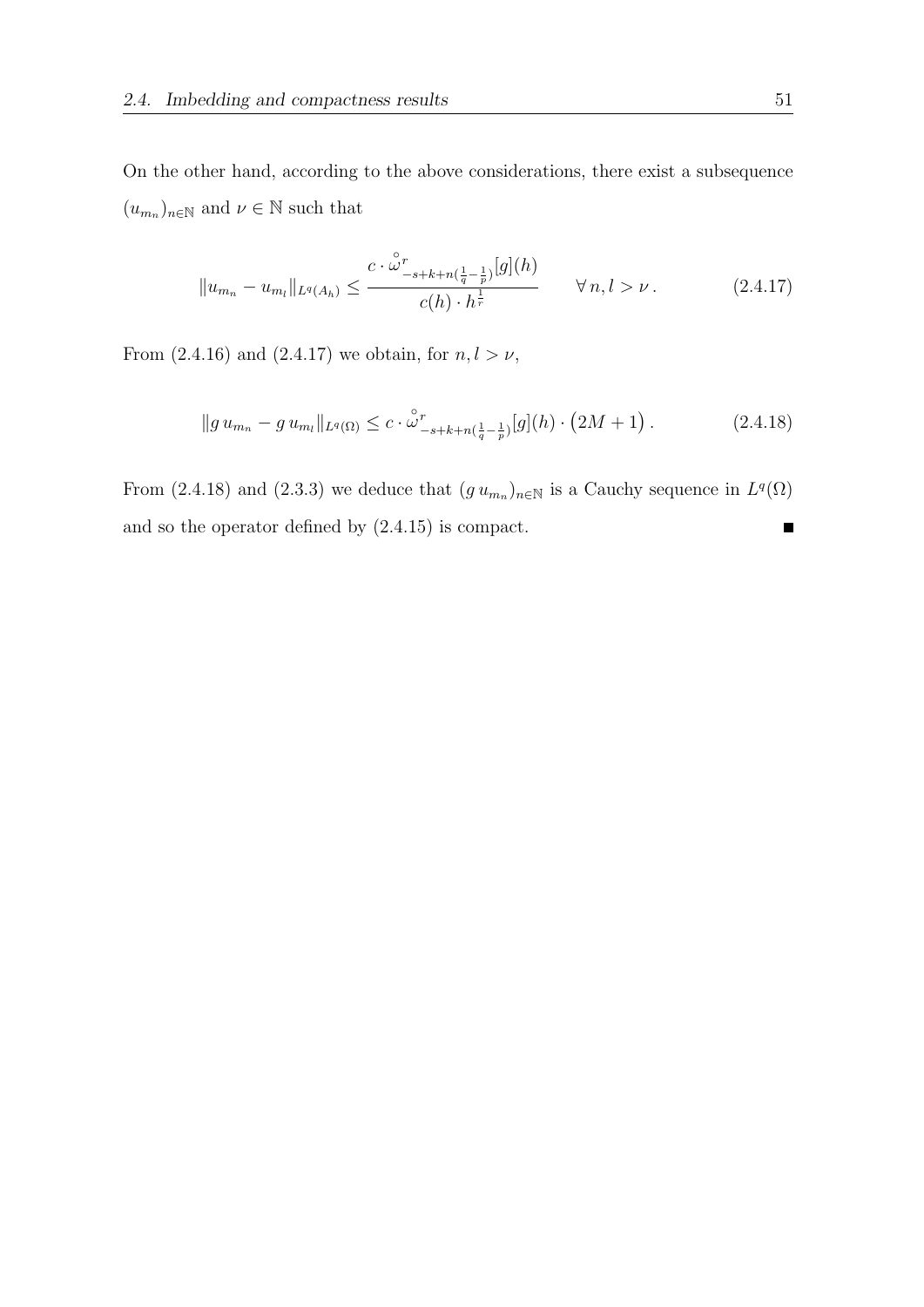On the other hand, according to the above considerations, there exist a subsequence  $(u_{m_n})_{n \in \mathbb{N}}$  and  $\nu \in \mathbb{N}$  such that

$$
||u_{m_n} - u_{m_l}||_{L^q(A_h)} \le \frac{c \cdot \stackrel{\circ}{\omega}^r_{-s+k+n(\frac{1}{q} - \frac{1}{p})}[g](h)}{c(h) \cdot h^{\frac{1}{r}}} \qquad \forall n, l > \nu.
$$
 (2.4.17)

From (2.4.16) and (2.4.17) we obtain, for  $n, l > \nu$ ,

$$
||g u_{m_n} - g u_{m_l}||_{L^q(\Omega)} \leq c \cdot \mathring{\omega}^r_{-s+k+n(\frac{1}{q}-\frac{1}{p})}[g](h) \cdot (2M+1). \tag{2.4.18}
$$

From (2.4.18) and (2.3.3) we deduce that  $(g u_{m_n})_{n \in \mathbb{N}}$  is a Cauchy sequence in  $L^q(\Omega)$ and so the operator defined by (2.4.15) is compact.П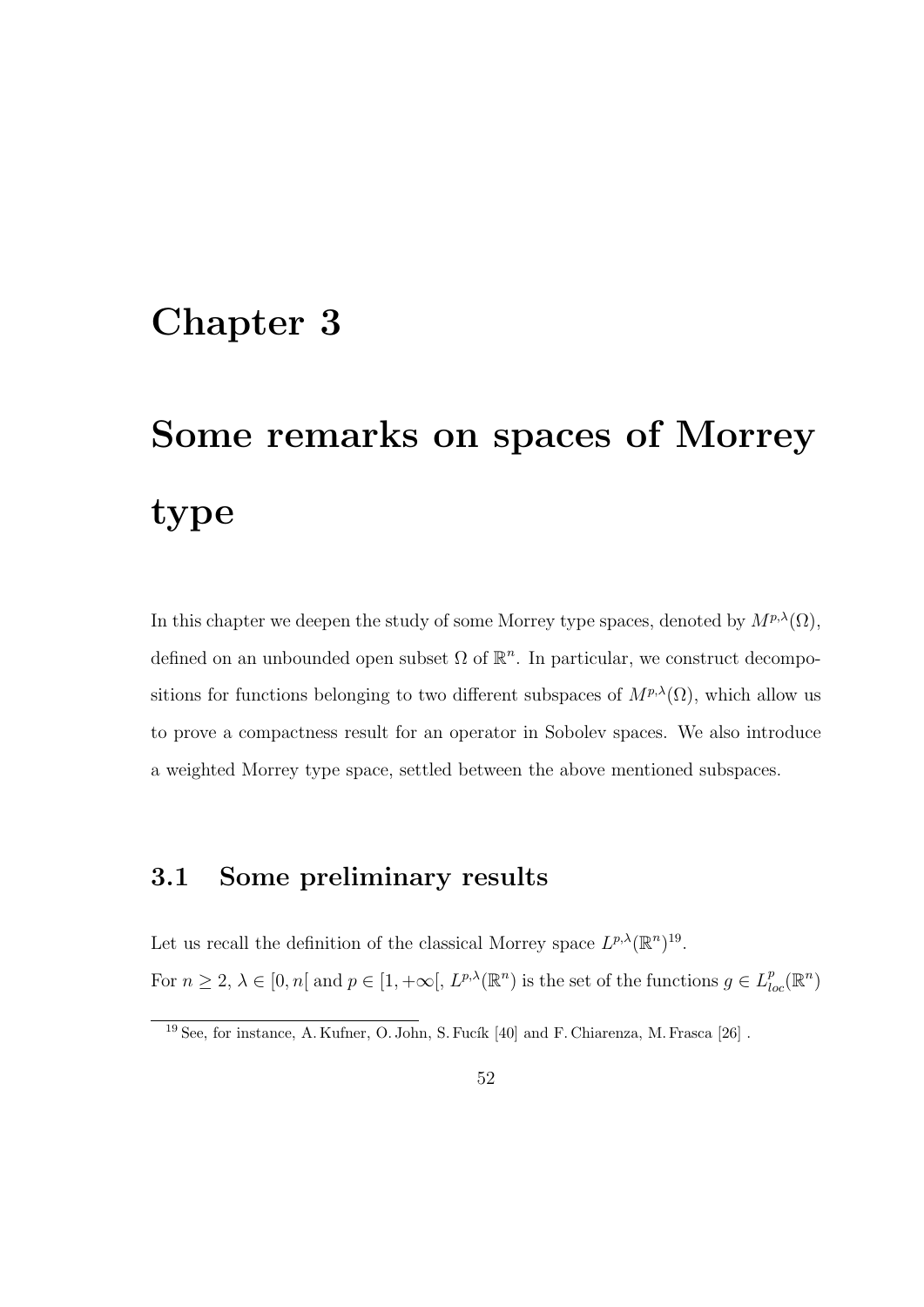# Chapter 3

# Some remarks on spaces of Morrey type

In this chapter we deepen the study of some Morrey type spaces, denoted by  $M^{p,\lambda}(\Omega)$ , defined on an unbounded open subset  $\Omega$  of  $\mathbb{R}^n$ . In particular, we construct decompositions for functions belonging to two different subspaces of  $M^{p,\lambda}(\Omega)$ , which allow us to prove a compactness result for an operator in Sobolev spaces. We also introduce a weighted Morrey type space, settled between the above mentioned subspaces.

## 3.1 Some preliminary results

Let us recall the definition of the classical Morrey space  $L^{p,\lambda}(\mathbb{R}^n)^{19}$ . For  $n \geq 2$ ,  $\lambda \in [0, n[$  and  $p \in [1, +\infty[, L^{p,\lambda}(\mathbb{R}^n)$  is the set of the functions  $g \in L^p_{loc}(\mathbb{R}^n)$ 

 $19$  See, for instance, A. Kufner, O. John, S. Fucík [40] and F. Chiarenza, M. Frasca [26].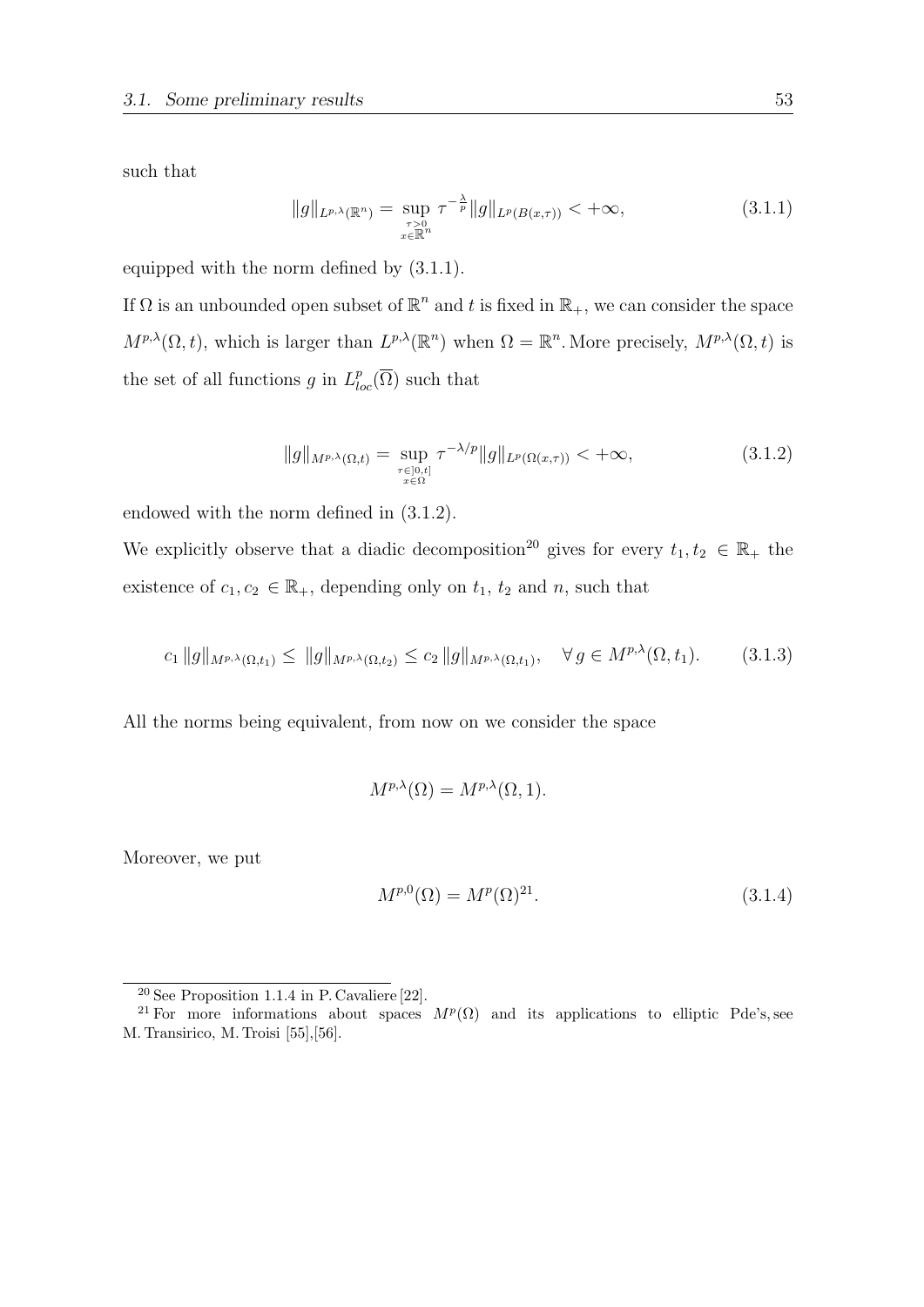such that

$$
||g||_{L^{p,\lambda}(\mathbb{R}^n)} = \sup_{\substack{\tau>0\\x\in\mathbb{R}^n}} \tau^{-\frac{\lambda}{p}} ||g||_{L^p(B(x,\tau))} < +\infty,
$$
\n(3.1.1)

equipped with the norm defined by (3.1.1).

If  $\Omega$  is an unbounded open subset of  $\mathbb{R}^n$  and t is fixed in  $\mathbb{R}_+$ , we can consider the space  $M^{p,\lambda}(\Omega,t)$ , which is larger than  $L^{p,\lambda}(\mathbb{R}^n)$  when  $\Omega = \mathbb{R}^n$ . More precisely,  $M^{p,\lambda}(\Omega,t)$  is the set of all functions g in  $L_{loc}^p(\overline{\Omega})$  such that

$$
||g||_{M^{p,\lambda}(\Omega,t)} = \sup_{\substack{\tau \in [0,t] \\ x \in \Omega}} \tau^{-\lambda/p} ||g||_{L^p(\Omega(x,\tau))} < +\infty,
$$
\n(3.1.2)

endowed with the norm defined in (3.1.2).

We explicitly observe that a diadic decomposition<sup>20</sup> gives for every  $t_1, t_2 \in \mathbb{R}_+$  the existence of  $c_1, c_2 \in \mathbb{R}_+$ , depending only on  $t_1$ ,  $t_2$  and  $n$ , such that

$$
c_1 \|g\|_{M^{p,\lambda}(\Omega,t_1)} \le \|g\|_{M^{p,\lambda}(\Omega,t_2)} \le c_2 \|g\|_{M^{p,\lambda}(\Omega,t_1)}, \quad \forall g \in M^{p,\lambda}(\Omega,t_1). \tag{3.1.3}
$$

All the norms being equivalent, from now on we consider the space

$$
M^{p,\lambda}(\Omega) = M^{p,\lambda}(\Omega,1).
$$

Moreover, we put

$$
M^{p,0}(\Omega) = M^p(\Omega)^{21}.
$$
\n(3.1.4)

<sup>20</sup> See Proposition 1.1.4 in P. Cavaliere [22].

<sup>&</sup>lt;sup>21</sup> For more informations about spaces  $M^p(\Omega)$  and its applications to elliptic Pde's, see M. Transirico, M. Troisi [55],[56].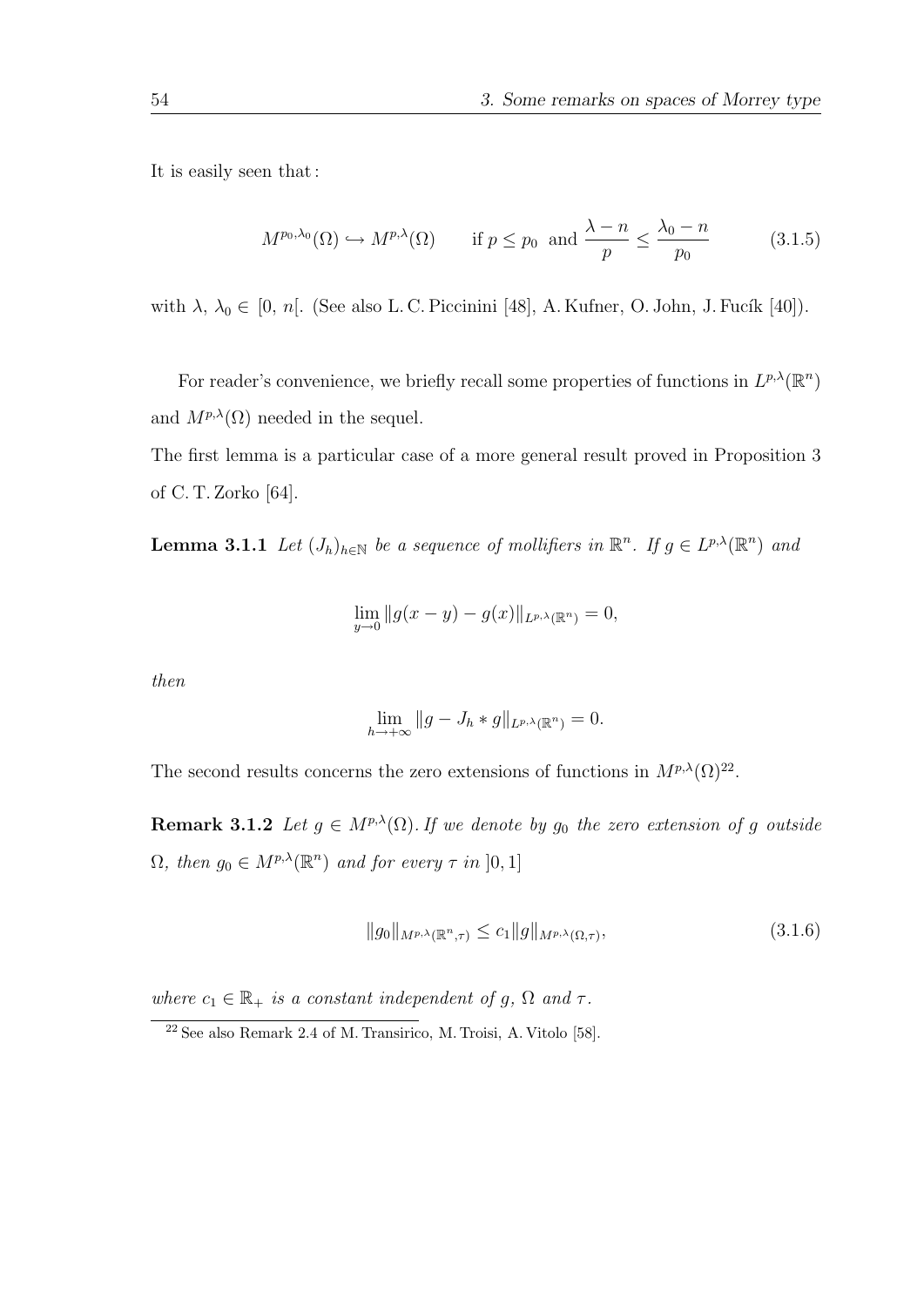It is easily seen that :

$$
M^{p_0,\lambda_0}(\Omega) \hookrightarrow M^{p,\lambda}(\Omega) \qquad \text{if } p \le p_0 \text{ and } \frac{\lambda - n}{p} \le \frac{\lambda_0 - n}{p_0} \tag{3.1.5}
$$

with  $\lambda$ ,  $\lambda_0 \in [0, n]$ . (See also L. C. Piccinini [48], A. Kufner, O. John, J. Fucík [40]).

For reader's convenience, we briefly recall some properties of functions in  $L^{p,\lambda}(\mathbb{R}^n)$ and  $M^{p,\lambda}(\Omega)$  needed in the sequel.

The first lemma is a particular case of a more general result proved in Proposition 3 of C. T. Zorko [64].

**Lemma 3.1.1** Let  $(J_h)_{h \in \mathbb{N}}$  be a sequence of mollifiers in  $\mathbb{R}^n$ . If  $g \in L^{p,\lambda}(\mathbb{R}^n)$  and

$$
\lim_{y \to 0} \|g(x - y) - g(x)\|_{L^{p,\lambda}(\mathbb{R}^n)} = 0,
$$

then

$$
\lim_{h \to +\infty} \|g - J_h * g\|_{L^{p,\lambda}(\mathbb{R}^n)} = 0.
$$

The second results concerns the zero extensions of functions in  $M^{p,\lambda}(\Omega)^{22}$ .

**Remark 3.1.2** Let  $g \in M^{p,\lambda}(\Omega)$ . If we denote by  $g_0$  the zero extension of g outside  $\Omega$ , then  $g_0 \in M^{p,\lambda}(\mathbb{R}^n)$  and for every  $\tau$  in  $]0,1]$ 

$$
||g_0||_{M^{p,\lambda}(\mathbb{R}^n,\tau)} \le c_1 ||g||_{M^{p,\lambda}(\Omega,\tau)},
$$
\n(3.1.6)

where  $c_1 \in \mathbb{R}_+$  is a constant independent of g,  $\Omega$  and  $\tau$ .

<sup>22</sup> See also Remark 2.4 of M. Transirico, M. Troisi, A. Vitolo [58].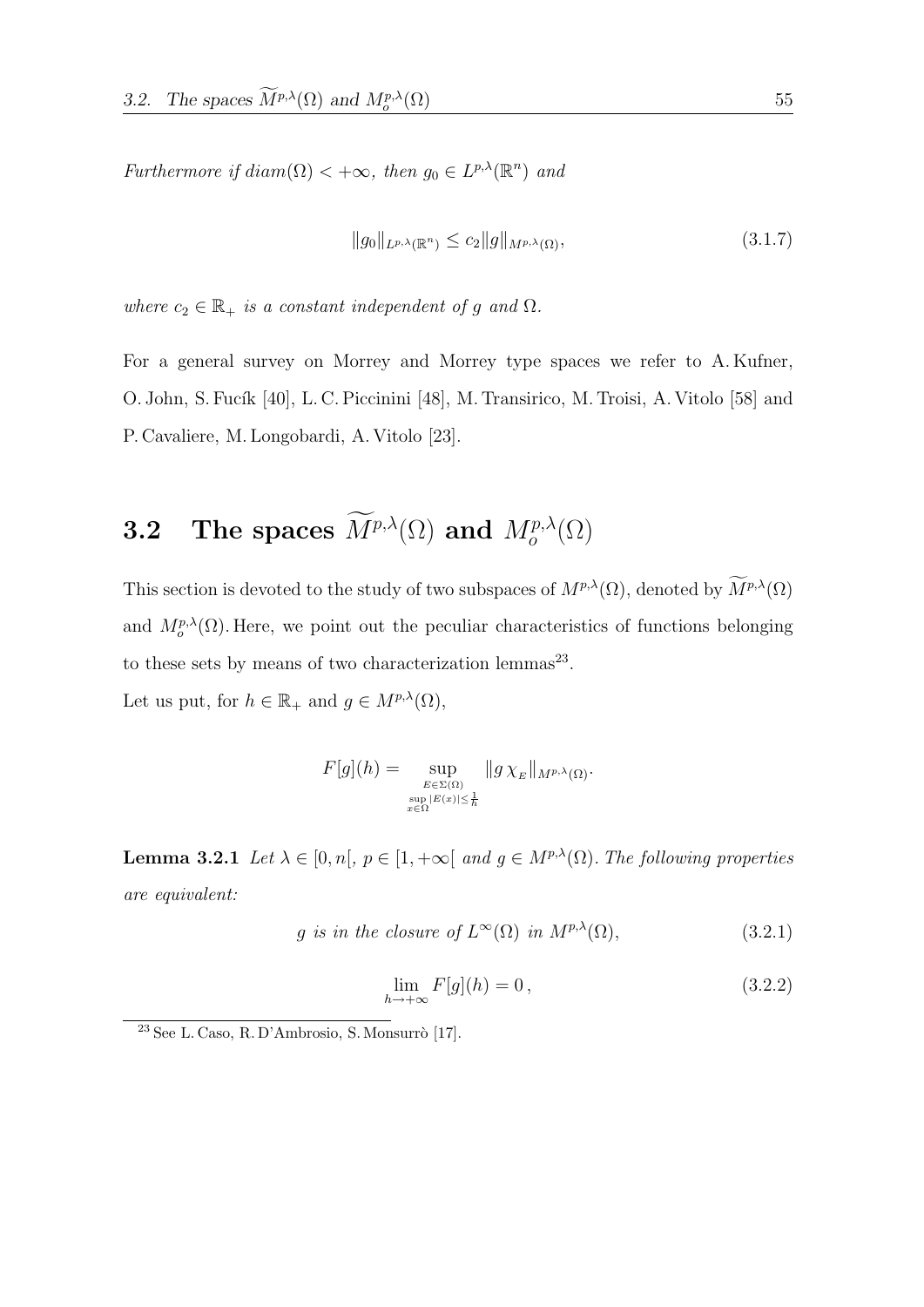Furthermore if  $diam(\Omega) < +\infty$ , then  $g_0 \in L^{p,\lambda}(\mathbb{R}^n)$  and

$$
||g_0||_{L^{p,\lambda}(\mathbb{R}^n)} \le c_2 ||g||_{M^{p,\lambda}(\Omega)},\tag{3.1.7}
$$

where  $c_2 \in \mathbb{R}_+$  is a constant independent of g and  $\Omega$ .

For a general survey on Morrey and Morrey type spaces we refer to A. Kufner, O. John, S. Fucík [40], L. C. Piccinini [48], M. Transirico, M. Troisi, A. Vitolo [58] and P. Cavaliere, M. Longobardi, A. Vitolo [23].

# **3.2** The spaces  $\widetilde{M}^{p,\lambda}(\Omega)$  and  $M^{p,\lambda}_{o}(\Omega)$

This section is devoted to the study of two subspaces of  $M^{p,\lambda}(\Omega)$ , denoted by  $\widetilde{M}^{p,\lambda}(\Omega)$ and  $M_o^{p,\lambda}(\Omega)$ . Here, we point out the peculiar characteristics of functions belonging to these sets by means of two characterization lemmas<sup>23</sup>.

Let us put, for  $h \in \mathbb{R}_+$  and  $g \in M^{p,\lambda}(\Omega)$ ,

$$
F[g](h) = \sup_{\substack{E \in \Sigma(\Omega) \\ \sup_{x \in \Omega} |E(x)| \leq \frac{1}{h} }} \|g \chi_E\|_{M^{p,\lambda}(\Omega)}.
$$

**Lemma 3.2.1** Let  $\lambda \in [0, n], p \in [1, +\infty[$  and  $g \in M^{p,\lambda}(\Omega)$ . The following properties are equivalent:

$$
g \text{ is in the closure of } L^{\infty}(\Omega) \text{ in } M^{p,\lambda}(\Omega), \tag{3.2.1}
$$

$$
\lim_{h \to +\infty} F[g](h) = 0, \qquad (3.2.2)
$$

 $23$  See L. Caso, R. D'Ambrosio, S. Monsurrò [17].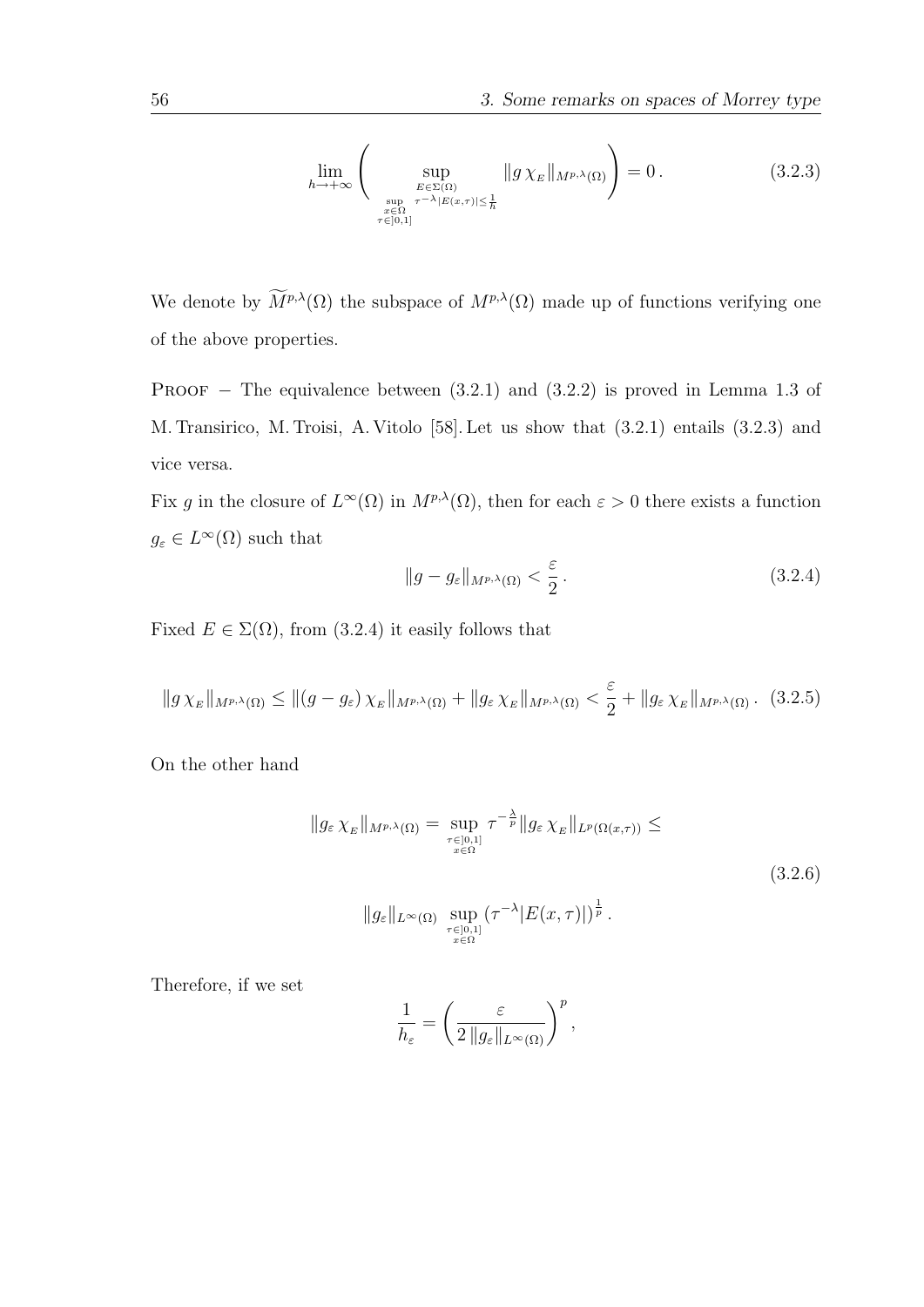$$
\lim_{h \to +\infty} \left( \sup_{\substack{E \in \Sigma(\Omega) \\ \sup_{\substack{x \in \Omega \\ \tau \in [0,1]}}} \tau^{-\lambda} |E(x,\tau)| \le \frac{1}{h} } \|g \chi_E\|_{M^{p,\lambda}(\Omega)} \right) = 0. \tag{3.2.3}
$$

We denote by  $\widetilde{M}^{p,\lambda}(\Omega)$  the subspace of  $M^{p,\lambda}(\Omega)$  made up of functions verifying one of the above properties.

PROOF – The equivalence between  $(3.2.1)$  and  $(3.2.2)$  is proved in Lemma 1.3 of M. Transirico, M. Troisi, A. Vitolo [58]. Let us show that (3.2.1) entails (3.2.3) and vice versa.

Fix g in the closure of  $L^{\infty}(\Omega)$  in  $M^{p,\lambda}(\Omega)$ , then for each  $\varepsilon > 0$  there exists a function  $g_{\varepsilon} \in L^{\infty}(\Omega)$  such that

$$
||g - g_{\varepsilon}||_{M^{p,\lambda}(\Omega)} < \frac{\varepsilon}{2} \,. \tag{3.2.4}
$$

Fixed  $E \in \Sigma(\Omega)$ , from (3.2.4) it easily follows that

$$
||g\chi_E||_{M^{p,\lambda}(\Omega)} \le ||(g-g_{\varepsilon})\chi_E||_{M^{p,\lambda}(\Omega)} + ||g_{\varepsilon}\chi_E||_{M^{p,\lambda}(\Omega)} < \frac{\varepsilon}{2} + ||g_{\varepsilon}\chi_E||_{M^{p,\lambda}(\Omega)}.
$$
 (3.2.5)

On the other hand

$$
||g_{\varepsilon} \chi_E||_{M^{p,\lambda}(\Omega)} = \sup_{\substack{\tau \in ]0,1] \\ x \in \Omega}} \tau^{-\frac{\lambda}{p}} ||g_{\varepsilon} \chi_E||_{L^p(\Omega(x,\tau))} \le
$$
  

$$
||g_{\varepsilon}||_{L^{\infty}(\Omega)} \sup_{\substack{\tau \in ]0,1] \\ x \in \Omega}} (\tau^{-\lambda} |E(x,\tau)|)^{\frac{1}{p}}.
$$
 (3.2.6)

Therefore, if we set

$$
\frac{1}{h_{\varepsilon}}=\left(\frac{\varepsilon}{2\,\|g_\varepsilon\|_{L^\infty(\Omega)}}\right)^p,
$$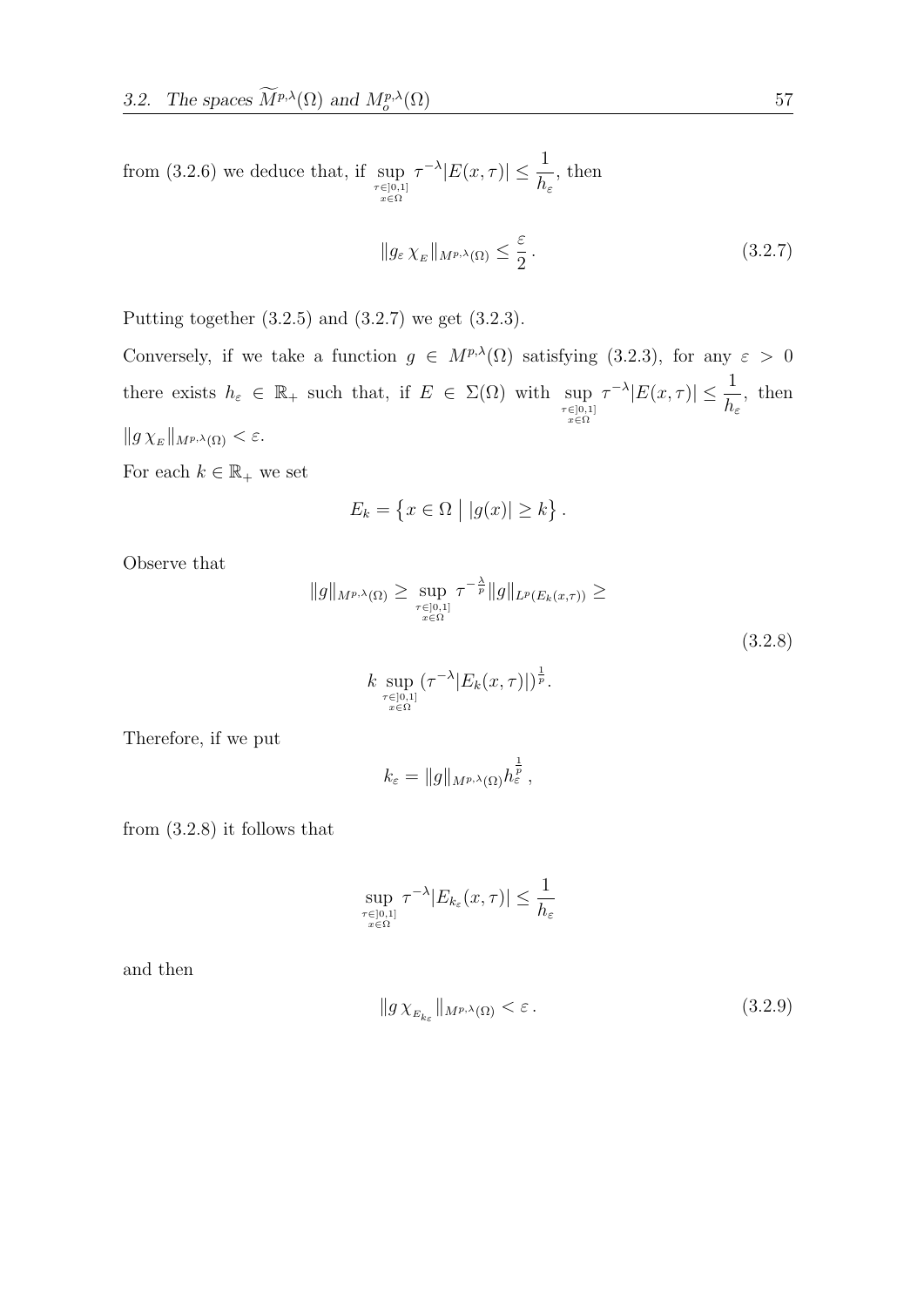from (3.2.6) we deduce that, if  $\sup_{\substack{\tau \in ]0,1] \\ x \in \Omega}}$  $\tau^{-\lambda} |E(x, \tau)| \leq \frac{1}{\tau}$  $h_{\varepsilon}$ , then

$$
||g_{\varepsilon} \chi_E||_{M^{p,\lambda}(\Omega)} \le \frac{\varepsilon}{2}.
$$
\n(3.2.7)

Putting together (3.2.5) and (3.2.7) we get (3.2.3).

Conversely, if we take a function  $g \in M^{p,\lambda}(\Omega)$  satisfying (3.2.3), for any  $\varepsilon > 0$ there exists  $h_{\varepsilon} \in \mathbb{R}_+$  such that, if  $E \in \Sigma(\Omega)$  with  $\sup_{\substack{\tau \in ]0,1] \\ x \in \Omega}}$  $\tau^{-\lambda} |E(x, \tau)| \leq \frac{1}{\tau}$  $h_{\varepsilon}$ , then  $||g \chi_E||_{M^{p,\lambda}(\Omega)} < \varepsilon.$ 

For each  $k \in \mathbb{R}_+$  we set

$$
E_k = \{ x \in \Omega \mid |g(x)| \ge k \}.
$$

Observe that

$$
||g||_{M^{p,\lambda}(\Omega)} \ge \sup_{\substack{\tau \in ]0,1] \\ x \in \Omega}} \tau^{-\frac{\lambda}{p}} ||g||_{L^p(E_k(x,\tau))} \ge (3.2.8)
$$

$$
k \sup_{\substack{\tau \in ]0,1] \\ x \in \Omega}} (\tau^{-\lambda} |E_k(x,\tau)|)^{\frac{1}{p}}.
$$

Therefore, if we put

$$
k_{\varepsilon} = \|g\|_{M^{p,\lambda}(\Omega)} h_{\varepsilon}^{\frac{1}{p}},
$$

from (3.2.8) it follows that

$$
\sup_{\substack{\tau \in [0,1] \\ x \in \Omega}} \tau^{-\lambda} |E_{k_{\varepsilon}}(x,\tau)| \leq \frac{1}{h_{\varepsilon}}
$$

and then

$$
||g\,\chi_{E_{k_{\varepsilon}}}||_{M^{p,\lambda}(\Omega)} < \varepsilon. \tag{3.2.9}
$$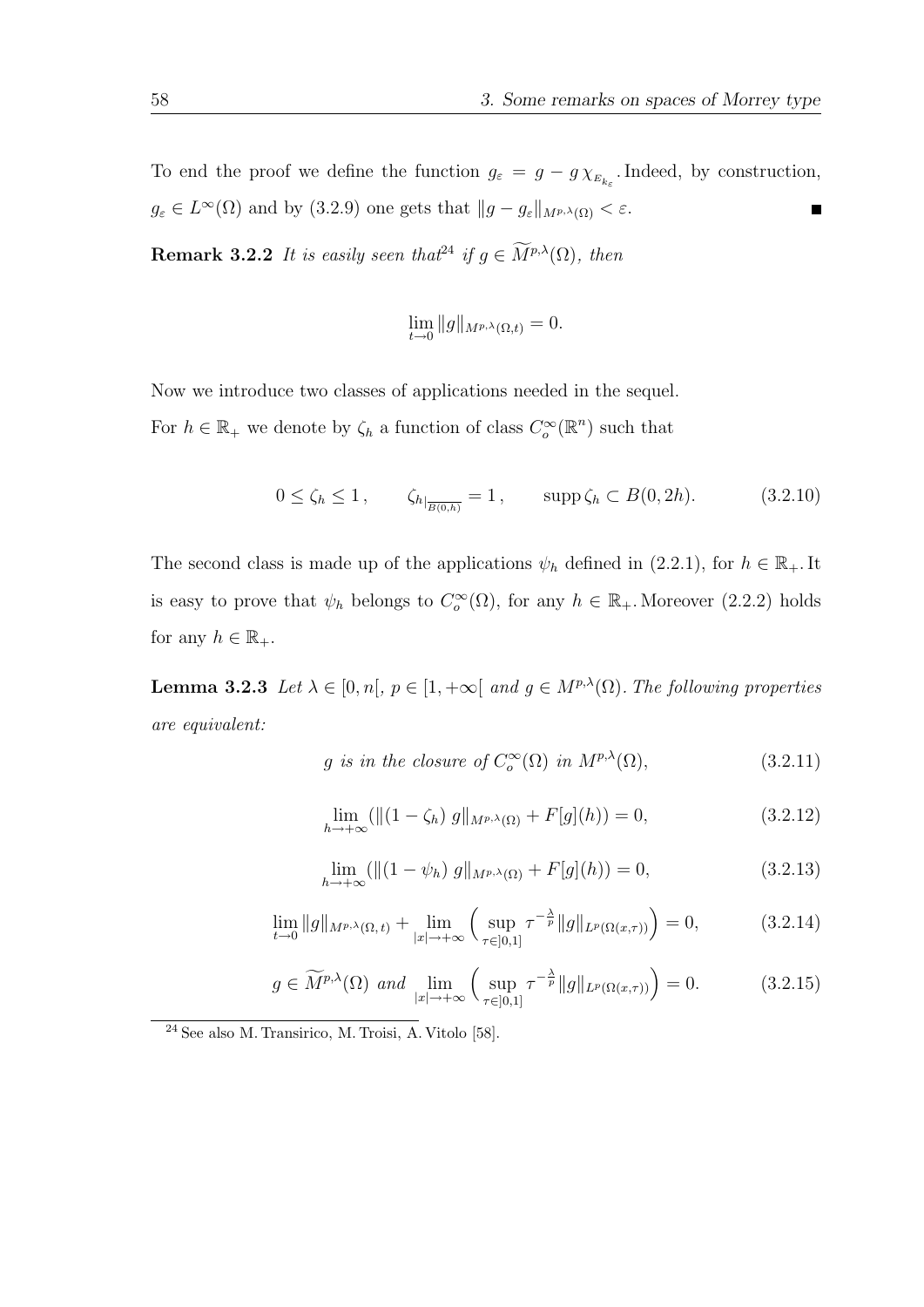To end the proof we define the function  $g_{\varepsilon} = g - g \chi_{E_{k_{\varepsilon}}}$ . Indeed, by construction,  $g_{\varepsilon} \in L^{\infty}(\Omega)$  and by  $(3.2.9)$  one gets that  $||g - g_{\varepsilon}||_{M^{p,\lambda}(\Omega)} < \varepsilon$ .  $\blacksquare$ 

**Remark 3.2.2** It is easily seen that  $f^2$  if  $g \in \widetilde{M}^{p,\lambda}(\Omega)$ , then

$$
\lim_{t \to 0} \|g\|_{M^{p,\lambda}(\Omega,t)} = 0.
$$

Now we introduce two classes of applications needed in the sequel.

For  $h \in \mathbb{R}_+$  we denote by  $\zeta_h$  a function of class  $C_o^{\infty}(\mathbb{R}^n)$  such that

$$
0 \le \zeta_h \le 1, \qquad \zeta_{h|_{\overline{B(0,h)}}} = 1, \qquad \text{supp}\,\zeta_h \subset B(0, 2h). \tag{3.2.10}
$$

The second class is made up of the applications  $\psi_h$  defined in (2.2.1), for  $h \in \mathbb{R}_+$ . It is easy to prove that  $\psi_h$  belongs to  $C_o^{\infty}(\Omega)$ , for any  $h \in \mathbb{R}_+$ . Moreover (2.2.2) holds for any  $h \in \mathbb{R}_+$ .

**Lemma 3.2.3** Let  $\lambda \in [0, n], p \in [1, +\infty[$  and  $g \in M^{p,\lambda}(\Omega)$ . The following properties are equivalent:

$$
g \text{ is in the closure of } C_o^{\infty}(\Omega) \text{ in } M^{p,\lambda}(\Omega), \tag{3.2.11}
$$

$$
\lim_{h \to +\infty} (\|(1 - \zeta_h) g\|_{M^{p,\lambda}(\Omega)} + F[g](h)) = 0,
$$
\n(3.2.12)

$$
\lim_{h \to +\infty} (\|(1 - \psi_h) g\|_{M^{p,\lambda}(\Omega)} + F[g](h)) = 0,
$$
\n(3.2.13)

$$
\lim_{t \to 0} \|g\|_{M^{p,\lambda}(\Omega,t)} + \lim_{|x| \to +\infty} \left( \sup_{\tau \in ]0,1]} \tau^{-\frac{\lambda}{p}} \|g\|_{L^p(\Omega(x,\tau))} \right) = 0, \tag{3.2.14}
$$

$$
g \in \widetilde{M}^{p,\lambda}(\Omega) \text{ and } \lim_{|x| \to +\infty} \left( \sup_{\tau \in [0,1]} \tau^{-\frac{\lambda}{p}} \|g\|_{L^p(\Omega(x,\tau))} \right) = 0. \tag{3.2.15}
$$

<sup>24</sup> See also M. Transirico, M. Troisi, A. Vitolo [58].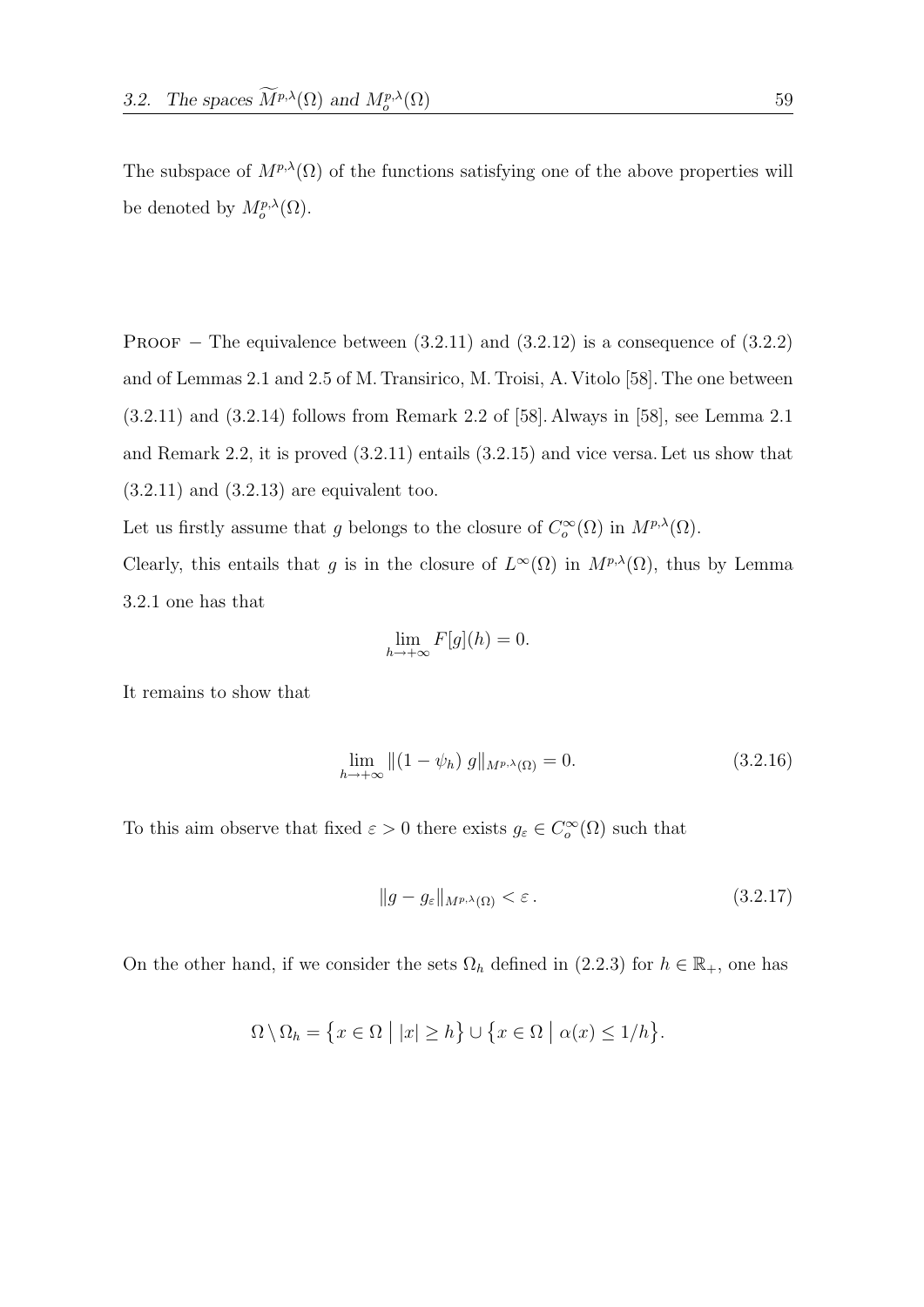The subspace of  $M^{p,\lambda}(\Omega)$  of the functions satisfying one of the above properties will be denoted by  $M_o^{p,\lambda}(\Omega)$ .

PROOF – The equivalence between  $(3.2.11)$  and  $(3.2.12)$  is a consequence of  $(3.2.2)$ and of Lemmas 2.1 and 2.5 of M. Transirico, M. Troisi, A. Vitolo [58]. The one between (3.2.11) and (3.2.14) follows from Remark 2.2 of [58]. Always in [58], see Lemma 2.1 and Remark 2.2, it is proved (3.2.11) entails (3.2.15) and vice versa. Let us show that  $(3.2.11)$  and  $(3.2.13)$  are equivalent too.

Let us firstly assume that g belongs to the closure of  $C_o^{\infty}(\Omega)$  in  $M^{p,\lambda}(\Omega)$ .

Clearly, this entails that g is in the closure of  $L^{\infty}(\Omega)$  in  $M^{p,\lambda}(\Omega)$ , thus by Lemma 3.2.1 one has that

$$
\lim_{h \to +\infty} F[g](h) = 0.
$$

It remains to show that

$$
\lim_{h \to +\infty} \left\| \left( 1 - \psi_h \right) g \right\|_{M^{p,\lambda}(\Omega)} = 0. \tag{3.2.16}
$$

To this aim observe that fixed  $\varepsilon > 0$  there exists  $g_{\varepsilon} \in C_{o}^{\infty}(\Omega)$  such that

$$
||g - g_{\varepsilon}||_{M^{p,\lambda}(\Omega)} < \varepsilon. \tag{3.2.17}
$$

On the other hand, if we consider the sets  $\Omega_h$  defined in (2.2.3) for  $h \in \mathbb{R}_+$ , one has

$$
\Omega \setminus \Omega_h = \{ x \in \Omega \mid |x| \ge h \} \cup \{ x \in \Omega \mid \alpha(x) \le 1/h \}.
$$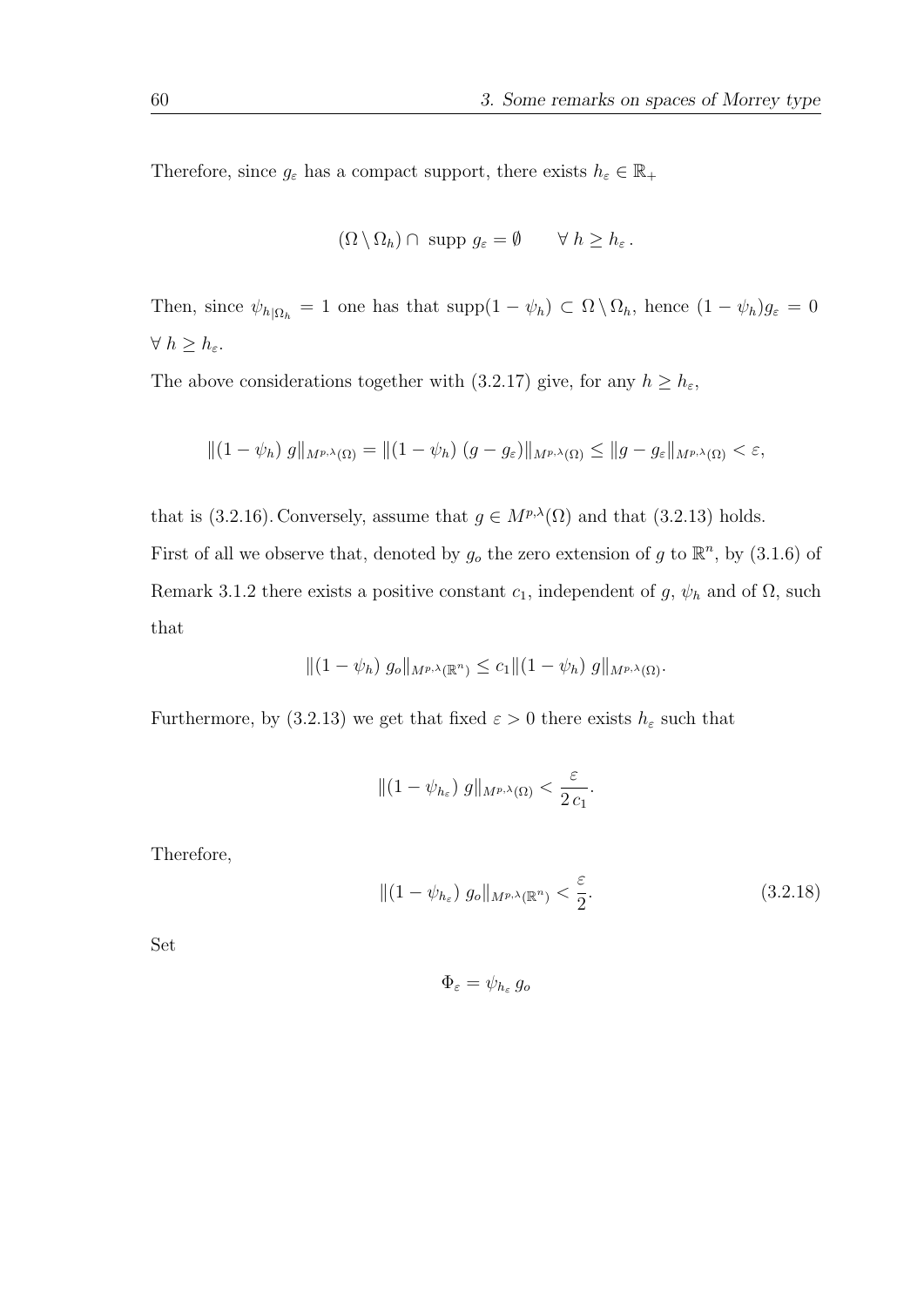Therefore, since  $g_\varepsilon$  has a compact support, there exists  $h_\varepsilon\in\mathbb{R}_+$ 

$$
(\Omega \setminus \Omega_h) \cap \text{ supp } g_{\varepsilon} = \emptyset \qquad \forall \ h \ge h_{\varepsilon}.
$$

Then, since  $\psi_{h|\Omega_h} = 1$  one has that supp $(1 - \psi_h) \subset \Omega \setminus \Omega_h$ , hence  $(1 - \psi_h)g_{\varepsilon} = 0$  $\forall h \geq h_{\varepsilon}$ .

The above considerations together with (3.2.17) give, for any  $h \geq h_{\varepsilon}$ ,

$$
||(1 - \psi_h) g||_{M^{p,\lambda}(\Omega)} = ||(1 - \psi_h) (g - g_{\varepsilon})||_{M^{p,\lambda}(\Omega)} \le ||g - g_{\varepsilon}||_{M^{p,\lambda}(\Omega)} < \varepsilon,
$$

that is (3.2.16). Conversely, assume that  $g \in M^{p,\lambda}(\Omega)$  and that (3.2.13) holds. First of all we observe that, denoted by  $g_o$  the zero extension of g to  $\mathbb{R}^n$ , by (3.1.6) of Remark 3.1.2 there exists a positive constant  $c_1$ , independent of g,  $\psi_h$  and of  $\Omega$ , such that

$$
||(1 - \psi_h) g_o||_{M^{p,\lambda}(\mathbb{R}^n)} \leq c_1 ||(1 - \psi_h) g||_{M^{p,\lambda}(\Omega)}.
$$

Furthermore, by (3.2.13) we get that fixed  $\varepsilon > 0$  there exists  $h_{\varepsilon}$  such that

$$
\|(1-\psi_{h_{\varepsilon}})\,g\|_{M^{p,\lambda}(\Omega)} < \frac{\varepsilon}{2\,c_1}.
$$

Therefore,

$$
\|(1 - \psi_{h_{\varepsilon}}) g_o\|_{M^{p,\lambda}(\mathbb{R}^n)} < \frac{\varepsilon}{2}.\tag{3.2.18}
$$

Set

$$
\Phi_{\varepsilon}=\psi_{h_{\varepsilon}}g_o
$$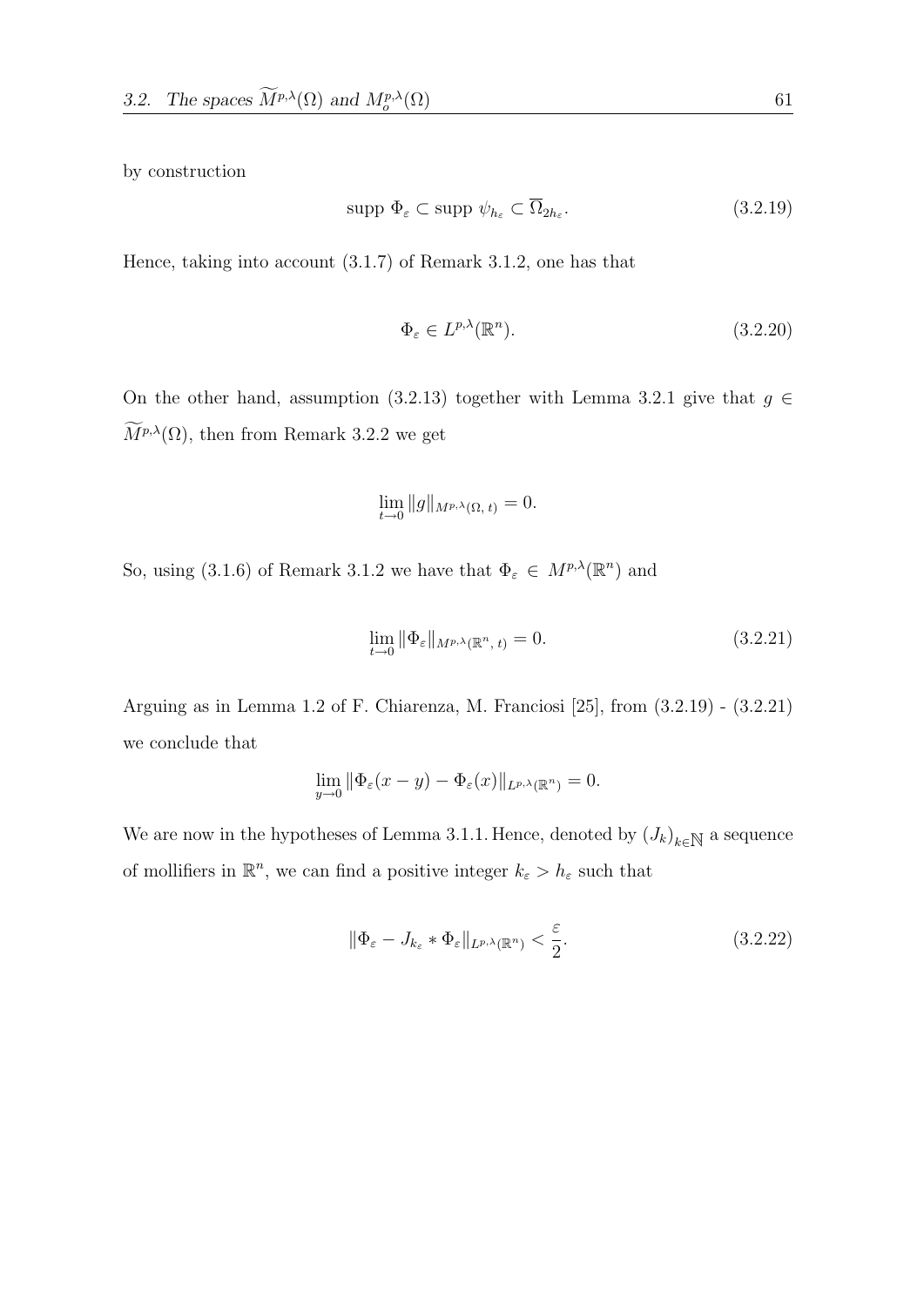by construction

$$
\text{supp }\Phi_{\varepsilon} \subset \text{supp }\psi_{h_{\varepsilon}} \subset \overline{\Omega}_{2h_{\varepsilon}}.\tag{3.2.19}
$$

Hence, taking into account (3.1.7) of Remark 3.1.2, one has that

$$
\Phi_{\varepsilon} \in L^{p,\lambda}(\mathbb{R}^n). \tag{3.2.20}
$$

On the other hand, assumption (3.2.13) together with Lemma 3.2.1 give that  $g \in$  $\widetilde{M}^{p,\lambda}(\Omega)$ , then from Remark 3.2.2 we get

$$
\lim_{t \to 0} \|g\|_{M^{p,\lambda}(\Omega, t)} = 0.
$$

So, using (3.1.6) of Remark 3.1.2 we have that  $\Phi_{\varepsilon} \in M^{p,\lambda}(\mathbb{R}^n)$  and

$$
\lim_{t \to 0} \|\Phi_{\varepsilon}\|_{M^{p,\lambda}(\mathbb{R}^n, t)} = 0.
$$
\n(3.2.21)

Arguing as in Lemma 1.2 of F. Chiarenza, M. Franciosi [25], from (3.2.19) - (3.2.21) we conclude that

$$
\lim_{y \to 0} \|\Phi_{\varepsilon}(x - y) - \Phi_{\varepsilon}(x)\|_{L^{p,\lambda}(\mathbb{R}^n)} = 0.
$$

We are now in the hypotheses of Lemma 3.1.1. Hence, denoted by  $(J_k)_{k \in \mathbb{N}}$  a sequence of mollifiers in  $\mathbb{R}^n$ , we can find a positive integer  $k_{\varepsilon} > h_{\varepsilon}$  such that

$$
\|\Phi_{\varepsilon} - J_{k_{\varepsilon}} * \Phi_{\varepsilon}\|_{L^{p,\lambda}(\mathbb{R}^n)} < \frac{\varepsilon}{2}.\tag{3.2.22}
$$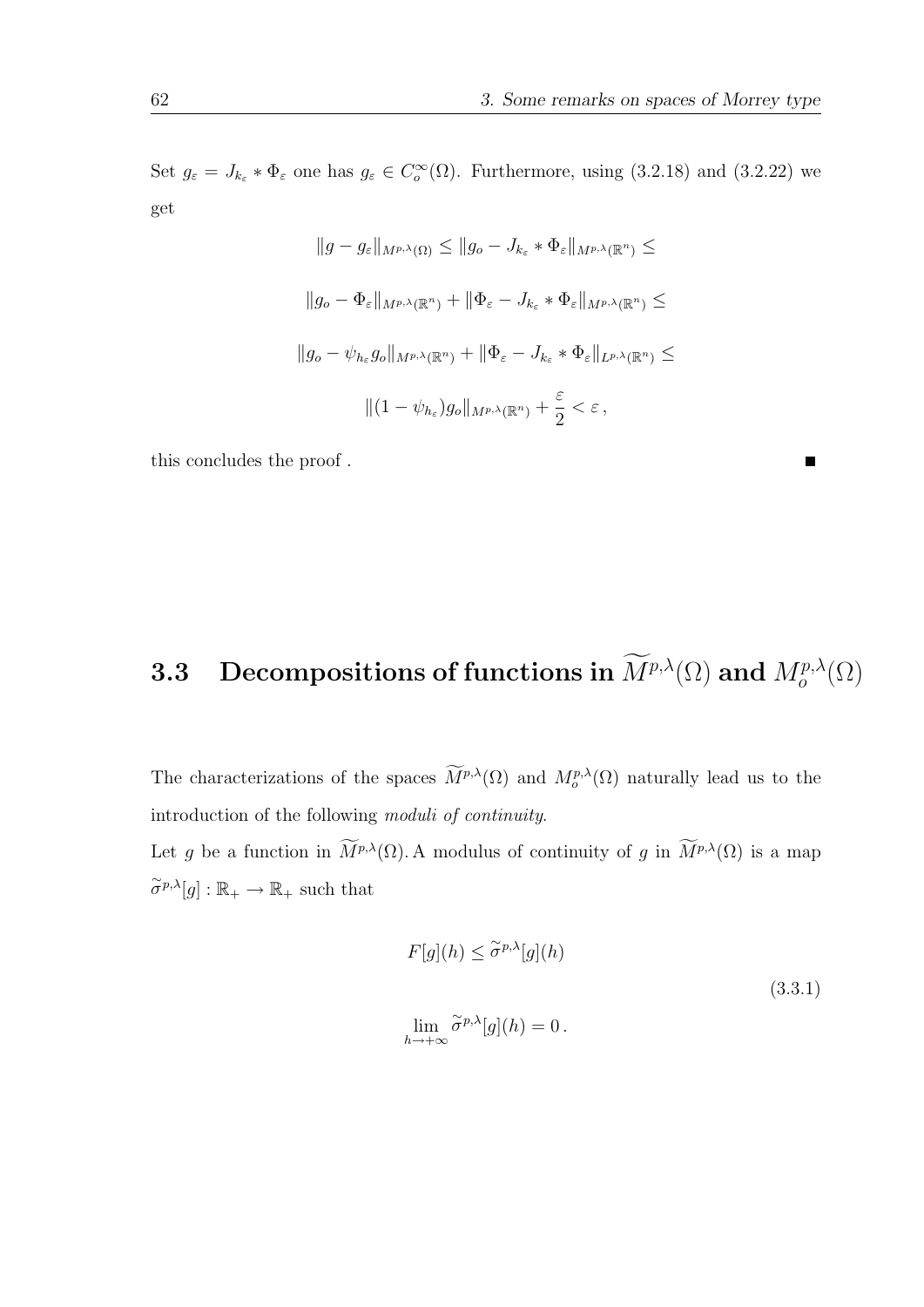Set  $g_{\varepsilon} = J_{k_{\varepsilon}} * \Phi_{\varepsilon}$  one has  $g_{\varepsilon} \in C_o^{\infty}(\Omega)$ . Furthermore, using (3.2.18) and (3.2.22) we get

$$
||g - g_{\varepsilon}||_{M^{p,\lambda}(\Omega)} \le ||g_o - J_{k_{\varepsilon}} * \Phi_{\varepsilon}||_{M^{p,\lambda}(\mathbb{R}^n)} \le
$$
  

$$
||g_o - \Phi_{\varepsilon}||_{M^{p,\lambda}(\mathbb{R}^n)} + ||\Phi_{\varepsilon} - J_{k_{\varepsilon}} * \Phi_{\varepsilon}||_{M^{p,\lambda}(\mathbb{R}^n)} \le
$$
  

$$
||g_o - \psi_{h_{\varepsilon}}g_o||_{M^{p,\lambda}(\mathbb{R}^n)} + ||\Phi_{\varepsilon} - J_{k_{\varepsilon}} * \Phi_{\varepsilon}||_{L^{p,\lambda}(\mathbb{R}^n)} \le
$$
  

$$
||(1 - \psi_{h_{\varepsilon}})g_o||_{M^{p,\lambda}(\mathbb{R}^n)} + \frac{\varepsilon}{2} < \varepsilon,
$$

this concludes the proof .

# **3.3** Decompositions of functions in  $\widetilde{M}^{p,\lambda}(\Omega)$  and  $M^{p,\lambda}_o(\Omega)$

The characterizations of the spaces  $\overline{M}^{p,\lambda}(\Omega)$  and  $M_o^{p,\lambda}(\Omega)$  naturally lead us to the introduction of the following moduli of continuity.

Let g be a function in  $\widetilde{M}^{p,\lambda}(\Omega)$ . A modulus of continuity of g in  $\widetilde{M}^{p,\lambda}(\Omega)$  is a map  $\widetilde{\sigma}^{p,\lambda}[g]:\mathbb{R}_+\to\mathbb{R}_+$  such that

$$
F[g](h) \leq \tilde{\sigma}^{p,\lambda}[g](h)
$$
  

$$
\lim_{h \to +\infty} \tilde{\sigma}^{p,\lambda}[g](h) = 0.
$$
 (3.3.1)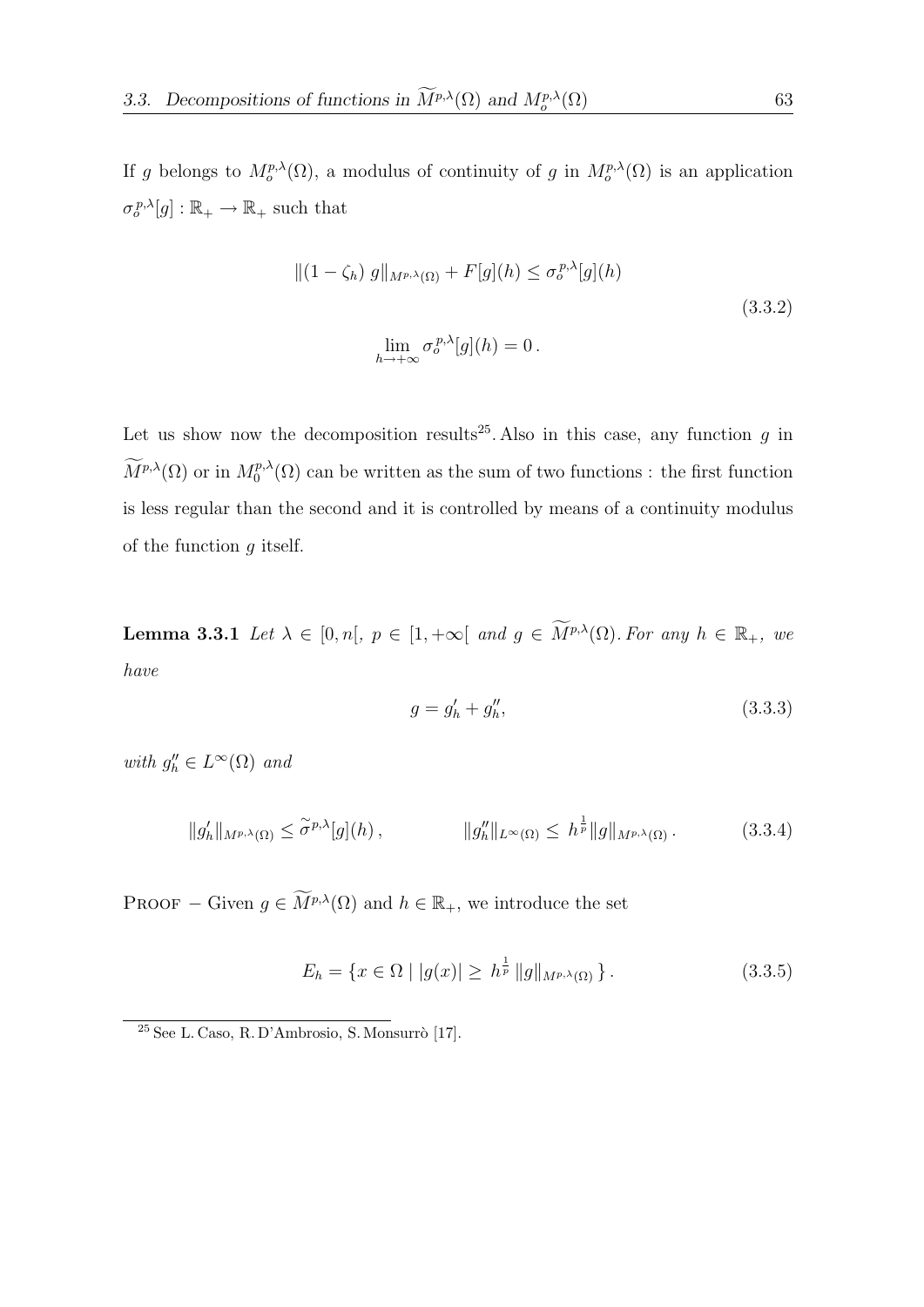If g belongs to  $M^{p,\lambda}_{o}(\Omega)$ , a modulus of continuity of g in  $M^{p,\lambda}_{o}(\Omega)$  is an application  $\sigma_o^{p,\lambda}[g] : \mathbb{R}_+ \to \mathbb{R}_+$  such that

$$
\|(1 - \zeta_h) g\|_{M^{p,\lambda}(\Omega)} + F[g](h) \le \sigma_o^{p,\lambda}[g](h)
$$
  

$$
\lim_{h \to +\infty} \sigma_o^{p,\lambda}[g](h) = 0.
$$
\n(3.3.2)

Let us show now the decomposition results<sup>25</sup>. Also in this case, any function g in  $\widetilde{M}^{p,\lambda}(\Omega)$  or in  $M^{p,\lambda}_0$  $\mathcal{O}_0^{p,\lambda}(\Omega)$  can be written as the sum of two functions : the first function is less regular than the second and it is controlled by means of a continuity modulus of the function  $q$  itself.

**Lemma 3.3.1** Let  $\lambda \in [0, n], p \in [1, +\infty[$  and  $g \in \widetilde{M}^{p,\lambda}(\Omega)$ . For any  $h \in \mathbb{R}_+$ , we have

$$
g = g'_h + g''_h,\tag{3.3.3}
$$

with  $g''_h \in L^{\infty}(\Omega)$  and

$$
||g_h'||_{M^{p,\lambda}(\Omega)} \le \tilde{\sigma}^{p,\lambda}[g](h), \qquad ||g_h''||_{L^{\infty}(\Omega)} \le h^{\frac{1}{p}} ||g||_{M^{p,\lambda}(\Omega)}.
$$
 (3.3.4)

PROOF – Given  $g \in \widetilde{M}^{p,\lambda}(\Omega)$  and  $h \in \mathbb{R}_+$ , we introduce the set

$$
E_h = \{ x \in \Omega \mid |g(x)| \ge h^{\frac{1}{p}} \|g\|_{M^{p,\lambda}(\Omega)} \}.
$$
\n(3.3.5)

 $25$  See L. Caso, R. D'Ambrosio, S. Monsurrò [17].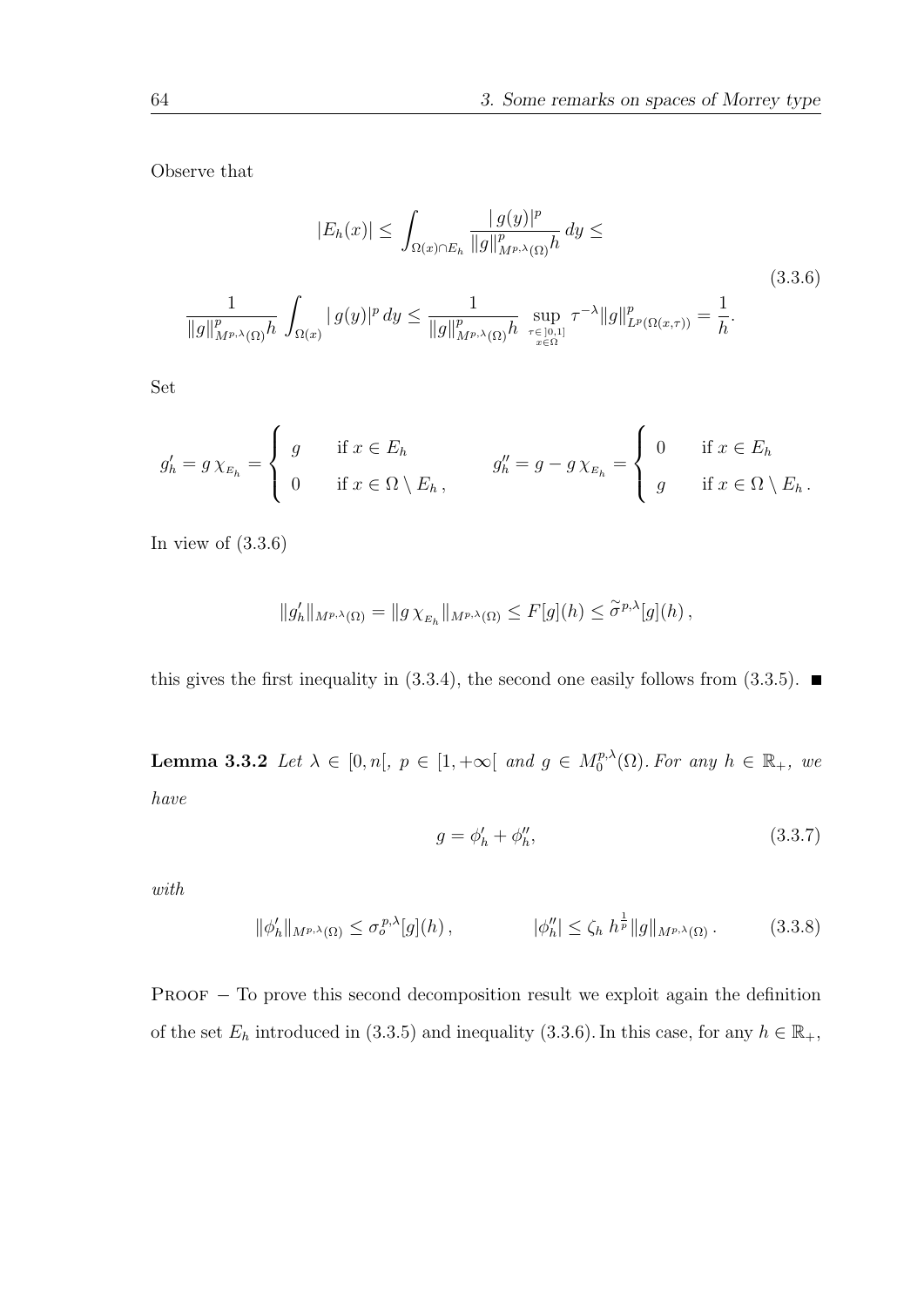Observe that

$$
|E_h(x)| \le \int_{\Omega(x) \cap E_h} \frac{|g(y)|^p}{\|g\|_{M^{p,\lambda}(\Omega)}^p h} dy \le
$$
\n
$$
\frac{1}{\|g\|_{M^{p,\lambda}(\Omega)}^p h} \int_{\Omega(x)} |g(y)|^p dy \le \frac{1}{\|g\|_{M^{p,\lambda}(\Omega)}^p h} \sup_{\tau \in [0,1]} \tau^{-\lambda} \|g\|_{L^p(\Omega(x,\tau))}^p = \frac{1}{h}.
$$
\n(3.3.6)

Set

$$
g'_{h} = g \chi_{E_{h}} = \begin{cases} g & \text{if } x \in E_{h} \\ 0 & \text{if } x \in \Omega \setminus E_{h}, \end{cases} \qquad g''_{h} = g - g \chi_{E_{h}} = \begin{cases} 0 & \text{if } x \in E_{h} \\ g & \text{if } x \in \Omega \setminus E_{h}. \end{cases}
$$

In view of  $(3.3.6)$ 

$$
||g_h'||_{M^{p,\lambda}(\Omega)} = ||g \chi_{E_h}||_{M^{p,\lambda}(\Omega)} \leq F[g](h) \leq \tilde{\sigma}^{p,\lambda}[g](h),
$$

this gives the first inequality in  $(3.3.4)$ , the second one easily follows from  $(3.3.5)$ .

**Lemma 3.3.2** Let  $\lambda \in [0, n], p \in [1, +\infty[$  and  $g \in M_0^{p,\lambda}$  $\int_0^{p,\lambda}(\Omega)$ . For any  $h \in \mathbb{R}_+$ , we have

$$
g = \phi'_h + \phi''_h,\tag{3.3.7}
$$

with

$$
\|\phi'_h\|_{M^{p,\lambda}(\Omega)} \le \sigma_o^{p,\lambda}[g](h)\,,\qquad \qquad |\phi''_h| \le \zeta_h\ h^{\frac{1}{p}}\|g\|_{M^{p,\lambda}(\Omega)}\,.\tag{3.3.8}
$$

 $PROOF - To prove this second decomposition result we exploit again the definition.$ of the set  $E_h$  introduced in (3.3.5) and inequality (3.3.6). In this case, for any  $h \in \mathbb{R}_+$ ,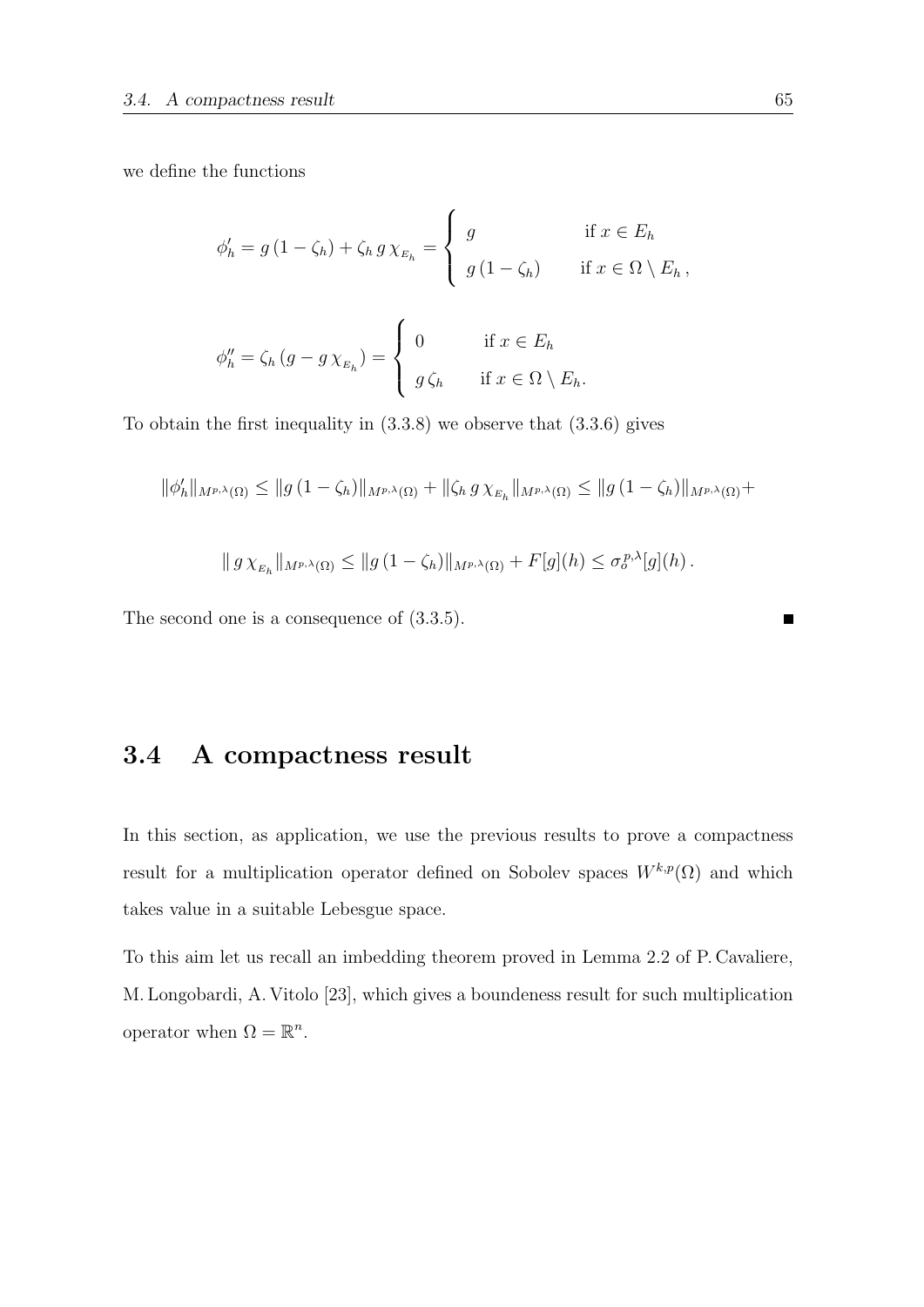we define the functions

$$
\phi'_{h} = g(1 - \zeta_{h}) + \zeta_{h} g \chi_{E_{h}} = \begin{cases} g & \text{if } x \in E_{h} \\ g(1 - \zeta_{h}) & \text{if } x \in \Omega \setminus E_{h}, \end{cases}
$$

$$
\phi''_{h} = \zeta_{h} (g - g \chi_{E_{h}}) = \begin{cases} 0 & \text{if } x \in E_{h} \\ g \zeta_{h} & \text{if } x \in \Omega \setminus E_{h}. \end{cases}
$$

To obtain the first inequality in (3.3.8) we observe that (3.3.6) gives

$$
\|\phi'_h\|_{M^{p,\lambda}(\Omega)} \le \|g(1-\zeta_h)\|_{M^{p,\lambda}(\Omega)} + \|\zeta_h g \chi_{_{E_h}}\|_{M^{p,\lambda}(\Omega)} \le \|g(1-\zeta_h)\|_{M^{p,\lambda}(\Omega)} +
$$

$$
\| g \chi_{_{E_h}} \|_{M^{p,\lambda}(\Omega)} \leq \| g (1 - \zeta_h) \|_{M^{p,\lambda}(\Omega)} + F[g](h) \leq \sigma_o^{p,\lambda}[g](h).
$$

The second one is a consequence of (3.3.5).

## 3.4 A compactness result

In this section, as application, we use the previous results to prove a compactness result for a multiplication operator defined on Sobolev spaces  $W^{k,p}(\Omega)$  and which takes value in a suitable Lebesgue space.

To this aim let us recall an imbedding theorem proved in Lemma 2.2 of P. Cavaliere, M. Longobardi, A. Vitolo [23], which gives a boundeness result for such multiplication operator when  $\Omega = \mathbb{R}^n$ .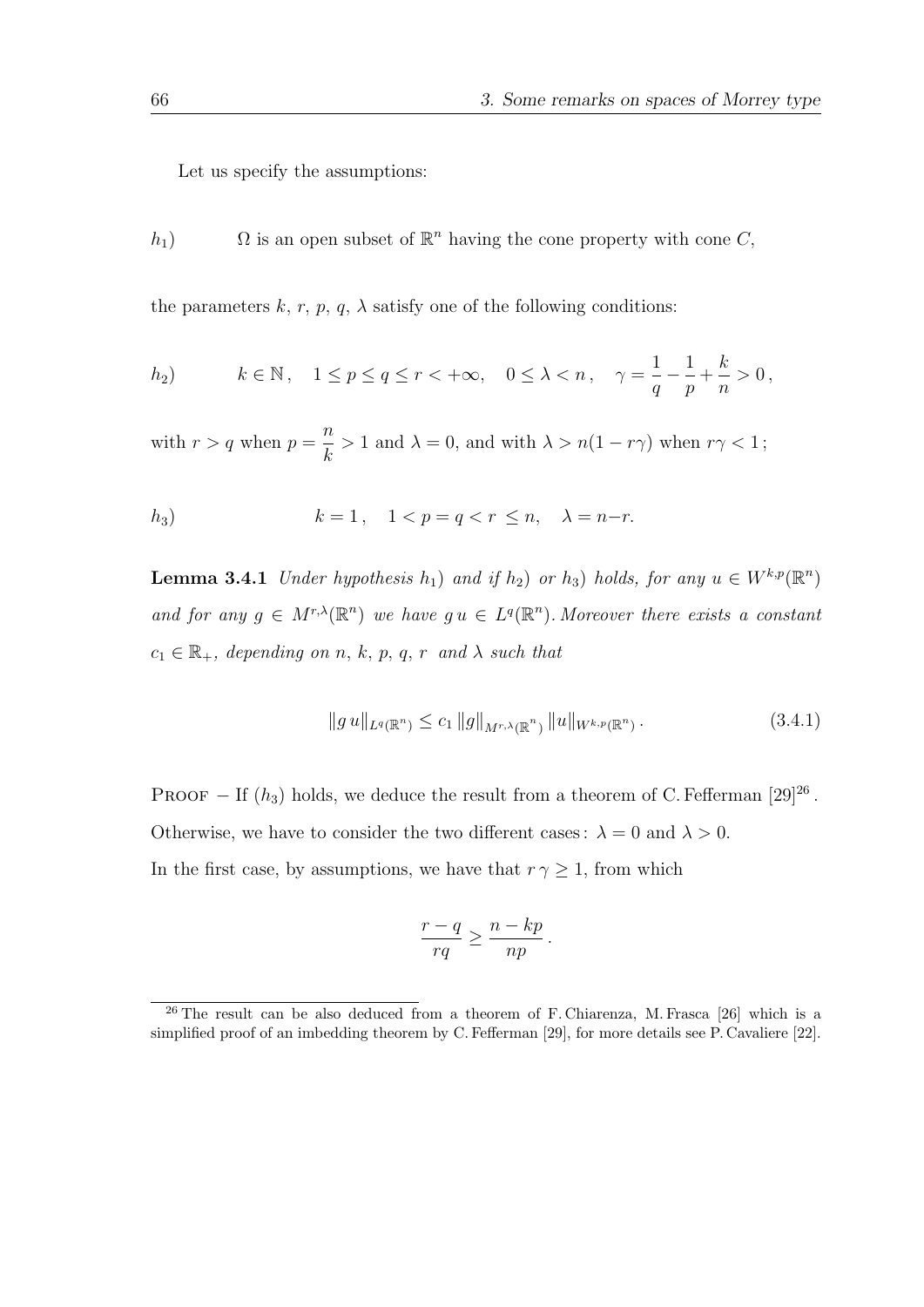Let us specify the assumptions:

h<sub>1</sub>)  $\Omega$  is an open subset of  $\mathbb{R}^n$  having the cone property with cone C,

the parameters  $k, r, p, q, \lambda$  satisfy one of the following conditions:

$$
h_2) \qquad k \in \mathbb{N}, \quad 1 \le p \le q \le r < +\infty, \quad 0 \le \lambda < n, \quad \gamma = \frac{1}{q} - \frac{1}{p} + \frac{k}{n} > 0,
$$

with  $r > q$  when  $p =$ n k  $> 1$  and  $\lambda = 0$ , and with  $\lambda > n(1 - r\gamma)$  when  $r\gamma < 1$ ;

$$
h_3) \t k = 1, \t 1 < p = q < r \le n, \t \lambda = n-r.
$$

**Lemma 3.4.1** Under hypothesis  $h_1$ ) and if  $h_2$ ) or  $h_3$ ) holds, for any  $u \in W^{k,p}(\mathbb{R}^n)$ and for any  $g \in M^{r,\lambda}(\mathbb{R}^n)$  we have  $g u \in L^q(\mathbb{R}^n)$ . Moreover there exists a constant  $c_1 \in \mathbb{R}_+$ , depending on n, k, p, q, r and  $\lambda$  such that

$$
||g u||_{L^{q}(\mathbb{R}^n)} \leq c_1 ||g||_{M^{r,\lambda}(\mathbb{R}^n)} ||u||_{W^{k,p}(\mathbb{R}^n)}.
$$
\n(3.4.1)

PROOF – If  $(h_3)$  holds, we deduce the result from a theorem of C. Fefferman [29]<sup>26</sup>. Otherwise, we have to consider the two different cases:  $\lambda = 0$  and  $\lambda > 0$ . In the first case, by assumptions, we have that  $r \gamma \geq 1$ , from which

$$
\frac{r-q}{rq} \ge \frac{n-kp}{np}.
$$

 $^{26}$  The result can be also deduced from a theorem of F. Chiarenza, M. Frasca [26] which is a simplified proof of an imbedding theorem by C. Fefferman [29], for more details see P. Cavaliere [22].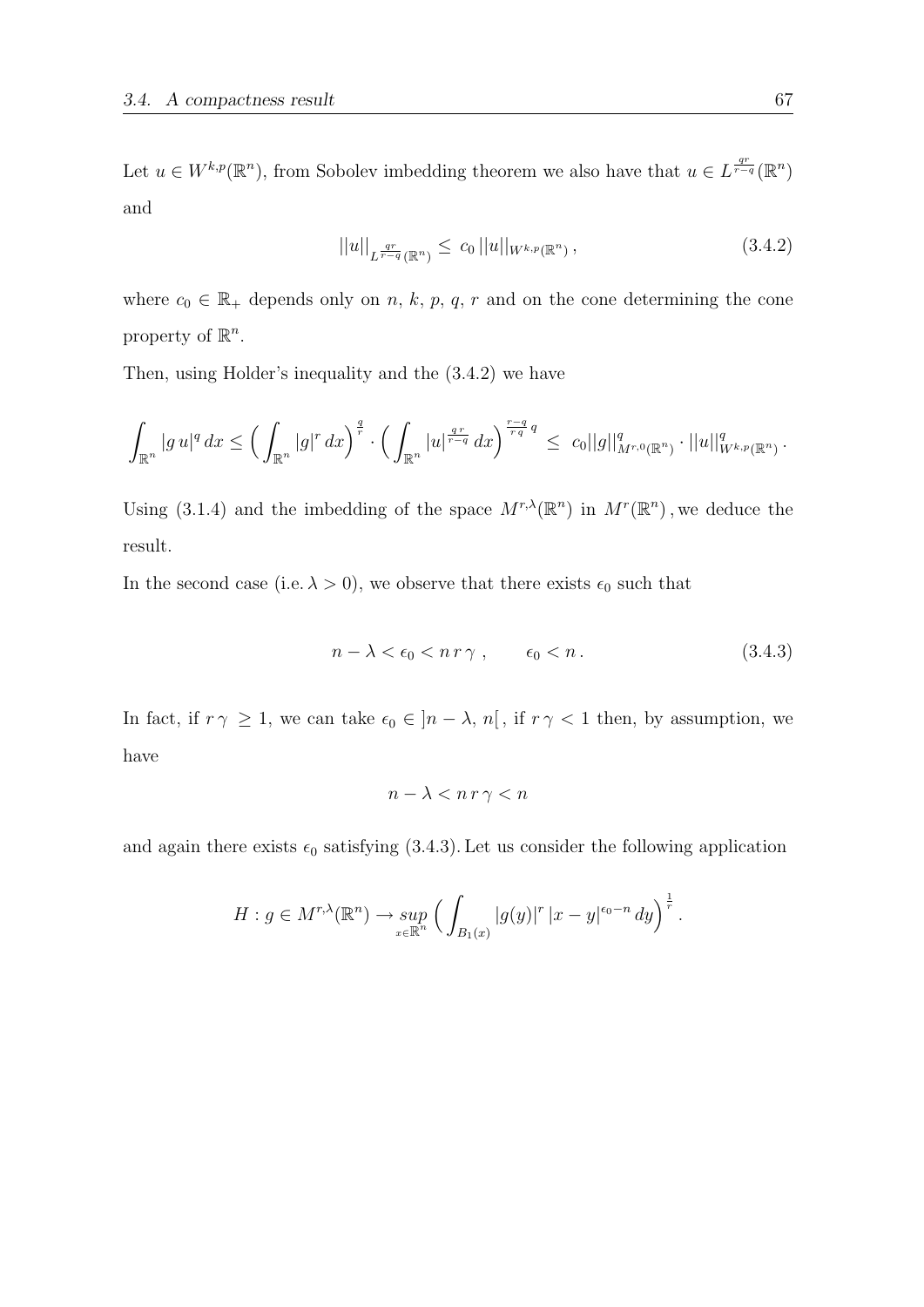Let  $u \in W^{k,p}(\mathbb{R}^n)$ , from Sobolev imbedding theorem we also have that  $u \in L^{\frac{qr}{r-q}}(\mathbb{R}^n)$ and

$$
||u||_{L^{\frac{qr}{r-q}}(\mathbb{R}^n)} \leq c_0 ||u||_{W^{k,p}(\mathbb{R}^n)},
$$
\n(3.4.2)

where  $c_0 \in \mathbb{R}_+$  depends only on n, k, p, q, r and on the cone determining the cone property of  $\mathbb{R}^n$ .

Then, using Holder's inequality and the (3.4.2) we have

$$
\int_{\mathbb{R}^n} |g u|^q dx \leq \left( \int_{\mathbb{R}^n} |g|^r dx \right)^{\frac{q}{r}} \cdot \left( \int_{\mathbb{R}^n} |u|^{\frac{qr}{r-q}} dx \right)^{\frac{r-q}{rq}q} \leq c_0 ||g||_{M^{r,0}(\mathbb{R}^n)}^q \cdot ||u||_{W^{k,p}(\mathbb{R}^n)}^q.
$$

Using (3.1.4) and the imbedding of the space  $M^{r,\lambda}(\mathbb{R}^n)$  in  $M^r(\mathbb{R}^n)$ , we deduce the result.

In the second case (i.e.  $\lambda > 0$ ), we observe that there exists  $\epsilon_0$  such that

$$
n - \lambda < \epsilon_0 < n \, r \, \gamma \;, \qquad \epsilon_0 < n \,. \tag{3.4.3}
$$

In fact, if  $r \gamma \geq 1$ , we can take  $\epsilon_0 \in [n - \lambda, n]$ , if  $r \gamma < 1$  then, by assumption, we have

$$
n - \lambda < n \, r \, \gamma < n
$$

and again there exists  $\epsilon_0$  satisfying (3.4.3). Let us consider the following application

$$
H: g \in M^{r,\lambda}(\mathbb{R}^n) \to \sup_{x \in \mathbb{R}^n} \Big( \int_{B_1(x)} |g(y)|^r |x-y|^{\epsilon_0-n} dy \Big)^{\frac{1}{r}}.
$$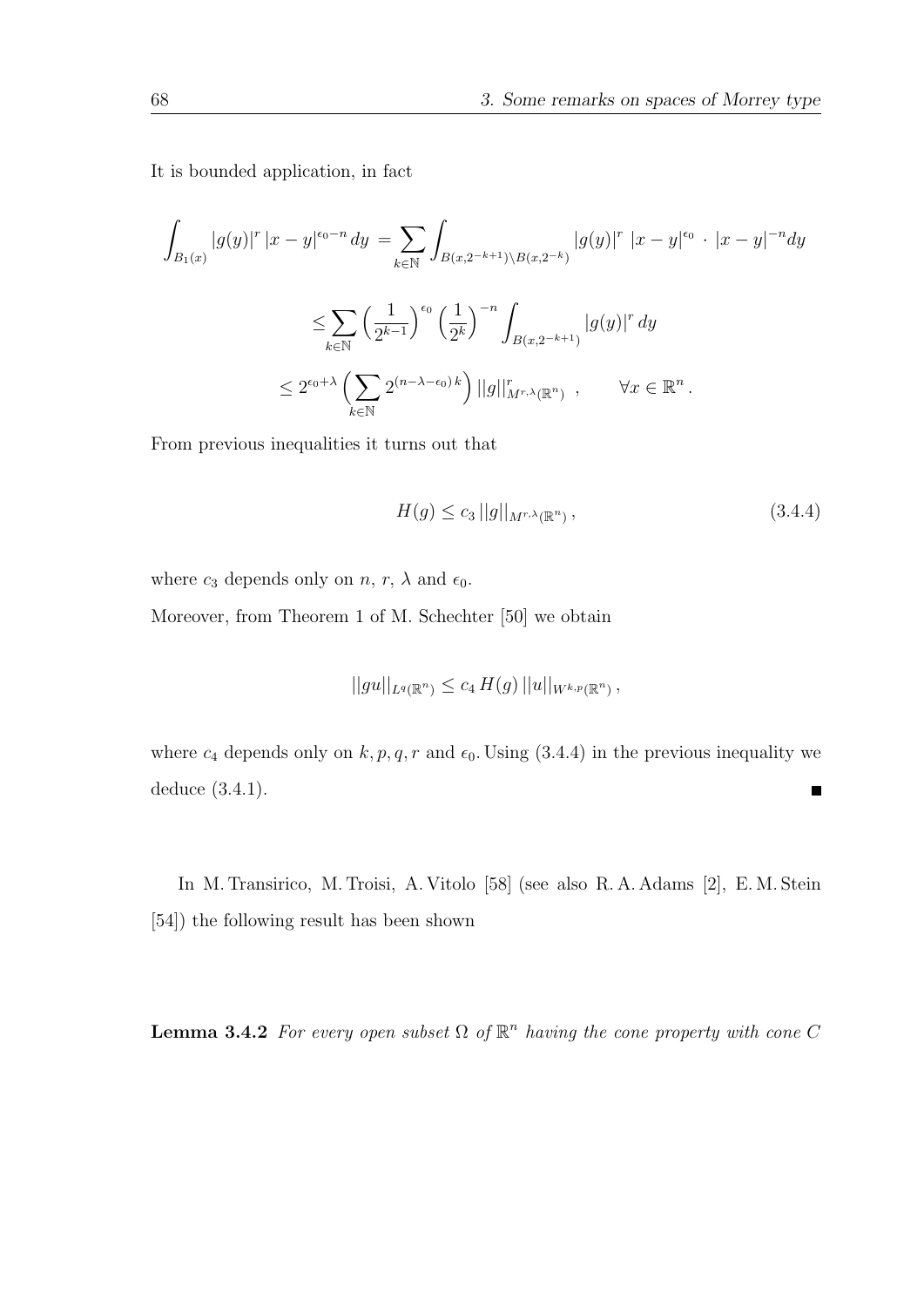It is bounded application, in fact

$$
\int_{B_1(x)} |g(y)|^r |x - y|^{ \epsilon_0 - n} dy = \sum_{k \in \mathbb{N}} \int_{B(x, 2^{-k+1}) \backslash B(x, 2^{-k})} |g(y)|^r |x - y|^{\epsilon_0} \cdot |x - y|^{-n} dy
$$
  

$$
\leq \sum_{k \in \mathbb{N}} \left(\frac{1}{2^{k-1}}\right)^{\epsilon_0} \left(\frac{1}{2^k}\right)^{-n} \int_{B(x, 2^{-k+1})} |g(y)|^r dy
$$
  

$$
\leq 2^{\epsilon_0 + \lambda} \left(\sum_{k \in \mathbb{N}} 2^{(n-\lambda - \epsilon_0) k}\right) ||g||_{M^{r, \lambda}(\mathbb{R}^n)}^r, \qquad \forall x \in \mathbb{R}^n.
$$

From previous inequalities it turns out that

$$
H(g) \le c_3 \, ||g||_{M^{r,\lambda}(\mathbb{R}^n)}\,,\tag{3.4.4}
$$

where  $c_3$  depends only on  $n, r, \lambda$  and  $\epsilon_0$ .

Moreover, from Theorem 1 of M. Schechter [50] we obtain

$$
||gu||_{L^{q}(\mathbb{R}^n)} \leq c_4 H(g) ||u||_{W^{k,p}(\mathbb{R}^n)},
$$

where  $c_4$  depends only on  $k, p, q, r$  and  $\epsilon_0$ . Using (3.4.4) in the previous inequality we deduce (3.4.1).  $\blacksquare$ 

In M. Transirico, M. Troisi, A. Vitolo [58] (see also R. A. Adams [2], E. M. Stein [54]) the following result has been shown

**Lemma 3.4.2** For every open subset  $\Omega$  of  $\mathbb{R}^n$  having the cone property with cone C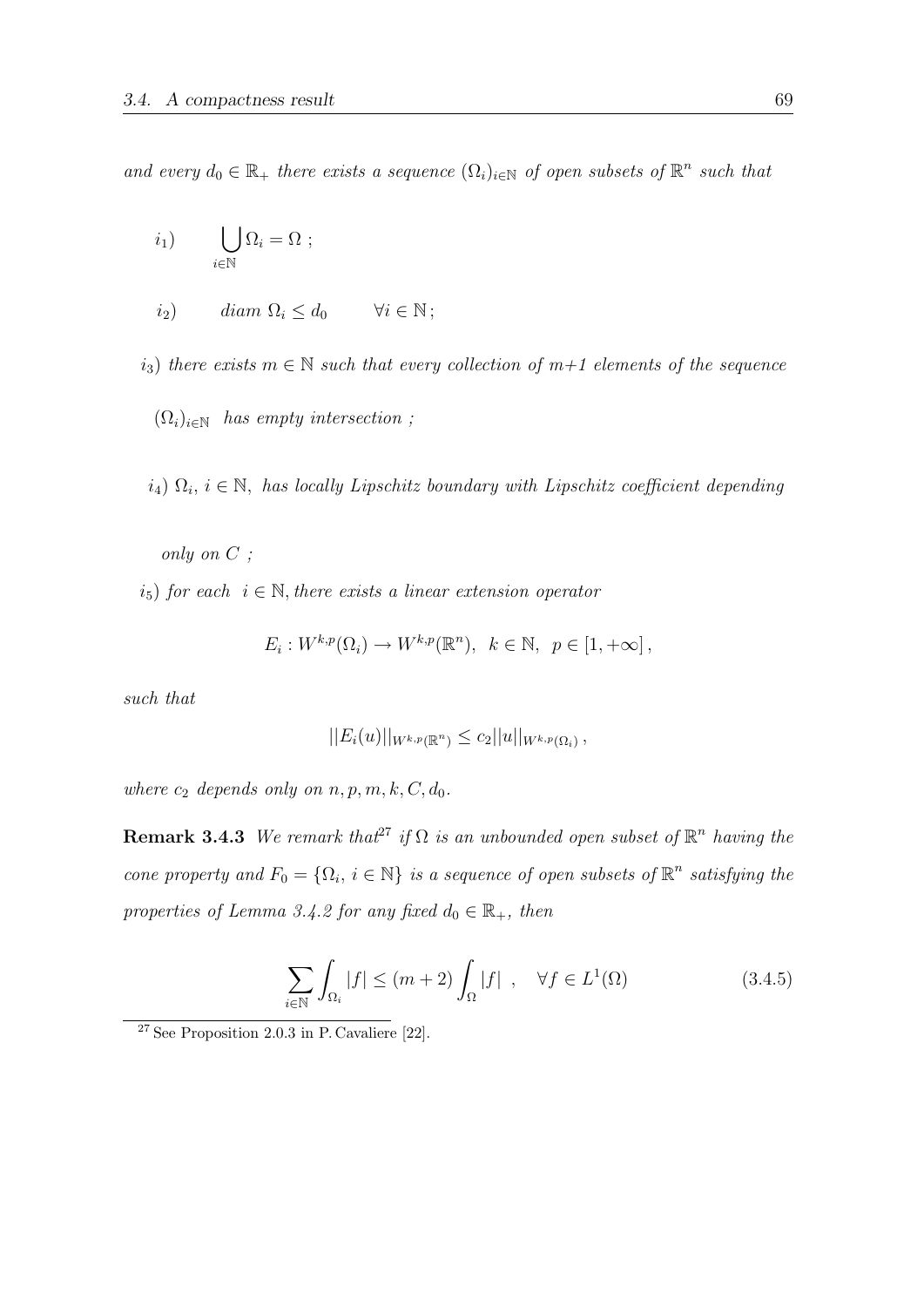and every  $d_0 \in \mathbb{R}_+$  there exists a sequence  $(\Omega_i)_{i \in \mathbb{N}}$  of open subsets of  $\mathbb{R}^n$  such that

$$
i_1) \qquad \bigcup_{i \in \mathbb{N}} \Omega_i = \Omega \ ;
$$

$$
i_2) \qquad diam \Omega_i \leq d_0 \qquad \forall i \in \mathbb{N};
$$

i<sub>3</sub>) there exists  $m \in \mathbb{N}$  such that every collection of  $m+1$  elements of the sequence

 $(\Omega_i)_{i\in\mathbb{N}}$  has empty intersection;

 $i_4$ )  $\Omega_i$ ,  $i \in \mathbb{N}$ , has locally Lipschitz boundary with Lipschitz coefficient depending

only on C ;

 $i_5$ ) for each  $i \in \mathbb{N}$ , there exists a linear extension operator

$$
E_i: W^{k,p}(\Omega_i) \to W^{k,p}(\mathbb{R}^n), \ k \in \mathbb{N}, \ p \in [1, +\infty],
$$

such that

$$
||E_i(u)||_{W^{k,p}(\mathbb{R}^n)} \leq c_2||u||_{W^{k,p}(\Omega_i)},
$$

where  $c_2$  depends only on  $n, p, m, k, C, d_0$ .

**Remark 3.4.3** We remark that<sup>27</sup> if  $\Omega$  is an unbounded open subset of  $\mathbb{R}^n$  having the cone property and  $F_0 = \{\Omega_i, i \in \mathbb{N}\}\$ is a sequence of open subsets of  $\mathbb{R}^n$  satisfying the properties of Lemma 3.4.2 for any fixed  $d_0 \in \mathbb{R}_+$ , then

$$
\sum_{i \in \mathbb{N}} \int_{\Omega_i} |f| \le (m+2) \int_{\Omega} |f| \quad , \quad \forall f \in L^1(\Omega) \tag{3.4.5}
$$

<sup>27</sup> See Proposition 2.0.3 in P. Cavaliere [22].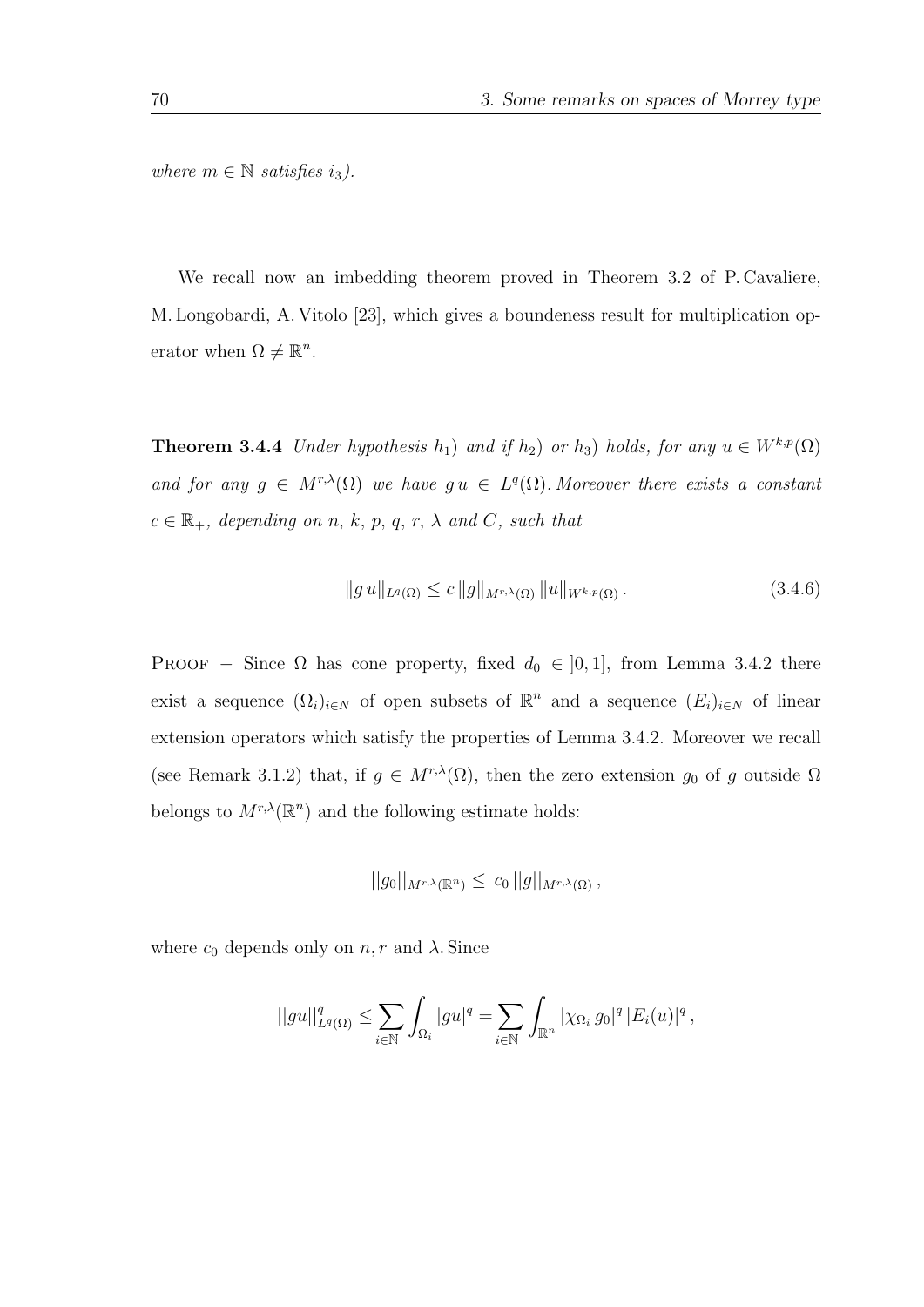where  $m \in \mathbb{N}$  satisfies  $i_3$ ).

We recall now an imbedding theorem proved in Theorem 3.2 of P. Cavaliere, M. Longobardi, A. Vitolo [23], which gives a boundeness result for multiplication operator when  $\Omega \neq \mathbb{R}^n$ .

**Theorem 3.4.4** Under hypothesis  $h_1$ ) and if  $h_2$ ) or  $h_3$ ) holds, for any  $u \in W^{k,p}(\Omega)$ and for any  $g \in M^{r,\lambda}(\Omega)$  we have  $gu \in L^q(\Omega)$ . Moreover there exists a constant  $c \in \mathbb{R}_+$ , depending on n, k, p, q, r,  $\lambda$  and C, such that

$$
||g u||_{L^{q}(\Omega)} \leq c ||g||_{M^{r,\lambda}(\Omega)} ||u||_{W^{k,p}(\Omega)}.
$$
\n(3.4.6)

PROOF – Since  $\Omega$  has cone property, fixed  $d_0 \in ]0,1]$ , from Lemma 3.4.2 there exist a sequence  $(\Omega_i)_{i\in\mathbb{N}}$  of open subsets of  $\mathbb{R}^n$  and a sequence  $(E_i)_{i\in\mathbb{N}}$  of linear extension operators which satisfy the properties of Lemma 3.4.2. Moreover we recall (see Remark 3.1.2) that, if  $g \in M^{r,\lambda}(\Omega)$ , then the zero extension  $g_0$  of g outside  $\Omega$ belongs to  $M^{r,\lambda}(\mathbb{R}^n)$  and the following estimate holds:

$$
||g_0||_{M^{r,\lambda}(\mathbb{R}^n)} \leq c_0 ||g||_{M^{r,\lambda}(\Omega)},
$$

where  $c_0$  depends only on  $n, r$  and  $\lambda$ . Since

$$
||gu||_{L^q(\Omega)}^q \leq \sum_{i \in \mathbb{N}} \int_{\Omega_i} |gu|^q = \sum_{i \in \mathbb{N}} \int_{\mathbb{R}^n} |\chi_{\Omega_i} g_0|^q |E_i(u)|^q,
$$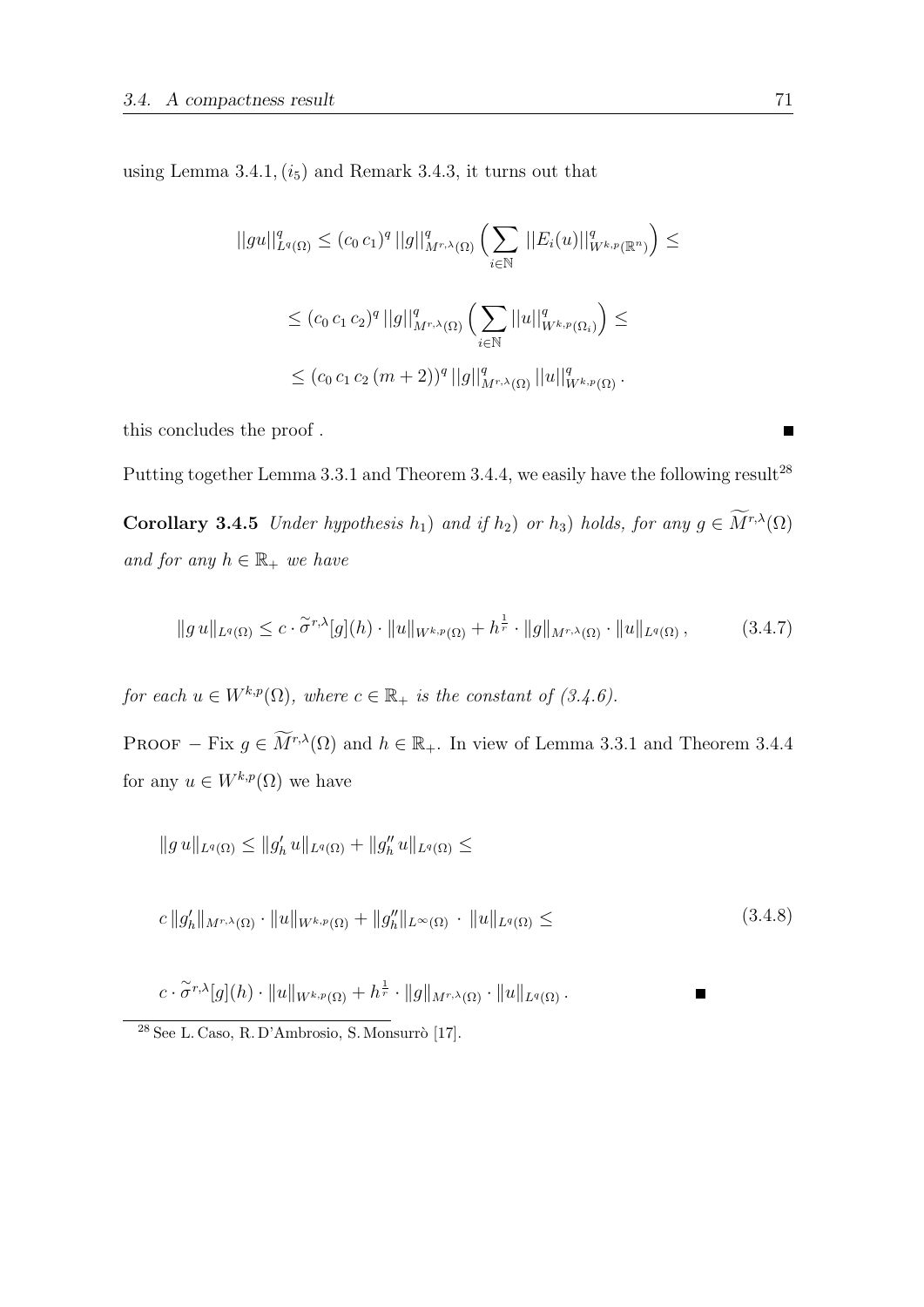using Lemma  $3.4.1, (i_5)$  and Remark  $3.4.3$ , it turns out that

$$
||gu||_{L^{q}(\Omega)}^{q} \leq (c_{0} c_{1})^{q} ||g||_{M^{r,\lambda}(\Omega)}^{q} \left(\sum_{i \in \mathbb{N}} ||E_{i}(u)||_{W^{k,p}(\mathbb{R}^{n})}^{q}\right) \leq
$$
  

$$
\leq (c_{0} c_{1} c_{2})^{q} ||g||_{M^{r,\lambda}(\Omega)}^{q} \left(\sum_{i \in \mathbb{N}} ||u||_{W^{k,p}(\Omega_{i})}^{q}\right) \leq
$$
  

$$
\leq (c_{0} c_{1} c_{2} (m+2))^{q} ||g||_{M^{r,\lambda}(\Omega)}^{q} ||u||_{W^{k,p}(\Omega)}^{q}.
$$

this concludes the proof .

Putting together Lemma 3.3.1 and Theorem 3.4.4, we easily have the following result<sup>28</sup>

**Corollary 3.4.5** Under hypothesis  $h_1$ ) and if  $h_2$ ) or  $h_3$ ) holds, for any  $g \in \widetilde{M}^{r,\lambda}(\Omega)$ and for any  $h \in \mathbb{R}_+$  we have

$$
||g u||_{L^{q}(\Omega)} \leq c \cdot \tilde{\sigma}^{r,\lambda}[g](h) \cdot ||u||_{W^{k,p}(\Omega)} + h^{\frac{1}{r}} \cdot ||g||_{M^{r,\lambda}(\Omega)} \cdot ||u||_{L^{q}(\Omega)}, \qquad (3.4.7)
$$

for each  $u \in W^{k,p}(\Omega)$ , where  $c \in \mathbb{R}_+$  is the constant of  $(3.4.6)$ .

PROOF – Fix  $g \in \widetilde{M}^{r,\lambda}(\Omega)$  and  $h \in \mathbb{R}_+$ . In view of Lemma 3.3.1 and Theorem 3.4.4 for any  $u \in W^{k,p}(\Omega)$  we have

$$
||g u||_{L^q(\Omega)} \leq ||g'_h u||_{L^q(\Omega)} + ||g''_h u||_{L^q(\Omega)} \leq
$$

$$
c \|g_h'\|_{M^{r,\lambda}(\Omega)} \cdot \|u\|_{W^{k,p}(\Omega)} + \|g_h''\|_{L^\infty(\Omega)} \cdot \|u\|_{L^q(\Omega)} \leq (3.4.8)
$$

 $\blacksquare$ 

$$
c\cdot\widetilde{\sigma}^{r,\lambda}[g](h)\cdot\|u\|_{W^{k,p}(\Omega)}+h^{\frac{1}{r}}\cdot\|g\|_{M^{r,\lambda}(\Omega)}\cdot\|u\|_{L^q(\Omega)}.
$$

 $^{28}$  See L. Caso, R. D'Ambrosio, S. Monsurrò [17].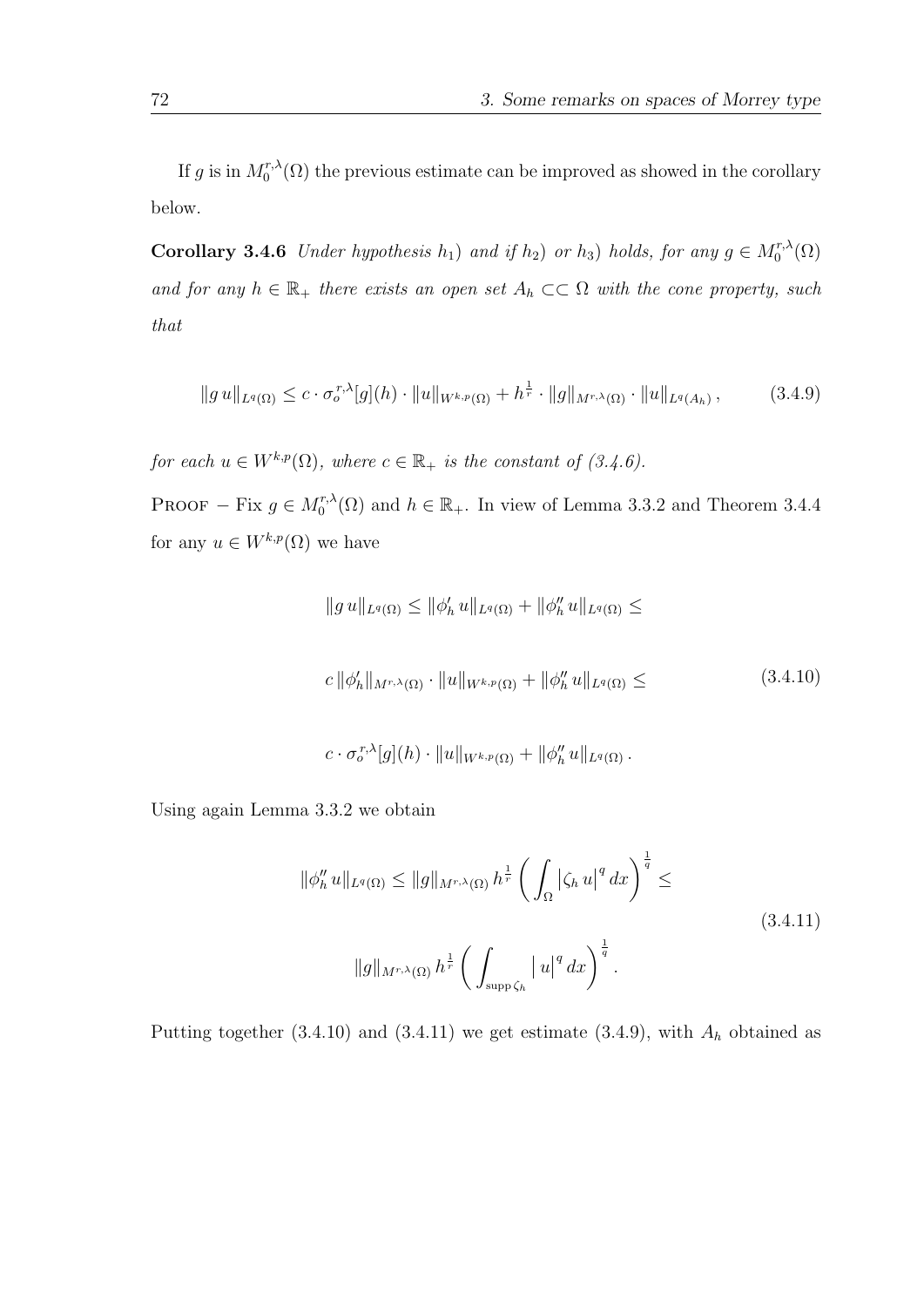If g is in  $M_0^{r,\lambda}$  $C_0^{r,\lambda}(\Omega)$  the previous estimate can be improved as showed in the corollary below.

**Corollary 3.4.6** Under hypothesis  $h_1$ ) and if  $h_2$ ) or  $h_3$ ) holds, for any  $g \in M_0^{r,\lambda}$  $\binom{r,\lambda}{0}$ and for any  $h \in \mathbb{R}_+$  there exists an open set  $A_h \subset\subset \Omega$  with the cone property, such that

$$
||g u||_{L^{q}(\Omega)} \leq c \cdot \sigma_o^{r,\lambda}[g](h) \cdot ||u||_{W^{k,p}(\Omega)} + h^{\frac{1}{r}} \cdot ||g||_{M^{r,\lambda}(\Omega)} \cdot ||u||_{L^{q}(A_h)}, \qquad (3.4.9)
$$

for each  $u \in W^{k,p}(\Omega)$ , where  $c \in \mathbb{R}_+$  is the constant of  $(3.4.6)$ .

PROOF – Fix  $g \in M_0^{r,\lambda}$  $\binom{r,\lambda}{0}$  and  $h \in \mathbb{R}_+$ . In view of Lemma 3.3.2 and Theorem 3.4.4 for any  $u \in W^{k,p}(\Omega)$  we have

$$
||g u||_{L^{q}(\Omega)} \le ||\phi'_{h} u||_{L^{q}(\Omega)} + ||\phi''_{h} u||_{L^{q}(\Omega)} \le
$$
  

$$
c ||\phi'_{h}||_{M^{r,\lambda}(\Omega)} \cdot ||u||_{W^{k,p}(\Omega)} + ||\phi''_{h} u||_{L^{q}(\Omega)} \le
$$
 (3.4.10)

$$
c \cdot \sigma_o^{r,\lambda}[g](h) \cdot ||u||_{W^{k,p}(\Omega)} + ||\phi''_h u||_{L^q(\Omega)}.
$$

Using again Lemma 3.3.2 we obtain

$$
\|\phi_h'' u\|_{L^q(\Omega)} \le \|g\|_{M^{r,\lambda}(\Omega)} h^{\frac{1}{r}} \left( \int_{\Omega} |\zeta_h u|^q dx \right)^{\frac{1}{q}} \le
$$
\n
$$
\|g\|_{M^{r,\lambda}(\Omega)} h^{\frac{1}{r}} \left( \int_{\text{supp}\,\zeta_h} |u|^q dx \right)^{\frac{1}{q}}.
$$
\n(3.4.11)

Putting together  $(3.4.10)$  and  $(3.4.11)$  we get estimate  $(3.4.9)$ , with  $A<sub>h</sub>$  obtained as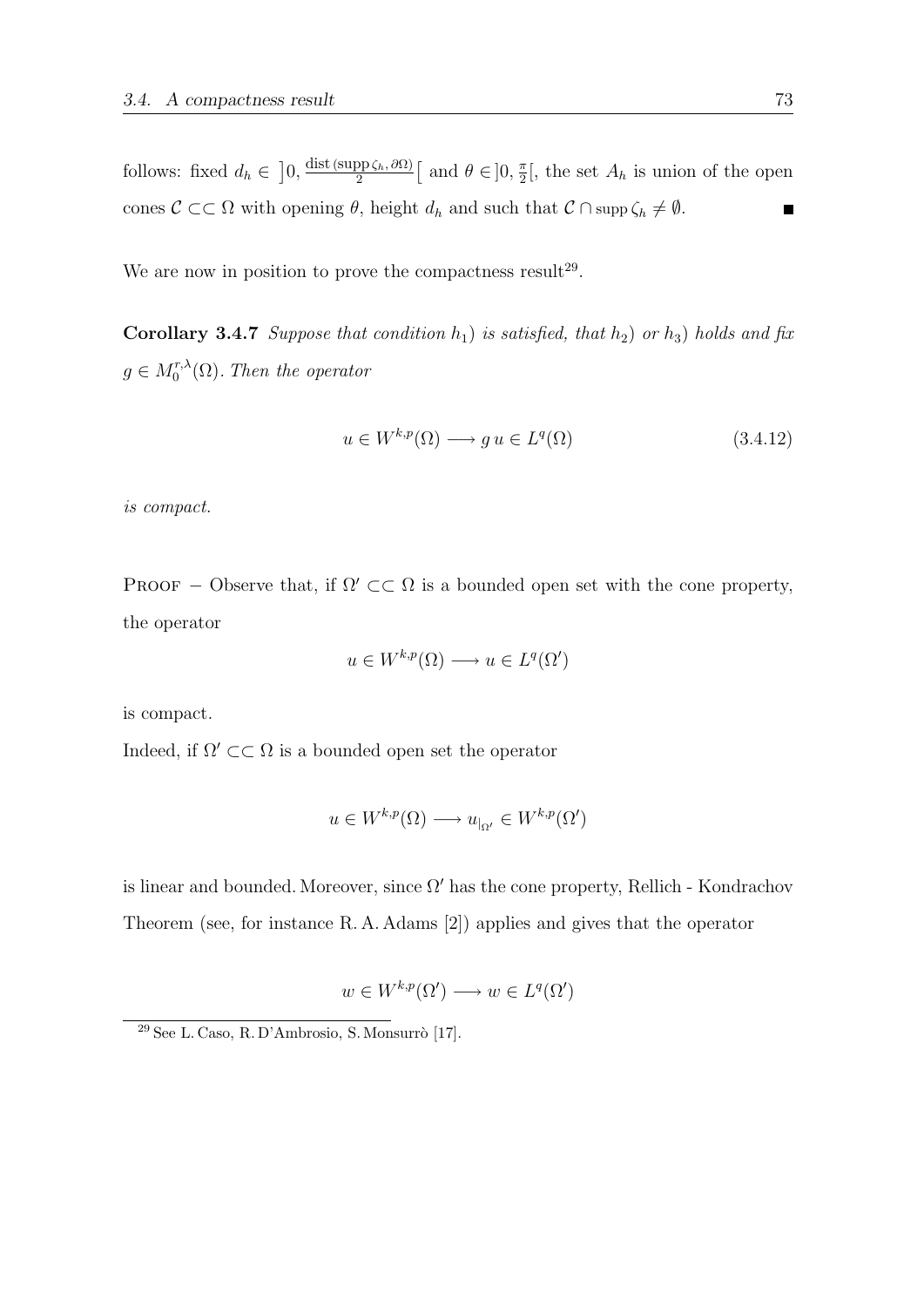follows: fixed  $d_h \in [0, \frac{\text{dist}(\text{supp}\zeta_h, \partial \Omega)}{2}]$  $\frac{\partial \mathrm{p}_{\zeta_h}, \partial \Omega)}{2}$  [ and  $\theta \in ]0, \frac{\pi}{2}$  $\frac{\pi}{2}$ , the set  $A_h$  is union of the open cones  $C \subset\subset \Omega$  with opening  $\theta$ , height  $d_h$  and such that  $C \cap \text{supp }\zeta_h \neq \emptyset$ .  $\blacksquare$ 

We are now in position to prove the compactness result<sup>29</sup>.

Corollary 3.4.7 Suppose that condition  $h_1$ ) is satisfied, that  $h_2$ ) or  $h_3$ ) holds and fix  $g \in M_0^{r,\lambda}$  $\binom{r,\lambda}{0}$ . Then the operator

$$
u \in W^{k,p}(\Omega) \longrightarrow gu \in L^q(\Omega) \tag{3.4.12}
$$

is compact.

PROOF – Observe that, if  $\Omega' \subset \subset \Omega$  is a bounded open set with the cone property, the operator

$$
u \in W^{k,p}(\Omega) \longrightarrow u \in L^q(\Omega')
$$

is compact.

Indeed, if  $\Omega' \subset\subset \Omega$  is a bounded open set the operator

 $u \in W^{k,p}(\Omega) \longrightarrow u_{|\Omega'} \in W^{k,p}(\Omega')$ 

is linear and bounded. Moreover, since  $\Omega'$  has the cone property, Rellich - Kondrachov Theorem (see, for instance R. A. Adams [2]) applies and gives that the operator

$$
w \in W^{k,p}(\Omega') \longrightarrow w \in L^q(\Omega')
$$

 $29$  See L. Caso, R. D'Ambrosio, S. Monsurrò [17].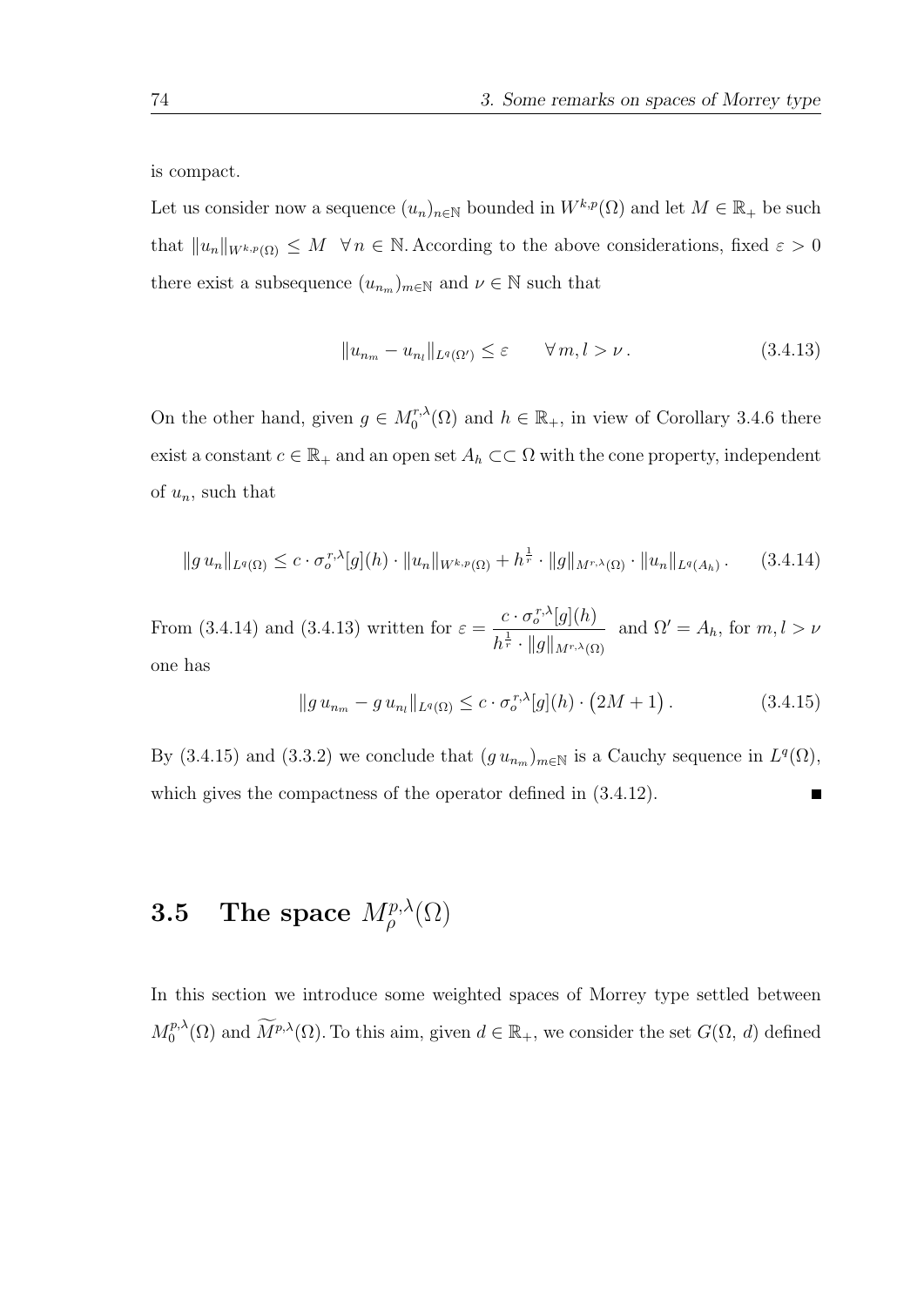is compact.

Let us consider now a sequence  $(u_n)_{n\in\mathbb{N}}$  bounded in  $W^{k,p}(\Omega)$  and let  $M\in\mathbb{R}_+$  be such that  $||u_n||_{W^{k,p}(\Omega)} \leq M \quad \forall n \in \mathbb{N}$ . According to the above considerations, fixed  $\varepsilon > 0$ there exist a subsequence  $(u_{n_m})_{m\in\mathbb{N}}$  and  $\nu \in \mathbb{N}$  such that

$$
||u_{n_m} - u_{n_l}||_{L^q(\Omega')} \le \varepsilon \qquad \forall \, m, l > \nu. \tag{3.4.13}
$$

On the other hand, given  $g \in M_0^{r,\lambda}$  $\binom{r,\lambda}{0}$  and  $h \in \mathbb{R}_+$ , in view of Corollary 3.4.6 there exist a constant  $c \in \mathbb{R}_+$  and an open set  $A_h \subset\subset \Omega$  with the cone property, independent of  $u_n$ , such that

$$
||g u_n||_{L^q(\Omega)} \leq c \cdot \sigma_o^{r,\lambda}[g](h) \cdot ||u_n||_{W^{k,p}(\Omega)} + h^{\frac{1}{r}} \cdot ||g||_{M^{r,\lambda}(\Omega)} \cdot ||u_n||_{L^q(A_h)}.
$$
 (3.4.14)

From (3.4.14) and (3.4.13) written for  $\varepsilon = \frac{c \cdot \sigma_o^{r,\lambda}[g](h)}{1 - \mu}$  $\|h^{\frac{1}{r}}\cdot\|g\|_{M^{r,\lambda}(\Omega)}$ and  $\Omega' = A_h$ , for  $m, l > \nu$ one has

$$
||g u_{n_m} - g u_{n_l}||_{L^q(\Omega)} \leq c \cdot \sigma_o^{r,\lambda}[g](h) \cdot (2M+1).
$$
 (3.4.15)

By (3.4.15) and (3.3.2) we conclude that  $(g u_{n_m})_{m \in \mathbb{N}}$  is a Cauchy sequence in  $L^q(\Omega)$ , which gives the compactness of the operator defined in (3.4.12). П

## **3.5** The space  $M^{p,\lambda}_\rho(\Omega)$

In this section we introduce some weighted spaces of Morrey type settled between  $M_0^{p,\lambda}$  $\widetilde{M}^{p,\lambda}(\Omega)$  and  $\widetilde{M}^{p,\lambda}(\Omega)$ . To this aim, given  $d \in \mathbb{R}_+$ , we consider the set  $G(\Omega, d)$  defined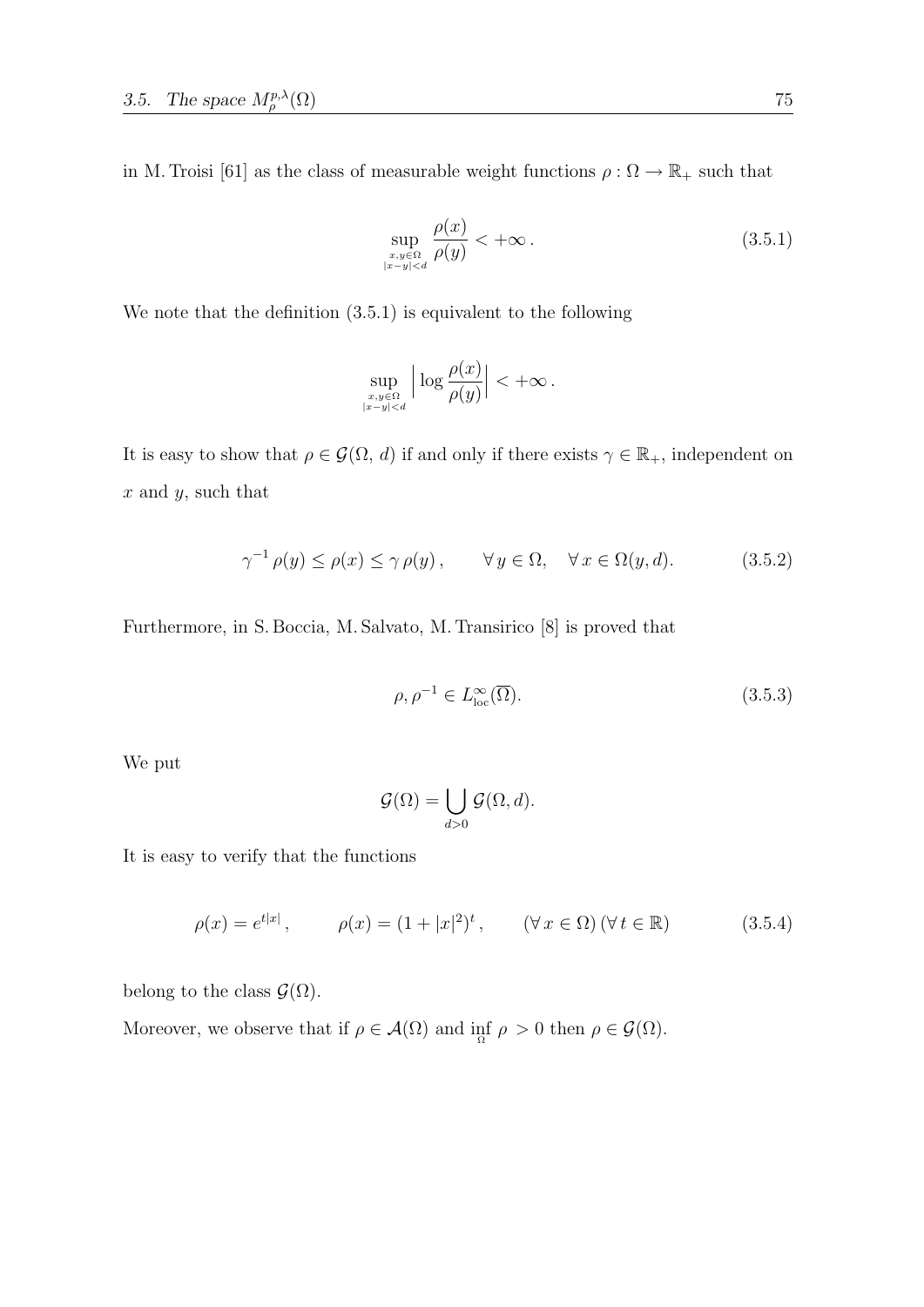in M. Troisi [61] as the class of measurable weight functions  $\rho:\Omega\to\mathbb{R}_+$  such that

$$
\sup_{\substack{x,y\in\Omega\\|x-y|
$$

We note that the definition (3.5.1) is equivalent to the following

$$
\sup_{\substack{x,y\in\Omega\\|x-y|
$$

It is easy to show that  $\rho \in \mathcal{G}(\Omega, d)$  if and only if there exists  $\gamma \in \mathbb{R}_+$ , independent on  $x$  and  $y$ , such that

$$
\gamma^{-1}\rho(y) \le \rho(x) \le \gamma \rho(y), \qquad \forall y \in \Omega, \quad \forall x \in \Omega(y, d). \tag{3.5.2}
$$

Furthermore, in S. Boccia, M. Salvato, M. Transirico [8] is proved that

$$
\rho, \rho^{-1} \in L^{\infty}_{\text{loc}}(\overline{\Omega}).\tag{3.5.3}
$$

We put

$$
\mathcal{G}(\Omega) = \bigcup_{d>0} \mathcal{G}(\Omega, d).
$$

It is easy to verify that the functions

$$
\rho(x) = e^{t|x|}
$$
,  $\rho(x) = (1 + |x|^2)^t$ ,  $(\forall x \in \Omega) (\forall t \in \mathbb{R})$  (3.5.4)

belong to the class  $\mathcal{G}(\Omega)$ .

Moreover, we observe that if  $\rho \in \mathcal{A}(\Omega)$  and  $\inf_{\Omega} \rho > 0$  then  $\rho \in \mathcal{G}(\Omega)$ .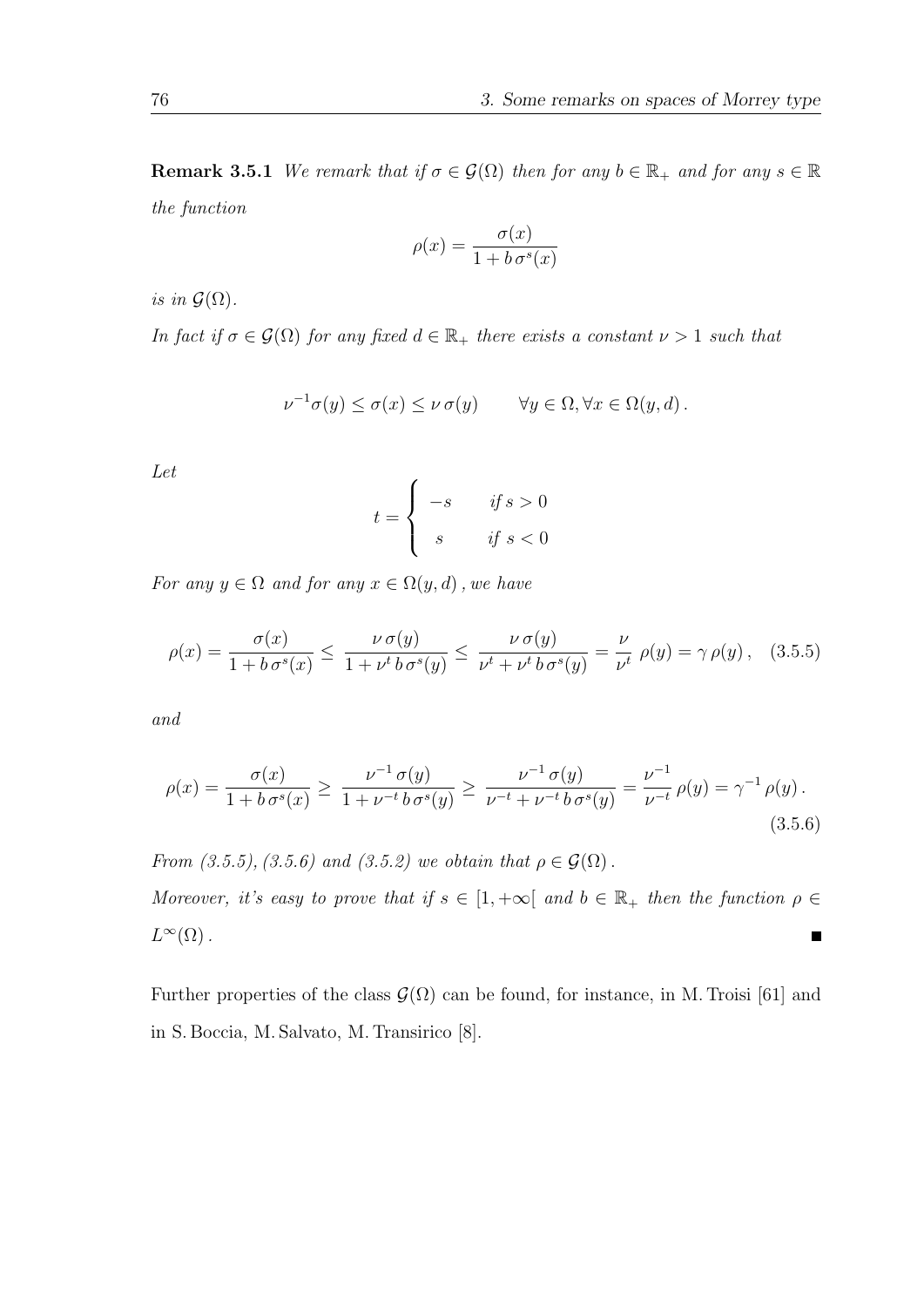**Remark 3.5.1** We remark that if  $\sigma \in \mathcal{G}(\Omega)$  then for any  $b \in \mathbb{R}_+$  and for any  $s \in \mathbb{R}$ the function

$$
\rho(x) = \frac{\sigma(x)}{1 + b \sigma^s(x)}
$$

is in  $\mathcal{G}(\Omega)$ .

In fact if  $\sigma \in \mathcal{G}(\Omega)$  for any fixed  $d \in \mathbb{R}_+$  there exists a constant  $\nu > 1$  such that

$$
\nu^{-1}\sigma(y) \le \sigma(x) \le \nu \sigma(y) \qquad \forall y \in \Omega, \forall x \in \Omega(y, d).
$$

Let

$$
t = \begin{cases} -s & \text{if } s > 0 \\ s & \text{if } s < 0 \end{cases}
$$

For any  $y \in \Omega$  and for any  $x \in \Omega(y, d)$ , we have

$$
\rho(x) = \frac{\sigma(x)}{1 + b \sigma^s(x)} \le \frac{\nu \sigma(y)}{1 + \nu^t b \sigma^s(y)} \le \frac{\nu \sigma(y)}{\nu^t + \nu^t b \sigma^s(y)} = \frac{\nu}{\nu^t} \rho(y) = \gamma \rho(y), \quad (3.5.5)
$$

and

$$
\rho(x) = \frac{\sigma(x)}{1 + b\sigma^s(x)} \ge \frac{\nu^{-1}\sigma(y)}{1 + \nu^{-t}b\sigma^s(y)} \ge \frac{\nu^{-1}\sigma(y)}{\nu^{-t} + \nu^{-t}b\sigma^s(y)} = \frac{\nu^{-1}}{\nu^{-t}}\rho(y) = \gamma^{-1}\rho(y).
$$
\n(3.5.6)

From (3.5.5), (3.5.6) and (3.5.2) we obtain that  $\rho \in \mathcal{G}(\Omega)$ .

Moreover, it's easy to prove that if  $s \in [1, +\infty[$  and  $b \in \mathbb{R}_+$  then the function  $\rho \in$  $L^{\infty}(\Omega)$ .  $\blacksquare$ 

Further properties of the class  $\mathcal{G}(\Omega)$  can be found, for instance, in M. Troisi [61] and in S. Boccia, M. Salvato, M. Transirico [8].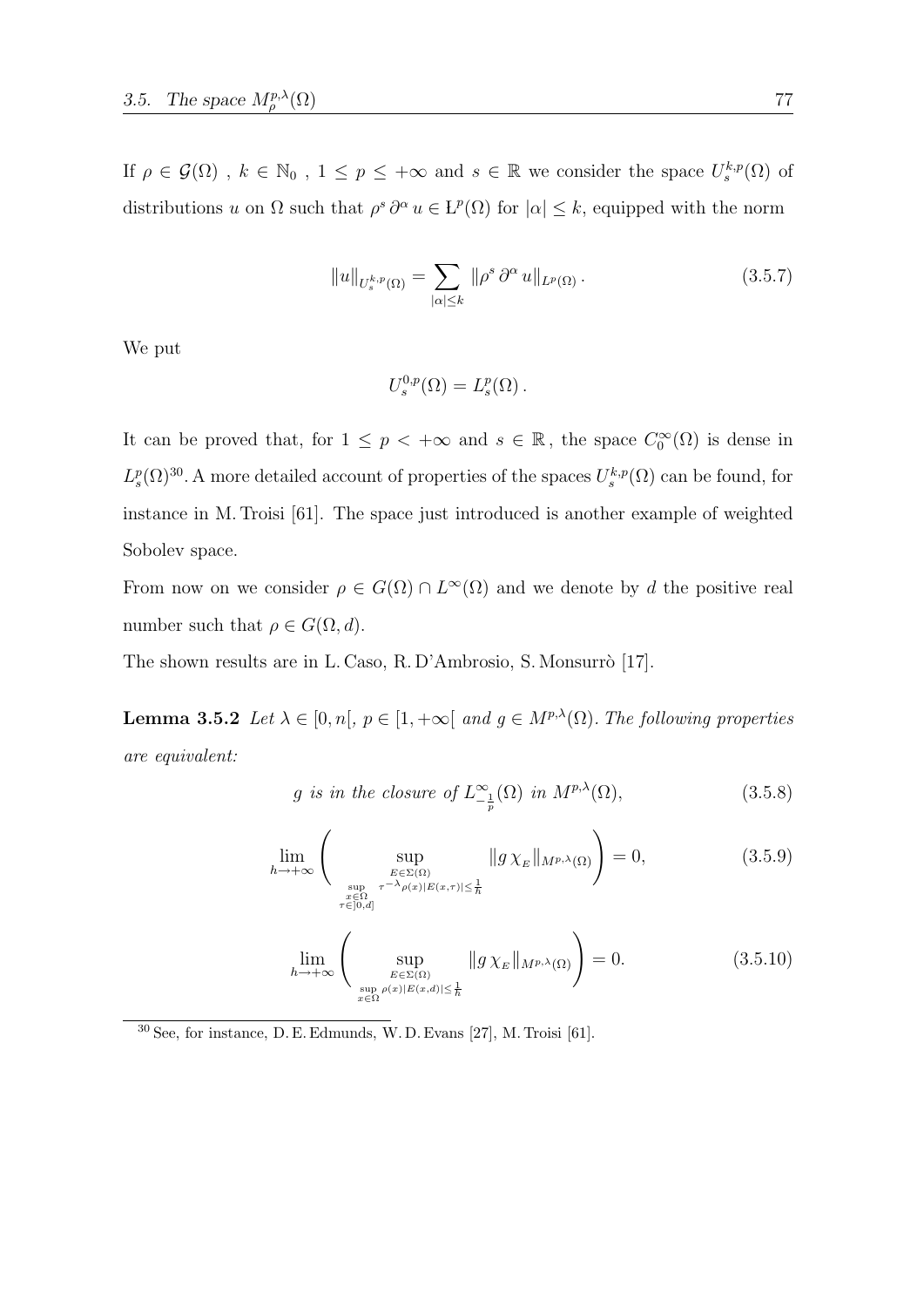If  $\rho \in \mathcal{G}(\Omega)$ ,  $k \in \mathbb{N}_0$ ,  $1 \leq p \leq +\infty$  and  $s \in \mathbb{R}$  we consider the space  $U_s^{k,p}(\Omega)$  of distributions u on  $\Omega$  such that  $\rho^s \partial^\alpha u \in L^p(\Omega)$  for  $|\alpha| \leq k$ , equipped with the norm

$$
||u||_{U_s^{k,p}(\Omega)} = \sum_{|\alpha| \le k} ||\rho^s \, \partial^\alpha u||_{L^p(\Omega)}.
$$
\n(3.5.7)

We put

$$
U_s^{0,p}(\Omega) = L_s^p(\Omega) .
$$

It can be proved that, for  $1 \leq p < +\infty$  and  $s \in \mathbb{R}$ , the space  $C_0^{\infty}(\Omega)$  is dense in  $L_s^p(\Omega)^{30}$ . A more detailed account of properties of the spaces  $U_s^{k,p}(\Omega)$  can be found, for instance in M. Troisi [61]. The space just introduced is another example of weighted Sobolev space.

From now on we consider  $\rho \in G(\Omega) \cap L^{\infty}(\Omega)$  and we denote by d the positive real number such that  $\rho \in G(\Omega, d)$ .

The shown results are in L. Caso, R. D'Ambrosio, S. Monsurrò [17].

**Lemma 3.5.2** Let  $\lambda \in [0, n], p \in [1, +\infty[$  and  $g \in M^{p,\lambda}(\Omega)$ . The following properties are equivalent:

$$
g \text{ is in the closure of } L^{\infty}_{-\frac{1}{p}}(\Omega) \text{ in } M^{p,\lambda}(\Omega), \tag{3.5.8}
$$

$$
\lim_{h \to +\infty} \left( \sup_{\substack{E \in \Sigma(\Omega) \\ \sup_{x \in \Omega \\ \tau \in [0,d]}} \tau^{-\lambda} \rho(x)|E(x,\tau)| \leq \frac{1}{h}} \|g \chi_E\|_{M^{p,\lambda}(\Omega)} \right) = 0, \tag{3.5.9}
$$

$$
\lim_{h \to +\infty} \left( \sup_{E \in \Sigma(\Omega) \atop \sup_{x \in \Omega} \rho(x)|E(x,d)| \le \frac{1}{h}} \|g \chi_E\|_{M^{p,\lambda}(\Omega)} \right) = 0. \tag{3.5.10}
$$

<sup>30</sup> See, for instance, D. E. Edmunds, W. D. Evans [27], M. Troisi [61].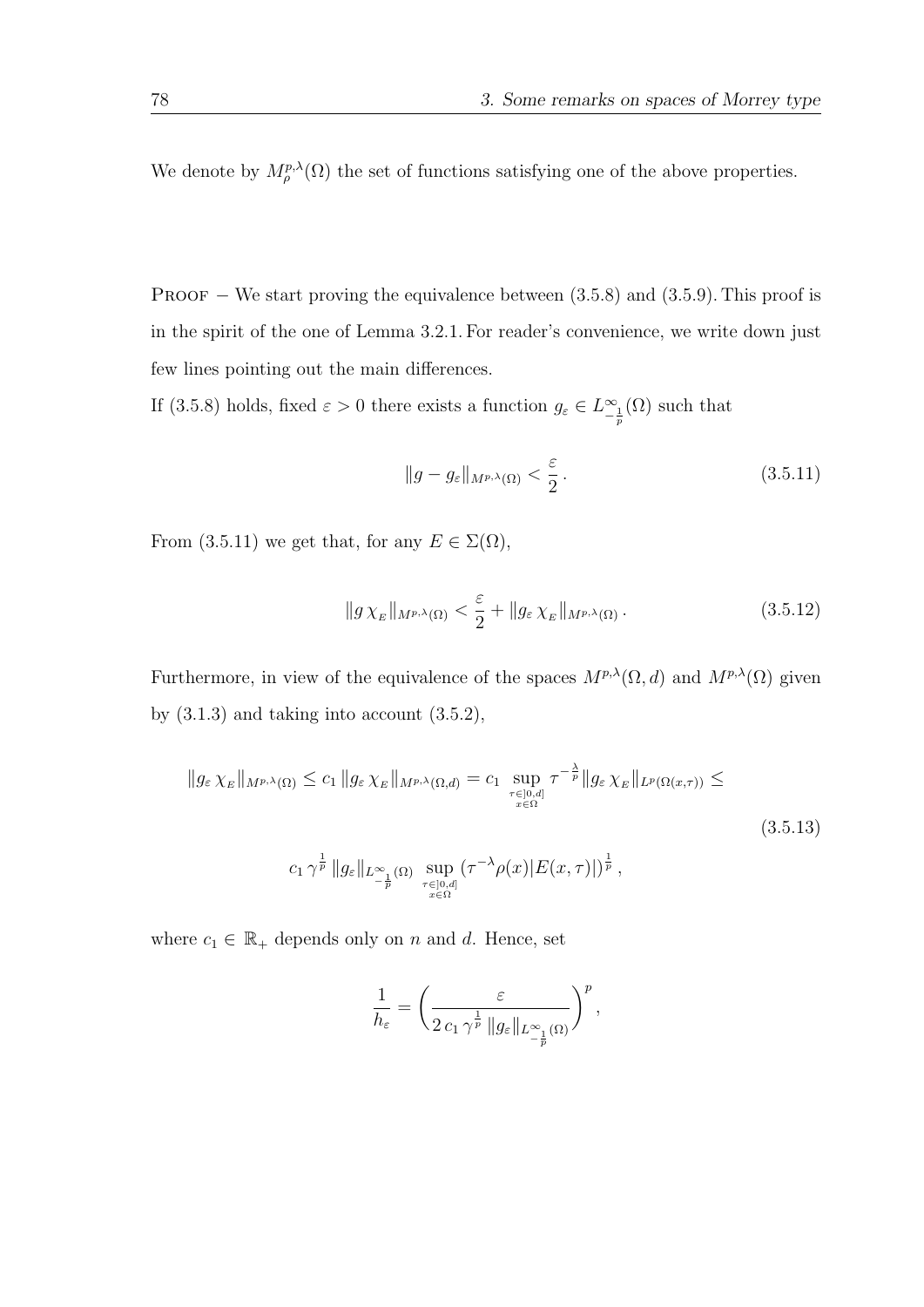We denote by  $M^{p,\lambda}_{\rho}(\Omega)$  the set of functions satisfying one of the above properties.

PROOF  $-$  We start proving the equivalence between  $(3.5.8)$  and  $(3.5.9)$ . This proof is in the spirit of the one of Lemma 3.2.1. For reader's convenience, we write down just few lines pointing out the main differences.

If (3.5.8) holds, fixed  $\varepsilon > 0$  there exists a function  $g_{\varepsilon} \in L^{\infty}_{-\frac{1}{p}}(\Omega)$  such that

$$
||g - g_{\varepsilon}||_{M^{p,\lambda}(\Omega)} < \frac{\varepsilon}{2} \,. \tag{3.5.11}
$$

From (3.5.11) we get that, for any  $E \in \Sigma(\Omega)$ ,

$$
||g\,\chi_E||_{M^{p,\lambda}(\Omega)} < \frac{\varepsilon}{2} + ||g_\varepsilon\,\chi_E||_{M^{p,\lambda}(\Omega)}\,. \tag{3.5.12}
$$

Furthermore, in view of the equivalence of the spaces  $M^{p,\lambda}(\Omega, d)$  and  $M^{p,\lambda}(\Omega)$  given by  $(3.1.3)$  and taking into account  $(3.5.2)$ ,

$$
||g_{\varepsilon} \chi_E||_{M^{p,\lambda}(\Omega)} \leq c_1 ||g_{\varepsilon} \chi_E||_{M^{p,\lambda}(\Omega, d)} = c_1 \sup_{\substack{\tau \in ]0, d]\\ x \in \Omega}} \tau^{-\frac{\lambda}{p}} ||g_{\varepsilon} \chi_E||_{L^p(\Omega(x, \tau))} \leq
$$
  

$$
c_1 \gamma^{\frac{1}{p}} ||g_{\varepsilon}||_{L^{\infty}_{-\frac{1}{p}}(\Omega)} \sup_{\substack{\tau \in ]0, d]\\ x \in \Omega}} (\tau^{-\lambda} \rho(x) |E(x, \tau)|)^{\frac{1}{p}},
$$
\n
$$
(3.5.13)
$$

where  $c_1 \in \mathbb{R}_+$  depends only on n and d. Hence, set

$$
\frac{1}{h_{\varepsilon}}=\left(\frac{\varepsilon}{2\,c_1\,\gamma^{\frac{1}{p}}\,\|g_{\varepsilon}\|_{L^{\infty}_{-\frac{1}{p}}(\Omega)}}\right)^p,
$$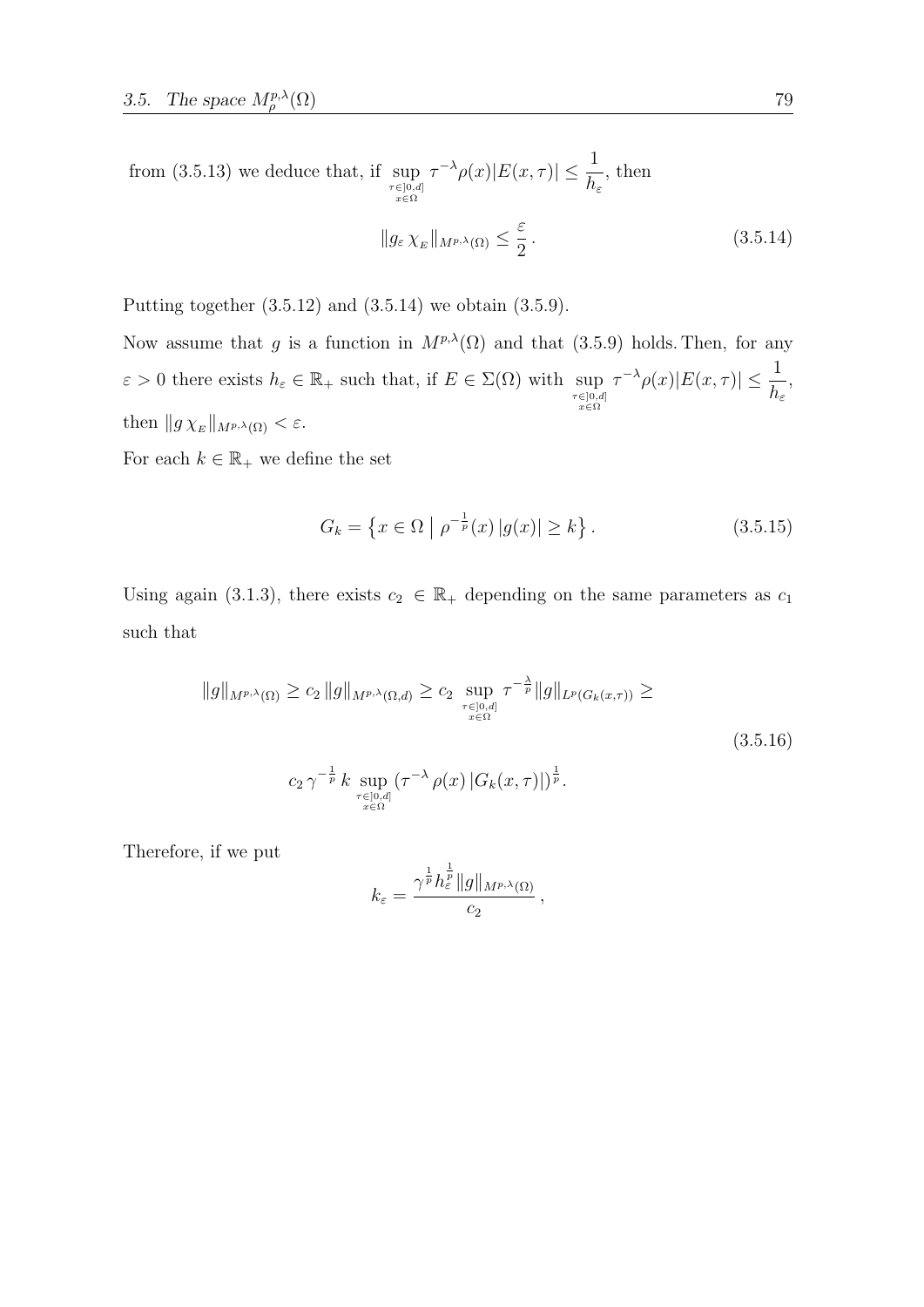from (3.5.13) we deduce that, if  $\sup_{\substack{\tau \in ]0,d]\\ x \in \Omega}}$  $\tau^{-\lambda}\rho(x)|E(x,\tau)| \leq \frac{1}{L}$  $h_\varepsilon$ , then ε

$$
||g_{\varepsilon} \chi_E||_{M^{p,\lambda}(\Omega)} \le \frac{\varepsilon}{2}.
$$
\n(3.5.14)

Putting together (3.5.12) and (3.5.14) we obtain (3.5.9).

Now assume that g is a function in  $M^{p,\lambda}(\Omega)$  and that (3.5.9) holds. Then, for any  $\varepsilon > 0$  there exists  $h_{\varepsilon} \in \mathbb{R}_+$  such that, if  $E \in \Sigma(\Omega)$  with  $\sup_{\substack{\tau \in ]0,d]\\ \pi \in \Omega}}$  $\tau^{-\lambda}\rho(x)|E(x,\tau)| \leq \frac{1}{\tau}$  $h_{\varepsilon}$ , then  $||g \chi_E||_{M^{p,\lambda}(\Omega)} < \varepsilon$ .

For each  $k \in \mathbb{R}_+$  we define the set

$$
G_k = \left\{ x \in \Omega \mid \rho^{-\frac{1}{p}}(x) \, |g(x)| \ge k \right\}. \tag{3.5.15}
$$

Using again (3.1.3), there exists  $c_2 \in \mathbb{R}_+$  depending on the same parameters as  $c_1$ such that

$$
||g||_{M^{p,\lambda}(\Omega)} \ge c_2 ||g||_{M^{p,\lambda}(\Omega,d)} \ge c_2 \sup_{\substack{\tau \in ]0,d] \\ x \in \Omega}} \tau^{-\frac{\lambda}{p}} ||g||_{L^p(G_k(x,\tau))} \ge
$$
  

$$
c_2 \gamma^{-\frac{1}{p}} k \sup_{\substack{\tau \in ]0,d] \\ x \in \Omega}} (\tau^{-\lambda} \rho(x) |G_k(x,\tau)|)^{\frac{1}{p}}.
$$
 (3.5.16)

,

Therefore, if we put

$$
k_{\varepsilon} = \frac{\gamma^{\frac{1}{p}} h_{\varepsilon}^{\frac{1}{p}} \|g\|_{M^{p,\lambda}(\Omega)}}{c_2}
$$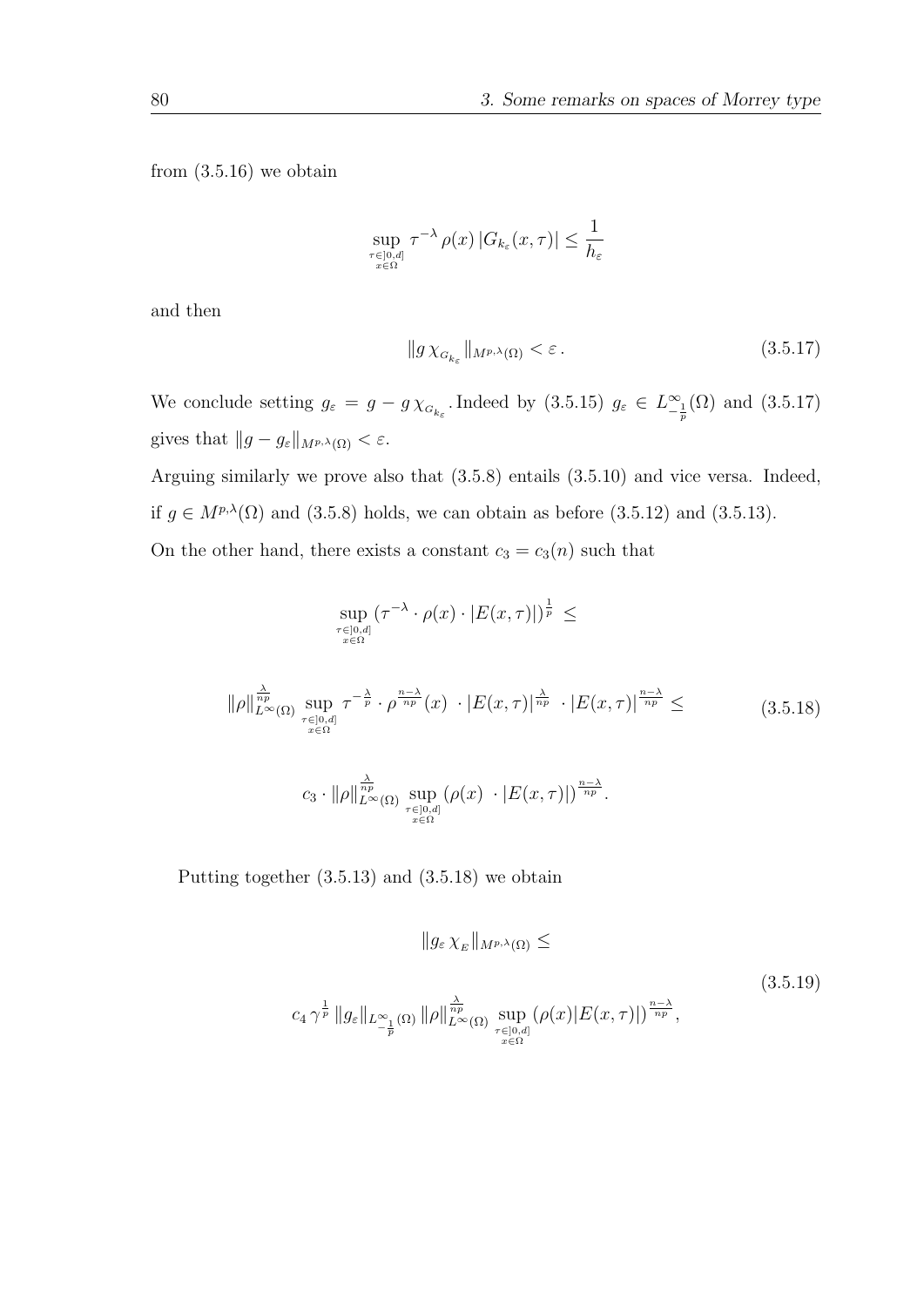from  $(3.5.16)$  we obtain

$$
\sup_{\tau \in [0,d] \atop x \in \Omega} \tau^{-\lambda} \, \rho(x) \, |G_{k_{\varepsilon}}(x,\tau)| \leq \frac{1}{h_{\varepsilon}}
$$

and then

$$
\|g\,\chi_{_{G_{k_{\varepsilon}}}}\|_{M^{p,\lambda}(\Omega)} < \varepsilon\,. \tag{3.5.17}
$$

We conclude setting  $g_{\varepsilon} = g - g \chi_{G_{k_{\varepsilon}}}$ . Indeed by  $(3.5.15)$   $g_{\varepsilon} \in L^{\infty}_{-\frac{1}{p}}(\Omega)$  and  $(3.5.17)$ gives that  $||g - g_{\varepsilon}||_{M^{p,\lambda}(\Omega)} < \varepsilon$ .

Arguing similarly we prove also that (3.5.8) entails (3.5.10) and vice versa. Indeed, if  $g \in M^{p,\lambda}(\Omega)$  and (3.5.8) holds, we can obtain as before (3.5.12) and (3.5.13). On the other hand, there exists a constant  $c_3 = c_3(n)$  such that

$$
\sup_{\tau \in [0,d]} (\tau^{-\lambda} \cdot \rho(x) \cdot |E(x,\tau)|)^{\frac{1}{p}} \le
$$
\n
$$
||\rho||_{L^{\infty}(\Omega)}^{\frac{\lambda}{np}} \sup_{\tau \in [0,d]} \tau^{-\frac{\lambda}{p}} \cdot \rho^{\frac{n-\lambda}{np}}(x) \cdot |E(x,\tau)|^{\frac{\lambda}{np}} \cdot |E(x,\tau)|^{\frac{n-\lambda}{np}} \le (3.5.18)
$$
\n
$$
c_3 \cdot ||\rho||_{L^{\infty}(\Omega)}^{\frac{\lambda}{np}} \sup_{\tau \in [0,d]} (\rho(x) \cdot |E(x,\tau)|)^{\frac{n-\lambda}{np}}.
$$

Putting together (3.5.13) and (3.5.18) we obtain

$$
||g_{\varepsilon} \chi_E||_{M^{p,\lambda}(\Omega)} \le
$$
\n
$$
c_4 \gamma^{\frac{1}{p}} ||g_{\varepsilon}||_{L^{\infty}_{-\frac{1}{p}}(\Omega)} ||\rho||_{L^{\infty}(\Omega)}^{\frac{\lambda}{np}} \sup_{\substack{\tau \in ]0,d] \ x \in \Omega}} (\rho(x)|E(x,\tau)|)^{\frac{n-\lambda}{np}},
$$
\n(3.5.19)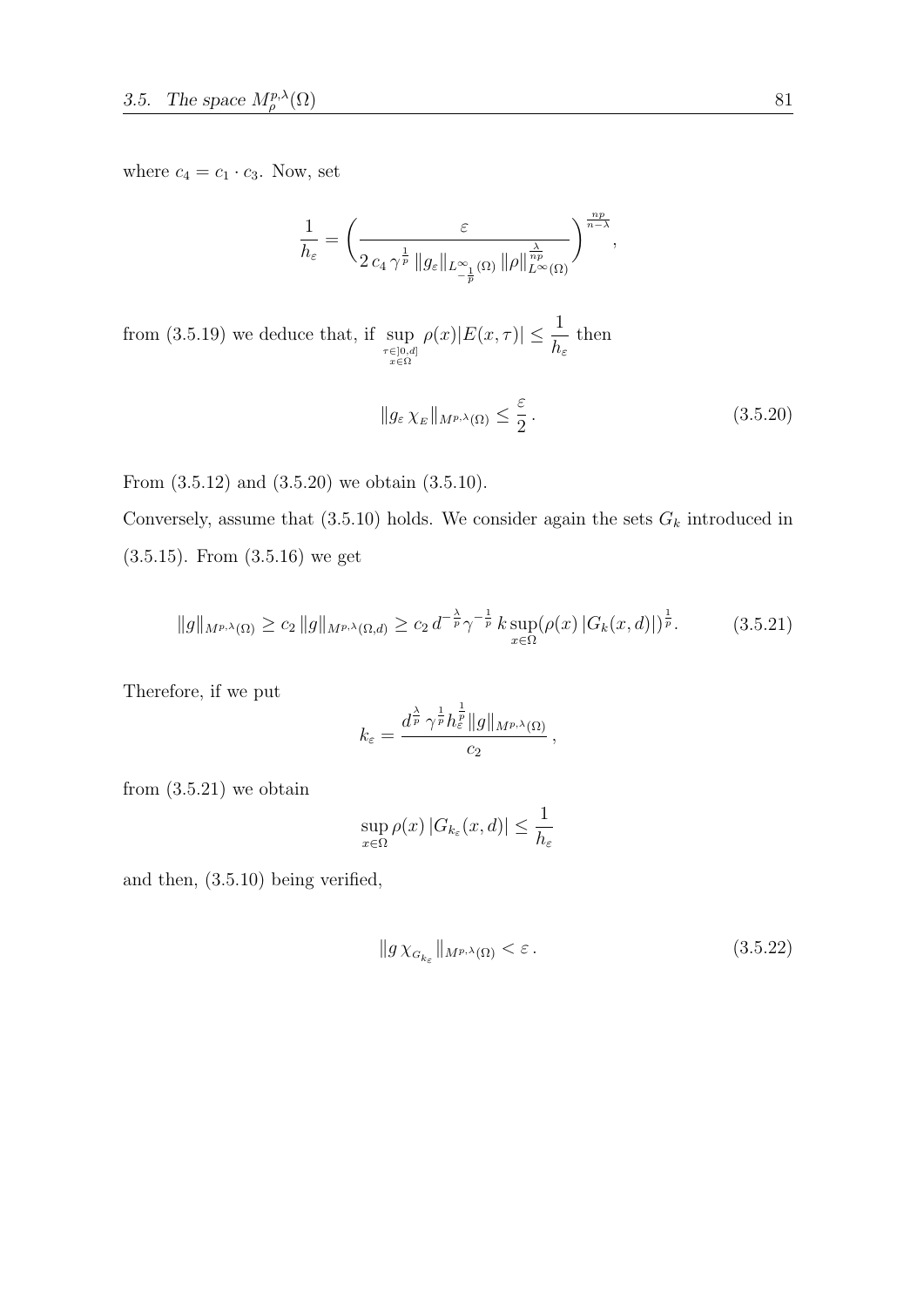where  $c_4 = c_1 \cdot c_3$ . Now, set

$$
\frac{1}{h_{\varepsilon}} = \left(\frac{\varepsilon}{2 c_4 \gamma^{\frac{1}{p}} \|g_{\varepsilon}\|_{L^{\infty}_{-\frac{1}{p}}(\Omega)} \| \rho\|_{L^{\infty}(\Omega)}^{\frac{\lambda}{np}}}\right)^{\frac{np}{n-\lambda}},
$$

from (3.5.19) we deduce that, if  $\sup_{\substack{\tau \in ]0,d]\\ x \in \Omega}}$  $\rho(x)|E(x, \tau)| \leq \frac{1}{l}$  $h_{\varepsilon}$ then

$$
||g_{\varepsilon} \chi_E||_{M^{p,\lambda}(\Omega)} \le \frac{\varepsilon}{2}.
$$
\n(3.5.20)

From (3.5.12) and (3.5.20) we obtain (3.5.10).

Conversely, assume that (3.5.10) holds. We consider again the sets  $G_k$  introduced in (3.5.15). From (3.5.16) we get

$$
||g||_{M^{p,\lambda}(\Omega)} \ge c_2 ||g||_{M^{p,\lambda}(\Omega,d)} \ge c_2 d^{-\frac{\lambda}{p}} \gamma^{-\frac{1}{p}} k \sup_{x \in \Omega} (\rho(x) |G_k(x,d)|)^{\frac{1}{p}}.
$$
 (3.5.21)

Therefore, if we put

$$
k_{\varepsilon} = \frac{d^{\frac{\lambda}{p}} \,\gamma^{\frac{1}{p}} h_{\varepsilon}^{\frac{1}{p}}\|g\|_{M^{p,\lambda}(\Omega)}}{c_2}\,,
$$

from  $(3.5.21)$  we obtain

$$
\sup_{x \in \Omega} \rho(x) |G_{k_{\varepsilon}}(x, d)| \le \frac{1}{h_{\varepsilon}}
$$

and then, (3.5.10) being verified,

$$
||g\,\chi_{G_{k_{\varepsilon}}}||_{M^{p,\lambda}(\Omega)} < \varepsilon \,. \tag{3.5.22}
$$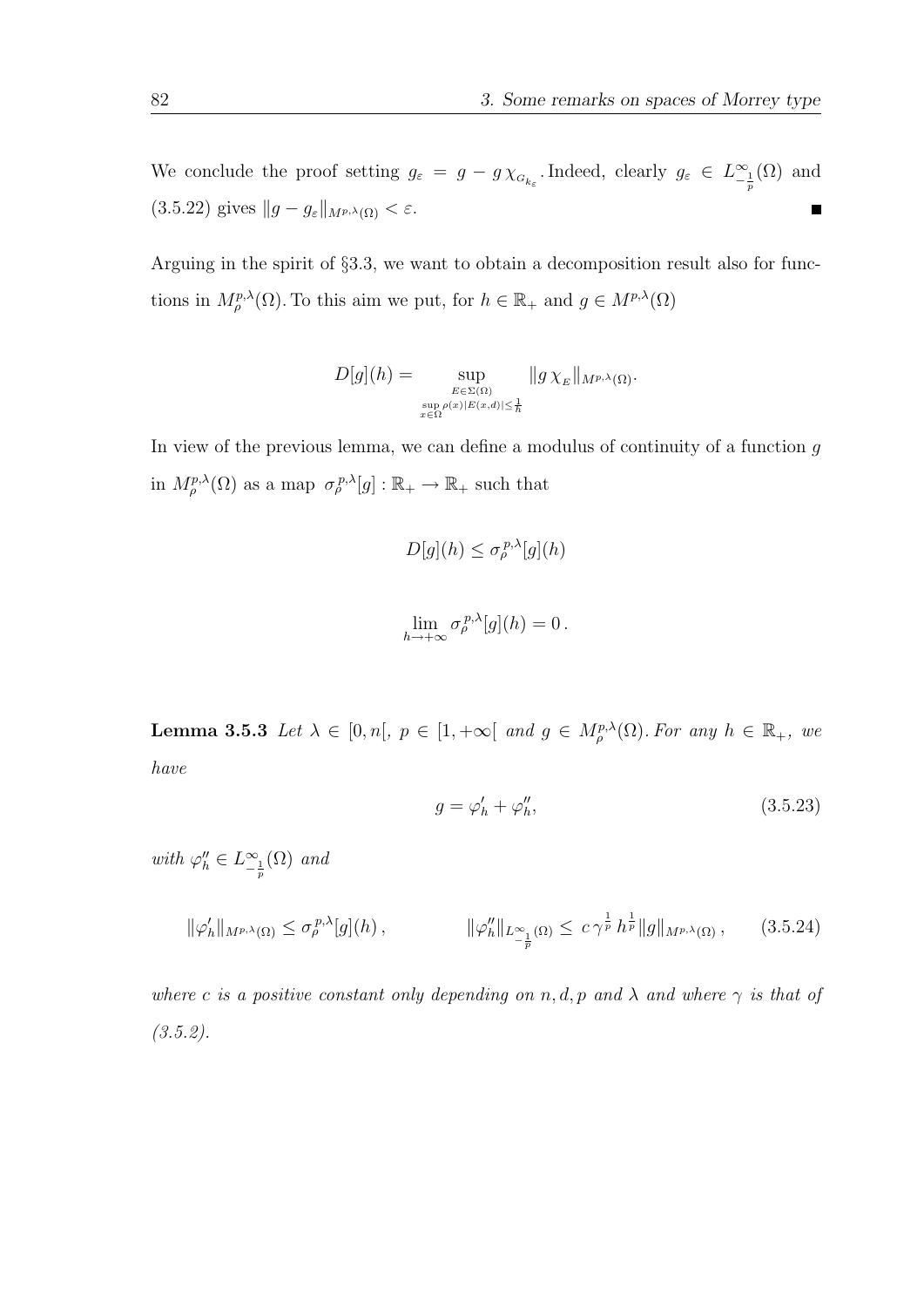We conclude the proof setting  $g_{\varepsilon} = g - g \chi_{G_{k_{\varepsilon}}}$ . Indeed, clearly  $g_{\varepsilon} \in L^{\infty}_{-\frac{1}{p}}(\Omega)$  and (3.5.22) gives  $||g - g_{\varepsilon}||_{M^{p,\lambda}(\Omega)} < \varepsilon$ .  $\blacksquare$ 

Arguing in the spirit of §3.3, we want to obtain a decomposition result also for functions in  $M_{\rho}^{p,\lambda}(\Omega)$ . To this aim we put, for  $h \in \mathbb{R}_+$  and  $g \in M^{p,\lambda}(\Omega)$ 

$$
D[g](h) = \sup_{\substack{E \in \Sigma(\Omega) \\ \sup_{x \in \Omega} \rho(x)|E(x,d)| \leq \frac{1}{h}}} \|g \chi_E\|_{M^{p,\lambda}(\Omega)}.
$$

In view of the previous lemma, we can define a modulus of continuity of a function  $g$ in  $M_{\rho}^{p,\lambda}(\Omega)$  as a map  $\sigma_{\rho}^{p,\lambda}[g]: \mathbb{R}_{+} \to \mathbb{R}_{+}$  such that

$$
D[g](h) \leq \sigma_{\rho}^{p,\lambda}[g](h)
$$
  

$$
\lim_{h \to +\infty} \sigma_{\rho}^{p,\lambda}[g](h) = 0.
$$

**Lemma 3.5.3** Let  $\lambda \in [0, n], p \in [1, +\infty[$  and  $g \in M_{\rho}^{p,\lambda}(\Omega)$ . For any  $h \in \mathbb{R}_{+}$ , we have

$$
g = \varphi'_h + \varphi''_h,\tag{3.5.23}
$$

with  $\varphi''_h \in L^{\infty}_{-\frac{1}{p}}(\Omega)$  and

$$
\|\varphi'_h\|_{M^{p,\lambda}(\Omega)} \le \sigma_\rho^{p,\lambda}[g](h)\,,\qquad\qquad \|\varphi''_h\|_{L^\infty_{-\frac{1}{p}}(\Omega)} \le c\,\gamma^{\frac{1}{p}}\,h^{\frac{1}{p}}\|g\|_{M^{p,\lambda}(\Omega)}\,,\qquad(3.5.24)
$$

where c is a positive constant only depending on n, d, p and  $\lambda$  and where  $\gamma$  is that of  $(3.5.2).$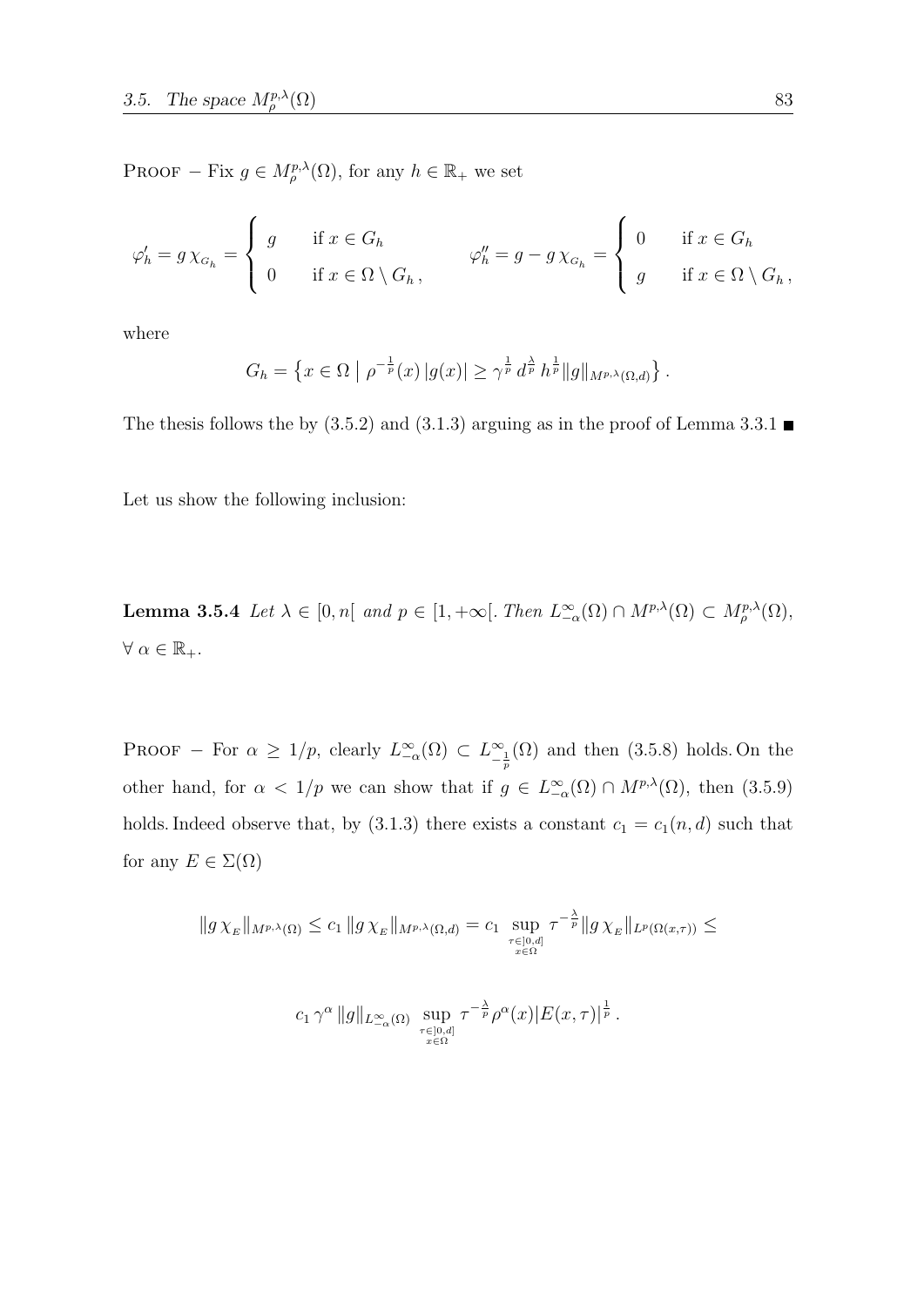PROOF – Fix  $g \in M_{\rho}^{p,\lambda}(\Omega)$ , for any  $h \in \mathbb{R}_+$  we set

$$
\varphi'_h = g \chi_{G_h} = \begin{cases} g & \text{if } x \in G_h \\ 0 & \text{if } x \in \Omega \setminus G_h, \end{cases} \qquad \varphi''_h = g - g \chi_{G_h} = \begin{cases} 0 & \text{if } x \in G_h \\ g & \text{if } x \in \Omega \setminus G_h, \end{cases}
$$

where

$$
G_h = \left\{ x \in \Omega \mid \rho^{-\frac{1}{p}}(x) \, |g(x)| \geq \gamma^{\frac{1}{p}} \, d^{\frac{\lambda}{p}} \, h^{\frac{1}{p}} \|g\|_{M^{p,\lambda}(\Omega,d)} \right\}.
$$

The thesis follows the by  $(3.5.2)$  and  $(3.1.3)$  arguing as in the proof of Lemma 3.3.1

Let us show the following inclusion:

**Lemma 3.5.4** Let  $\lambda \in [0, n]$  and  $p \in [1, +\infty]$ . Then  $L^{\infty}_{-\alpha}(\Omega) \cap M^{p,\lambda}(\Omega) \subset M^{p,\lambda}_{\rho}(\Omega)$ ,  $\forall \alpha \in \mathbb{R}_+.$ 

PROOF – For  $\alpha \geq 1/p$ , clearly  $L^{\infty}(\Omega) \subset L^{\infty}_{-\frac{1}{p}}(\Omega)$  and then (3.5.8) holds. On the other hand, for  $\alpha < 1/p$  we can show that if  $g \in L^{\infty}(\Omega) \cap M^{p,\lambda}(\Omega)$ , then  $(3.5.9)$ holds. Indeed observe that, by (3.1.3) there exists a constant  $c_1 = c_1(n, d)$  such that for any  $E \in \Sigma(\Omega)$ 

$$
||g\chi_E||_{M^{p,\lambda}(\Omega)} \leq c_1 ||g\chi_E||_{M^{p,\lambda}(\Omega,d)} = c_1 \sup_{\substack{\tau \in ]0,d] \\ x \in \Omega}} \tau^{-\frac{\lambda}{p}} ||g\chi_E||_{L^p(\Omega(x,\tau))} \leq
$$

$$
c_1\,\gamma^{\alpha}\,\|g\|_{L^{\infty}_{-\alpha}(\Omega)}\,\sup_{\substack{\tau\in]0,d]\\x\in\Omega}}\tau^{-\frac{\lambda}{p}}\rho^{\alpha}(x)|E(x,\tau)|^{\frac{1}{p}}.
$$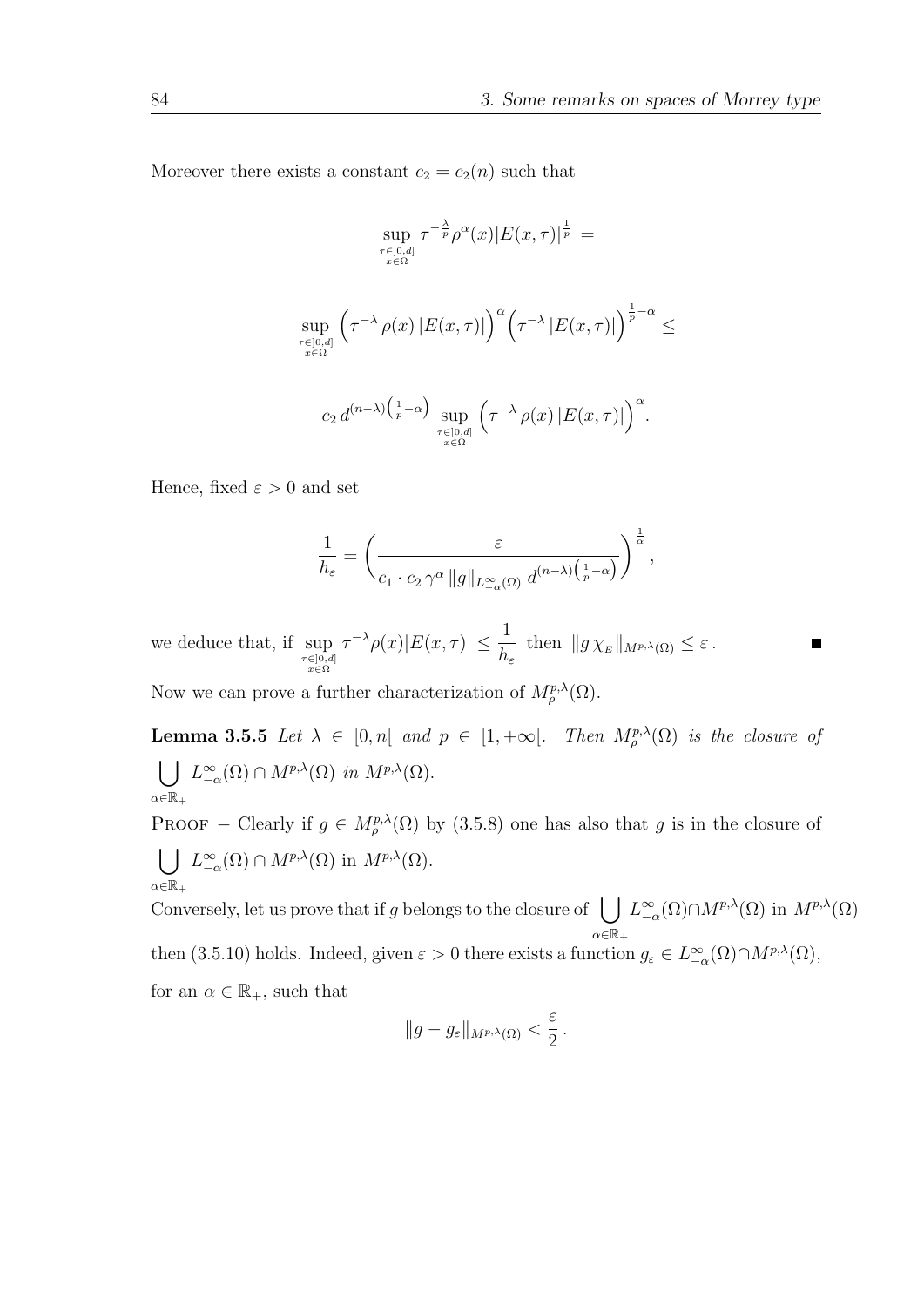Moreover there exists a constant  $c_2 = c_2(n)$  such that

$$
\sup_{\tau \in [0,d] \atop x \in \Omega} \tau^{-\frac{\lambda}{p}} \rho^{\alpha}(x) |E(x,\tau)|^{\frac{1}{p}} =
$$
  

$$
\sup_{\tau \in [0,d] \atop x \in \Omega} \left( \tau^{-\lambda} \rho(x) |E(x,\tau)| \right)^{\alpha} \left( \tau^{-\lambda} |E(x,\tau)| \right)^{\frac{1}{p}-\alpha} \le
$$
  

$$
c_2 d^{(n-\lambda)\left(\frac{1}{p}-\alpha\right)} \sup_{\tau \in [0,d] \atop x \in \Omega} \left( \tau^{-\lambda} \rho(x) |E(x,\tau)| \right)^{\alpha}.
$$

Hence, fixed  $\varepsilon > 0$  and set

$$
\frac{1}{h_{\varepsilon}} = \left(\frac{\varepsilon}{c_1 \cdot c_2 \gamma^{\alpha} \|g\|_{L^{\infty}_{-\alpha}(\Omega)} d^{(n-\lambda)\left(\frac{1}{p}-\alpha\right)}}\right)^{\frac{1}{\alpha}},
$$

we deduce that, if  $\sup_{\substack{\tau \in ]0,d] \\ x \in \Omega}}$  $\tau^{-\lambda}\rho(x)|E(x,\tau)| \leq \frac{1}{L}$  $\frac{1}{h_{\varepsilon}}$  then  $||g \chi_E||_{M^{p,\lambda}(\Omega)} \leq \varepsilon$ .

Now we can prove a further characterization of  $M^{p,\lambda}_{\rho}(\Omega)$ .

**Lemma 3.5.5** Let  $\lambda \in [0,n]$  and  $p \in [1,+\infty]$ . Then  $M^{p,\lambda}_{\rho}(\Omega)$  is the closure of  $\bigcup L^{\infty}_{-\alpha}(\Omega) \cap M^{p,\lambda}(\Omega)$  in  $M^{p,\lambda}(\Omega)$ .  $\alpha \in \mathbb{R}_+$ 

**PROOF** – Clearly if  $g \in M_\rho^{p,\lambda}(\Omega)$  by (3.5.8) one has also that g is in the closure of  $\overline{1}$ ∞

$$
\bigcup_{\alpha \in \mathbb{R}_+} L_{-\alpha}^{\infty}(\Omega) \cap M^{p,\lambda}(\Omega) \text{ in } M^{p,\lambda}(\Omega).
$$

Conversely, let us prove that if g belongs to the closure of  $\Box$  $\alpha \in \mathbb{R}_+$  $L_{-\alpha}^{\infty}(\Omega) \cap M^{p,\lambda}(\Omega)$  in  $M^{p,\lambda}(\Omega)$ then (3.5.10) holds. Indeed, given  $\varepsilon > 0$  there exists a function  $g_{\varepsilon} \in L^{\infty}_{-\alpha}(\Omega) \cap M^{p,\lambda}(\Omega)$ , for an  $\alpha \in \mathbb{R}_+$ , such that

$$
||g-g_{\varepsilon}||_{M^{p,\lambda}(\Omega)} < \frac{\varepsilon}{2}.
$$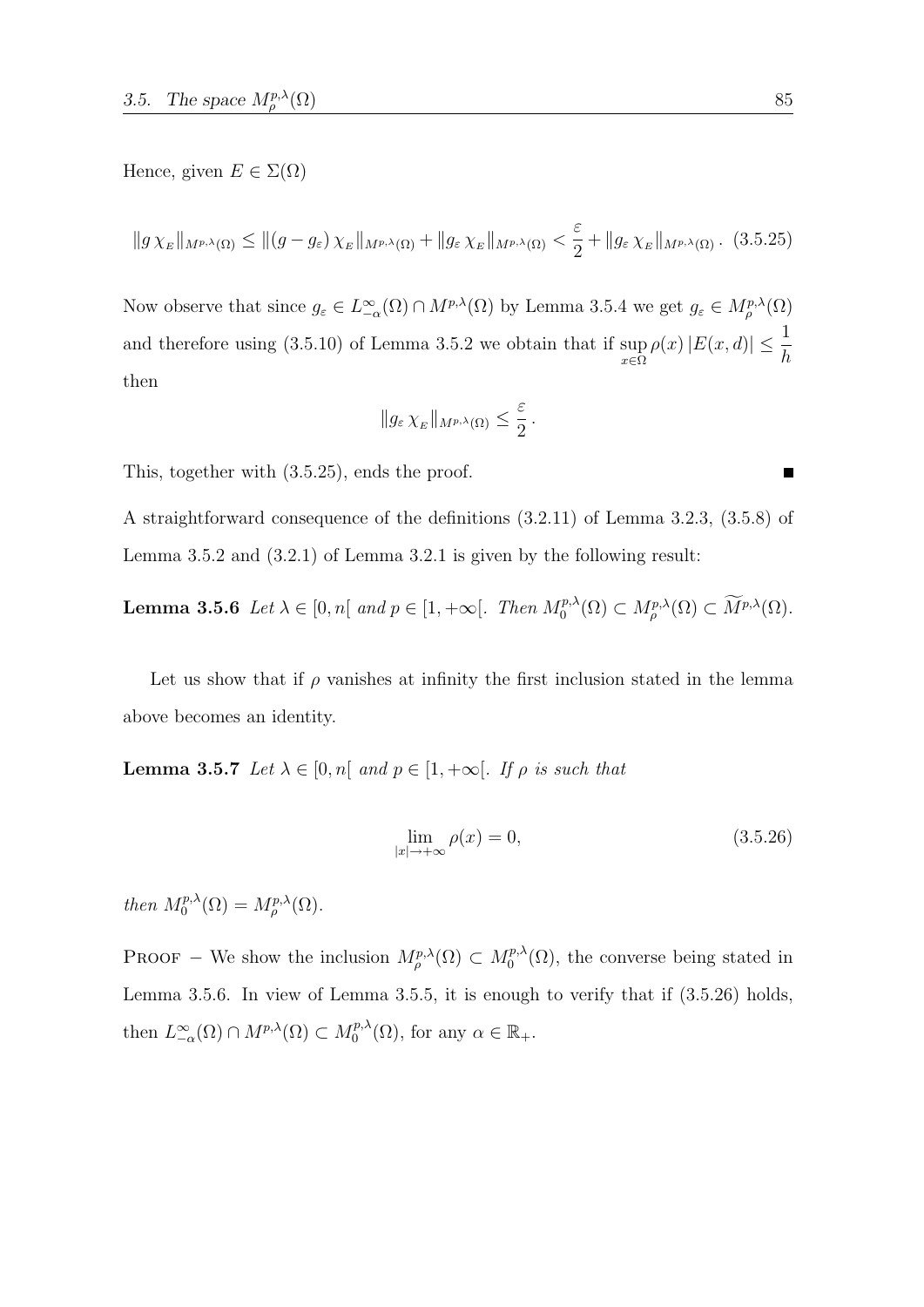Hence, given  $E \in \Sigma(\Omega)$ 

$$
||g\chi_E||_{M^{p,\lambda}(\Omega)} \le ||(g-g_{\varepsilon})\chi_E||_{M^{p,\lambda}(\Omega)} + ||g_{\varepsilon}\chi_E||_{M^{p,\lambda}(\Omega)} < \frac{\varepsilon}{2} + ||g_{\varepsilon}\chi_E||_{M^{p,\lambda}(\Omega)}.
$$
 (3.5.25)

Now observe that since  $g_{\varepsilon} \in L^{\infty}_{-\alpha}(\Omega) \cap M^{p,\lambda}(\Omega)$  by Lemma 3.5.4 we get  $g_{\varepsilon} \in M^{p,\lambda}_{\rho}(\Omega)$ and therefore using (3.5.10) of Lemma 3.5.2 we obtain that if sup x∈Ω  $\rho(x)|E(x, d)| \leq \frac{1}{l}$ h then

$$
||g_{\varepsilon}\chi_E||_{M^{p,\lambda}(\Omega)} \leq \frac{\varepsilon}{2}.
$$

This, together with (3.5.25), ends the proof.

A straightforward consequence of the definitions (3.2.11) of Lemma 3.2.3, (3.5.8) of Lemma 3.5.2 and (3.2.1) of Lemma 3.2.1 is given by the following result:

**Lemma 3.5.6** Let  $\lambda \in [0, n[$  and  $p \in [1, +\infty[$ . Then  $M_0^{p,\lambda}$  $U_0^{p,\lambda}(\Omega) \subset M_{\rho}^{p,\lambda}(\Omega) \subset M^{p,\lambda}(\Omega).$ 

Let us show that if  $\rho$  vanishes at infinity the first inclusion stated in the lemma above becomes an identity.

**Lemma 3.5.7** Let  $\lambda \in [0, n]$  and  $p \in [1, +\infty]$ . If  $\rho$  is such that

$$
\lim_{|x| \to +\infty} \rho(x) = 0,\tag{3.5.26}
$$

then  $M_0^{p,\lambda}$  $\delta_0^{p,\lambda}(\Omega)=M^{p,\lambda}_\rho(\Omega).$ 

**PROOF** – We show the inclusion  $M^{p,\lambda}_\rho(\Omega) \subset M^{p,\lambda}_0$  $\int_0^{p,\lambda}(\Omega)$ , the converse being stated in Lemma 3.5.6. In view of Lemma 3.5.5, it is enough to verify that if (3.5.26) holds, then  $L_{-\alpha}^{\infty}(\Omega) \cap M^{p,\lambda}(\Omega) \subset M_0^{p,\lambda}$  $C_0^{p,\lambda}(\Omega)$ , for any  $\alpha \in \mathbb{R}_+$ .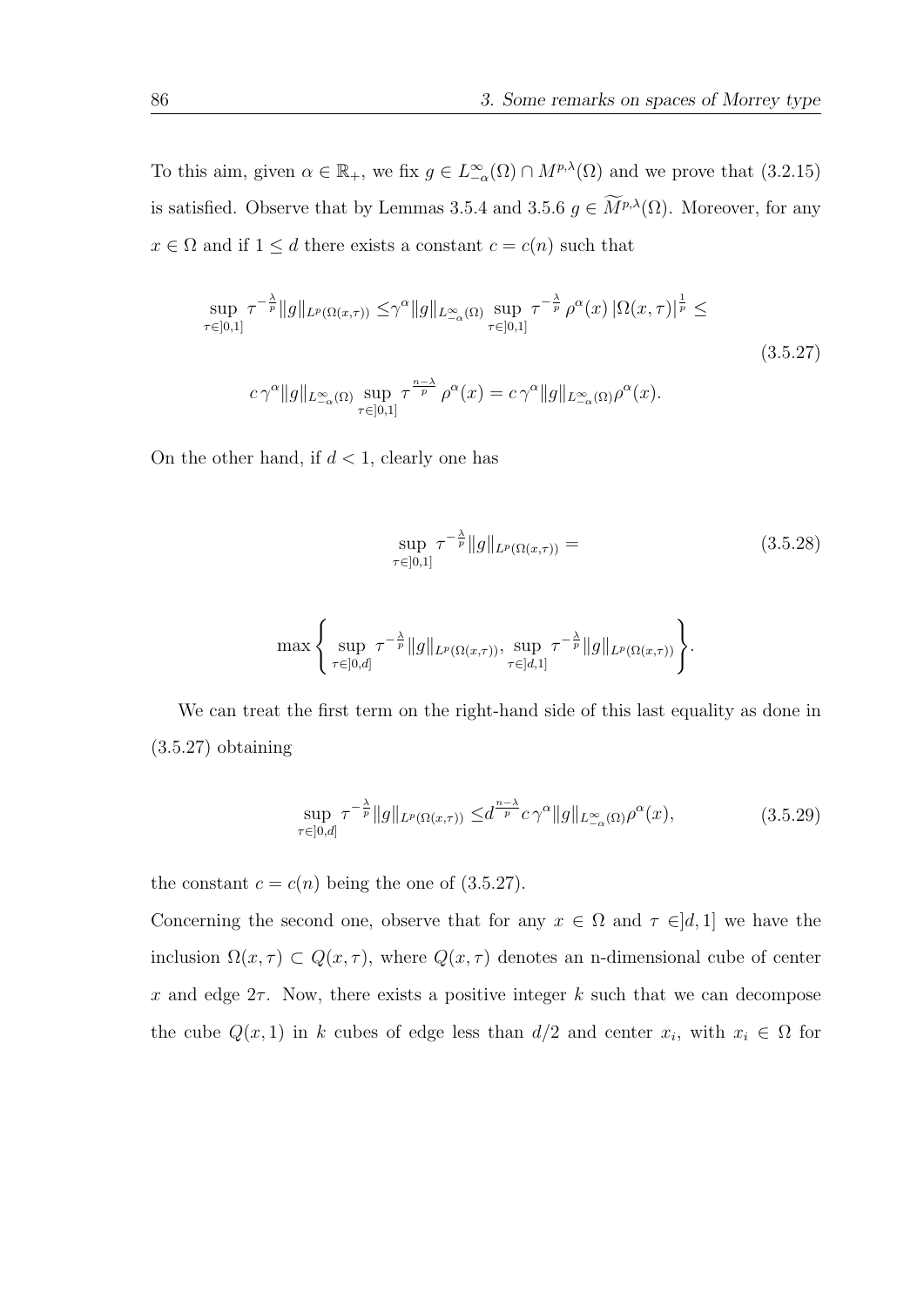To this aim, given  $\alpha \in \mathbb{R}_+$ , we fix  $g \in L^{\infty}_{-\alpha}(\Omega) \cap M^{p,\lambda}(\Omega)$  and we prove that  $(3.2.15)$ is satisfied. Observe that by Lemmas 3.5.4 and 3.5.6  $g \in \widetilde{M}^{p,\lambda}(\Omega)$ . Moreover, for any  $x \in \Omega$  and if  $1 \leq d$  there exists a constant  $c = c(n)$  such that

$$
\sup_{\tau \in [0,1]} \tau^{-\frac{\lambda}{p}} \|g\|_{L^p(\Omega(x,\tau))} \leq \gamma^{\alpha} \|g\|_{L^{\infty}(\Omega)} \sup_{\tau \in [0,1]} \tau^{-\frac{\lambda}{p}} \rho^{\alpha}(x) |\Omega(x,\tau)|^{\frac{1}{p}} \leq
$$
\n
$$
c \gamma^{\alpha} \|g\|_{L^{\infty}(\Omega)} \sup_{\tau \in [0,1]} \tau^{\frac{n-\lambda}{p}} \rho^{\alpha}(x) = c \gamma^{\alpha} \|g\|_{L^{\infty}(\Omega)} \rho^{\alpha}(x).
$$
\n(3.5.27)

On the other hand, if  $d < 1$ , clearly one has

$$
\sup_{\tau \in [0,1]} \tau^{-\frac{\lambda}{p}} \|g\|_{L^p(\Omega(x,\tau))} = \tag{3.5.28}
$$

$$
\max\left\{\sup_{\tau\in]0,d]} \tau^{-\frac{\lambda}{p}}\|g\|_{L^p(\Omega(x,\tau))}, \sup_{\tau\in]d,1]} \tau^{-\frac{\lambda}{p}}\|g\|_{L^p(\Omega(x,\tau))}\right\}.
$$

We can treat the first term on the right-hand side of this last equality as done in (3.5.27) obtaining

$$
\sup_{\tau \in [0,d]} \tau^{-\frac{\lambda}{p}} \|g\|_{L^p(\Omega(x,\tau))} \leq d^{\frac{n-\lambda}{p}} c \,\gamma^{\alpha} \|g\|_{L^\infty_{-\alpha}(\Omega)} \rho^{\alpha}(x),\tag{3.5.29}
$$

the constant  $c = c(n)$  being the one of (3.5.27).

Concerning the second one, observe that for any  $x \in \Omega$  and  $\tau \in ]d,1]$  we have the inclusion  $\Omega(x, \tau) \subset Q(x, \tau)$ , where  $Q(x, \tau)$  denotes an n-dimensional cube of center x and edge  $2\tau$ . Now, there exists a positive integer k such that we can decompose the cube  $Q(x, 1)$  in k cubes of edge less than  $d/2$  and center  $x_i$ , with  $x_i \in \Omega$  for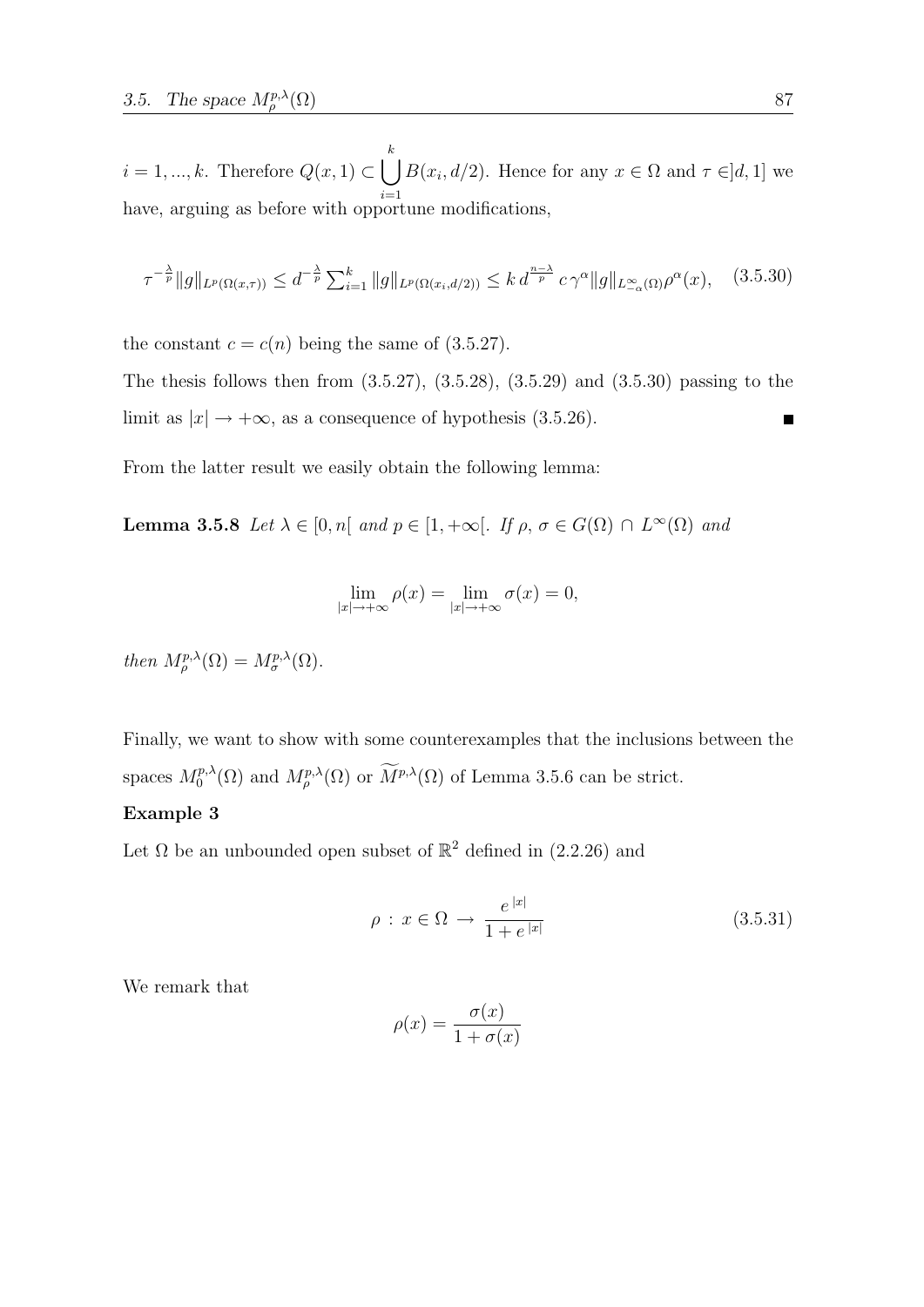$i = 1, ..., k$ . Therefore  $Q(x, 1) \subset \Box$ k  $i=1$  $B(x_i, d/2)$ . Hence for any  $x \in \Omega$  and  $\tau \in ]d, 1]$  we have, arguing as before with opportune modifications,

$$
\tau^{-\frac{\lambda}{p}} \|g\|_{L^p(\Omega(x,\tau))} \le d^{-\frac{\lambda}{p}} \sum_{i=1}^k \|g\|_{L^p(\Omega(x_i,d/2))} \le k d^{\frac{n-\lambda}{p}} c \gamma^{\alpha} \|g\|_{L^\infty(\Omega)} \rho^{\alpha}(x), \quad (3.5.30)
$$

the constant  $c = c(n)$  being the same of (3.5.27).

The thesis follows then from  $(3.5.27), (3.5.28), (3.5.29)$  and  $(3.5.30)$  passing to the limit as  $|x| \rightarrow +\infty$ , as a consequence of hypothesis (3.5.26).

From the latter result we easily obtain the following lemma:

**Lemma 3.5.8** Let  $\lambda \in [0, n]$  and  $p \in [1, +\infty]$ . If  $\rho, \sigma \in G(\Omega) \cap L^{\infty}(\Omega)$  and

$$
\lim_{|x| \to +\infty} \rho(x) = \lim_{|x| \to +\infty} \sigma(x) = 0,
$$

then  $M_{\rho}^{p,\lambda}(\Omega) = M_{\sigma}^{p,\lambda}(\Omega)$ .

Finally, we want to show with some counterexamples that the inclusions between the spaces  $M_0^{p,\lambda}$  $\int_0^{p,\lambda}(\Omega)$  and  $M_p^{p,\lambda}(\Omega)$  or  $\overline{M}^{p,\lambda}(\Omega)$  of Lemma 3.5.6 can be strict.

## Example 3

Let  $\Omega$  be an unbounded open subset of  $\mathbb{R}^2$  defined in (2.2.26) and

$$
\rho: x \in \Omega \to \frac{e^{|x|}}{1 + e^{|x|}} \tag{3.5.31}
$$

We remark that

$$
\rho(x) = \frac{\sigma(x)}{1 + \sigma(x)}
$$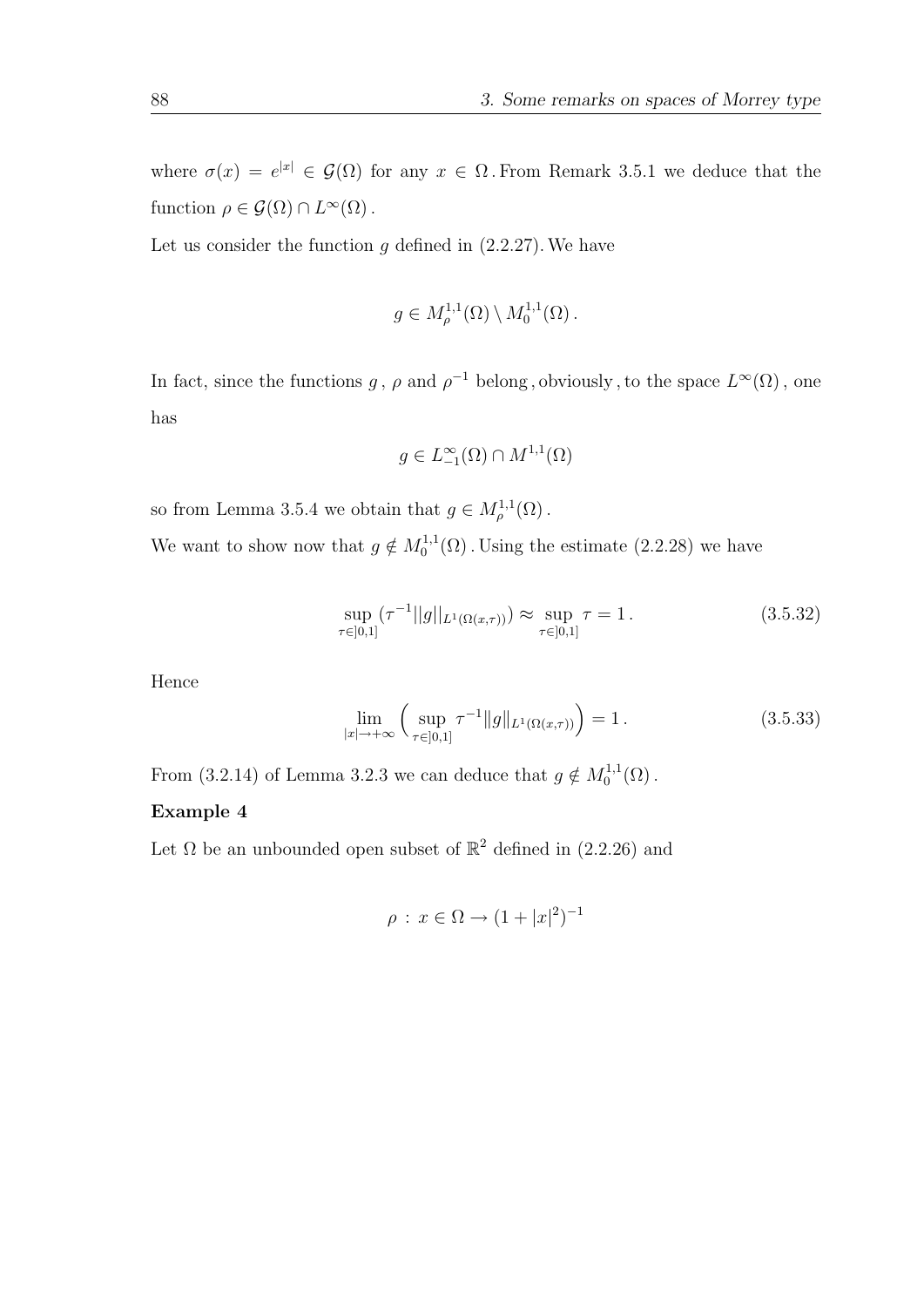where  $\sigma(x) = e^{|x|} \in \mathcal{G}(\Omega)$  for any  $x \in \Omega$ . From Remark 3.5.1 we deduce that the function  $\rho \in \mathcal{G}(\Omega) \cap L^{\infty}(\Omega)$ .

Let us consider the function  $g$  defined in  $(2.2.27)$ . We have

$$
g \in M_{\rho}^{1,1}(\Omega) \setminus M_0^{1,1}(\Omega).
$$

In fact, since the functions g,  $\rho$  and  $\rho^{-1}$  belong, obviously, to the space  $L^{\infty}(\Omega)$ , one has

$$
g \in L^{\infty}_{-1}(\Omega) \cap M^{1,1}(\Omega)
$$

so from Lemma 3.5.4 we obtain that  $g \in M^{1,1}_{\rho}(\Omega)$ .

We want to show now that  $g \notin M_0^{1,1}$  $_{0}^{1,1,1}(\Omega)$ . Using the estimate  $(2.2.28)$  we have

$$
\sup_{\tau \in [0,1]} (\tau^{-1}||g||_{L^1(\Omega(x,\tau))}) \approx \sup_{\tau \in [0,1]} \tau = 1.
$$
\n(3.5.32)

Hence

$$
\lim_{|x| \to +\infty} \left( \sup_{\tau \in [0,1]} \tau^{-1} \|g\|_{L^1(\Omega(x,\tau))} \right) = 1. \tag{3.5.33}
$$

From (3.2.14) of Lemma 3.2.3 we can deduce that  $g \notin M_0^{1,1}$  $_{0}^{\text{1,1}}(\Omega)$ .

## Example 4

Let  $\Omega$  be an unbounded open subset of  $\mathbb{R}^2$  defined in (2.2.26) and

$$
\rho : x \in \Omega \to (1 + |x|^2)^{-1}
$$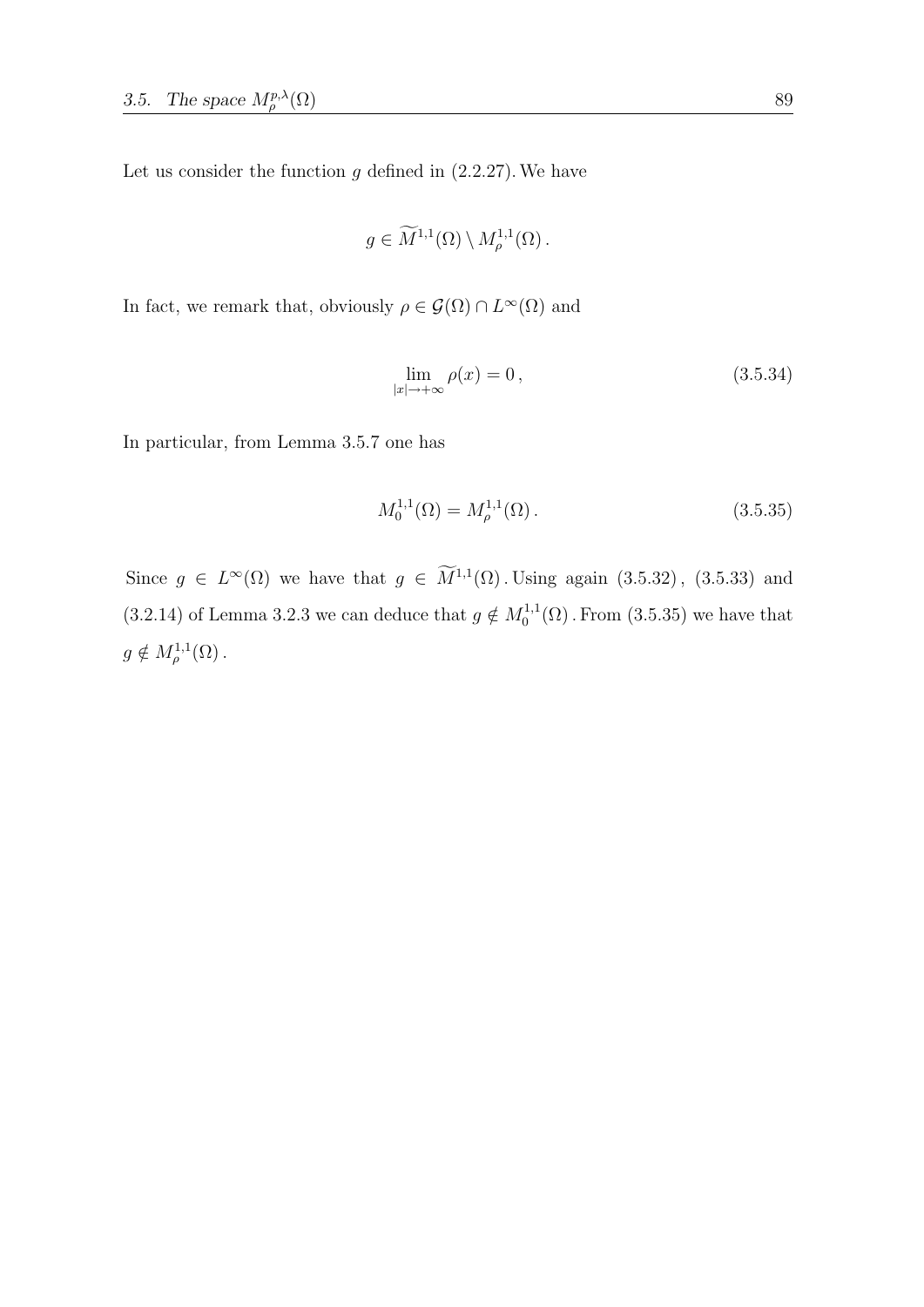Let us consider the function  $g$  defined in  $(2.2.27)$ . We have

$$
g \in \widetilde{M}^{1,1}(\Omega) \setminus M^{1,1}_{\rho}(\Omega).
$$

In fact, we remark that, obviously  $\rho \in \mathcal{G}(\Omega) \cap L^{\infty}(\Omega)$  and

$$
\lim_{|x| \to +\infty} \rho(x) = 0, \qquad (3.5.34)
$$

In particular, from Lemma 3.5.7 one has

$$
M_0^{1,1}(\Omega) = M_\rho^{1,1}(\Omega). \tag{3.5.35}
$$

Since  $g \in L^{\infty}(\Omega)$  we have that  $g \in M^{1,1}(\Omega)$ . Using again  $(3.5.32)$ ,  $(3.5.33)$  and  $(3.2.14)$  of Lemma 3.2.3 we can deduce that  $g \notin M_0^{1,1}$  $_{0}^{1,1}(\Omega)$ . From  $(3.5.35)$  we have that  $g \notin M_{\rho}^{1,1}(\Omega)$ .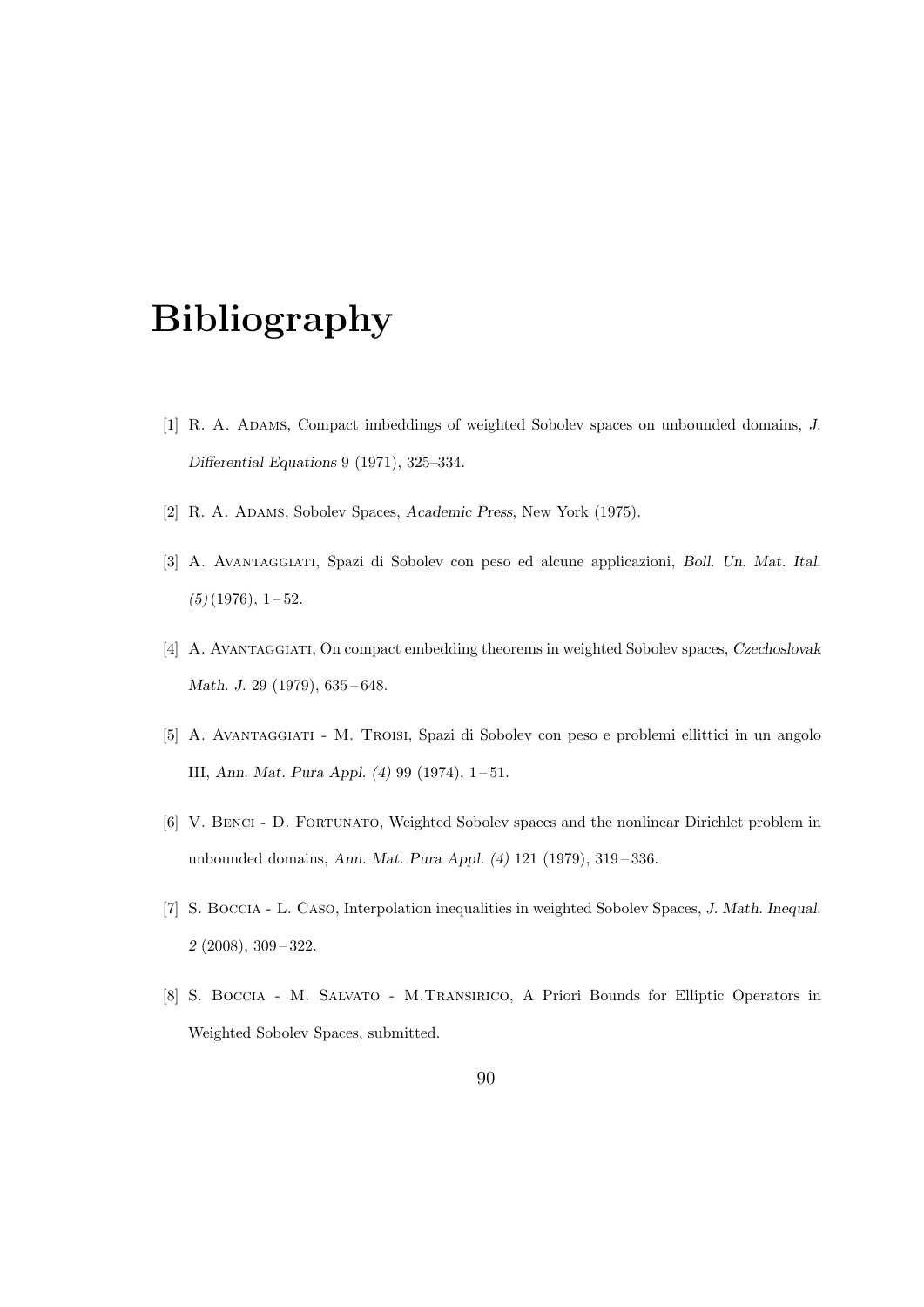## Bibliography

- [1] R. A. Adams, Compact imbeddings of weighted Sobolev spaces on unbounded domains, J. Differential Equations 9 (1971), 325–334.
- [2] R. A. ADAMS, Sobolev Spaces, Academic Press, New York (1975).
- [3] A. Avantaggiati, Spazi di Sobolev con peso ed alcune applicazioni, Boll. Un. Mat. Ital.  $(5)(1976), 1-52.$
- [4] A. Avantaggiati, On compact embedding theorems in weighted Sobolev spaces, Czechoslovak Math. J. 29 (1979), 635-648.
- [5] A. Avantaggiati M. Troisi, Spazi di Sobolev con peso e problemi ellittici in un angolo III, Ann. Mat. Pura Appl. (4) 99 (1974), 1 – 51.
- [6] V. Benci D. Fortunato, Weighted Sobolev spaces and the nonlinear Dirichlet problem in unbounded domains, Ann. Mat. Pura Appl. (4) 121 (1979), 319 – 336.
- [7] S. Boccia L. Caso, Interpolation inequalities in weighted Sobolev Spaces, J. Math. Inequal. 2 (2008), 309 – 322.
- [8] S. Boccia M. Salvato M.Transirico, A Priori Bounds for Elliptic Operators in Weighted Sobolev Spaces, submitted.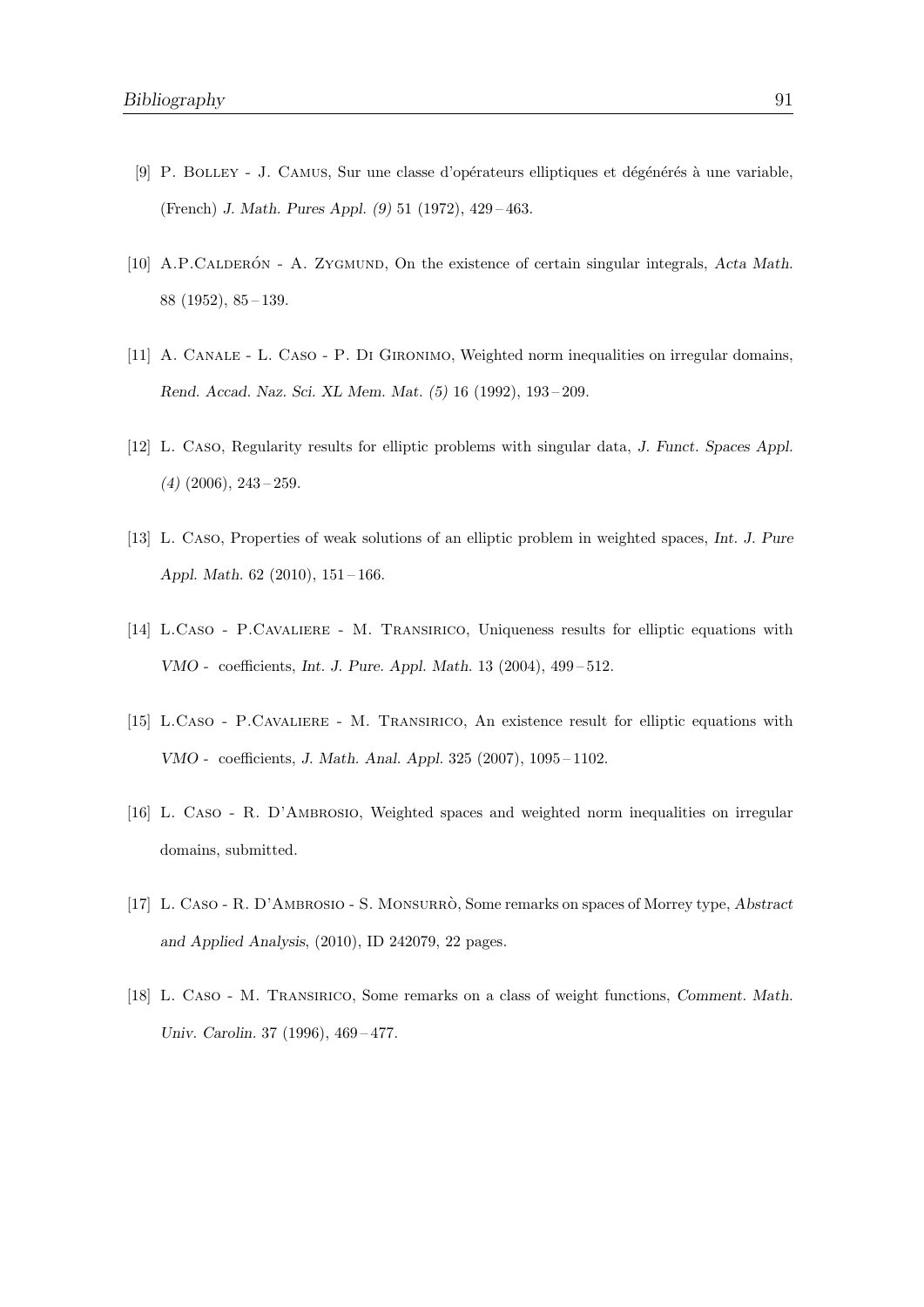- [9] P. BOLLEY J. CAMUS, Sur une classe d'opérateurs elliptiques et dégénérés à une variable, (French) J. Math. Pures Appl. (9) 51 (1972), 429 – 463.
- [10] A.P.CALDERON A. ZYGMUND, On the existence of certain singular integrals, Acta Math. 88 (1952), 85 – 139.
- [11] A. CANALE L. CASO P. DI GIRONIMO, Weighted norm inequalities on irregular domains, Rend. Accad. Naz. Sci. XL Mem. Mat. (5) 16 (1992), 193 – 209.
- [12] L. Caso, Regularity results for elliptic problems with singular data, J. Funct. Spaces Appl.  $(4)$   $(2006)$ ,  $243 - 259$ .
- [13] L. Caso, Properties of weak solutions of an elliptic problem in weighted spaces, Int. J. Pure Appl. Math. 62 (2010), 151 – 166.
- [14] L.Caso P.Cavaliere M. Transirico, Uniqueness results for elliptic equations with VMO - coefficients, Int. J. Pure. Appl. Math. 13 (2004), 499 – 512.
- [15] L.Caso P.Cavaliere M. Transirico, An existence result for elliptic equations with VMO - coefficients, J. Math. Anal. Appl. 325 (2007), 1095 – 1102.
- [16] L. Caso R. D'AMBROSIO, Weighted spaces and weighted norm inequalities on irregular domains, submitted.
- [17] L. CASO R. D'AMBROSIO S. MONSURRÒ, Some remarks on spaces of Morrey type, Abstract and Applied Analysis, (2010), ID 242079, 22 pages.
- [18] L. Caso M. Transirico, Some remarks on a class of weight functions, Comment. Math. Univ. Carolin. 37 (1996), 469 – 477.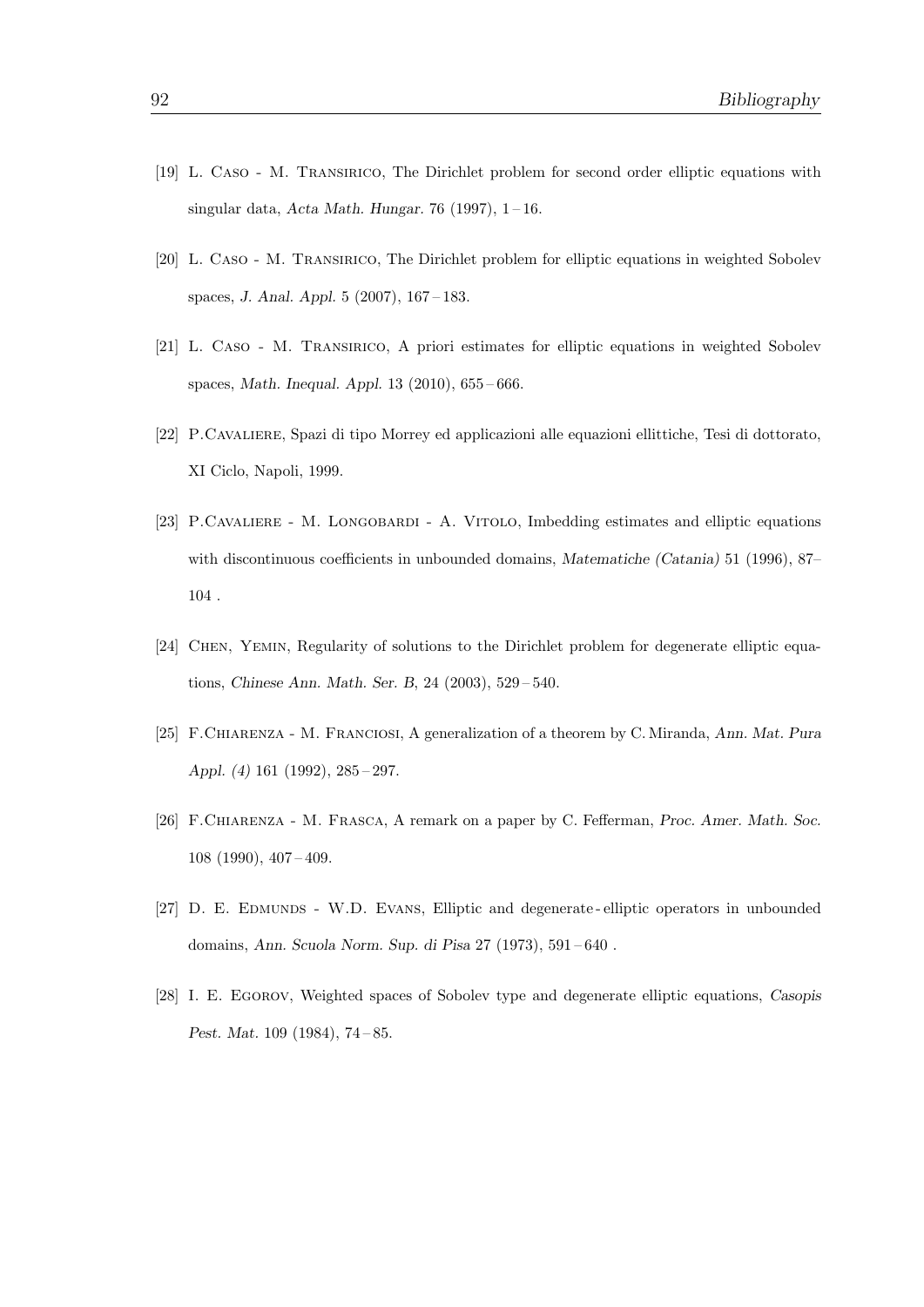- [19] L. Caso M. Transirico, The Dirichlet problem for second order elliptic equations with singular data, Acta Math. Hungar. 76 (1997),  $1-16$ .
- [20] L. Caso M. Transirico, The Dirichlet problem for elliptic equations in weighted Sobolev spaces, J. Anal. Appl. 5 (2007), 167 – 183.
- [21] L. Caso M. Transirico, A priori estimates for elliptic equations in weighted Sobolev spaces, Math. Inequal. Appl. 13 (2010), 655 – 666.
- [22] P.Cavaliere, Spazi di tipo Morrey ed applicazioni alle equazioni ellittiche, Tesi di dottorato, XI Ciclo, Napoli, 1999.
- [23] P.Cavaliere M. Longobardi A. Vitolo, Imbedding estimates and elliptic equations with discontinuous coefficients in unbounded domains, Matematiche (Catania) 51 (1996), 87– 104 .
- [24] Chen, Yemin, Regularity of solutions to the Dirichlet problem for degenerate elliptic equations, Chinese Ann. Math. Ser. B, 24 (2003), 529 – 540.
- [25] F.Chiarenza M. Franciosi, A generalization of a theorem by C. Miranda, Ann. Mat. Pura Appl. (4) 161 (1992), 285 – 297.
- [26] F.CHIARENZA M. FRASCA, A remark on a paper by C. Fefferman, Proc. Amer. Math. Soc. 108 (1990), 407 – 409.
- [27] D. E. EDMUNDS W.D. EVANS, Elliptic and degenerate elliptic operators in unbounded domains, Ann. Scuola Norm. Sup. di Pisa 27 (1973), 591 – 640 .
- [28] I. E. Egorov, Weighted spaces of Sobolev type and degenerate elliptic equations, Casopis Pest. Mat. 109 (1984), 74 – 85.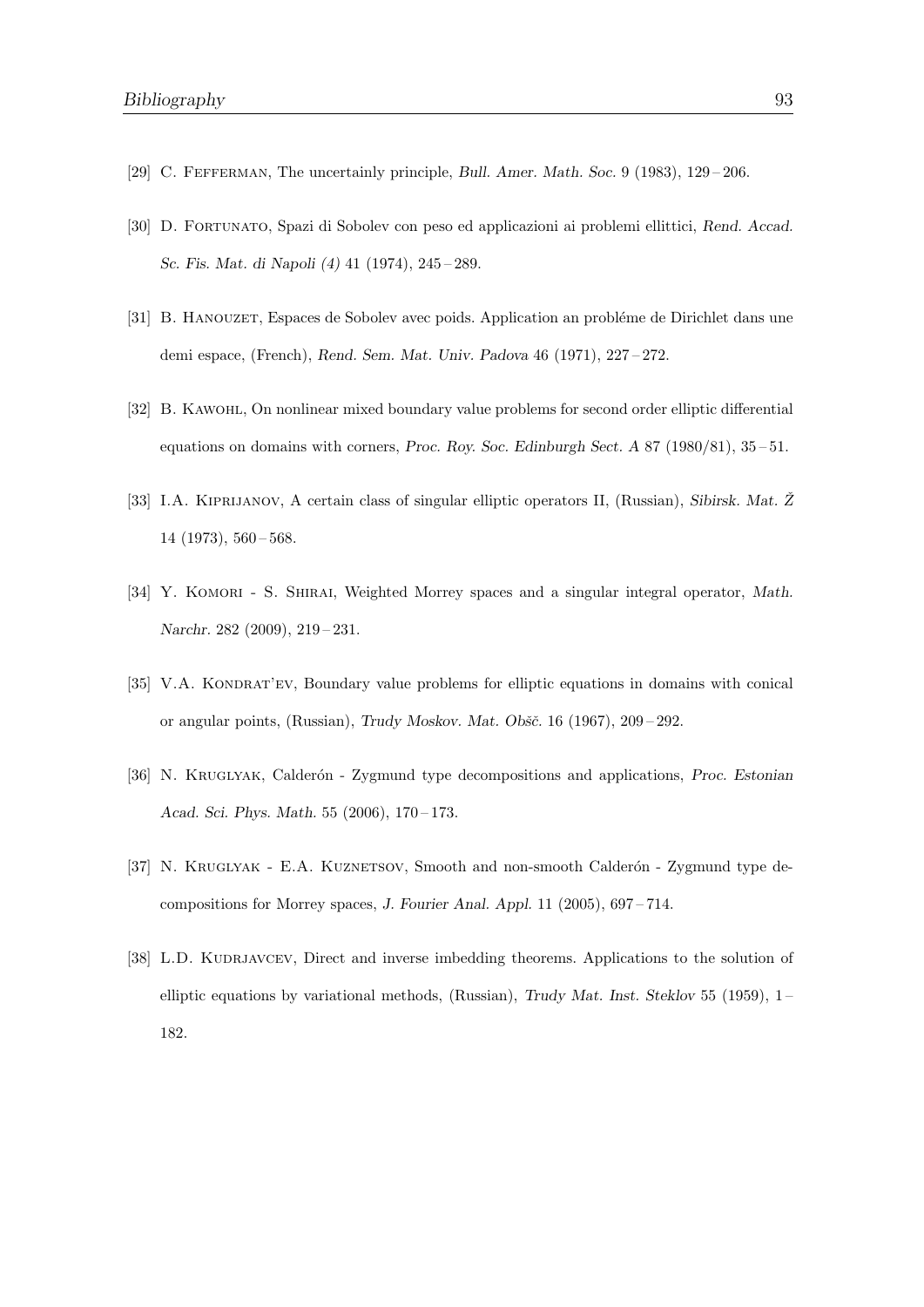- [29] C. Fefferman, The uncertainly principle, Bull. Amer. Math. Soc. 9 (1983), 129 206.
- [30] D. Fortunato, Spazi di Sobolev con peso ed applicazioni ai problemi ellittici, Rend. Accad. Sc. Fis. Mat. di Napoli (4) 41 (1974), 245 – 289.
- [31] B. HANOUZET, Espaces de Sobolev avec poids. Application an probléme de Dirichlet dans une demi espace, (French), Rend. Sem. Mat. Univ. Padova 46 (1971), 227 – 272.
- [32] B. Kawohl, On nonlinear mixed boundary value problems for second order elliptic differential equations on domains with corners, Proc. Roy. Soc. Edinburgh Sect.  $A 87 (1980/81), 35-51$ .
- [33] I.A. KIPRIJANOV, A certain class of singular elliptic operators II, (Russian), Sibirsk. Mat. Ž 14 (1973), 560 – 568.
- [34] Y. KOMORI S. SHIRAI, Weighted Morrey spaces and a singular integral operator, Math. Narchr. 282 (2009), 219 – 231.
- [35] V.A. KONDRAT'EV, Boundary value problems for elliptic equations in domains with conical or angular points, (Russian), Trudy Moskov. Mat. Obšč. 16 (1967), 209-292.
- [36] N. KRUGLYAK, Calderón Zygmund type decompositions and applications, Proc. Estonian Acad. Sci. Phys. Math. 55 (2006), 170 – 173.
- [37] N. KRUGLYAK E.A. KUZNETSOV, Smooth and non-smooth Calderón Zygmund type decompositions for Morrey spaces, J. Fourier Anal. Appl. 11 (2005), 697 – 714.
- [38] L.D. KUDRJAVCEV, Direct and inverse imbedding theorems. Applications to the solution of elliptic equations by variational methods, (Russian), Trudy Mat. Inst. Steklov 55 (1959),  $1-$ 182.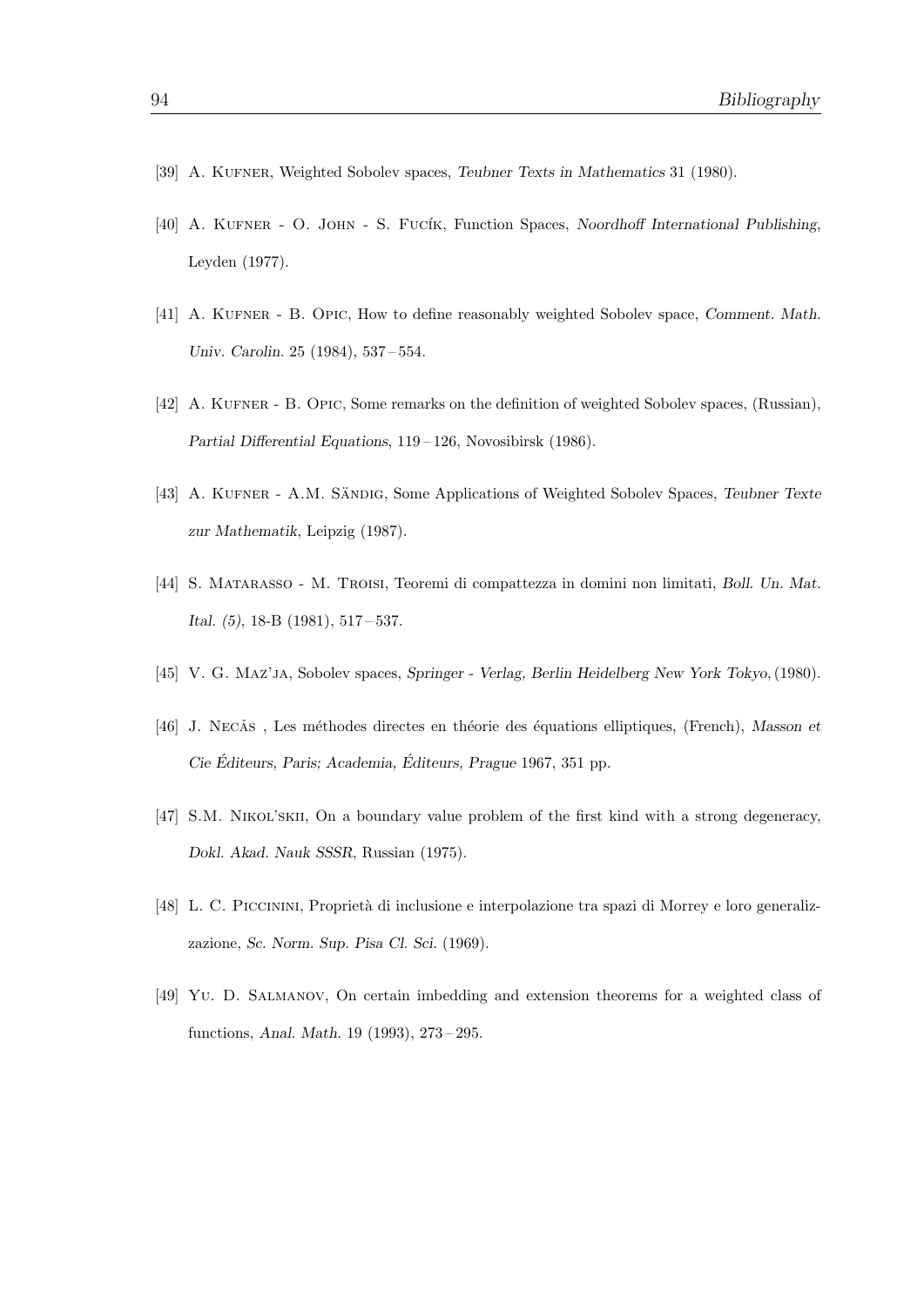- [39] A. KUFNER, Weighted Sobolev spaces, Teubner Texts in Mathematics 31 (1980).
- [40] A. KUFNER O. JOHN S. FUCÍK, Function Spaces, Noordhoff International Publishing, Leyden (1977).
- [41] A. KUFNER B. OPIC, How to define reasonably weighted Sobolev space, Comment. Math. Univ. Carolin. 25 (1984), 537 – 554.
- [42] A. KUFNER B. OPIC, Some remarks on the definition of weighted Sobolev spaces, (Russian), Partial Differential Equations, 119 – 126, Novosibirsk (1986).
- [43] A. KUFNER A.M. SÄNDIG, Some Applications of Weighted Sobolev Spaces, Teubner Texte zur Mathematik, Leipzig (1987).
- [44] S. MATARASSO M. TROISI, Teoremi di compattezza in domini non limitati, Boll. Un. Mat. Ital. (5), 18-B (1981), 517 – 537.
- [45] V. G. Maz'ja, Sobolev spaces, Springer Verlag, Berlin Heidelberg New York Tokyo, (1980).
- [46] J. Necăs, Les méthodes directes en théorie des équations elliptiques, (French), Masson et  $Cie$  Éditeurs, Paris; Academia, Éditeurs, Prague 1967, 351 pp.
- [47] S.M. NIKOL'SKII, On a boundary value problem of the first kind with a strong degeneracy, Dokl. Akad. Nauk SSSR, Russian (1975).
- [48] L. C. PICCININI, Proprietà di inclusione e interpolazione tra spazi di Morrey e loro generalizzazione, Sc. Norm. Sup. Pisa Cl. Sci. (1969).
- [49] Yu. D. Salmanov, On certain imbedding and extension theorems for a weighted class of functions, Anal. Math. 19 (1993), 273 – 295.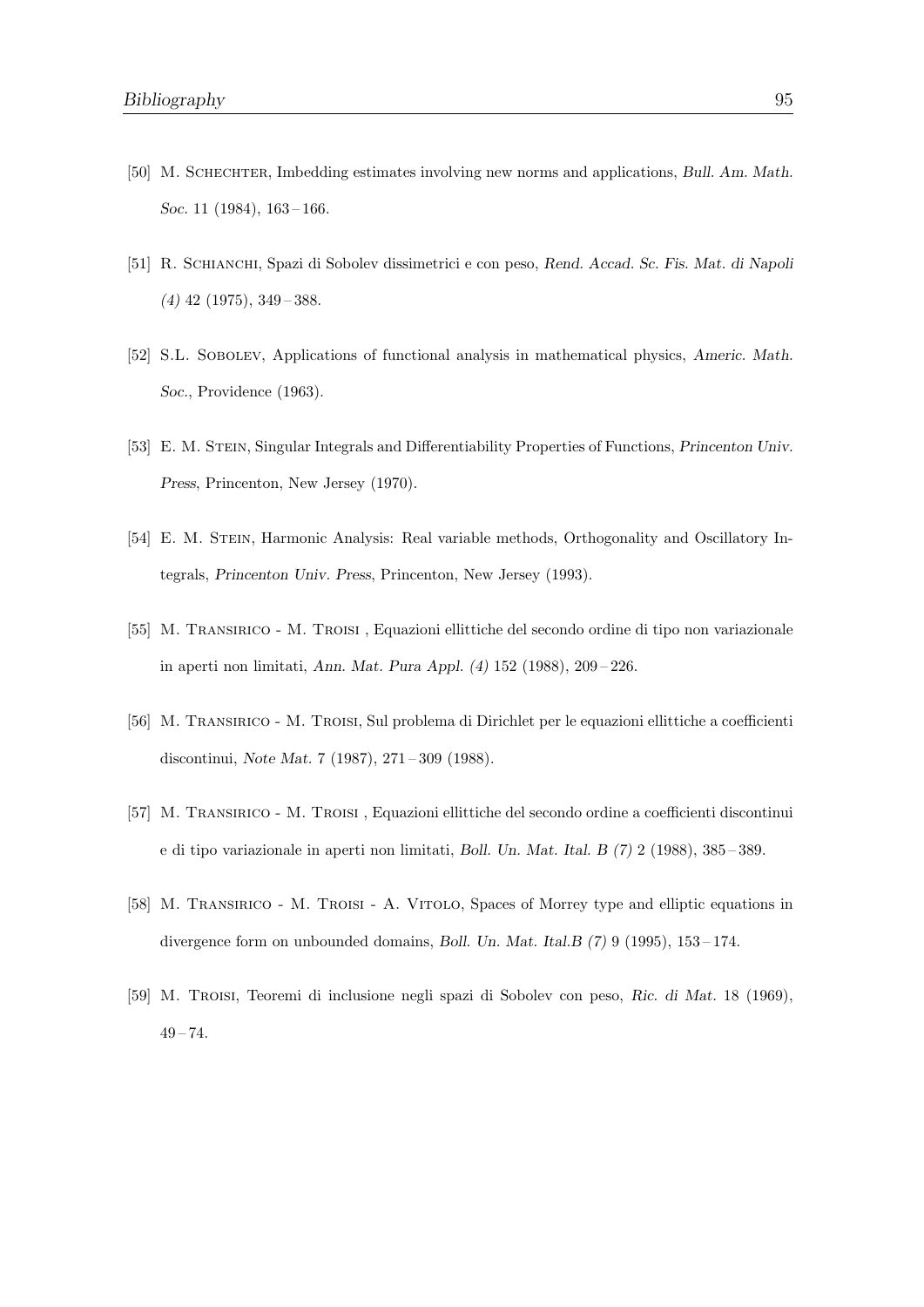- [50] M. Schechter, Imbedding estimates involving new norms and applications, Bull. Am. Math. Soc. 11 (1984), 163-166.
- [51] R. Schianchi, Spazi di Sobolev dissimetrici e con peso, Rend. Accad. Sc. Fis. Mat. di Napoli  $(4)$  42 (1975), 349 – 388.
- [52] S.L. SOBOLEV, Applications of functional analysis in mathematical physics, Americ. Math. Soc., Providence (1963).
- [53] E. M. STEIN, Singular Integrals and Differentiability Properties of Functions, Princenton Univ. Press, Princenton, New Jersey (1970).
- [54] E. M. STEIN, Harmonic Analysis: Real variable methods, Orthogonality and Oscillatory Integrals, Princenton Univ. Press, Princenton, New Jersey (1993).
- [55] M. Transirico M. Troisi , Equazioni ellittiche del secondo ordine di tipo non variazionale in aperti non limitati, Ann. Mat. Pura Appl. (4) 152 (1988), 209 – 226.
- [56] M. Transirico M. Troisi, Sul problema di Dirichlet per le equazioni ellittiche a coefficienti discontinui, Note Mat. 7 (1987), 271 – 309 (1988).
- [57] M. Transirico M. Troisi , Equazioni ellittiche del secondo ordine a coefficienti discontinui e di tipo variazionale in aperti non limitati, Boll. Un. Mat. Ital. B (7) 2 (1988), 385 – 389.
- [58] M. Transirico M. Troisi A. Vitolo, Spaces of Morrey type and elliptic equations in divergence form on unbounded domains, Boll. Un. Mat. Ital.B (7) 9 (1995), 153 – 174.
- [59] M. Troisi, Teoremi di inclusione negli spazi di Sobolev con peso, Ric. di Mat. 18 (1969),  $49 - 74.$